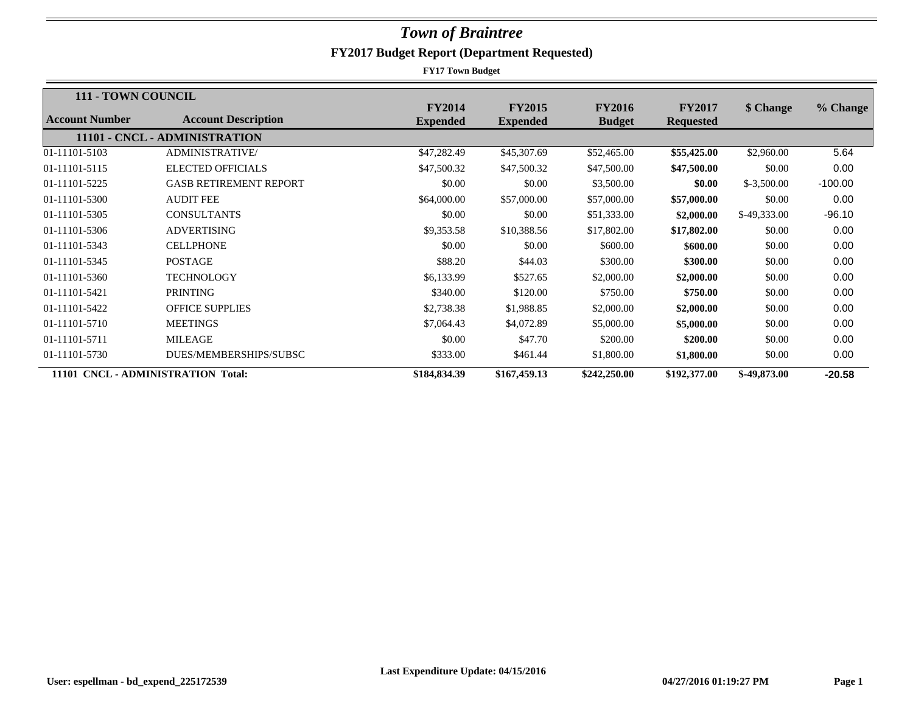| <b>111 - TOWN COUNCIL</b> |                                    |                                  |                                  |                                |                                   |               |           |
|---------------------------|------------------------------------|----------------------------------|----------------------------------|--------------------------------|-----------------------------------|---------------|-----------|
| Account Number            | <b>Account Description</b>         | <b>FY2014</b><br><b>Expended</b> | <b>FY2015</b><br><b>Expended</b> | <b>FY2016</b><br><b>Budget</b> | <b>FY2017</b><br><b>Requested</b> | \$ Change     | % Change  |
|                           | 11101 - CNCL - ADMINISTRATION      |                                  |                                  |                                |                                   |               |           |
| 01-11101-5103             | <b>ADMINISTRATIVE/</b>             | \$47,282.49                      | \$45,307.69                      | \$52,465.00                    | \$55,425.00                       | \$2,960.00    | 5.64      |
| 01-11101-5115             | <b>ELECTED OFFICIALS</b>           | \$47,500.32                      | \$47,500.32                      | \$47,500.00                    | \$47,500.00                       | \$0.00        | 0.00      |
| 01-11101-5225             | <b>GASB RETIREMENT REPORT</b>      | \$0.00                           | \$0.00                           | \$3,500.00                     | \$0.00                            | $$-3,500.00$  | $-100.00$ |
| 01-11101-5300             | <b>AUDIT FEE</b>                   | \$64,000.00                      | \$57,000.00                      | \$57,000.00                    | \$57,000.00                       | \$0.00        | 0.00      |
| 01-11101-5305             | <b>CONSULTANTS</b>                 | \$0.00                           | \$0.00                           | \$51,333.00                    | \$2,000.00                        | $$-49,333.00$ | $-96.10$  |
| 01-11101-5306             | <b>ADVERTISING</b>                 | \$9,353.58                       | \$10,388.56                      | \$17,802.00                    | \$17,802.00                       | \$0.00        | 0.00      |
| 01-11101-5343             | <b>CELLPHONE</b>                   | \$0.00                           | \$0.00                           | \$600.00                       | \$600.00                          | \$0.00        | 0.00      |
| 01-11101-5345             | <b>POSTAGE</b>                     | \$88.20                          | \$44.03                          | \$300.00                       | \$300.00                          | \$0.00        | 0.00      |
| 01-11101-5360             | <b>TECHNOLOGY</b>                  | \$6,133.99                       | \$527.65                         | \$2,000.00                     | \$2,000.00                        | \$0.00        | 0.00      |
| 01-11101-5421             | <b>PRINTING</b>                    | \$340.00                         | \$120.00                         | \$750.00                       | \$750.00                          | \$0.00        | 0.00      |
| 01-11101-5422             | <b>OFFICE SUPPLIES</b>             | \$2,738.38                       | \$1,988.85                       | \$2,000.00                     | \$2,000.00                        | \$0.00        | 0.00      |
| 01-11101-5710             | <b>MEETINGS</b>                    | \$7,064.43                       | \$4,072.89                       | \$5,000.00                     | \$5,000.00                        | \$0.00        | 0.00      |
| 01-11101-5711             | <b>MILEAGE</b>                     | \$0.00                           | \$47.70                          | \$200.00                       | \$200.00                          | \$0.00        | 0.00      |
| 01-11101-5730             | DUES/MEMBERSHIPS/SUBSC             | \$333.00                         | \$461.44                         | \$1,800.00                     | \$1,800.00                        | \$0.00        | 0.00      |
|                           | 11101 CNCL - ADMINISTRATION Total: | \$184,834.39                     | \$167,459.13                     | \$242,250.00                   | \$192,377.00                      | \$-49,873.00  | $-20.58$  |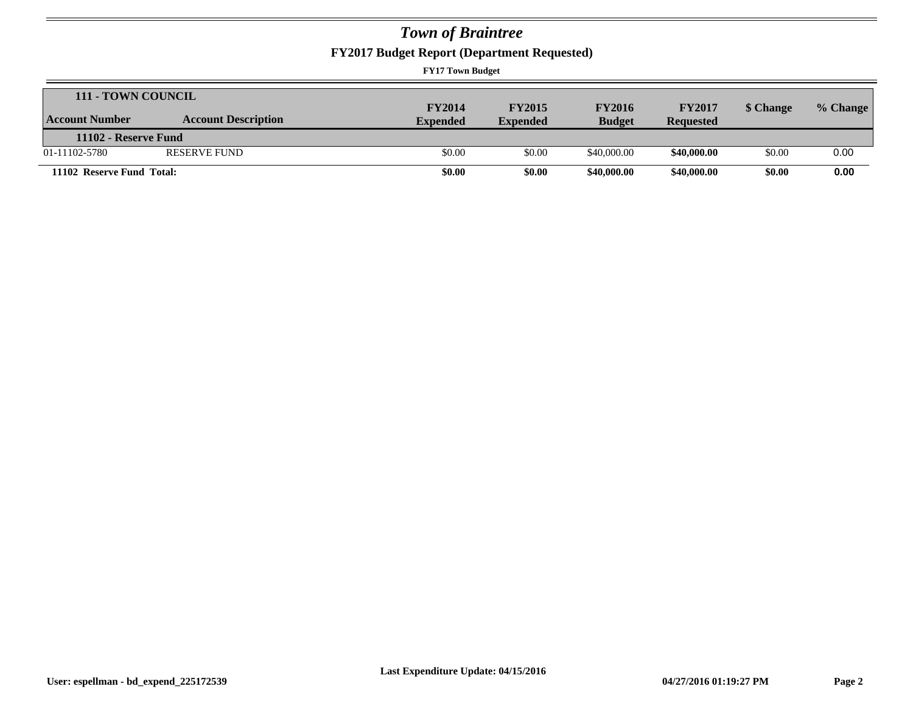**FY2017 Budget Report (Department Requested)**

| 111 - TOWN COUNCIL        |                            |                 |                 |               |                  |           |          |
|---------------------------|----------------------------|-----------------|-----------------|---------------|------------------|-----------|----------|
|                           |                            | <b>FY2014</b>   | <b>FY2015</b>   | <b>FY2016</b> | <b>FY2017</b>    | \$ Change | % Change |
| Account Number            | <b>Account Description</b> | <b>Expended</b> | <b>Expended</b> | <b>Budget</b> | <b>Requested</b> |           |          |
| 11102 - Reserve Fund      |                            |                 |                 |               |                  |           |          |
| 01-11102-5780             | <b>RESERVE FUND</b>        | \$0.00          | \$0.00          | \$40,000.00   | \$40,000.00      | \$0.00    | 0.00     |
| 11102 Reserve Fund Total: |                            | \$0.00          | \$0.00          | \$40,000.00   | \$40,000.00      | \$0.00    | 0.00     |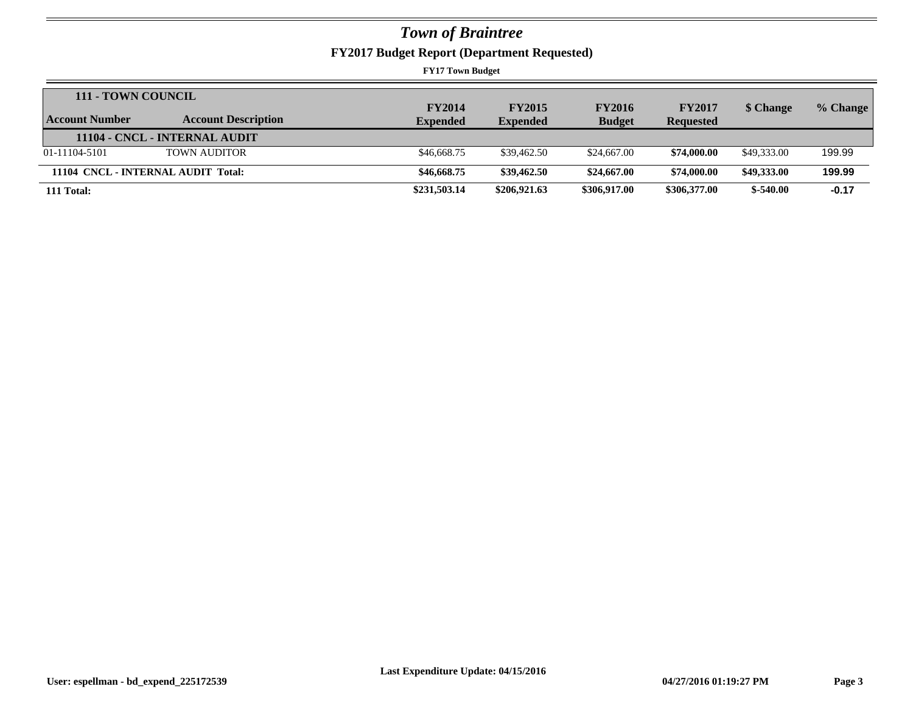**FY2017 Budget Report (Department Requested)**

| 111 - TOWN COUNCIL                 |                               |                 |                 |               |                  |             |          |
|------------------------------------|-------------------------------|-----------------|-----------------|---------------|------------------|-------------|----------|
|                                    |                               | <b>FY2014</b>   | <b>FY2015</b>   | <b>FY2016</b> | <b>FY2017</b>    | \$ Change   | % Change |
| Account Number                     | <b>Account Description</b>    | <b>Expended</b> | <b>Expended</b> | <b>Budget</b> | <b>Requested</b> |             |          |
|                                    | 11104 - CNCL - INTERNAL AUDIT |                 |                 |               |                  |             |          |
| 01-11104-5101                      | <b>TOWN AUDITOR</b>           | \$46,668.75     | \$39,462.50     | \$24,667.00   | \$74,000.00      | \$49,333,00 | 199.99   |
| 11104 CNCL - INTERNAL AUDIT Total: |                               | \$46,668.75     | \$39,462.50     | \$24,667.00   | \$74,000.00      | \$49,333,00 | 199.99   |
| 111 Total:                         |                               | \$231,503.14    | \$206,921.63    | \$306,917.00  | \$306,377.00     | $$-540.00$  | $-0.17$  |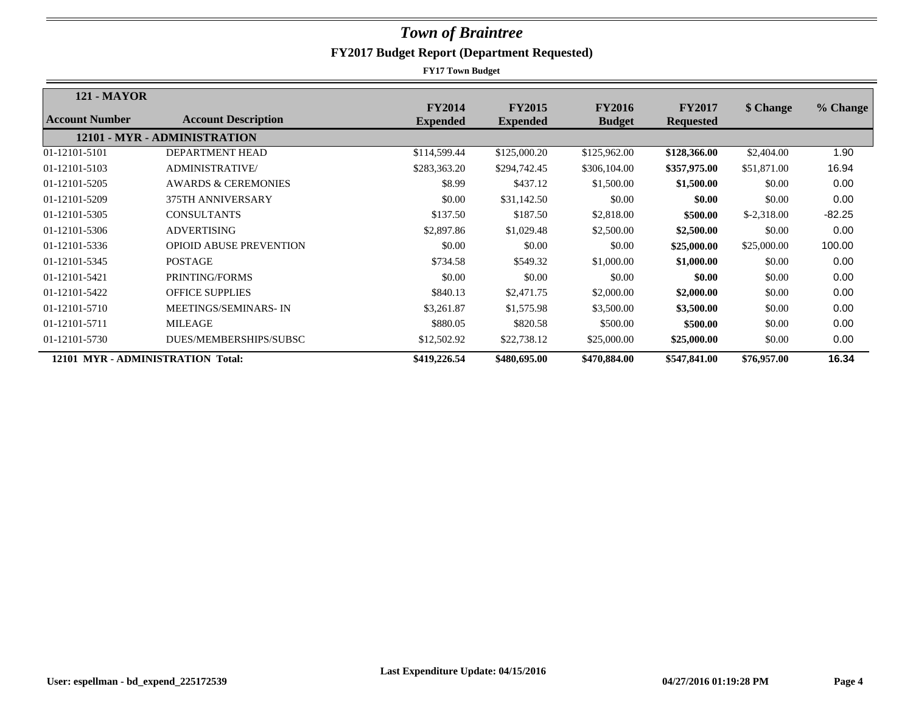| <b>121 - MAYOR</b> |                                   |                                  |                                  |                                |                                   |              |          |
|--------------------|-----------------------------------|----------------------------------|----------------------------------|--------------------------------|-----------------------------------|--------------|----------|
| Account Number     | <b>Account Description</b>        | <b>FY2014</b><br><b>Expended</b> | <b>FY2015</b><br><b>Expended</b> | <b>FY2016</b><br><b>Budget</b> | <b>FY2017</b><br><b>Requested</b> | \$ Change    | % Change |
|                    | 12101 - MYR - ADMINISTRATION      |                                  |                                  |                                |                                   |              |          |
| 01-12101-5101      | DEPARTMENT HEAD                   | \$114,599.44                     | \$125,000.20                     | \$125,962.00                   | \$128,366.00                      | \$2,404.00   | 1.90     |
| 01-12101-5103      | <b>ADMINISTRATIVE/</b>            | \$283,363.20                     | \$294,742.45                     | \$306,104.00                   | \$357,975.00                      | \$51,871.00  | 16.94    |
| 01-12101-5205      | <b>AWARDS &amp; CEREMONIES</b>    | \$8.99                           | \$437.12                         | \$1,500.00                     | \$1,500.00                        | \$0.00       | 0.00     |
| 01-12101-5209      | 375TH ANNIVERSARY                 | \$0.00                           | \$31,142.50                      | \$0.00                         | \$0.00                            | \$0.00       | 0.00     |
| 01-12101-5305      | <b>CONSULTANTS</b>                | \$137.50                         | \$187.50                         | \$2,818.00                     | \$500.00                          | $$-2,318.00$ | $-82.25$ |
| 01-12101-5306      | <b>ADVERTISING</b>                | \$2,897.86                       | \$1,029.48                       | \$2,500.00                     | \$2,500.00                        | \$0.00       | 0.00     |
| 01-12101-5336      | <b>OPIOID ABUSE PREVENTION</b>    | \$0.00                           | \$0.00                           | \$0.00                         | \$25,000.00                       | \$25,000.00  | 100.00   |
| 01-12101-5345      | <b>POSTAGE</b>                    | \$734.58                         | \$549.32                         | \$1,000.00                     | \$1,000.00                        | \$0.00       | 0.00     |
| 01-12101-5421      | PRINTING/FORMS                    | \$0.00                           | \$0.00                           | \$0.00                         | \$0.00                            | \$0.00       | 0.00     |
| 01-12101-5422      | <b>OFFICE SUPPLIES</b>            | \$840.13                         | \$2,471.75                       | \$2,000.00                     | \$2,000.00                        | \$0.00       | 0.00     |
| 01-12101-5710      | <b>MEETINGS/SEMINARS-IN</b>       | \$3,261.87                       | \$1,575.98                       | \$3,500.00                     | \$3,500.00                        | \$0.00       | 0.00     |
| 01-12101-5711      | <b>MILEAGE</b>                    | \$880.05                         | \$820.58                         | \$500.00                       | \$500.00                          | \$0.00       | 0.00     |
| 01-12101-5730      | DUES/MEMBERSHIPS/SUBSC            | \$12,502.92                      | \$22,738.12                      | \$25,000.00                    | \$25,000.00                       | \$0.00       | 0.00     |
|                    | 12101 MYR - ADMINISTRATION Total: | \$419,226.54                     | \$480,695.00                     | \$470,884.00                   | \$547,841.00                      | \$76,957.00  | 16.34    |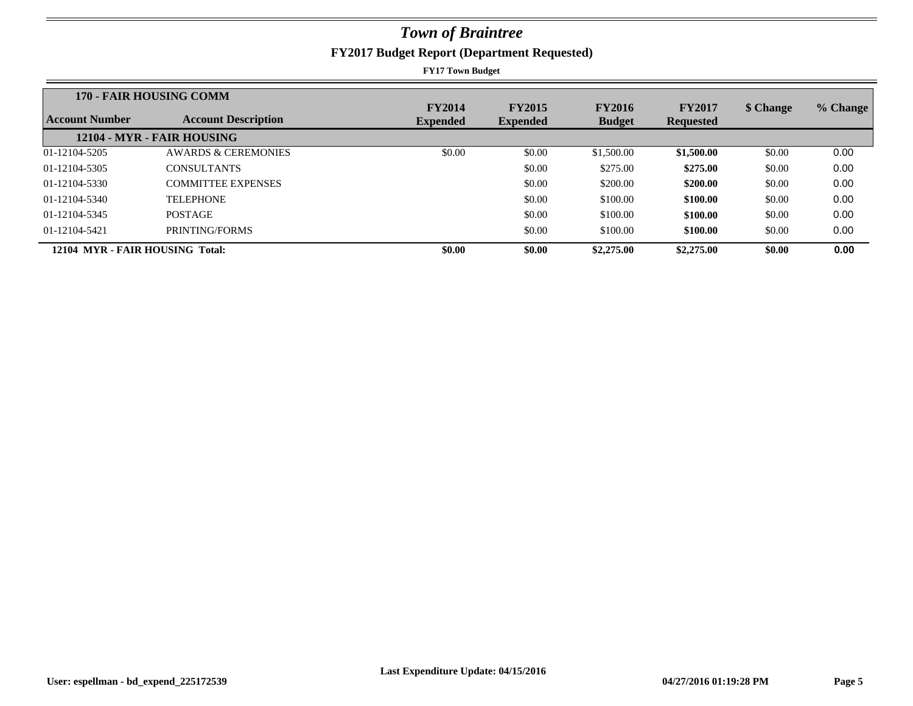| <b>170 - FAIR HOUSING COMM</b>  |                                | <b>FY2014</b>   | <b>FY2015</b>   | <b>FY2016</b> | <b>FY2017</b>    |           |          |
|---------------------------------|--------------------------------|-----------------|-----------------|---------------|------------------|-----------|----------|
| Account Number                  | <b>Account Description</b>     | <b>Expended</b> | <b>Expended</b> | <b>Budget</b> | <b>Requested</b> | \$ Change | % Change |
|                                 | 12104 - MYR - FAIR HOUSING     |                 |                 |               |                  |           |          |
| 01-12104-5205                   | <b>AWARDS &amp; CEREMONIES</b> | \$0.00          | \$0.00          | \$1,500.00    | \$1,500.00       | \$0.00    | 0.00     |
| 01-12104-5305                   | <b>CONSULTANTS</b>             |                 | \$0.00          | \$275.00      | \$275.00         | \$0.00    | 0.00     |
| 01-12104-5330                   | <b>COMMITTEE EXPENSES</b>      |                 | \$0.00          | \$200.00      | \$200.00         | \$0.00    | 0.00     |
| 01-12104-5340                   | <b>TELEPHONE</b>               |                 | \$0.00          | \$100.00      | \$100.00         | \$0.00    | 0.00     |
| 01-12104-5345                   | <b>POSTAGE</b>                 |                 | \$0.00          | \$100.00      | \$100.00         | \$0.00    | 0.00     |
| 01-12104-5421                   | PRINTING/FORMS                 |                 | \$0.00          | \$100.00      | \$100.00         | \$0.00    | 0.00     |
| 12104 MYR - FAIR HOUSING Total: |                                | \$0.00          | \$0.00          | \$2,275.00    | \$2,275.00       | \$0.00    | 0.00     |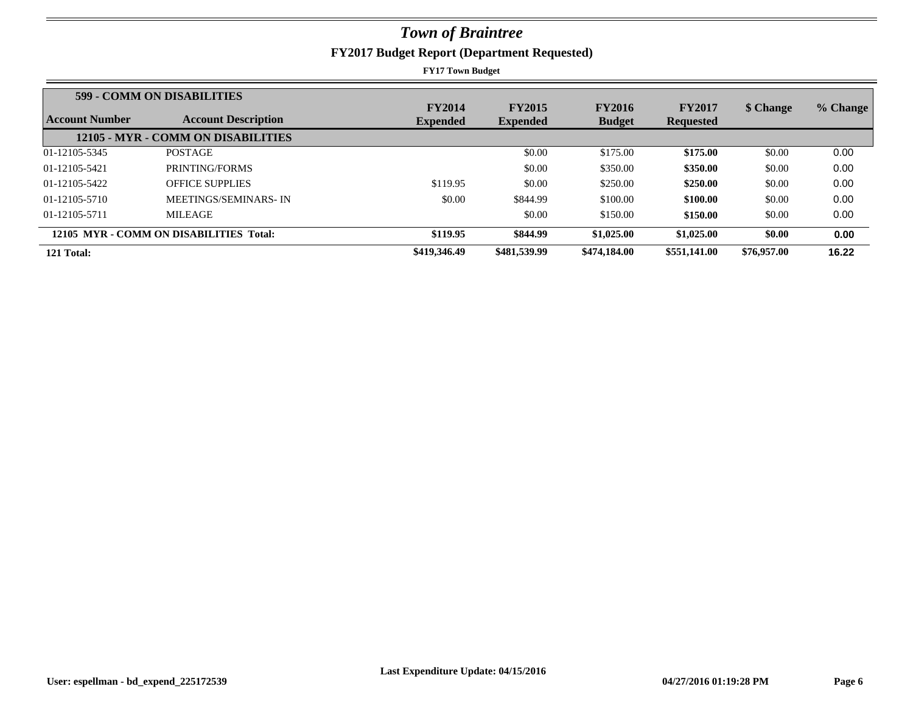| 599 - COMM ON DISABILITIES |                                         |                                  |                                  |                                |                                   |             |          |
|----------------------------|-----------------------------------------|----------------------------------|----------------------------------|--------------------------------|-----------------------------------|-------------|----------|
| Account Number             | <b>Account Description</b>              | <b>FY2014</b><br><b>Expended</b> | <b>FY2015</b><br><b>Expended</b> | <b>FY2016</b><br><b>Budget</b> | <b>FY2017</b><br><b>Requested</b> | \$ Change   | % Change |
|                            | 12105 - MYR - COMM ON DISABILITIES      |                                  |                                  |                                |                                   |             |          |
| 01-12105-5345              | <b>POSTAGE</b>                          |                                  | \$0.00                           | \$175.00                       | \$175.00                          | \$0.00      | 0.00     |
| 01-12105-5421              | PRINTING/FORMS                          |                                  | \$0.00                           | \$350.00                       | \$350.00                          | \$0.00      | 0.00     |
| 01-12105-5422              | <b>OFFICE SUPPLIES</b>                  | \$119.95                         | \$0.00                           | \$250.00                       | \$250.00                          | \$0.00      | 0.00     |
| 01-12105-5710              | MEETINGS/SEMINARS-IN                    | \$0.00                           | \$844.99                         | \$100.00                       | \$100.00                          | \$0.00      | 0.00     |
| 01-12105-5711              | <b>MILEAGE</b>                          |                                  | \$0.00                           | \$150.00                       | \$150.00                          | \$0.00      | 0.00     |
|                            | 12105 MYR - COMM ON DISABILITIES Total: | \$119.95                         | \$844.99                         | \$1,025.00                     | \$1,025.00                        | \$0.00      | 0.00     |
| 121 Total:                 |                                         | \$419,346.49                     | \$481,539.99                     | \$474,184.00                   | \$551,141.00                      | \$76,957.00 | 16.22    |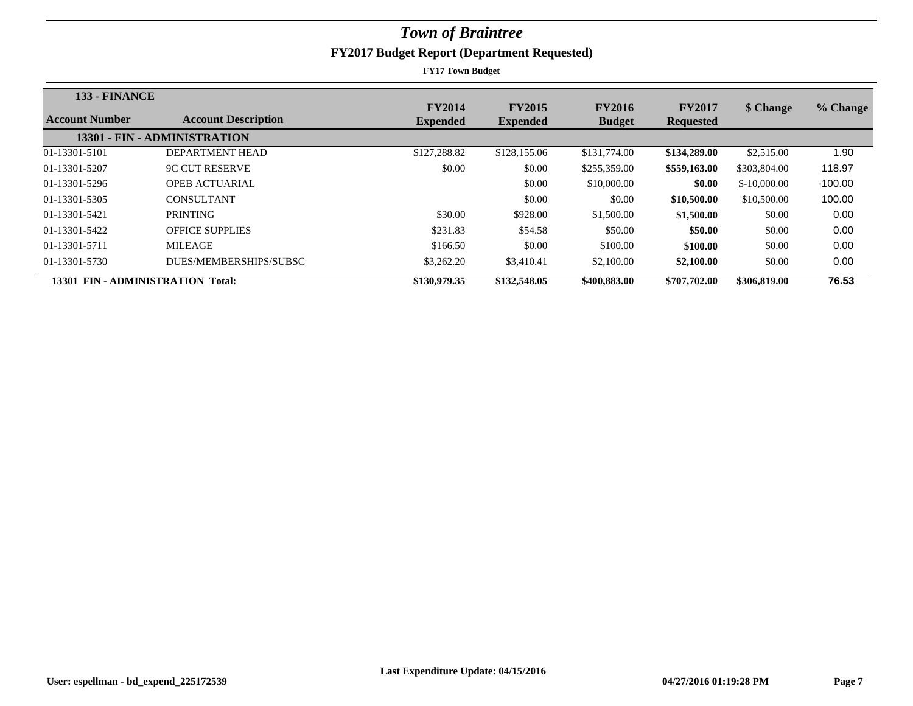| 133 - FINANCE                     |                              |                                  |                                  |                                |                                   |               |           |
|-----------------------------------|------------------------------|----------------------------------|----------------------------------|--------------------------------|-----------------------------------|---------------|-----------|
| Account Number                    | <b>Account Description</b>   | <b>FY2014</b><br><b>Expended</b> | <b>FY2015</b><br><b>Expended</b> | <b>FY2016</b><br><b>Budget</b> | <b>FY2017</b><br><b>Requested</b> | \$ Change     | % Change  |
|                                   | 13301 - FIN - ADMINISTRATION |                                  |                                  |                                |                                   |               |           |
| 01-13301-5101                     | DEPARTMENT HEAD              | \$127,288.82                     | \$128,155.06                     | \$131,774.00                   | \$134,289.00                      | \$2,515.00    | 1.90      |
| 01-13301-5207                     | <b>9C CUT RESERVE</b>        | \$0.00                           | \$0.00                           | \$255,359.00                   | \$559,163.00                      | \$303,804.00  | 118.97    |
| 01-13301-5296                     | <b>OPEB ACTUARIAL</b>        |                                  | \$0.00                           | \$10,000.00                    | \$0.00                            | $$-10,000,00$ | $-100.00$ |
| 01-13301-5305                     | <b>CONSULTANT</b>            |                                  | \$0.00                           | \$0.00                         | \$10,500.00                       | \$10,500.00   | 100.00    |
| 01-13301-5421                     | <b>PRINTING</b>              | \$30.00                          | \$928.00                         | \$1,500.00                     | \$1,500.00                        | \$0.00        | 0.00      |
| 01-13301-5422                     | <b>OFFICE SUPPLIES</b>       | \$231.83                         | \$54.58                          | \$50.00                        | \$50.00                           | \$0.00        | 0.00      |
| 01-13301-5711                     | <b>MILEAGE</b>               | \$166.50                         | \$0.00                           | \$100.00                       | \$100.00                          | \$0.00        | 0.00      |
| 01-13301-5730                     | DUES/MEMBERSHIPS/SUBSC       | \$3,262.20                       | \$3,410.41                       | \$2,100.00                     | \$2,100.00                        | \$0.00        | 0.00      |
| 13301 FIN - ADMINISTRATION Total: |                              | \$130,979.35                     | \$132,548.05                     | \$400,883,00                   | \$707,702.00                      | \$306,819.00  | 76.53     |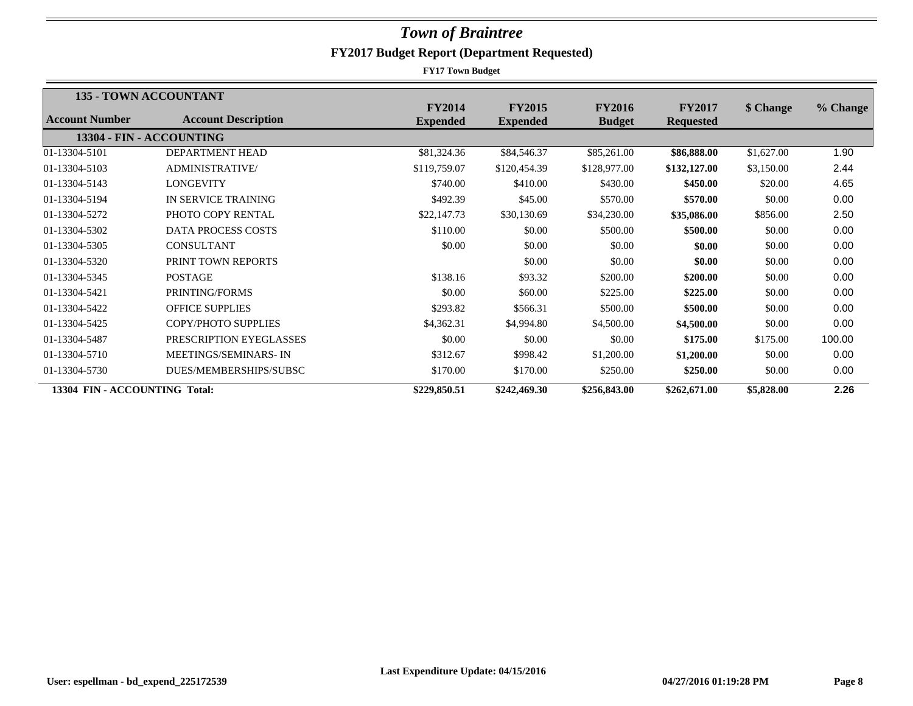|                               | <b>135 - TOWN ACCOUNTANT</b> |                 |                 |               |                  |            |          |
|-------------------------------|------------------------------|-----------------|-----------------|---------------|------------------|------------|----------|
| <b>Account Number</b>         | <b>Account Description</b>   | <b>FY2014</b>   | <b>FY2015</b>   | <b>FY2016</b> | <b>FY2017</b>    | \$ Change  | % Change |
|                               |                              | <b>Expended</b> | <b>Expended</b> | <b>Budget</b> | <b>Requested</b> |            |          |
|                               | 13304 - FIN - ACCOUNTING     |                 |                 |               |                  |            |          |
| 01-13304-5101                 | DEPARTMENT HEAD              | \$81,324.36     | \$84,546.37     | \$85,261.00   | \$86,888.00      | \$1,627.00 | 1.90     |
| 01-13304-5103                 | ADMINISTRATIVE/              | \$119,759.07    | \$120,454.39    | \$128,977.00  | \$132,127.00     | \$3,150.00 | 2.44     |
| 01-13304-5143                 | <b>LONGEVITY</b>             | \$740.00        | \$410.00        | \$430.00      | \$450.00         | \$20.00    | 4.65     |
| 01-13304-5194                 | IN SERVICE TRAINING          | \$492.39        | \$45.00         | \$570.00      | \$570.00         | \$0.00     | 0.00     |
| 01-13304-5272                 | PHOTO COPY RENTAL            | \$22,147.73     | \$30,130.69     | \$34,230.00   | \$35,086.00      | \$856.00   | 2.50     |
| 01-13304-5302                 | <b>DATA PROCESS COSTS</b>    | \$110.00        | \$0.00          | \$500.00      | \$500.00         | \$0.00     | 0.00     |
| 01-13304-5305                 | <b>CONSULTANT</b>            | \$0.00          | \$0.00          | \$0.00        | \$0.00           | \$0.00     | 0.00     |
| 01-13304-5320                 | PRINT TOWN REPORTS           |                 | \$0.00          | \$0.00        | \$0.00           | \$0.00     | 0.00     |
| 01-13304-5345                 | <b>POSTAGE</b>               | \$138.16        | \$93.32         | \$200.00      | \$200.00         | \$0.00     | 0.00     |
| 01-13304-5421                 | PRINTING/FORMS               | \$0.00          | \$60.00         | \$225.00      | \$225.00         | \$0.00     | 0.00     |
| 01-13304-5422                 | <b>OFFICE SUPPLIES</b>       | \$293.82        | \$566.31        | \$500.00      | \$500.00         | \$0.00     | 0.00     |
| 01-13304-5425                 | <b>COPY/PHOTO SUPPLIES</b>   | \$4,362.31      | \$4,994.80      | \$4,500.00    | \$4,500.00       | \$0.00     | 0.00     |
| 01-13304-5487                 | PRESCRIPTION EYEGLASSES      | \$0.00          | \$0.00          | \$0.00        | \$175.00         | \$175.00   | 100.00   |
| 01-13304-5710                 | MEETINGS/SEMINARS-IN         | \$312.67        | \$998.42        | \$1,200.00    | \$1,200.00       | \$0.00     | 0.00     |
| 01-13304-5730                 | DUES/MEMBERSHIPS/SUBSC       | \$170.00        | \$170.00        | \$250.00      | \$250.00         | \$0.00     | 0.00     |
| 13304 FIN - ACCOUNTING Total: |                              | \$229,850.51    | \$242,469.30    | \$256,843.00  | \$262,671.00     | \$5,828.00 | 2.26     |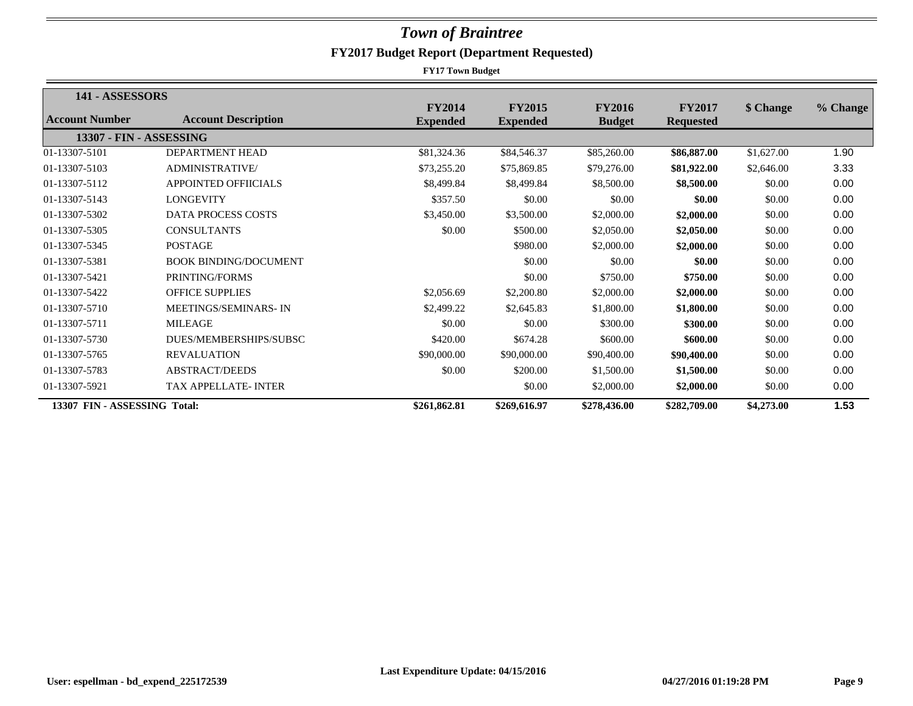| 141 - ASSESSORS              |                              |                 |                 |               |                  |            |          |
|------------------------------|------------------------------|-----------------|-----------------|---------------|------------------|------------|----------|
|                              |                              | <b>FY2014</b>   | <b>FY2015</b>   | <b>FY2016</b> | <b>FY2017</b>    | \$ Change  | % Change |
| Account Number               | <b>Account Description</b>   | <b>Expended</b> | <b>Expended</b> | <b>Budget</b> | <b>Requested</b> |            |          |
| 13307 - FIN - ASSESSING      |                              |                 |                 |               |                  |            |          |
| 01-13307-5101                | DEPARTMENT HEAD              | \$81,324.36     | \$84,546.37     | \$85,260.00   | \$86,887.00      | \$1,627.00 | 1.90     |
| 01-13307-5103                | <b>ADMINISTRATIVE</b>        | \$73,255.20     | \$75,869.85     | \$79,276.00   | \$81,922.00      | \$2,646.00 | 3.33     |
| 01-13307-5112                | <b>APPOINTED OFFIICIALS</b>  | \$8,499.84      | \$8,499.84      | \$8,500.00    | \$8,500.00       | \$0.00     | 0.00     |
| 01-13307-5143                | <b>LONGEVITY</b>             | \$357.50        | \$0.00          | \$0.00        | \$0.00           | \$0.00     | 0.00     |
| 01-13307-5302                | <b>DATA PROCESS COSTS</b>    | \$3,450.00      | \$3,500.00      | \$2,000.00    | \$2,000.00       | \$0.00     | 0.00     |
| 01-13307-5305                | <b>CONSULTANTS</b>           | \$0.00          | \$500.00        | \$2,050.00    | \$2,050.00       | \$0.00     | 0.00     |
| 01-13307-5345                | <b>POSTAGE</b>               |                 | \$980.00        | \$2,000.00    | \$2,000.00       | \$0.00     | 0.00     |
| 01-13307-5381                | <b>BOOK BINDING/DOCUMENT</b> |                 | \$0.00          | \$0.00        | \$0.00           | \$0.00     | 0.00     |
| 01-13307-5421                | PRINTING/FORMS               |                 | \$0.00          | \$750.00      | \$750.00         | \$0.00     | 0.00     |
| 01-13307-5422                | <b>OFFICE SUPPLIES</b>       | \$2,056.69      | \$2,200.80      | \$2,000.00    | \$2,000.00       | \$0.00     | 0.00     |
| 01-13307-5710                | <b>MEETINGS/SEMINARS-IN</b>  | \$2,499.22      | \$2,645.83      | \$1,800.00    | \$1,800.00       | \$0.00     | 0.00     |
| 01-13307-5711                | <b>MILEAGE</b>               | \$0.00          | \$0.00          | \$300.00      | \$300.00         | \$0.00     | 0.00     |
| 01-13307-5730                | DUES/MEMBERSHIPS/SUBSC       | \$420.00        | \$674.28        | \$600.00      | \$600.00         | \$0.00     | 0.00     |
| 01-13307-5765                | <b>REVALUATION</b>           | \$90,000.00     | \$90,000.00     | \$90,400.00   | \$90,400.00      | \$0.00     | 0.00     |
| 01-13307-5783                | <b>ABSTRACT/DEEDS</b>        | \$0.00          | \$200.00        | \$1,500.00    | \$1,500.00       | \$0.00     | 0.00     |
| 01-13307-5921                | <b>TAX APPELLATE-INTER</b>   |                 | \$0.00          | \$2,000.00    | \$2,000.00       | \$0.00     | 0.00     |
| 13307 FIN - ASSESSING Total: |                              | \$261,862.81    | \$269,616.97    | \$278,436.00  | \$282,709.00     | \$4,273.00 | 1.53     |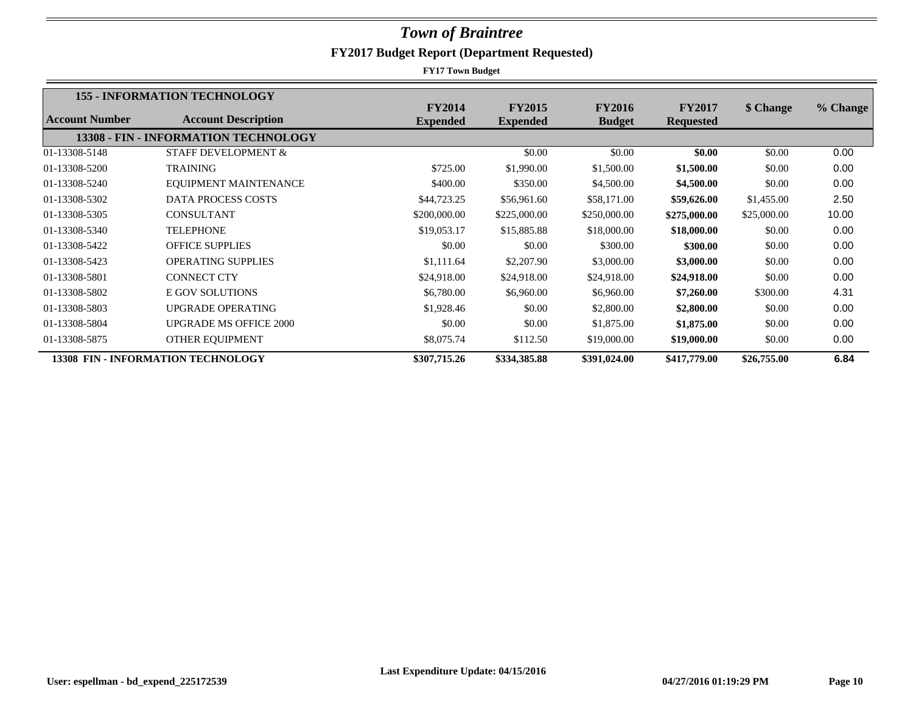|                | <b>155 - INFORMATION TECHNOLOGY</b>       |                                  |                                  |                                |                                   |             |          |
|----------------|-------------------------------------------|----------------------------------|----------------------------------|--------------------------------|-----------------------------------|-------------|----------|
| Account Number | <b>Account Description</b>                | <b>FY2014</b><br><b>Expended</b> | <b>FY2015</b><br><b>Expended</b> | <b>FY2016</b><br><b>Budget</b> | <b>FY2017</b><br><b>Requested</b> | \$ Change   | % Change |
|                | 13308 - FIN - INFORMATION TECHNOLOGY      |                                  |                                  |                                |                                   |             |          |
|                |                                           |                                  |                                  |                                |                                   |             |          |
| 01-13308-5148  | <b>STAFF DEVELOPMENT &amp;</b>            |                                  | \$0.00                           | \$0.00                         | \$0.00                            | \$0.00      | 0.00     |
| 01-13308-5200  | <b>TRAINING</b>                           | \$725.00                         | \$1,990.00                       | \$1,500.00                     | \$1,500.00                        | \$0.00      | 0.00     |
| 01-13308-5240  | EQUIPMENT MAINTENANCE                     | \$400.00                         | \$350.00                         | \$4,500.00                     | \$4,500.00                        | \$0.00      | 0.00     |
| 01-13308-5302  | <b>DATA PROCESS COSTS</b>                 | \$44,723.25                      | \$56,961.60                      | \$58,171.00                    | \$59,626.00                       | \$1,455.00  | 2.50     |
| 01-13308-5305  | <b>CONSULTANT</b>                         | \$200,000.00                     | \$225,000.00                     | \$250,000.00                   | \$275,000.00                      | \$25,000.00 | 10.00    |
| 01-13308-5340  | <b>TELEPHONE</b>                          | \$19,053.17                      | \$15,885.88                      | \$18,000.00                    | \$18,000.00                       | \$0.00      | 0.00     |
| 01-13308-5422  | <b>OFFICE SUPPLIES</b>                    | \$0.00                           | \$0.00                           | \$300.00                       | \$300.00                          | \$0.00      | 0.00     |
| 01-13308-5423  | <b>OPERATING SUPPLIES</b>                 | \$1,111.64                       | \$2,207.90                       | \$3,000.00                     | \$3,000.00                        | \$0.00      | 0.00     |
| 01-13308-5801  | <b>CONNECT CTY</b>                        | \$24,918.00                      | \$24,918.00                      | \$24,918.00                    | \$24,918.00                       | \$0.00      | 0.00     |
| 01-13308-5802  | <b>E GOV SOLUTIONS</b>                    | \$6,780.00                       | \$6,960.00                       | \$6,960.00                     | \$7,260.00                        | \$300.00    | 4.31     |
| 01-13308-5803  | <b>UPGRADE OPERATING</b>                  | \$1,928.46                       | \$0.00                           | \$2,800.00                     | \$2,800.00                        | \$0.00      | 0.00     |
| 01-13308-5804  | <b>UPGRADE MS OFFICE 2000</b>             | \$0.00                           | \$0.00                           | \$1,875.00                     | \$1,875.00                        | \$0.00      | 0.00     |
| 01-13308-5875  | OTHER EQUIPMENT                           | \$8,075.74                       | \$112.50                         | \$19,000.00                    | \$19,000.00                       | \$0.00      | 0.00     |
|                | <b>13308 FIN - INFORMATION TECHNOLOGY</b> | \$307,715.26                     | \$334,385.88                     | \$391,024.00                   | \$417,779.00                      | \$26,755.00 | 6.84     |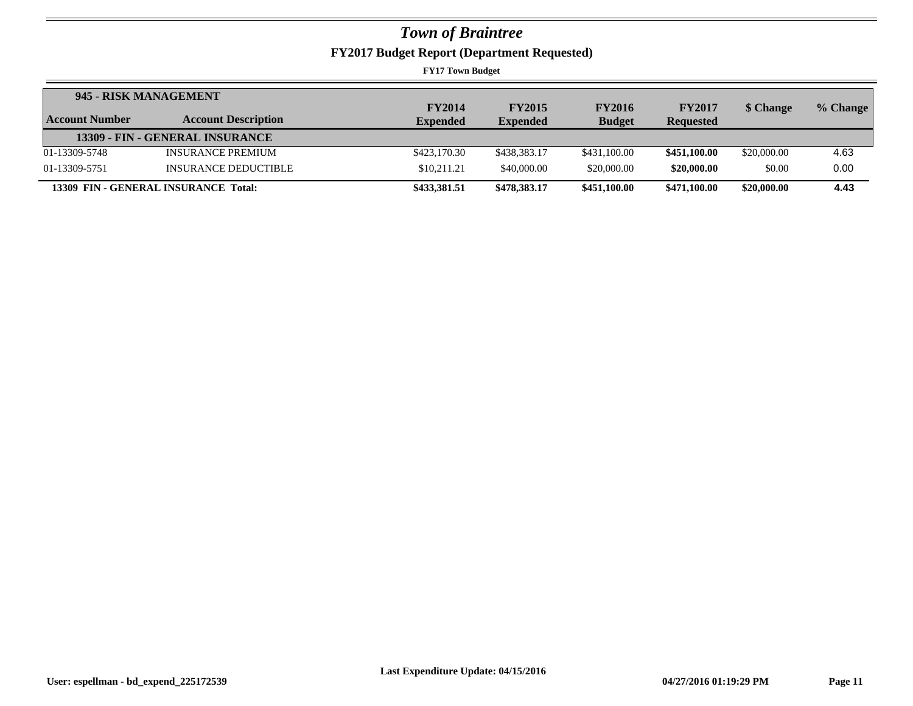**FY2017 Budget Report (Department Requested)**

|                | 945 - RISK MANAGEMENT                |                 |                 |               |                  |             |          |
|----------------|--------------------------------------|-----------------|-----------------|---------------|------------------|-------------|----------|
|                |                                      | <b>FY2014</b>   | <b>FY2015</b>   | <b>FY2016</b> | <b>FY2017</b>    | \$ Change   | % Change |
| Account Number | <b>Account Description</b>           | <b>Expended</b> | <b>Expended</b> | <b>Budget</b> | <b>Requested</b> |             |          |
|                | 13309 - FIN - GENERAL INSURANCE      |                 |                 |               |                  |             |          |
| 01-13309-5748  | <b>INSURANCE PREMIUM</b>             | \$423,170.30    | \$438,383.17    | \$431,100.00  | \$451,100.00     | \$20,000.00 | 4.63     |
| 01-13309-5751  | INSURANCE DEDUCTIBLE                 | \$10.211.21     | \$40,000.00     | \$20,000.00   | \$20,000.00      | \$0.00      | 0.00     |
|                | 13309 FIN - GENERAL INSURANCE Total: | \$433,381.51    | \$478,383.17    | \$451,100.00  | \$471,100.00     | \$20,000.00 | 4.43     |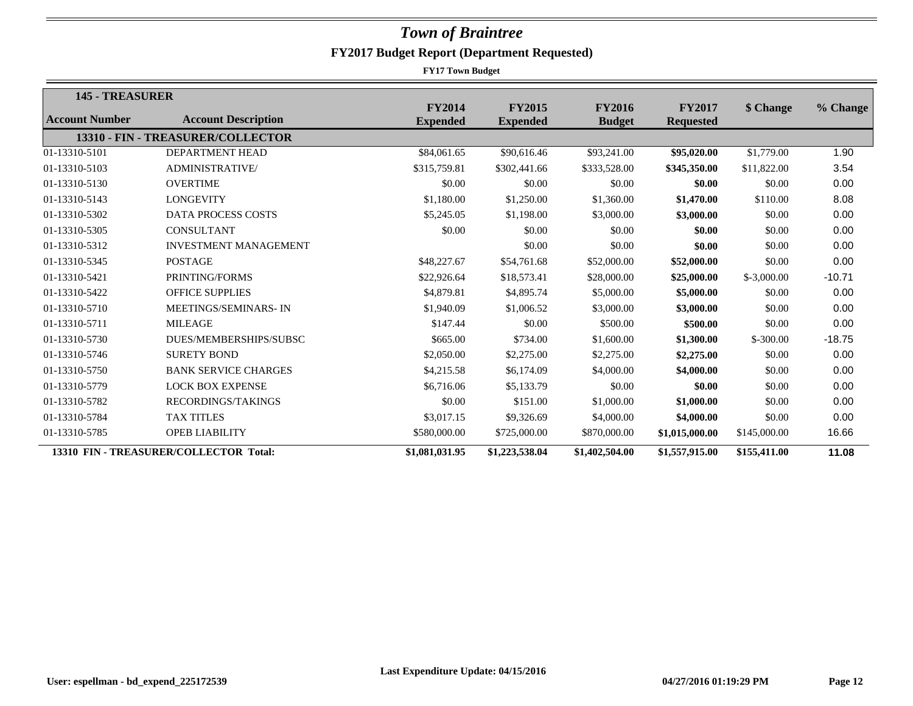| 145 - TREASURER |                                        |                                  |                                  |                                |                                   |              |          |
|-----------------|----------------------------------------|----------------------------------|----------------------------------|--------------------------------|-----------------------------------|--------------|----------|
| Account Number  | <b>Account Description</b>             | <b>FY2014</b><br><b>Expended</b> | <b>FY2015</b><br><b>Expended</b> | <b>FY2016</b><br><b>Budget</b> | <b>FY2017</b><br><b>Requested</b> | \$ Change    | % Change |
|                 | 13310 - FIN - TREASURER/COLLECTOR      |                                  |                                  |                                |                                   |              |          |
| 01-13310-5101   | <b>DEPARTMENT HEAD</b>                 | \$84,061.65                      | \$90,616.46                      | \$93,241.00                    | \$95,020.00                       | \$1,779.00   | 1.90     |
| 01-13310-5103   | <b>ADMINISTRATIVE/</b>                 | \$315,759.81                     | \$302,441.66                     | \$333,528.00                   | \$345,350.00                      | \$11,822.00  | 3.54     |
| 01-13310-5130   | <b>OVERTIME</b>                        | \$0.00                           | \$0.00                           | \$0.00                         | \$0.00                            | \$0.00       | 0.00     |
|                 |                                        |                                  |                                  |                                |                                   |              |          |
| 01-13310-5143   | <b>LONGEVITY</b>                       | \$1,180.00                       | \$1,250.00                       | \$1,360.00                     | \$1,470.00                        | \$110.00     | 8.08     |
| 01-13310-5302   | <b>DATA PROCESS COSTS</b>              | \$5,245.05                       | \$1,198.00                       | \$3,000.00                     | \$3,000.00                        | \$0.00       | 0.00     |
| 01-13310-5305   | <b>CONSULTANT</b>                      | \$0.00                           | \$0.00                           | \$0.00                         | \$0.00                            | \$0.00       | 0.00     |
| 01-13310-5312   | <b>INVESTMENT MANAGEMENT</b>           |                                  | \$0.00                           | \$0.00                         | \$0.00                            | \$0.00       | 0.00     |
| 01-13310-5345   | <b>POSTAGE</b>                         | \$48,227.67                      | \$54,761.68                      | \$52,000.00                    | \$52,000.00                       | \$0.00       | 0.00     |
| 01-13310-5421   | PRINTING/FORMS                         | \$22,926.64                      | \$18,573.41                      | \$28,000.00                    | \$25,000.00                       | $$-3,000.00$ | $-10.71$ |
| 01-13310-5422   | <b>OFFICE SUPPLIES</b>                 | \$4,879.81                       | \$4,895.74                       | \$5,000.00                     | \$5,000.00                        | \$0.00       | 0.00     |
| 01-13310-5710   | MEETINGS/SEMINARS-IN                   | \$1,940.09                       | \$1,006.52                       | \$3,000.00                     | \$3,000.00                        | \$0.00       | 0.00     |
| 01-13310-5711   | <b>MILEAGE</b>                         | \$147.44                         | \$0.00                           | \$500.00                       | \$500.00                          | \$0.00       | 0.00     |
| 01-13310-5730   | DUES/MEMBERSHIPS/SUBSC                 | \$665.00                         | \$734.00                         | \$1,600.00                     | \$1,300.00                        | $$-300.00$   | $-18.75$ |
| 01-13310-5746   | <b>SURETY BOND</b>                     | \$2,050.00                       | \$2,275.00                       | \$2,275.00                     | \$2,275.00                        | \$0.00       | 0.00     |
| 01-13310-5750   | <b>BANK SERVICE CHARGES</b>            | \$4,215.58                       | \$6,174.09                       | \$4,000.00                     | \$4,000.00                        | \$0.00       | 0.00     |
| 01-13310-5779   | <b>LOCK BOX EXPENSE</b>                | \$6,716.06                       | \$5,133.79                       | \$0.00                         | \$0.00                            | \$0.00       | 0.00     |
| 01-13310-5782   | RECORDINGS/TAKINGS                     | \$0.00                           | \$151.00                         | \$1,000.00                     | \$1,000.00                        | \$0.00       | 0.00     |
| 01-13310-5784   | <b>TAX TITLES</b>                      | \$3,017.15                       | \$9,326.69                       | \$4,000.00                     | \$4,000.00                        | \$0.00       | 0.00     |
| 01-13310-5785   | <b>OPEB LIABILITY</b>                  | \$580,000.00                     | \$725,000.00                     | \$870,000.00                   | \$1,015,000.00                    | \$145,000.00 | 16.66    |
|                 | 13310 FIN - TREASURER/COLLECTOR Total: | \$1,081,031.95                   | \$1,223,538.04                   | \$1,402,504.00                 | \$1,557,915.00                    | \$155,411.00 | 11.08    |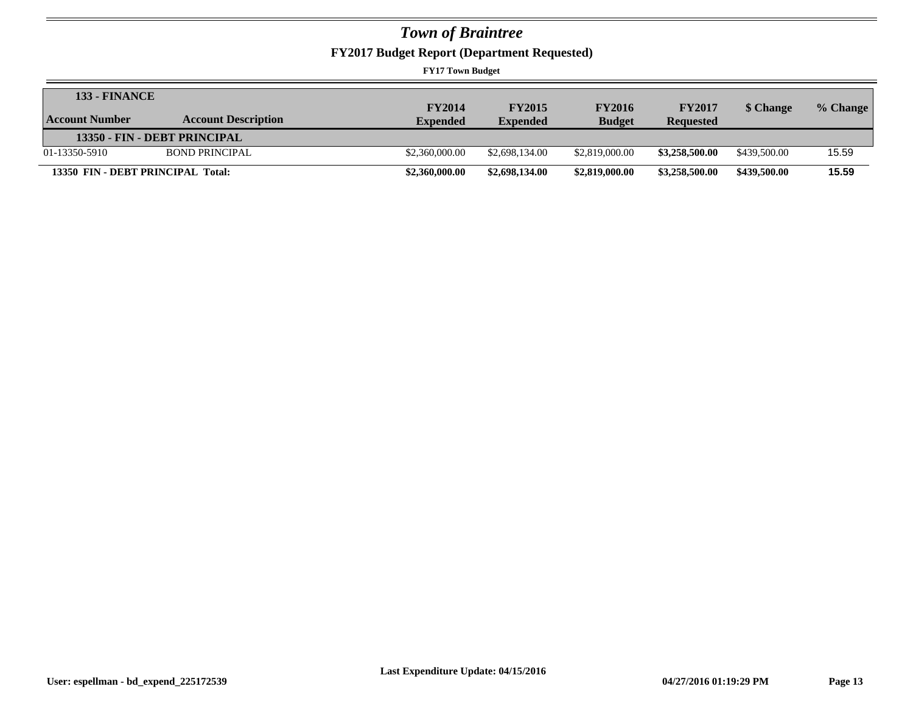**FY2017 Budget Report (Department Requested)**

| <b>133 - FINANCE</b>              |                            |                 |                 |                |                  |              |          |
|-----------------------------------|----------------------------|-----------------|-----------------|----------------|------------------|--------------|----------|
|                                   |                            | <b>FY2014</b>   | <b>FY2015</b>   | <b>FY2016</b>  | <b>FY2017</b>    | \$ Change    | % Change |
| Account Number                    | <b>Account Description</b> | <b>Expended</b> | <b>Expended</b> | <b>Budget</b>  | <b>Requested</b> |              |          |
| 13350 - FIN - DEBT PRINCIPAL      |                            |                 |                 |                |                  |              |          |
| 01-13350-5910                     | <b>BOND PRINCIPAL</b>      | \$2,360,000.00  | \$2,698,134.00  | \$2,819,000.00 | \$3,258,500.00   | \$439,500.00 | 15.59    |
| 13350 FIN - DEBT PRINCIPAL Total: |                            | \$2,360,000.00  | \$2,698,134.00  | \$2,819,000.00 | \$3,258,500.00   | \$439,500.00 | 15.59    |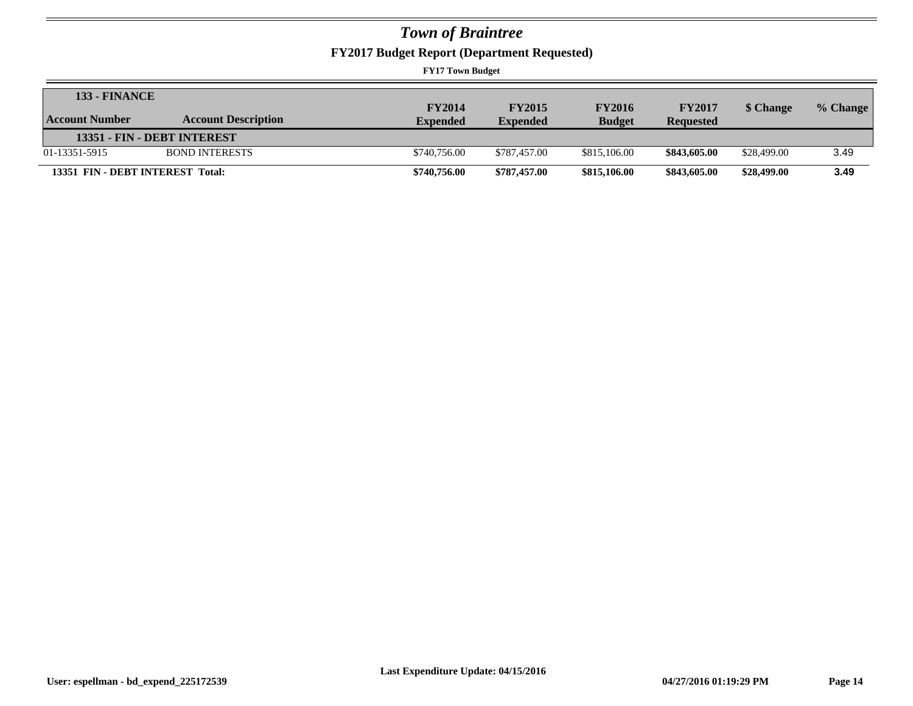**FY2017 Budget Report (Department Requested)**

| <b>133 - FINANCE</b>             |                             |                 |                 |               |                  |             |          |
|----------------------------------|-----------------------------|-----------------|-----------------|---------------|------------------|-------------|----------|
|                                  |                             | <b>FY2014</b>   | <b>FY2015</b>   | <b>FY2016</b> | <b>FY2017</b>    | \$ Change   | % Change |
| <b>Account Number</b>            | <b>Account Description</b>  | <b>Expended</b> | <b>Expended</b> | <b>Budget</b> | <b>Requested</b> |             |          |
|                                  | 13351 - FIN - DEBT INTEREST |                 |                 |               |                  |             |          |
| 01-13351-5915                    | <b>BOND INTERESTS</b>       | \$740,756.00    | \$787.457.00    | \$815,106.00  | \$843,605.00     | \$28,499.00 | 3.49     |
| 13351 FIN - DEBT INTEREST Total: |                             | \$740,756.00    | \$787,457.00    | \$815,106.00  | \$843,605.00     | \$28,499.00 | 3.49     |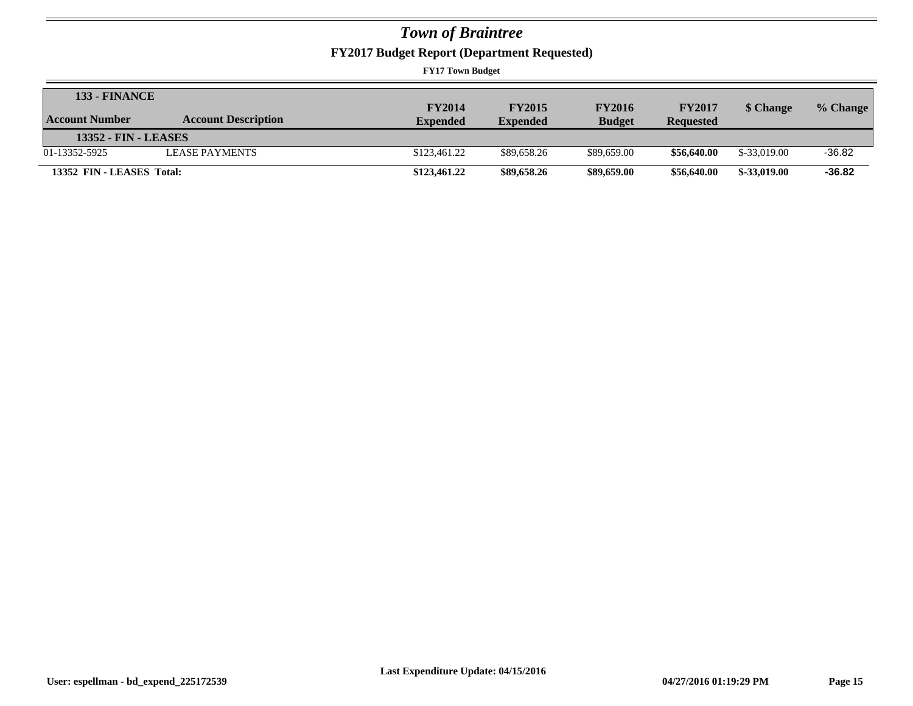**FY2017 Budget Report (Department Requested)**

| <b>133 - FINANCE</b>        |                            |                 |                 |               |                  |               |          |
|-----------------------------|----------------------------|-----------------|-----------------|---------------|------------------|---------------|----------|
|                             |                            | <b>FY2014</b>   | <b>FY2015</b>   | <b>FY2016</b> | <b>FY2017</b>    | \$ Change     | % Change |
| Account Number              | <b>Account Description</b> | <b>Expended</b> | <b>Expended</b> | <b>Budget</b> | <b>Requested</b> |               |          |
| <b>13352 - FIN - LEASES</b> |                            |                 |                 |               |                  |               |          |
| 01-13352-5925               | <b>LEASE PAYMENTS</b>      | \$123,461.22    | \$89,658.26     | \$89,659.00   | \$56,640.00      | \$-33,019.00  | $-36.82$ |
| 13352 FIN - LEASES Total:   |                            | \$123,461.22    | \$89,658.26     | \$89,659.00   | \$56,640.00      | $$-33,019.00$ | $-36.82$ |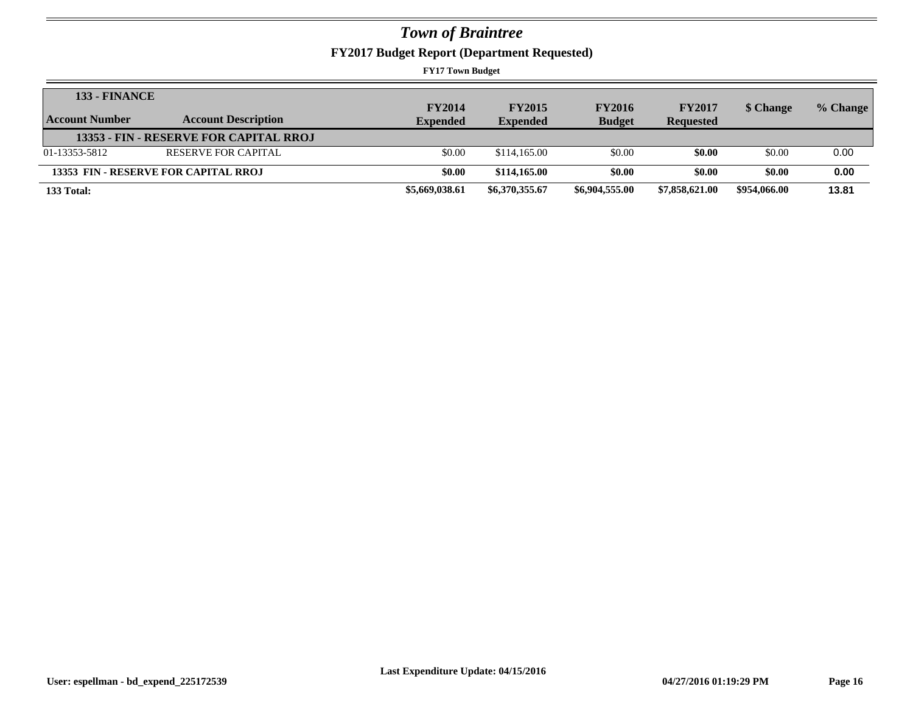**FY2017 Budget Report (Department Requested)**

| <b>133 - FINANCE</b>  |                                        | <b>FY2014</b>   | <b>FY2015</b>   | <b>FY2016</b>  | <b>FY2017</b>    | \$ Change    | % Change |
|-----------------------|----------------------------------------|-----------------|-----------------|----------------|------------------|--------------|----------|
| <b>Account Number</b> | <b>Account Description</b>             | <b>Expended</b> | <b>Expended</b> | <b>Budget</b>  | <b>Requested</b> |              |          |
|                       | 13353 - FIN - RESERVE FOR CAPITAL RROJ |                 |                 |                |                  |              |          |
| 01-13353-5812         | RESERVE FOR CAPITAL                    | \$0.00          | \$114,165.00    | \$0.00         | \$0.00           | \$0.00       | 0.00     |
|                       | 13353 FIN - RESERVE FOR CAPITAL RROJ   | \$0.00          | \$114,165.00    | \$0.00         | \$0.00           | \$0.00       | 0.00     |
| 133 Total:            |                                        | \$5,669,038.61  | \$6,370,355.67  | \$6,904,555.00 | \$7,858,621.00   | \$954,066.00 | 13.81    |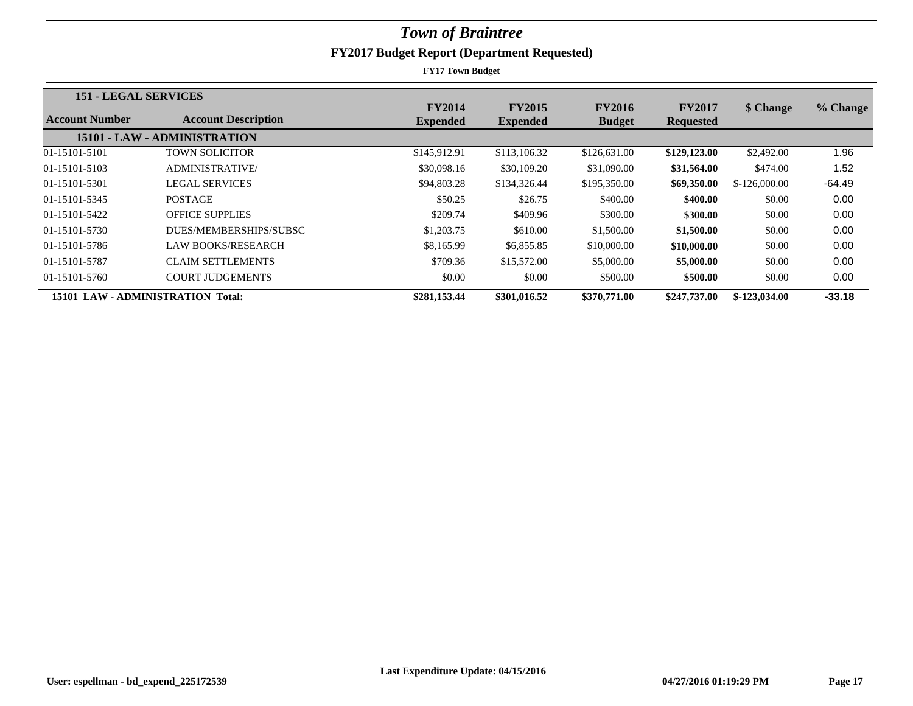| <b>151 - LEGAL SERVICES</b>       |                              |                                  |                                  |                                |                                   |                |          |
|-----------------------------------|------------------------------|----------------------------------|----------------------------------|--------------------------------|-----------------------------------|----------------|----------|
| Account Number                    | <b>Account Description</b>   | <b>FY2014</b><br><b>Expended</b> | <b>FY2015</b><br><b>Expended</b> | <b>FY2016</b><br><b>Budget</b> | <b>FY2017</b><br><b>Requested</b> | \$ Change      | % Change |
|                                   | 15101 - LAW - ADMINISTRATION |                                  |                                  |                                |                                   |                |          |
| 01-15101-5101                     | <b>TOWN SOLICITOR</b>        | \$145,912.91                     | \$113,106.32                     | \$126,631.00                   | \$129,123.00                      | \$2,492.00     | 1.96     |
| 01-15101-5103                     | <b>ADMINISTRATIVE</b>        | \$30,098.16                      | \$30,109.20                      | \$31,090.00                    | \$31,564.00                       | \$474.00       | 1.52     |
| 01-15101-5301                     | <b>LEGAL SERVICES</b>        | \$94,803.28                      | \$134,326.44                     | \$195,350.00                   | \$69,350.00                       | $$-126,000.00$ | $-64.49$ |
| 01-15101-5345                     | <b>POSTAGE</b>               | \$50.25                          | \$26.75                          | \$400.00                       | \$400.00                          | \$0.00         | 0.00     |
| 01-15101-5422                     | <b>OFFICE SUPPLIES</b>       | \$209.74                         | \$409.96                         | \$300.00                       | \$300.00                          | \$0.00         | 0.00     |
| 01-15101-5730                     | DUES/MEMBERSHIPS/SUBSC       | \$1,203.75                       | \$610.00                         | \$1,500.00                     | \$1,500.00                        | \$0.00         | 0.00     |
| 01-15101-5786                     | LAW BOOKS/RESEARCH           | \$8,165.99                       | \$6,855.85                       | \$10,000.00                    | \$10,000.00                       | \$0.00         | 0.00     |
| 01-15101-5787                     | <b>CLAIM SETTLEMENTS</b>     | \$709.36                         | \$15,572.00                      | \$5,000.00                     | \$5,000.00                        | \$0.00         | 0.00     |
| 01-15101-5760                     | <b>COURT JUDGEMENTS</b>      | \$0.00                           | \$0.00                           | \$500.00                       | \$500.00                          | \$0.00         | 0.00     |
| 15101 LAW - ADMINISTRATION Total: |                              | \$281,153.44                     | \$301,016.52                     | \$370,771.00                   | \$247,737.00                      | $$-123,034.00$ | $-33.18$ |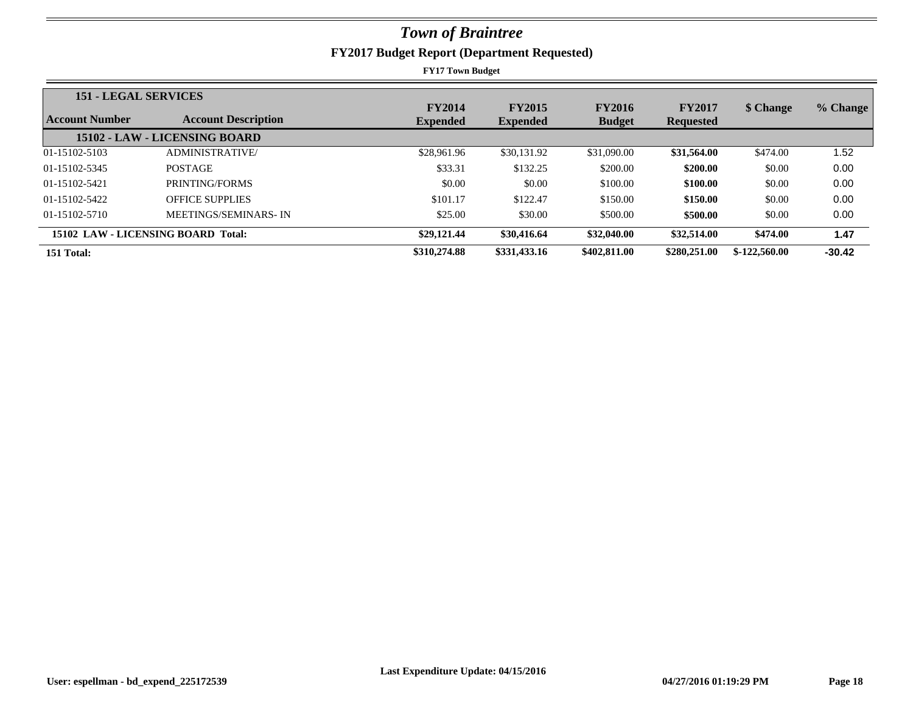| <b>151 - LEGAL SERVICES</b> |                                    |                 |                 |               |                  |                |          |
|-----------------------------|------------------------------------|-----------------|-----------------|---------------|------------------|----------------|----------|
|                             |                                    | <b>FY2014</b>   | <b>FY2015</b>   | <b>FY2016</b> | <b>FY2017</b>    | \$ Change      | % Change |
| <b>Account Number</b>       | <b>Account Description</b>         | <b>Expended</b> | <b>Expended</b> | <b>Budget</b> | <b>Requested</b> |                |          |
|                             | 15102 - LAW - LICENSING BOARD      |                 |                 |               |                  |                |          |
| 01-15102-5103               | <b>ADMINISTRATIVE/</b>             | \$28,961.96     | \$30,131.92     | \$31,090.00   | \$31,564.00      | \$474.00       | 1.52     |
| 01-15102-5345               | <b>POSTAGE</b>                     | \$33.31         | \$132.25        | \$200.00      | \$200.00         | \$0.00         | 0.00     |
| 01-15102-5421               | PRINTING/FORMS                     | \$0.00          | \$0.00          | \$100.00      | \$100.00         | \$0.00         | 0.00     |
| 01-15102-5422               | <b>OFFICE SUPPLIES</b>             | \$101.17        | \$122.47        | \$150.00      | \$150.00         | \$0.00         | 0.00     |
| 01-15102-5710               | <b>MEETINGS/SEMINARS-IN</b>        | \$25.00         | \$30.00         | \$500.00      | \$500.00         | \$0.00         | 0.00     |
|                             | 15102 LAW - LICENSING BOARD Total: | \$29,121.44     | \$30,416.64     | \$32,040.00   | \$32,514.00      | \$474.00       | 1.47     |
| 151 Total:                  |                                    | \$310,274.88    | \$331,433.16    | \$402,811.00  | \$280,251,00     | $$-122,560.00$ | $-30.42$ |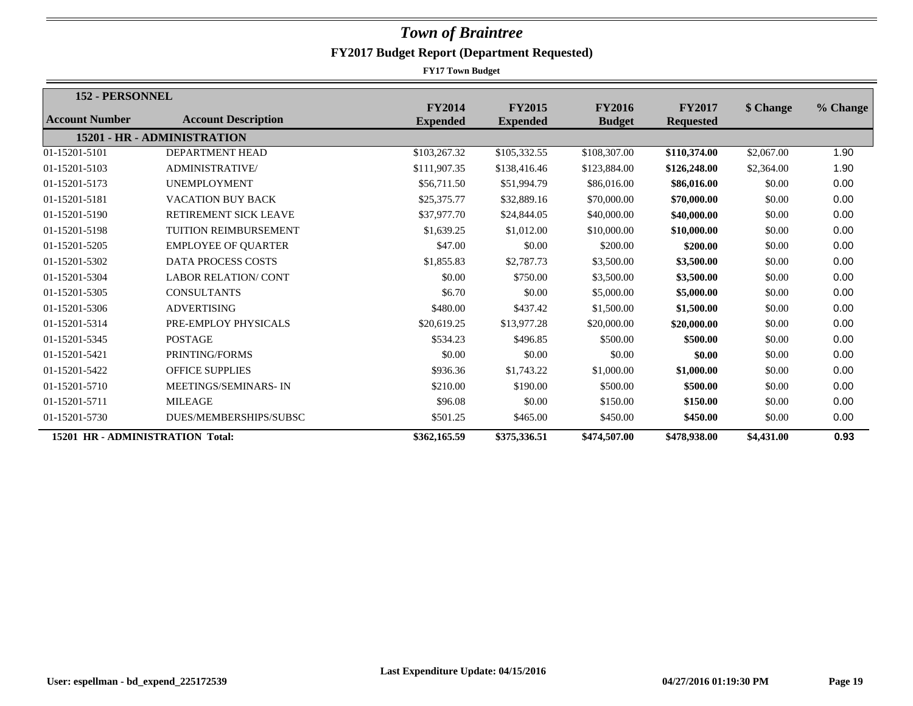| 152 - PERSONNEL                  |                              |                                  |                                  |                                |                                   |            |          |
|----------------------------------|------------------------------|----------------------------------|----------------------------------|--------------------------------|-----------------------------------|------------|----------|
| <b>Account Number</b>            | <b>Account Description</b>   | <b>FY2014</b><br><b>Expended</b> | <b>FY2015</b><br><b>Expended</b> | <b>FY2016</b><br><b>Budget</b> | <b>FY2017</b><br><b>Requested</b> | \$ Change  | % Change |
|                                  | 15201 - HR - ADMINISTRATION  |                                  |                                  |                                |                                   |            |          |
| 01-15201-5101                    | <b>DEPARTMENT HEAD</b>       | \$103,267.32                     | \$105,332.55                     | \$108,307.00                   | \$110,374.00                      | \$2,067.00 | 1.90     |
| 01-15201-5103                    | <b>ADMINISTRATIVE</b>        | \$111,907.35                     | \$138,416.46                     | \$123,884.00                   | \$126,248.00                      | \$2,364.00 | 1.90     |
| 01-15201-5173                    | <b>UNEMPLOYMENT</b>          | \$56,711.50                      | \$51,994.79                      | \$86,016.00                    | \$86,016.00                       | \$0.00     | 0.00     |
| 01-15201-5181                    | <b>VACATION BUY BACK</b>     | \$25,375.77                      | \$32,889.16                      | \$70,000.00                    | \$70,000.00                       | \$0.00     | 0.00     |
| 01-15201-5190                    | RETIREMENT SICK LEAVE        | \$37,977.70                      | \$24,844.05                      | \$40,000.00                    | \$40,000.00                       | \$0.00     | 0.00     |
| 01-15201-5198                    | <b>TUITION REIMBURSEMENT</b> | \$1,639.25                       | \$1,012.00                       | \$10,000.00                    | \$10,000.00                       | \$0.00     | 0.00     |
| 01-15201-5205                    | <b>EMPLOYEE OF QUARTER</b>   | \$47.00                          | \$0.00                           | \$200.00                       | \$200.00                          | \$0.00     | 0.00     |
| 01-15201-5302                    | <b>DATA PROCESS COSTS</b>    | \$1,855.83                       | \$2,787.73                       | \$3,500.00                     | \$3,500.00                        | \$0.00     | 0.00     |
| 01-15201-5304                    | <b>LABOR RELATION/ CONT</b>  | \$0.00                           | \$750.00                         | \$3,500.00                     | \$3,500.00                        | \$0.00     | 0.00     |
| 01-15201-5305                    | <b>CONSULTANTS</b>           | \$6.70                           | \$0.00                           | \$5,000.00                     | \$5,000.00                        | \$0.00     | 0.00     |
| 01-15201-5306                    | <b>ADVERTISING</b>           | \$480.00                         | \$437.42                         | \$1,500.00                     | \$1,500.00                        | \$0.00     | 0.00     |
| 01-15201-5314                    | PRE-EMPLOY PHYSICALS         | \$20,619.25                      | \$13,977.28                      | \$20,000.00                    | \$20,000.00                       | \$0.00     | 0.00     |
| 01-15201-5345                    | <b>POSTAGE</b>               | \$534.23                         | \$496.85                         | \$500.00                       | \$500.00                          | \$0.00     | 0.00     |
| 01-15201-5421                    | PRINTING/FORMS               | \$0.00                           | \$0.00                           | \$0.00                         | \$0.00                            | \$0.00     | 0.00     |
| 01-15201-5422                    | <b>OFFICE SUPPLIES</b>       | \$936.36                         | \$1,743.22                       | \$1,000.00                     | \$1,000.00                        | \$0.00     | 0.00     |
| 01-15201-5710                    | <b>MEETINGS/SEMINARS-IN</b>  | \$210.00                         | \$190.00                         | \$500.00                       | \$500.00                          | \$0.00     | 0.00     |
| 01-15201-5711                    | <b>MILEAGE</b>               | \$96.08                          | \$0.00                           | \$150.00                       | \$150.00                          | \$0.00     | 0.00     |
| 01-15201-5730                    | DUES/MEMBERSHIPS/SUBSC       | \$501.25                         | \$465.00                         | \$450.00                       | \$450.00                          | \$0.00     | 0.00     |
| 15201 HR - ADMINISTRATION Total: |                              | \$362,165.59                     | \$375,336.51                     | \$474,507.00                   | \$478,938.00                      | \$4,431.00 | 0.93     |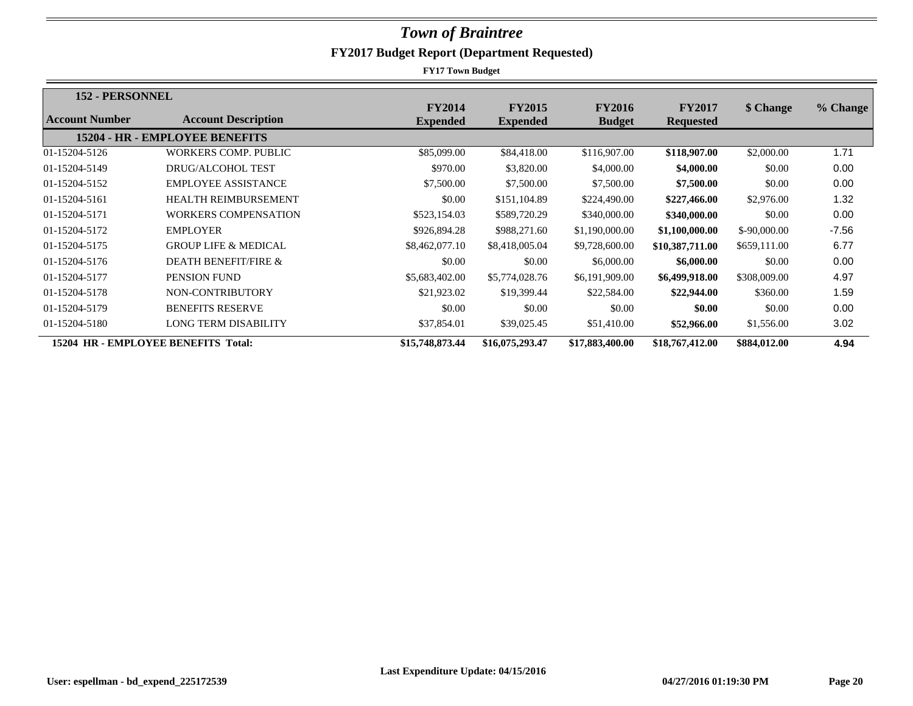| <b>152 - PERSONNEL</b>              |                                       |                                  |                                  |                                |                                   |               |          |
|-------------------------------------|---------------------------------------|----------------------------------|----------------------------------|--------------------------------|-----------------------------------|---------------|----------|
| <b>Account Number</b>               | <b>Account Description</b>            | <b>FY2014</b><br><b>Expended</b> | <b>FY2015</b><br><b>Expended</b> | <b>FY2016</b><br><b>Budget</b> | <b>FY2017</b><br><b>Requested</b> | \$ Change     | % Change |
|                                     | <b>15204 - HR - EMPLOYEE BENEFITS</b> |                                  |                                  |                                |                                   |               |          |
| 01-15204-5126                       | <b>WORKERS COMP. PUBLIC</b>           | \$85,099.00                      | \$84,418.00                      | \$116,907.00                   | \$118,907.00                      | \$2,000.00    | 1.71     |
| 01-15204-5149                       | <b>DRUG/ALCOHOL TEST</b>              | \$970.00                         | \$3,820.00                       | \$4,000.00                     | \$4,000.00                        | \$0.00        | 0.00     |
| 01-15204-5152                       | <b>EMPLOYEE ASSISTANCE</b>            | \$7,500.00                       | \$7,500.00                       | \$7,500.00                     | \$7,500.00                        | \$0.00        | 0.00     |
| 01-15204-5161                       | <b>HEALTH REIMBURSEMENT</b>           | \$0.00                           | \$151,104.89                     | \$224,490.00                   | \$227,466.00                      | \$2,976.00    | 1.32     |
| 01-15204-5171                       | <b>WORKERS COMPENSATION</b>           | \$523,154.03                     | \$589,720.29                     | \$340,000.00                   | \$340,000.00                      | \$0.00        | 0.00     |
| 01-15204-5172                       | <b>EMPLOYER</b>                       | \$926,894.28                     | \$988,271.60                     | \$1,190,000.00                 | \$1,100,000.00                    | $$-90,000.00$ | $-7.56$  |
| 01-15204-5175                       | <b>GROUP LIFE &amp; MEDICAL</b>       | \$8,462,077.10                   | \$8,418,005.04                   | \$9,728,600.00                 | \$10,387,711.00                   | \$659,111.00  | 6.77     |
| 01-15204-5176                       | DEATH BENEFIT/FIRE &                  | \$0.00                           | \$0.00                           | \$6,000.00                     | \$6,000.00                        | \$0.00        | 0.00     |
| 01-15204-5177                       | PENSION FUND                          | \$5,683,402.00                   | \$5,774,028.76                   | \$6,191,909.00                 | \$6,499,918.00                    | \$308,009.00  | 4.97     |
| 01-15204-5178                       | NON-CONTRIBUTORY                      | \$21,923.02                      | \$19,399.44                      | \$22,584.00                    | \$22,944.00                       | \$360.00      | 1.59     |
| 01-15204-5179                       | <b>BENEFITS RESERVE</b>               | \$0.00                           | \$0.00                           | \$0.00                         | \$0.00                            | \$0.00        | 0.00     |
| 01-15204-5180                       | <b>LONG TERM DISABILITY</b>           | \$37,854.01                      | \$39,025.45                      | \$51,410.00                    | \$52,966.00                       | \$1,556.00    | 3.02     |
| 15204 HR - EMPLOYEE BENEFITS Total: |                                       | \$15,748,873.44                  | \$16,075,293.47                  | \$17,883,400.00                | \$18,767,412.00                   | \$884,012.00  | 4.94     |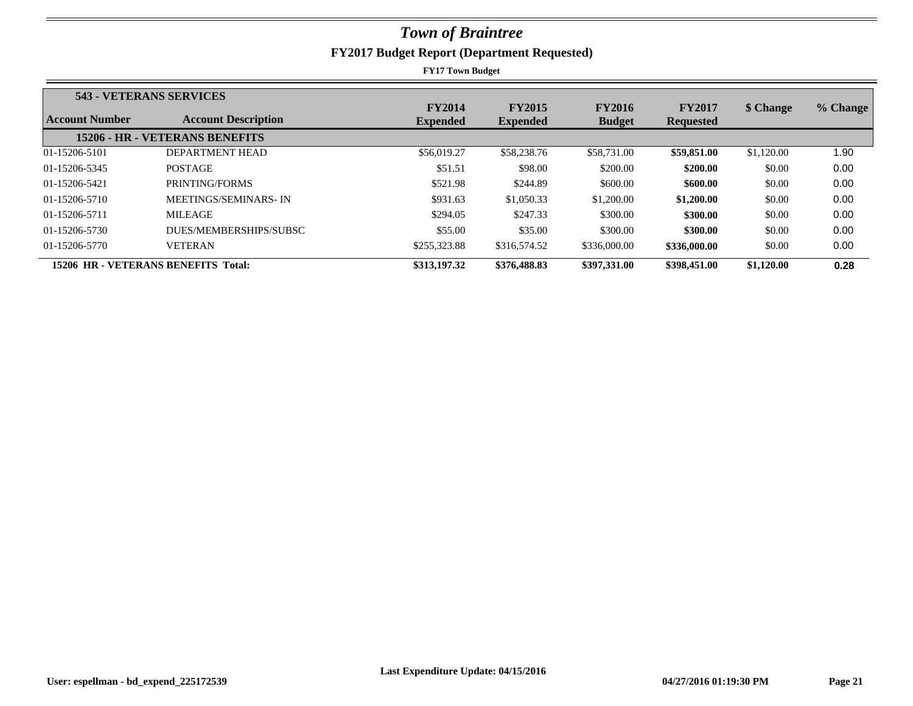|                                     | 543 - VETERANS SERVICES        |                 |                 |               |                  |            |          |
|-------------------------------------|--------------------------------|-----------------|-----------------|---------------|------------------|------------|----------|
|                                     |                                | <b>FY2014</b>   | <b>FY2015</b>   | <b>FY2016</b> | <b>FY2017</b>    | \$ Change  | % Change |
| Account Number                      | <b>Account Description</b>     | <b>Expended</b> | <b>Expended</b> | <b>Budget</b> | <b>Requested</b> |            |          |
|                                     | 15206 - HR - VETERANS BENEFITS |                 |                 |               |                  |            |          |
| 01-15206-5101                       | DEPARTMENT HEAD                | \$56,019.27     | \$58,238.76     | \$58,731.00   | \$59,851.00      | \$1,120.00 | 1.90     |
| 01-15206-5345                       | <b>POSTAGE</b>                 | \$51.51         | \$98.00         | \$200.00      | \$200.00         | \$0.00     | 0.00     |
| 01-15206-5421                       | PRINTING/FORMS                 | \$521.98        | \$244.89        | \$600.00      | \$600.00         | \$0.00     | 0.00     |
| 01-15206-5710                       | MEETINGS/SEMINARS-IN           | \$931.63        | \$1,050.33      | \$1,200.00    | \$1,200.00       | \$0.00     | 0.00     |
| 01-15206-5711                       | <b>MILEAGE</b>                 | \$294.05        | \$247.33        | \$300.00      | \$300.00         | \$0.00     | 0.00     |
| 01-15206-5730                       | DUES/MEMBERSHIPS/SUBSC         | \$55.00         | \$35.00         | \$300.00      | \$300.00         | \$0.00     | 0.00     |
| 01-15206-5770                       | <b>VETERAN</b>                 | \$255,323.88    | \$316,574.52    | \$336,000.00  | \$336,000.00     | \$0.00     | 0.00     |
| 15206 HR - VETERANS BENEFITS Total: |                                | \$313,197.32    | \$376,488.83    | \$397,331.00  | \$398,451.00     | \$1,120.00 | 0.28     |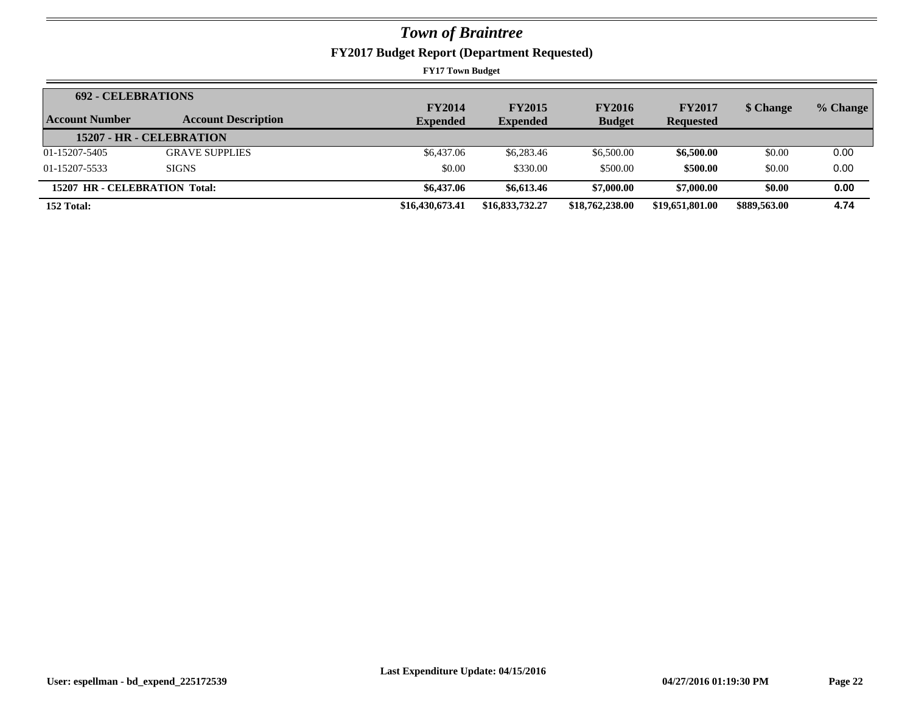**FY2017 Budget Report (Department Requested)**

| <b>692 - CELEBRATIONS</b>     |                            | <b>FY2014</b>   | <b>FY2015</b>   | <b>FY2016</b>   | <b>FY2017</b>    | \$ Change    | % Change |
|-------------------------------|----------------------------|-----------------|-----------------|-----------------|------------------|--------------|----------|
| Account Number                | <b>Account Description</b> | <b>Expended</b> | <b>Expended</b> | <b>Budget</b>   | <b>Requested</b> |              |          |
|                               | 15207 - HR - CELEBRATION   |                 |                 |                 |                  |              |          |
| 01-15207-5405                 | <b>GRAVE SUPPLIES</b>      | \$6,437.06      | \$6,283.46      | \$6,500.00      | \$6,500.00       | \$0.00       | 0.00     |
| 01-15207-5533                 | <b>SIGNS</b>               | \$0.00          | \$330.00        | \$500.00        | \$500.00         | \$0.00       | 0.00     |
| 15207 HR - CELEBRATION Total: |                            | \$6,437.06      | \$6,613.46      | \$7,000.00      | \$7,000.00       | \$0.00       | 0.00     |
| 152 Total:                    |                            | \$16,430,673.41 | \$16,833,732.27 | \$18,762,238.00 | \$19,651,801.00  | \$889,563.00 | 4.74     |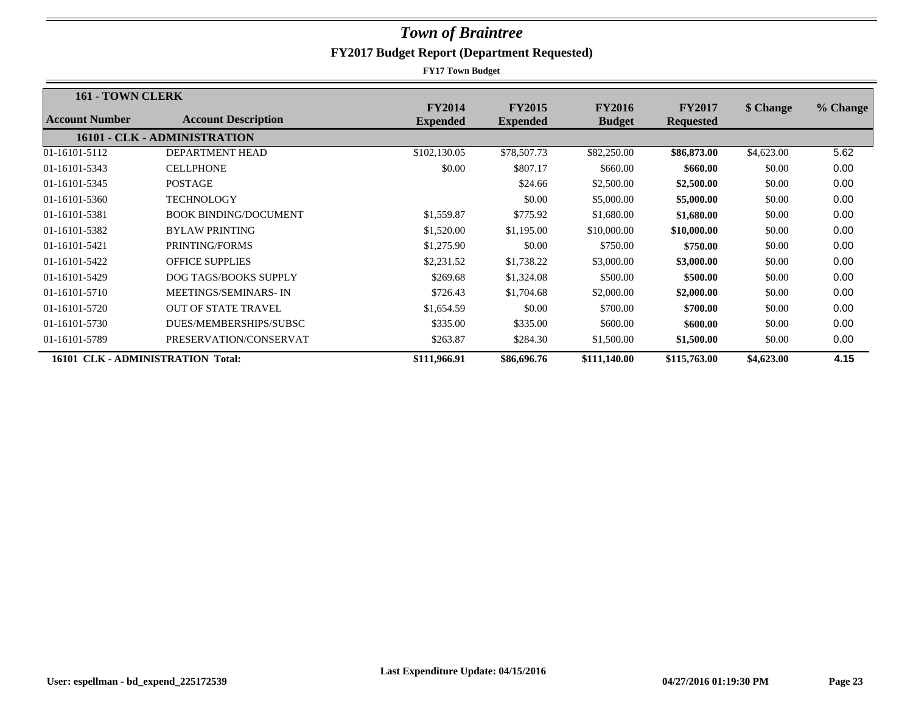| 161 - TOWN CLERK                  |                              |                                  |                                  |                                |                                   |            |          |
|-----------------------------------|------------------------------|----------------------------------|----------------------------------|--------------------------------|-----------------------------------|------------|----------|
| Account Number                    | <b>Account Description</b>   | <b>FY2014</b><br><b>Expended</b> | <b>FY2015</b><br><b>Expended</b> | <b>FY2016</b><br><b>Budget</b> | <b>FY2017</b><br><b>Requested</b> | \$ Change  | % Change |
|                                   | 16101 - CLK - ADMINISTRATION |                                  |                                  |                                |                                   |            |          |
| 01-16101-5112                     | <b>DEPARTMENT HEAD</b>       | \$102,130.05                     | \$78,507.73                      | \$82,250.00                    | \$86,873.00                       | \$4,623.00 | 5.62     |
| 01-16101-5343                     | <b>CELLPHONE</b>             | \$0.00                           | \$807.17                         | \$660.00                       | \$660.00                          | \$0.00     | 0.00     |
| 01-16101-5345                     | <b>POSTAGE</b>               |                                  | \$24.66                          | \$2,500.00                     | \$2,500.00                        | \$0.00     | 0.00     |
| 01-16101-5360                     | <b>TECHNOLOGY</b>            |                                  | \$0.00                           | \$5,000.00                     | \$5,000.00                        | \$0.00     | 0.00     |
| 01-16101-5381                     | <b>BOOK BINDING/DOCUMENT</b> | \$1,559.87                       | \$775.92                         | \$1,680.00                     | \$1,680.00                        | \$0.00     | 0.00     |
| 01-16101-5382                     | <b>BYLAW PRINTING</b>        | \$1,520.00                       | \$1,195.00                       | \$10,000.00                    | \$10,000.00                       | \$0.00     | 0.00     |
| 01-16101-5421                     | PRINTING/FORMS               | \$1,275.90                       | \$0.00                           | \$750.00                       | \$750.00                          | \$0.00     | 0.00     |
| 01-16101-5422                     | <b>OFFICE SUPPLIES</b>       | \$2,231.52                       | \$1,738.22                       | \$3,000.00                     | \$3,000.00                        | \$0.00     | 0.00     |
| 01-16101-5429                     | DOG TAGS/BOOKS SUPPLY        | \$269.68                         | \$1,324.08                       | \$500.00                       | \$500.00                          | \$0.00     | 0.00     |
| 01-16101-5710                     | <b>MEETINGS/SEMINARS-IN</b>  | \$726.43                         | \$1,704.68                       | \$2,000.00                     | \$2,000.00                        | \$0.00     | 0.00     |
| 01-16101-5720                     | <b>OUT OF STATE TRAVEL</b>   | \$1,654.59                       | \$0.00                           | \$700.00                       | \$700.00                          | \$0.00     | 0.00     |
| 01-16101-5730                     | DUES/MEMBERSHIPS/SUBSC       | \$335.00                         | \$335.00                         | \$600.00                       | \$600.00                          | \$0.00     | 0.00     |
| 01-16101-5789                     | PRESERVATION/CONSERVAT       | \$263.87                         | \$284.30                         | \$1,500.00                     | \$1,500.00                        | \$0.00     | 0.00     |
| 16101 CLK - ADMINISTRATION Total: |                              | \$111,966.91                     | \$86,696.76                      | \$111,140.00                   | \$115,763.00                      | \$4,623.00 | 4.15     |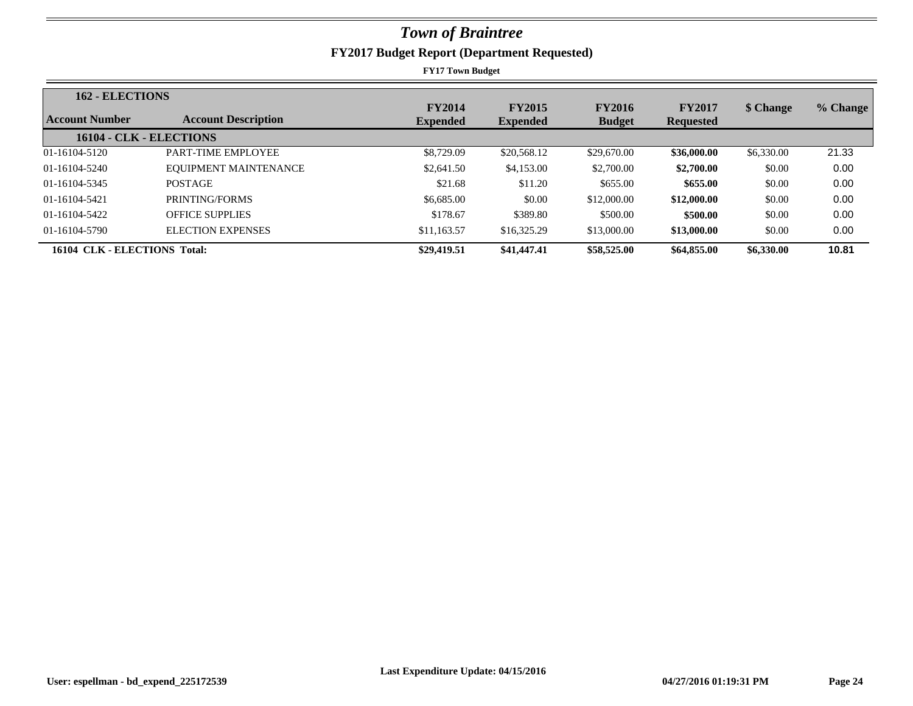| <b>162 - ELECTIONS</b>       |                            |                 |                 |               |                  |            |          |
|------------------------------|----------------------------|-----------------|-----------------|---------------|------------------|------------|----------|
|                              |                            | <b>FY2014</b>   | <b>FY2015</b>   | <b>FY2016</b> | <b>FY2017</b>    | \$ Change  | % Change |
| Account Number               | <b>Account Description</b> | <b>Expended</b> | <b>Expended</b> | <b>Budget</b> | <b>Requested</b> |            |          |
|                              | 16104 - CLK - ELECTIONS    |                 |                 |               |                  |            |          |
| 01-16104-5120                | PART-TIME EMPLOYEE         | \$8,729.09      | \$20,568.12     | \$29,670.00   | \$36,000.00      | \$6,330.00 | 21.33    |
| 01-16104-5240                | EQUIPMENT MAINTENANCE      | \$2,641.50      | \$4,153.00      | \$2,700.00    | \$2,700.00       | \$0.00     | 0.00     |
| 01-16104-5345                | <b>POSTAGE</b>             | \$21.68         | \$11.20         | \$655.00      | \$655.00         | \$0.00     | 0.00     |
| 01-16104-5421                | PRINTING/FORMS             | \$6,685.00      | \$0.00          | \$12,000.00   | \$12,000.00      | \$0.00     | 0.00     |
| 01-16104-5422                | <b>OFFICE SUPPLIES</b>     | \$178.67        | \$389.80        | \$500.00      | \$500.00         | \$0.00     | 0.00     |
| 01-16104-5790                | <b>ELECTION EXPENSES</b>   | \$11,163.57     | \$16,325.29     | \$13,000.00   | \$13,000.00      | \$0.00     | 0.00     |
| 16104 CLK - ELECTIONS Total: |                            | \$29,419.51     | \$41,447.41     | \$58,525.00   | \$64,855.00      | \$6,330.00 | 10.81    |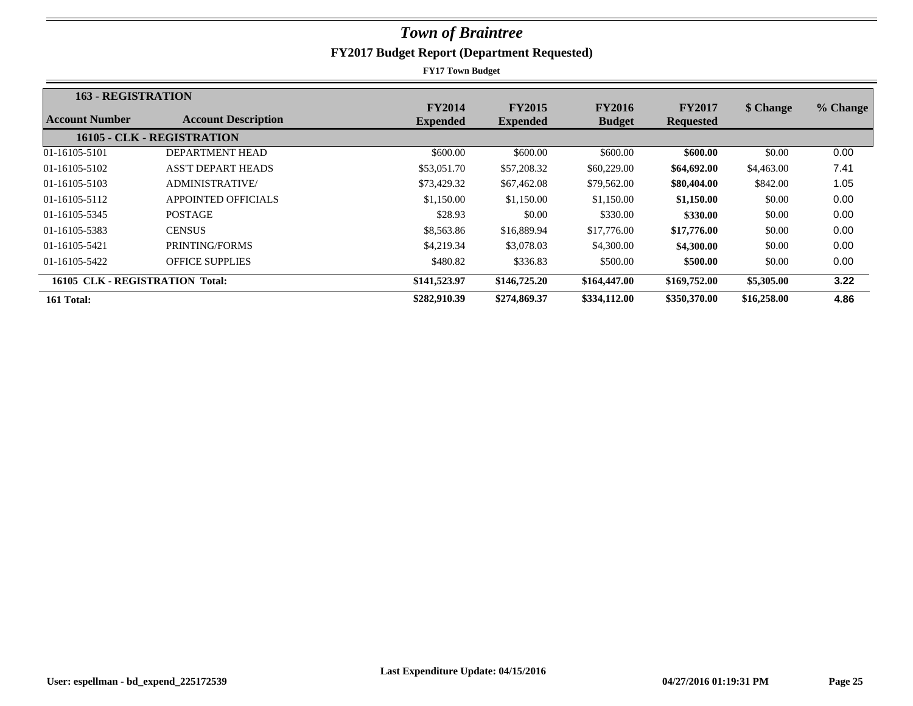| <b>163 - REGISTRATION</b>       |                            |                                  |                                  |                                |                                   |             |          |
|---------------------------------|----------------------------|----------------------------------|----------------------------------|--------------------------------|-----------------------------------|-------------|----------|
| Account Number                  | <b>Account Description</b> | <b>FY2014</b><br><b>Expended</b> | <b>FY2015</b><br><b>Expended</b> | <b>FY2016</b><br><b>Budget</b> | <b>FY2017</b><br><b>Requested</b> | \$ Change   | % Change |
|                                 | 16105 - CLK - REGISTRATION |                                  |                                  |                                |                                   |             |          |
| 01-16105-5101                   | DEPARTMENT HEAD            | \$600.00                         | \$600.00                         | \$600.00                       | \$600.00                          | \$0.00      | 0.00     |
| 01-16105-5102                   | <b>ASS'T DEPART HEADS</b>  | \$53,051.70                      | \$57,208.32                      | \$60,229.00                    | \$64,692.00                       | \$4,463.00  | 7.41     |
| 01-16105-5103                   | <b>ADMINISTRATIVE/</b>     | \$73,429.32                      | \$67,462.08                      | \$79,562.00                    | \$80,404.00                       | \$842.00    | 1.05     |
| 01-16105-5112                   | <b>APPOINTED OFFICIALS</b> | \$1,150.00                       | \$1,150.00                       | \$1,150.00                     | \$1,150.00                        | \$0.00      | 0.00     |
| 01-16105-5345                   | <b>POSTAGE</b>             | \$28.93                          | \$0.00                           | \$330.00                       | \$330.00                          | \$0.00      | 0.00     |
| 01-16105-5383                   | <b>CENSUS</b>              | \$8,563.86                       | \$16,889.94                      | \$17,776.00                    | \$17,776.00                       | \$0.00      | 0.00     |
| 01-16105-5421                   | PRINTING/FORMS             | \$4,219.34                       | \$3,078.03                       | \$4,300.00                     | \$4,300.00                        | \$0.00      | 0.00     |
| 01-16105-5422                   | <b>OFFICE SUPPLIES</b>     | \$480.82                         | \$336.83                         | \$500.00                       | \$500.00                          | \$0.00      | 0.00     |
| 16105 CLK - REGISTRATION Total: |                            | \$141,523.97                     | \$146,725.20                     | \$164,447.00                   | \$169,752.00                      | \$5,305.00  | 3.22     |
| 161 Total:                      |                            | \$282,910.39                     | \$274,869.37                     | \$334,112.00                   | \$350,370.00                      | \$16,258.00 | 4.86     |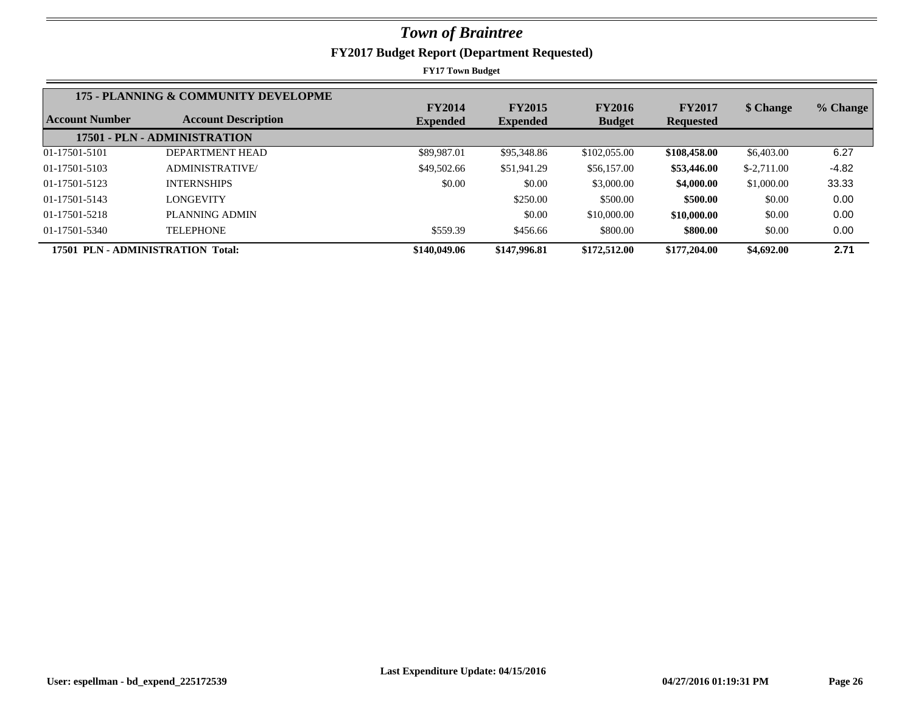|                       | 175 - PLANNING & COMMUNITY DEVELOPME |                 |                 |               |                  |              |          |
|-----------------------|--------------------------------------|-----------------|-----------------|---------------|------------------|--------------|----------|
|                       |                                      | <b>FY2014</b>   | <b>FY2015</b>   | <b>FY2016</b> | <b>FY2017</b>    | \$ Change    | % Change |
| <b>Account Number</b> | <b>Account Description</b>           | <b>Expended</b> | <b>Expended</b> | <b>Budget</b> | <b>Requested</b> |              |          |
|                       | 17501 - PLN - ADMINISTRATION         |                 |                 |               |                  |              |          |
| 01-17501-5101         | DEPARTMENT HEAD                      | \$89,987.01     | \$95,348.86     | \$102,055,00  | \$108,458.00     | \$6,403.00   | 6.27     |
| 01-17501-5103         | <b>ADMINISTRATIVE/</b>               | \$49,502.66     | \$51,941.29     | \$56,157.00   | \$53,446.00      | $$-2,711.00$ | $-4.82$  |
| 01-17501-5123         | <b>INTERNSHIPS</b>                   | \$0.00          | \$0.00          | \$3,000.00    | \$4,000.00       | \$1,000.00   | 33.33    |
| 01-17501-5143         | LONGEVITY                            |                 | \$250.00        | \$500.00      | \$500.00         | \$0.00       | 0.00     |
| 01-17501-5218         | PLANNING ADMIN                       |                 | \$0.00          | \$10,000.00   | \$10,000.00      | \$0.00       | 0.00     |
| 01-17501-5340         | TELEPHONE                            | \$559.39        | \$456.66        | \$800.00      | \$800.00         | \$0.00       | 0.00     |
|                       | 17501 PLN - ADMINISTRATION Total:    | \$140,049.06    | \$147,996.81    | \$172,512.00  | \$177,204.00     | \$4,692.00   | 2.71     |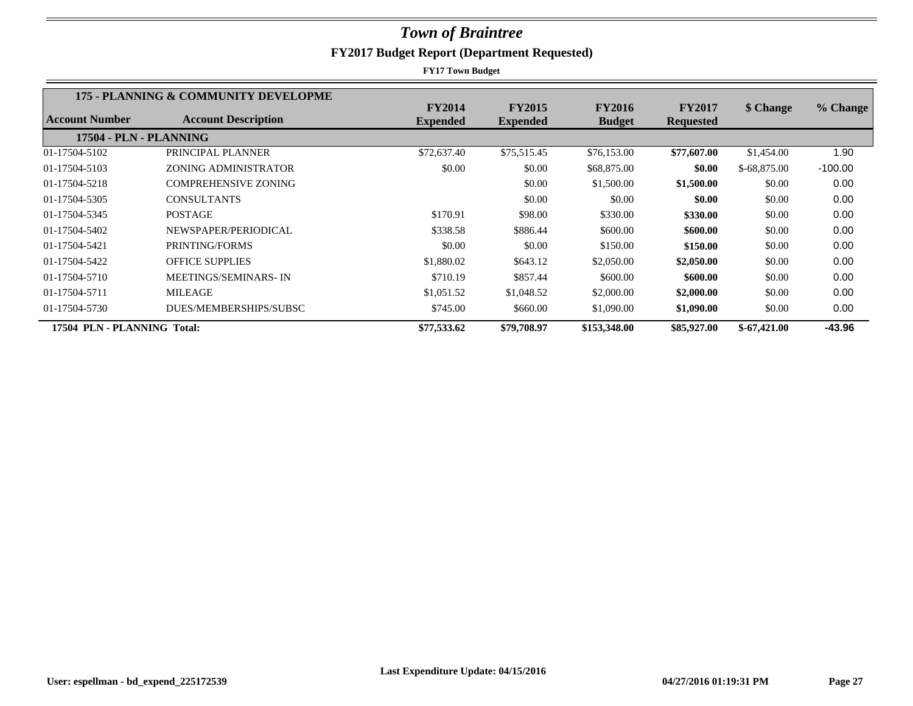|                             | 175 - PLANNING & COMMUNITY DEVELOPME |                 |                 |               |                  |               |           |
|-----------------------------|--------------------------------------|-----------------|-----------------|---------------|------------------|---------------|-----------|
|                             |                                      | <b>FY2014</b>   | <b>FY2015</b>   | <b>FY2016</b> | <b>FY2017</b>    | \$ Change     | % Change  |
| Account Number              | <b>Account Description</b>           | <b>Expended</b> | <b>Expended</b> | <b>Budget</b> | <b>Requested</b> |               |           |
| 17504 - PLN - PLANNING      |                                      |                 |                 |               |                  |               |           |
| 01-17504-5102               | PRINCIPAL PLANNER                    | \$72,637.40     | \$75,515.45     | \$76,153.00   | \$77,607.00      | \$1,454.00    | 1.90      |
| 01-17504-5103               | ZONING ADMINISTRATOR                 | \$0.00          | \$0.00          | \$68,875.00   | \$0.00           | $$-68,875.00$ | $-100.00$ |
| 01-17504-5218               | <b>COMPREHENSIVE ZONING</b>          |                 | \$0.00          | \$1,500.00    | \$1,500.00       | \$0.00        | 0.00      |
| 01-17504-5305               | <b>CONSULTANTS</b>                   |                 | \$0.00          | \$0.00        | \$0.00           | \$0.00        | 0.00      |
| 01-17504-5345               | <b>POSTAGE</b>                       | \$170.91        | \$98.00         | \$330.00      | \$330.00         | \$0.00        | 0.00      |
| 01-17504-5402               | NEWSPAPER/PERIODICAL                 | \$338.58        | \$886.44        | \$600.00      | \$600.00         | \$0.00        | 0.00      |
| 01-17504-5421               | PRINTING/FORMS                       | \$0.00          | \$0.00          | \$150.00      | \$150.00         | \$0.00        | 0.00      |
| 01-17504-5422               | <b>OFFICE SUPPLIES</b>               | \$1,880.02      | \$643.12        | \$2,050.00    | \$2,050.00       | \$0.00        | 0.00      |
| 01-17504-5710               | MEETINGS/SEMINARS-IN                 | \$710.19        | \$857.44        | \$600.00      | \$600.00         | \$0.00        | 0.00      |
| 01-17504-5711               | <b>MILEAGE</b>                       | \$1,051.52      | \$1,048.52      | \$2,000.00    | \$2,000.00       | \$0.00        | 0.00      |
| 01-17504-5730               | DUES/MEMBERSHIPS/SUBSC               | \$745.00        | \$660.00        | \$1,090.00    | \$1,090.00       | \$0.00        | 0.00      |
| 17504 PLN - PLANNING Total: |                                      | \$77,533.62     | \$79,708.97     | \$153,348.00  | \$85,927.00      | $$-67,421.00$ | $-43.96$  |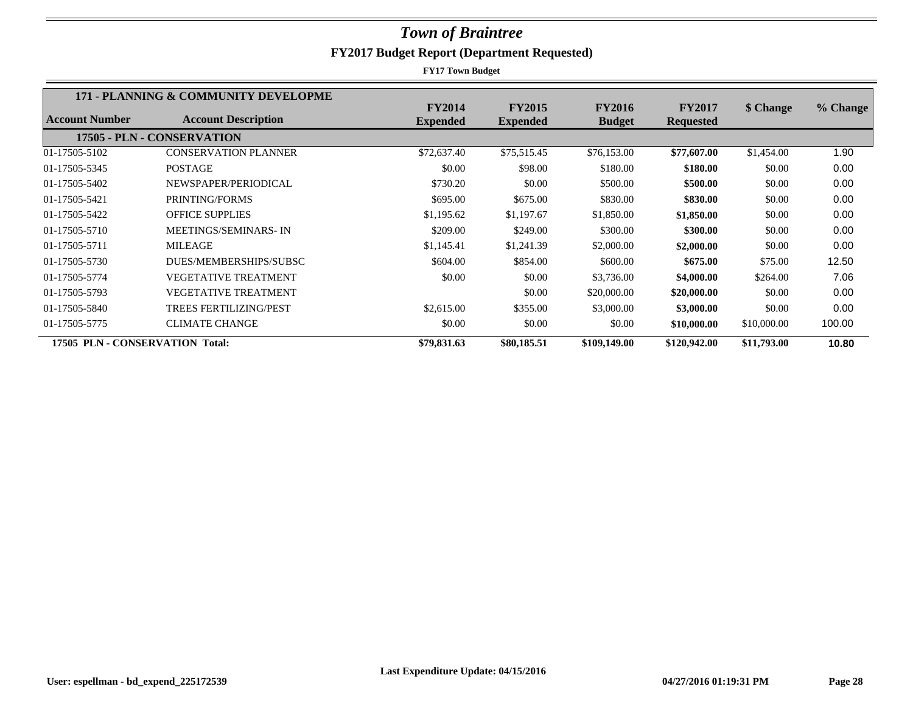|                                 | 171 - PLANNING & COMMUNITY DEVELOPME |                 |                 |               |                  |             |          |
|---------------------------------|--------------------------------------|-----------------|-----------------|---------------|------------------|-------------|----------|
|                                 |                                      | <b>FY2014</b>   | <b>FY2015</b>   | <b>FY2016</b> | <b>FY2017</b>    | \$ Change   | % Change |
| Account Number                  | <b>Account Description</b>           | <b>Expended</b> | <b>Expended</b> | <b>Budget</b> | <b>Requested</b> |             |          |
|                                 | 17505 - PLN - CONSERVATION           |                 |                 |               |                  |             |          |
| 01-17505-5102                   | <b>CONSERVATION PLANNER</b>          | \$72,637.40     | \$75,515.45     | \$76,153.00   | \$77,607.00      | \$1,454.00  | 1.90     |
| 01-17505-5345                   | <b>POSTAGE</b>                       | \$0.00          | \$98.00         | \$180.00      | \$180.00         | \$0.00      | 0.00     |
| 01-17505-5402                   | NEWSPAPER/PERIODICAL                 | \$730.20        | \$0.00          | \$500.00      | \$500.00         | \$0.00      | 0.00     |
| 01-17505-5421                   | PRINTING/FORMS                       | \$695.00        | \$675.00        | \$830.00      | \$830.00         | \$0.00      | 0.00     |
| 01-17505-5422                   | <b>OFFICE SUPPLIES</b>               | \$1,195.62      | \$1,197.67      | \$1,850.00    | \$1,850.00       | \$0.00      | 0.00     |
| 01-17505-5710                   | <b>MEETINGS/SEMINARS-IN</b>          | \$209.00        | \$249.00        | \$300.00      | \$300.00         | \$0.00      | 0.00     |
| 01-17505-5711                   | <b>MILEAGE</b>                       | \$1,145.41      | \$1,241.39      | \$2,000.00    | \$2,000.00       | \$0.00      | 0.00     |
| 01-17505-5730                   | DUES/MEMBERSHIPS/SUBSC               | \$604.00        | \$854.00        | \$600.00      | \$675.00         | \$75.00     | 12.50    |
| 01-17505-5774                   | <b>VEGETATIVE TREATMENT</b>          | \$0.00          | \$0.00          | \$3,736.00    | \$4,000.00       | \$264.00    | 7.06     |
| 01-17505-5793                   | VEGETATIVE TREATMENT                 |                 | \$0.00          | \$20,000.00   | \$20,000.00      | \$0.00      | 0.00     |
| 01-17505-5840                   | <b>TREES FERTILIZING/PEST</b>        | \$2,615.00      | \$355.00        | \$3,000.00    | \$3,000.00       | \$0.00      | 0.00     |
| 01-17505-5775                   | <b>CLIMATE CHANGE</b>                | \$0.00          | \$0.00          | \$0.00        | \$10,000.00      | \$10,000.00 | 100.00   |
| 17505 PLN - CONSERVATION Total: |                                      | \$79,831.63     | \$80,185.51     | \$109,149.00  | \$120,942.00     | \$11,793.00 | 10.80    |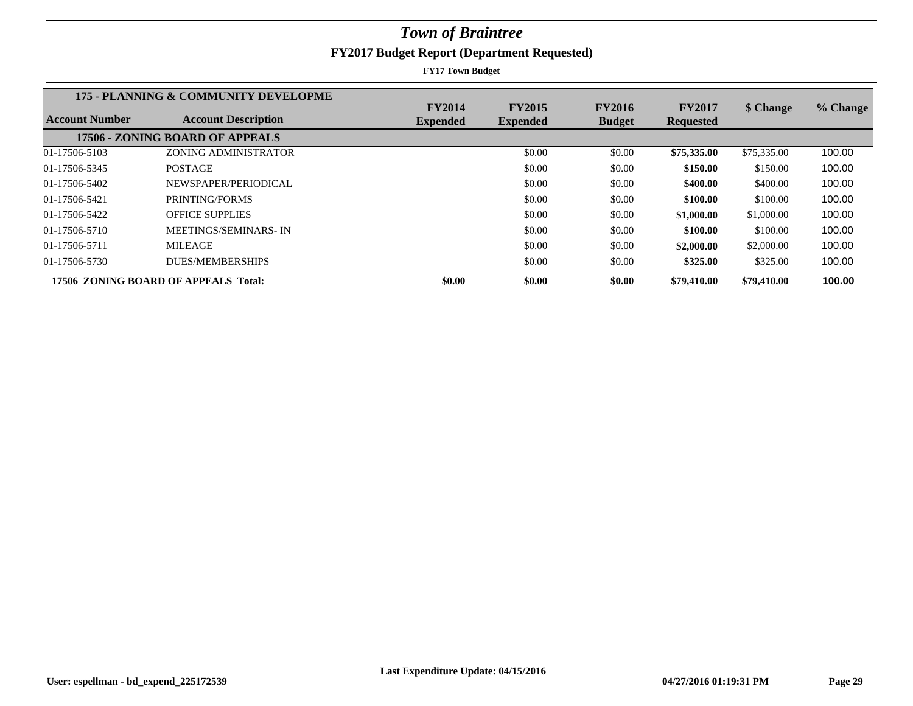|                | 175 - PLANNING & COMMUNITY DEVELOPME |                                  |                                  |                                |                                   |             |          |
|----------------|--------------------------------------|----------------------------------|----------------------------------|--------------------------------|-----------------------------------|-------------|----------|
| Account Number | <b>Account Description</b>           | <b>FY2014</b><br><b>Expended</b> | <b>FY2015</b><br><b>Expended</b> | <b>FY2016</b><br><b>Budget</b> | <b>FY2017</b><br><b>Requested</b> | \$ Change   | % Change |
|                | 17506 - ZONING BOARD OF APPEALS      |                                  |                                  |                                |                                   |             |          |
| 01-17506-5103  | <b>ZONING ADMINISTRATOR</b>          |                                  | \$0.00                           | \$0.00                         | \$75,335.00                       | \$75,335.00 | 100.00   |
| 01-17506-5345  | <b>POSTAGE</b>                       |                                  | \$0.00                           | \$0.00                         | \$150.00                          | \$150.00    | 100.00   |
| 01-17506-5402  | NEWSPAPER/PERIODICAL                 |                                  | \$0.00                           | \$0.00                         | \$400.00                          | \$400.00    | 100.00   |
| 01-17506-5421  | PRINTING/FORMS                       |                                  | \$0.00                           | \$0.00                         | \$100.00                          | \$100.00    | 100.00   |
| 01-17506-5422  | <b>OFFICE SUPPLIES</b>               |                                  | \$0.00                           | \$0.00                         | \$1,000.00                        | \$1,000.00  | 100.00   |
| 01-17506-5710  | MEETINGS/SEMINARS-IN                 |                                  | \$0.00                           | \$0.00                         | \$100.00                          | \$100.00    | 100.00   |
| 01-17506-5711  | <b>MILEAGE</b>                       |                                  | \$0.00                           | \$0.00                         | \$2,000.00                        | \$2,000.00  | 100.00   |
| 01-17506-5730  | <b>DUES/MEMBERSHIPS</b>              |                                  | \$0.00                           | \$0.00                         | \$325.00                          | \$325.00    | 100.00   |
|                | 17506 ZONING BOARD OF APPEALS Total: | \$0.00                           | \$0.00                           | \$0.00                         | \$79,410.00                       | \$79,410.00 | 100.00   |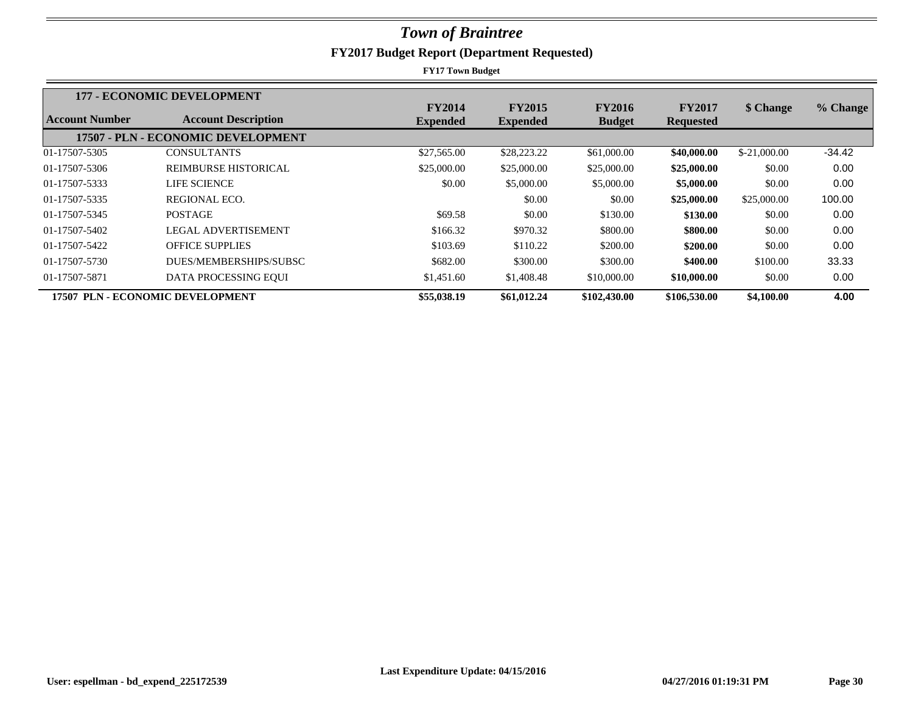|                                  | <b>177 - ECONOMIC DEVELOPMENT</b>  |                                  |                                  |                                |                                   |               |          |
|----------------------------------|------------------------------------|----------------------------------|----------------------------------|--------------------------------|-----------------------------------|---------------|----------|
| Account Number                   | <b>Account Description</b>         | <b>FY2014</b><br><b>Expended</b> | <b>FY2015</b><br><b>Expended</b> | <b>FY2016</b><br><b>Budget</b> | <b>FY2017</b><br><b>Requested</b> | \$ Change     | % Change |
|                                  | 17507 - PLN - ECONOMIC DEVELOPMENT |                                  |                                  |                                |                                   |               |          |
| 01-17507-5305                    | <b>CONSULTANTS</b>                 | \$27,565.00                      | \$28,223.22                      | \$61,000.00                    | \$40,000.00                       | $$-21,000,00$ | $-34.42$ |
| 01-17507-5306                    | REIMBURSE HISTORICAL               | \$25,000.00                      | \$25,000.00                      | \$25,000.00                    | \$25,000.00                       | \$0.00        | 0.00     |
| 01-17507-5333                    | <b>LIFE SCIENCE</b>                | \$0.00                           | \$5,000.00                       | \$5,000.00                     | \$5,000.00                        | \$0.00        | 0.00     |
| 01-17507-5335                    | REGIONAL ECO.                      |                                  | \$0.00                           | \$0.00                         | \$25,000.00                       | \$25,000.00   | 100.00   |
| 01-17507-5345                    | <b>POSTAGE</b>                     | \$69.58                          | \$0.00                           | \$130.00                       | \$130.00                          | \$0.00        | 0.00     |
| 01-17507-5402                    | LEGAL ADVERTISEMENT                | \$166.32                         | \$970.32                         | \$800.00                       | \$800.00                          | \$0.00        | 0.00     |
| 01-17507-5422                    | <b>OFFICE SUPPLIES</b>             | \$103.69                         | \$110.22                         | \$200.00                       | \$200.00                          | \$0.00        | 0.00     |
| 01-17507-5730                    | DUES/MEMBERSHIPS/SUBSC             | \$682.00                         | \$300.00                         | \$300.00                       | \$400.00                          | \$100.00      | 33.33    |
| 01-17507-5871                    | DATA PROCESSING EQUI               | \$1,451.60                       | \$1,408.48                       | \$10,000.00                    | \$10,000.00                       | \$0.00        | 0.00     |
| 17507 PLN - ECONOMIC DEVELOPMENT |                                    | \$55,038.19                      | \$61,012.24                      | \$102,430.00                   | \$106,530.00                      | \$4,100.00    | 4.00     |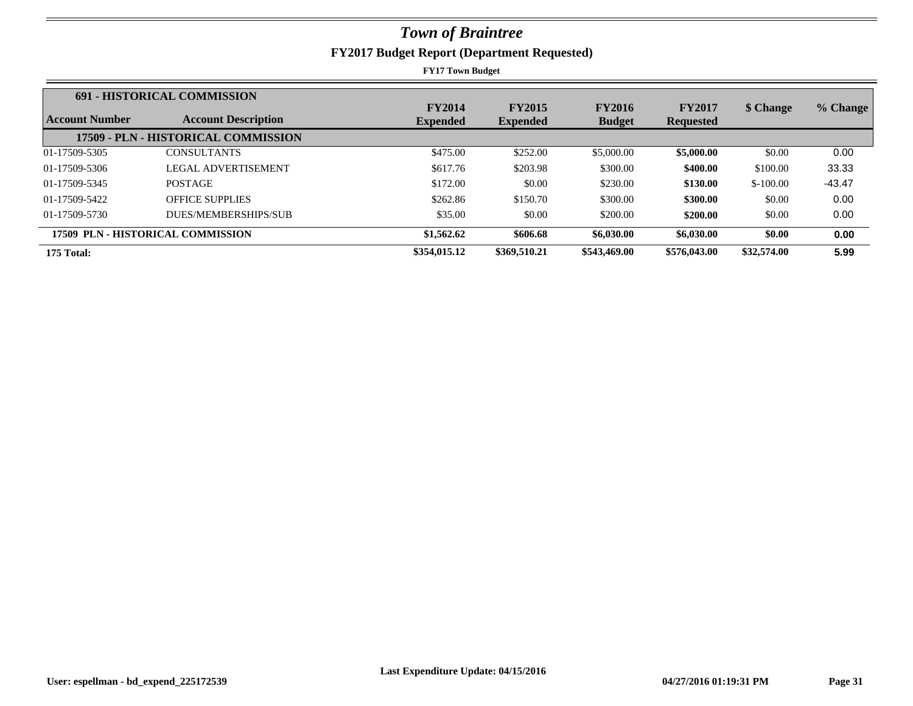|                | <b>691 - HISTORICAL COMMISSION</b>  |                 |                 |               |                  |             |          |
|----------------|-------------------------------------|-----------------|-----------------|---------------|------------------|-------------|----------|
|                |                                     | <b>FY2014</b>   | <b>FY2015</b>   | <b>FY2016</b> | <b>FY2017</b>    | \$ Change   | % Change |
| Account Number | <b>Account Description</b>          | <b>Expended</b> | <b>Expended</b> | <b>Budget</b> | <b>Requested</b> |             |          |
|                | 17509 - PLN - HISTORICAL COMMISSION |                 |                 |               |                  |             |          |
| 01-17509-5305  | <b>CONSULTANTS</b>                  | \$475.00        | \$252.00        | \$5,000.00    | \$5,000.00       | \$0.00      | 0.00     |
| 01-17509-5306  | LEGAL ADVERTISEMENT                 | \$617.76        | \$203.98        | \$300.00      | \$400.00         | \$100.00    | 33.33    |
| 01-17509-5345  | <b>POSTAGE</b>                      | \$172.00        | \$0.00          | \$230.00      | \$130.00         | $$-100.00$  | $-43.47$ |
| 01-17509-5422  | <b>OFFICE SUPPLIES</b>              | \$262.86        | \$150.70        | \$300.00      | \$300.00         | \$0.00      | 0.00     |
| 01-17509-5730  | DUES/MEMBERSHIPS/SUB                | \$35.00         | \$0.00          | \$200.00      | \$200.00         | \$0.00      | 0.00     |
|                | 17509 PLN - HISTORICAL COMMISSION   | \$1,562.62      | \$606.68        | \$6,030.00    | \$6,030.00       | \$0.00      | 0.00     |
| 175 Total:     |                                     | \$354,015.12    | \$369,510.21    | \$543,469.00  | \$576,043.00     | \$32,574.00 | 5.99     |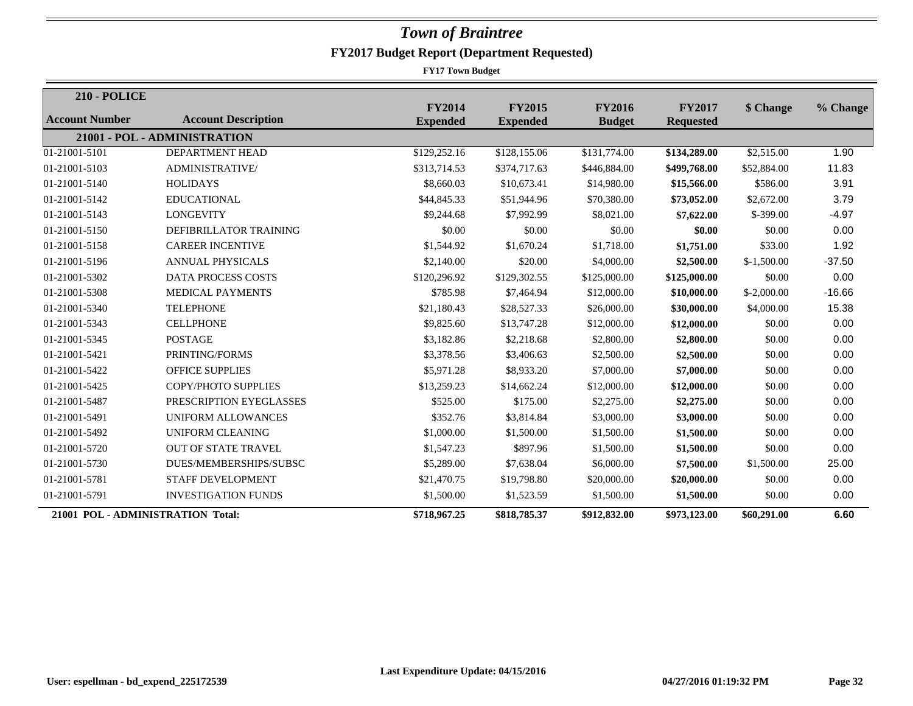| <b>210 - POLICE</b>               |                              |                                  |                                  |                                |                                   |              |          |
|-----------------------------------|------------------------------|----------------------------------|----------------------------------|--------------------------------|-----------------------------------|--------------|----------|
| <b>Account Number</b>             | <b>Account Description</b>   | <b>FY2014</b><br><b>Expended</b> | <b>FY2015</b><br><b>Expended</b> | <b>FY2016</b><br><b>Budget</b> | <b>FY2017</b><br><b>Requested</b> | \$ Change    | % Change |
|                                   | 21001 - POL - ADMINISTRATION |                                  |                                  |                                |                                   |              |          |
| 01-21001-5101                     | <b>DEPARTMENT HEAD</b>       | \$129,252.16                     | \$128,155.06                     | \$131,774.00                   | \$134,289.00                      | \$2,515.00   | 1.90     |
| 01-21001-5103                     | <b>ADMINISTRATIVE/</b>       | \$313,714.53                     | \$374,717.63                     | \$446,884.00                   | \$499,768.00                      | \$52,884.00  | 11.83    |
| 01-21001-5140                     | <b>HOLIDAYS</b>              | \$8,660.03                       | \$10,673.41                      | \$14,980.00                    | \$15,566.00                       | \$586.00     | 3.91     |
| 01-21001-5142                     | <b>EDUCATIONAL</b>           | \$44,845.33                      | \$51,944.96                      | \$70,380.00                    | \$73,052.00                       | \$2,672.00   | 3.79     |
| 01-21001-5143                     | <b>LONGEVITY</b>             | \$9,244.68                       | \$7,992.99                       | \$8,021.00                     | \$7,622.00                        | $$-399.00$   | $-4.97$  |
| 01-21001-5150                     | DEFIBRILLATOR TRAINING       | \$0.00                           | \$0.00                           | \$0.00                         | \$0.00                            | \$0.00       | 0.00     |
| 01-21001-5158                     | <b>CAREER INCENTIVE</b>      | \$1,544.92                       | \$1,670.24                       | \$1,718.00                     | \$1,751.00                        | \$33.00      | 1.92     |
| 01-21001-5196                     | <b>ANNUAL PHYSICALS</b>      | \$2,140.00                       | \$20.00                          | \$4,000.00                     | \$2,500.00                        | $$-1,500.00$ | $-37.50$ |
| 01-21001-5302                     | <b>DATA PROCESS COSTS</b>    | \$120,296.92                     | \$129,302.55                     | \$125,000.00                   | \$125,000.00                      | \$0.00       | 0.00     |
| 01-21001-5308                     | <b>MEDICAL PAYMENTS</b>      | \$785.98                         | \$7,464.94                       | \$12,000.00                    | \$10,000.00                       | $$-2,000.00$ | $-16.66$ |
| 01-21001-5340                     | <b>TELEPHONE</b>             | \$21,180.43                      | \$28,527.33                      | \$26,000.00                    | \$30,000.00                       | \$4,000.00   | 15.38    |
| 01-21001-5343                     | <b>CELLPHONE</b>             | \$9,825.60                       | \$13,747.28                      | \$12,000.00                    | \$12,000.00                       | \$0.00       | 0.00     |
| 01-21001-5345                     | <b>POSTAGE</b>               | \$3,182.86                       | \$2,218.68                       | \$2,800.00                     | \$2,800.00                        | \$0.00       | 0.00     |
| 01-21001-5421                     | PRINTING/FORMS               | \$3,378.56                       | \$3,406.63                       | \$2,500.00                     | \$2,500.00                        | \$0.00       | 0.00     |
| 01-21001-5422                     | <b>OFFICE SUPPLIES</b>       | \$5,971.28                       | \$8,933.20                       | \$7,000.00                     | \$7,000.00                        | \$0.00       | 0.00     |
| 01-21001-5425                     | <b>COPY/PHOTO SUPPLIES</b>   | \$13,259.23                      | \$14,662.24                      | \$12,000.00                    | \$12,000.00                       | \$0.00       | 0.00     |
| 01-21001-5487                     | PRESCRIPTION EYEGLASSES      | \$525.00                         | \$175.00                         | \$2,275.00                     | \$2,275.00                        | \$0.00       | 0.00     |
| 01-21001-5491                     | <b>UNIFORM ALLOWANCES</b>    | \$352.76                         | \$3,814.84                       | \$3,000.00                     | \$3,000.00                        | \$0.00       | 0.00     |
| 01-21001-5492                     | <b>UNIFORM CLEANING</b>      | \$1,000.00                       | \$1,500.00                       | \$1,500.00                     | \$1,500.00                        | \$0.00       | 0.00     |
| 01-21001-5720                     | <b>OUT OF STATE TRAVEL</b>   | \$1,547.23                       | \$897.96                         | \$1,500.00                     | \$1,500.00                        | \$0.00       | 0.00     |
| 01-21001-5730                     | DUES/MEMBERSHIPS/SUBSC       | \$5,289.00                       | \$7,638.04                       | \$6,000.00                     | \$7,500.00                        | \$1,500.00   | 25.00    |
| 01-21001-5781                     | STAFF DEVELOPMENT            | \$21,470.75                      | \$19,798.80                      | \$20,000.00                    | \$20,000.00                       | \$0.00       | 0.00     |
| 01-21001-5791                     | <b>INVESTIGATION FUNDS</b>   | \$1,500.00                       | \$1,523.59                       | \$1,500.00                     | \$1,500.00                        | \$0.00       | 0.00     |
| 21001 POL - ADMINISTRATION Total: |                              | \$718,967.25                     | \$818,785.37                     | \$912,832.00                   | \$973,123.00                      | \$60,291.00  | 6.60     |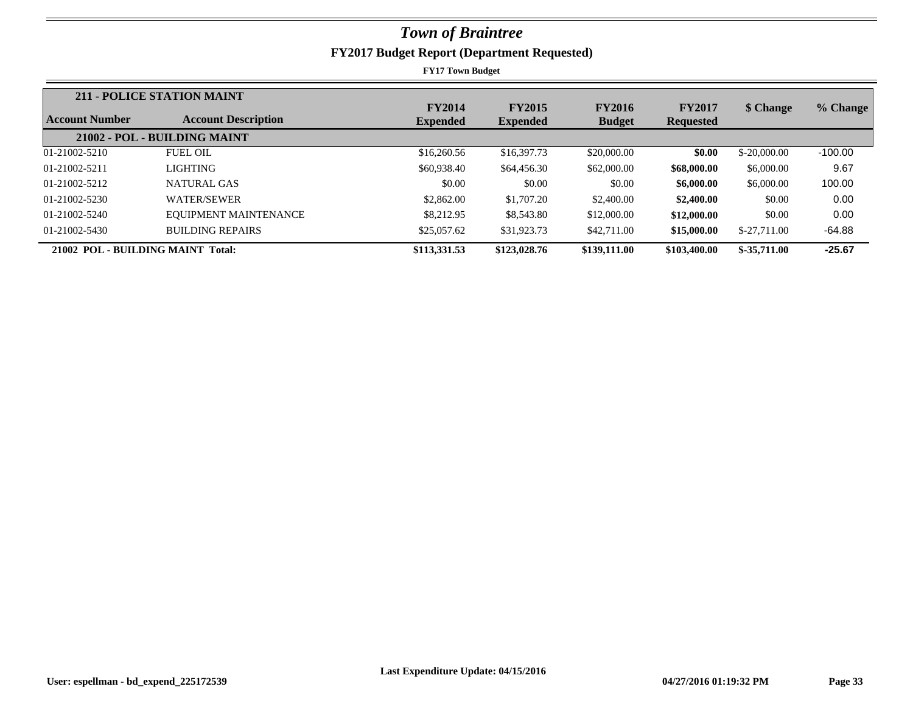|                            | 211 - POLICE STATION MAINT   |                                  |                                  |                                |                                   |               |           |
|----------------------------|------------------------------|----------------------------------|----------------------------------|--------------------------------|-----------------------------------|---------------|-----------|
| <b>Account Number</b>      | <b>Account Description</b>   | <b>FY2014</b><br><b>Expended</b> | <b>FY2015</b><br><b>Expended</b> | <b>FY2016</b><br><b>Budget</b> | <b>FY2017</b><br><b>Requested</b> | \$ Change     | % Change  |
|                            | 21002 - POL - BUILDING MAINT |                                  |                                  |                                |                                   |               |           |
| 01-21002-5210              | <b>FUEL OIL</b>              | \$16,260.56                      | \$16,397.73                      | \$20,000.00                    | \$0.00                            | $$-20,000,00$ | $-100.00$ |
| 01-21002-5211              | <b>LIGHTING</b>              | \$60,938.40                      | \$64,456.30                      | \$62,000.00                    | \$68,000.00                       | \$6,000.00    | 9.67      |
| 01-21002-5212              | NATURAL GAS                  | \$0.00                           | \$0.00                           | \$0.00                         | \$6,000.00                        | \$6,000.00    | 100.00    |
| 01-21002-5230              | <b>WATER/SEWER</b>           | \$2,862.00                       | \$1,707.20                       | \$2,400.00                     | \$2,400.00                        | \$0.00        | 0.00      |
| 01-21002-5240              | EQUIPMENT MAINTENANCE        | \$8,212.95                       | \$8,543.80                       | \$12,000.00                    | \$12,000.00                       | \$0.00        | 0.00      |
| 01-21002-5430              | <b>BUILDING REPAIRS</b>      | \$25,057.62                      | \$31,923.73                      | \$42,711.00                    | \$15,000.00                       | $$-27,711,00$ | $-64.88$  |
| 21002 POL - BUILDING MAINT | Total:                       | \$113,331.53                     | \$123,028.76                     | \$139,111.00                   | \$103,400.00                      | $$-35,711.00$ | $-25.67$  |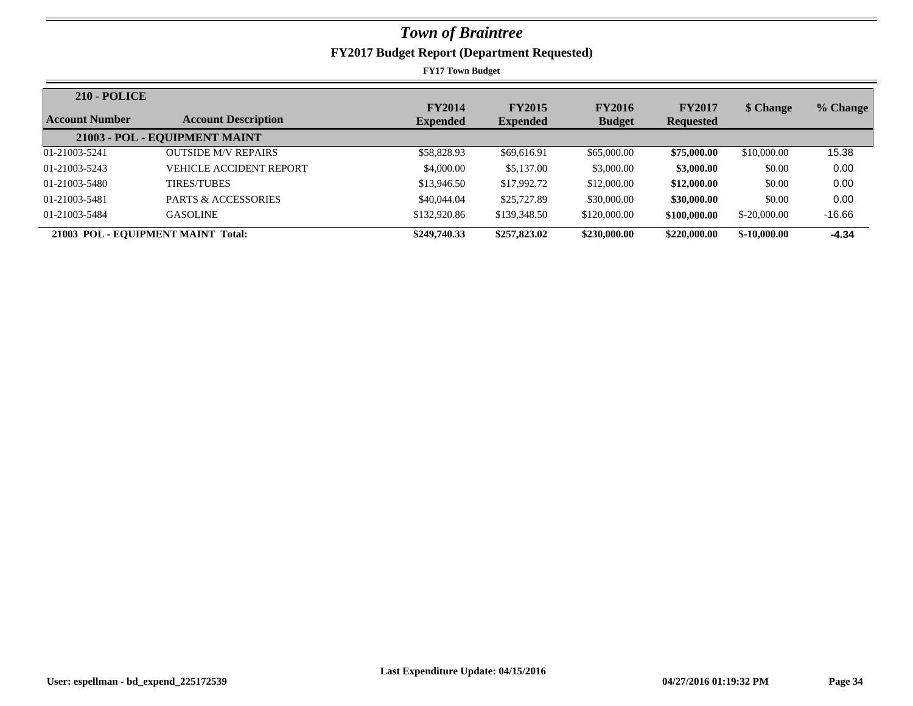| <b>210 - POLICE</b> |                                    |                                  |                                  |                                |                                   |               |          |
|---------------------|------------------------------------|----------------------------------|----------------------------------|--------------------------------|-----------------------------------|---------------|----------|
| Account Number      | <b>Account Description</b>         | <b>FY2014</b><br><b>Expended</b> | <b>FY2015</b><br><b>Expended</b> | <b>FY2016</b><br><b>Budget</b> | <b>FY2017</b><br><b>Requested</b> | \$ Change     | % Change |
|                     | 21003 - POL - EQUIPMENT MAINT      |                                  |                                  |                                |                                   |               |          |
| 01-21003-5241       | <b>OUTSIDE M/V REPAIRS</b>         | \$58,828.93                      | \$69,616.91                      | \$65,000.00                    | \$75,000.00                       | \$10,000.00   | 15.38    |
| 01-21003-5243       | <b>VEHICLE ACCIDENT REPORT</b>     | \$4,000.00                       | \$5,137.00                       | \$3,000.00                     | \$3,000.00                        | \$0.00        | 0.00     |
| 01-21003-5480       | <b>TIRES/TUBES</b>                 | \$13,946.50                      | \$17,992.72                      | \$12,000.00                    | \$12,000.00                       | \$0.00        | 0.00     |
| 01-21003-5481       | <b>PARTS &amp; ACCESSORIES</b>     | \$40,044.04                      | \$25,727.89                      | \$30,000.00                    | \$30,000.00                       | \$0.00        | 0.00     |
| 01-21003-5484       | <b>GASOLINE</b>                    | \$132,920.86                     | \$139,348.50                     | \$120,000.00                   | \$100,000.00                      | $$-20,000,00$ | $-16.66$ |
|                     | 21003 POL - EQUIPMENT MAINT Total: | \$249,740.33                     | \$257,823.02                     | \$230,000.00                   | \$220,000.00                      | $$-10,000,00$ | $-4.34$  |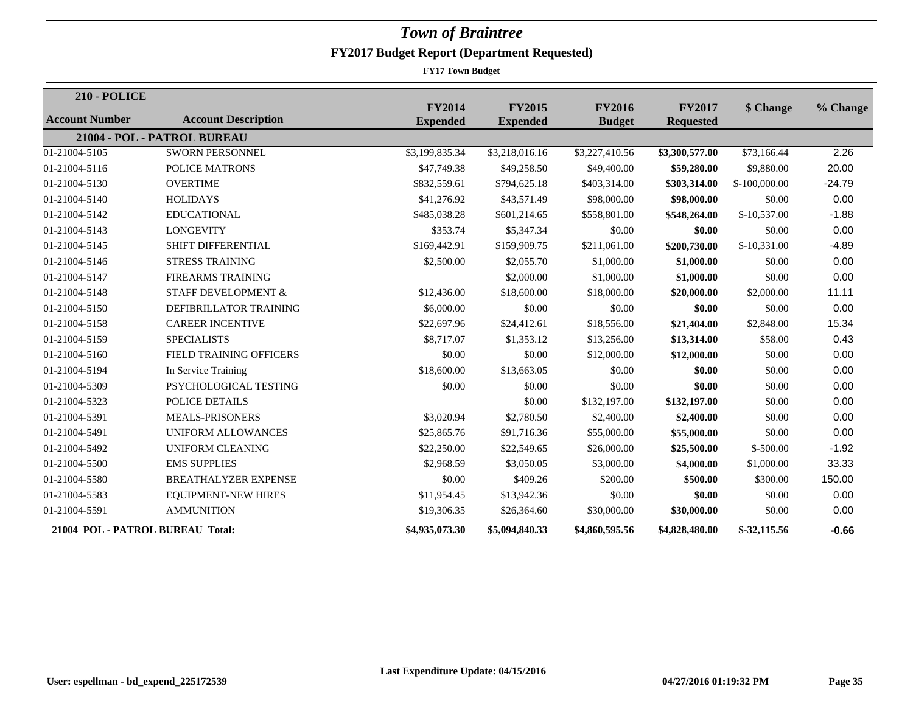| <b>210 - POLICE</b>              |                                |                                  |                                  |                                |                                   |                |          |
|----------------------------------|--------------------------------|----------------------------------|----------------------------------|--------------------------------|-----------------------------------|----------------|----------|
| Account Number                   | <b>Account Description</b>     | <b>FY2014</b><br><b>Expended</b> | <b>FY2015</b><br><b>Expended</b> | <b>FY2016</b><br><b>Budget</b> | <b>FY2017</b><br><b>Requested</b> | \$ Change      | % Change |
|                                  | 21004 - POL - PATROL BUREAU    |                                  |                                  |                                |                                   |                |          |
| 01-21004-5105                    | <b>SWORN PERSONNEL</b>         | \$3,199,835.34                   | \$3,218,016.16                   | \$3,227,410.56                 | \$3,300,577.00                    | \$73,166.44    | 2.26     |
| 01-21004-5116                    | <b>POLICE MATRONS</b>          | \$47,749.38                      | \$49,258.50                      | \$49,400.00                    | \$59,280.00                       | \$9,880.00     | 20.00    |
| 01-21004-5130                    | <b>OVERTIME</b>                | \$832,559.61                     | \$794,625.18                     | \$403,314.00                   | \$303,314.00                      | $$-100,000.00$ | $-24.79$ |
| 01-21004-5140                    | <b>HOLIDAYS</b>                | \$41,276.92                      | \$43,571.49                      | \$98,000.00                    | \$98,000.00                       | \$0.00         | 0.00     |
| 01-21004-5142                    | <b>EDUCATIONAL</b>             | \$485,038.28                     | \$601,214.65                     | \$558,801.00                   | \$548,264.00                      | $$-10,537.00$  | $-1.88$  |
| 01-21004-5143                    | <b>LONGEVITY</b>               | \$353.74                         | \$5,347.34                       | \$0.00                         | \$0.00                            | \$0.00         | 0.00     |
| 01-21004-5145                    | <b>SHIFT DIFFERENTIAL</b>      | \$169,442.91                     | \$159,909.75                     | \$211,061.00                   | \$200,730.00                      | $$-10,331.00$  | $-4.89$  |
| 01-21004-5146                    | <b>STRESS TRAINING</b>         | \$2,500.00                       | \$2,055.70                       | \$1,000.00                     | \$1,000.00                        | \$0.00         | 0.00     |
| 01-21004-5147                    | <b>FIREARMS TRAINING</b>       |                                  | \$2,000.00                       | \$1,000.00                     | \$1,000.00                        | \$0.00         | 0.00     |
| 01-21004-5148                    | <b>STAFF DEVELOPMENT &amp;</b> | \$12,436.00                      | \$18,600.00                      | \$18,000.00                    | \$20,000.00                       | \$2,000.00     | 11.11    |
| 01-21004-5150                    | DEFIBRILLATOR TRAINING         | \$6,000.00                       | \$0.00                           | \$0.00                         | \$0.00                            | \$0.00         | 0.00     |
| 01-21004-5158                    | <b>CAREER INCENTIVE</b>        | \$22,697.96                      | \$24,412.61                      | \$18,556.00                    | \$21,404.00                       | \$2,848.00     | 15.34    |
| 01-21004-5159                    | <b>SPECIALISTS</b>             | \$8,717.07                       | \$1,353.12                       | \$13,256.00                    | \$13,314.00                       | \$58.00        | 0.43     |
| 01-21004-5160                    | FIELD TRAINING OFFICERS        | \$0.00                           | \$0.00                           | \$12,000.00                    | \$12,000.00                       | \$0.00         | 0.00     |
| 01-21004-5194                    | In Service Training            | \$18,600.00                      | \$13,663.05                      | \$0.00                         | \$0.00                            | \$0.00         | 0.00     |
| 01-21004-5309                    | PSYCHOLOGICAL TESTING          | \$0.00                           | \$0.00                           | \$0.00                         | \$0.00                            | \$0.00         | 0.00     |
| 01-21004-5323                    | POLICE DETAILS                 |                                  | \$0.00                           | \$132,197.00                   | \$132,197.00                      | \$0.00         | 0.00     |
| 01-21004-5391                    | <b>MEALS-PRISONERS</b>         | \$3,020.94                       | \$2,780.50                       | \$2,400.00                     | \$2,400.00                        | \$0.00         | 0.00     |
| 01-21004-5491                    | <b>UNIFORM ALLOWANCES</b>      | \$25,865.76                      | \$91,716.36                      | \$55,000.00                    | \$55,000.00                       | \$0.00         | 0.00     |
| 01-21004-5492                    | UNIFORM CLEANING               | \$22,250.00                      | \$22,549.65                      | \$26,000.00                    | \$25,500.00                       | $$-500.00$     | $-1.92$  |
| 01-21004-5500                    | <b>EMS SUPPLIES</b>            | \$2,968.59                       | \$3,050.05                       | \$3,000.00                     | \$4,000.00                        | \$1,000.00     | 33.33    |
| 01-21004-5580                    | <b>BREATHALYZER EXPENSE</b>    | \$0.00                           | \$409.26                         | \$200.00                       | \$500.00                          | \$300.00       | 150.00   |
| 01-21004-5583                    | <b>EQUIPMENT-NEW HIRES</b>     | \$11,954.45                      | \$13,942.36                      | \$0.00                         | \$0.00                            | \$0.00         | 0.00     |
| 01-21004-5591                    | <b>AMMUNITION</b>              | \$19,306.35                      | \$26,364.60                      | \$30,000.00                    | \$30,000.00                       | \$0.00         | 0.00     |
| 21004 POL - PATROL BUREAU Total: |                                | \$4,935,073.30                   | \$5,094,840.33                   | \$4,860,595.56                 | \$4,828,480.00                    | \$-32,115.56   | $-0.66$  |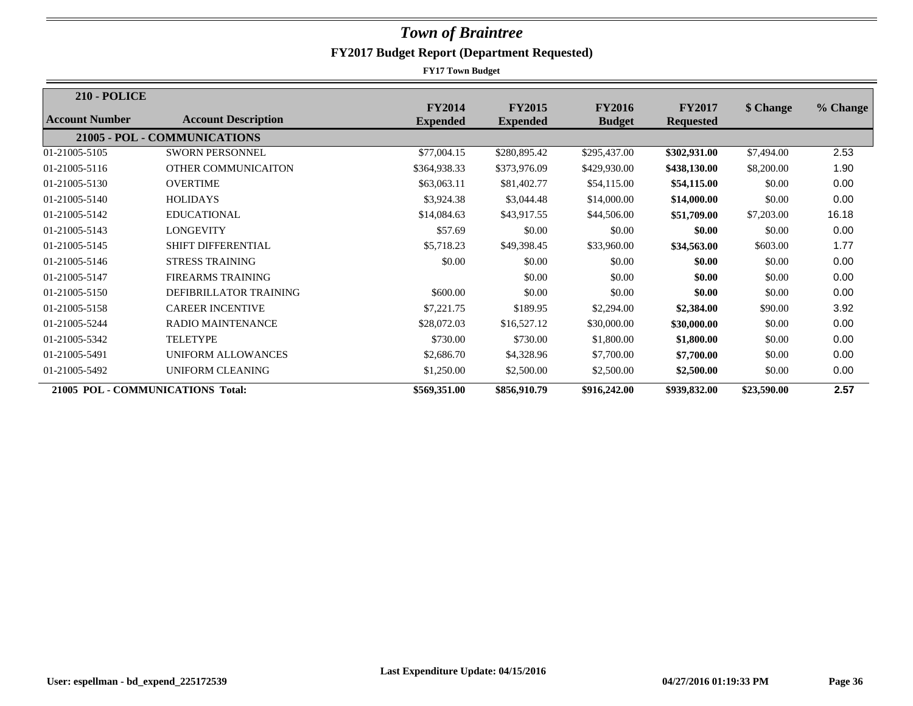| <b>210 - POLICE</b> |                                   |                                  |                                  |                                |                                   |             |          |
|---------------------|-----------------------------------|----------------------------------|----------------------------------|--------------------------------|-----------------------------------|-------------|----------|
| Account Number      | <b>Account Description</b>        | <b>FY2014</b><br><b>Expended</b> | <b>FY2015</b><br><b>Expended</b> | <b>FY2016</b><br><b>Budget</b> | <b>FY2017</b><br><b>Requested</b> | \$ Change   | % Change |
|                     | 21005 - POL - COMMUNICATIONS      |                                  |                                  |                                |                                   |             |          |
| 01-21005-5105       | <b>SWORN PERSONNEL</b>            | \$77,004.15                      | \$280,895.42                     | \$295,437.00                   | \$302,931.00                      | \$7,494.00  | 2.53     |
| 01-21005-5116       | OTHER COMMUNICAITON               | \$364,938.33                     | \$373,976.09                     | \$429,930.00                   | \$438,130.00                      | \$8,200.00  | 1.90     |
| 01-21005-5130       | <b>OVERTIME</b>                   | \$63,063.11                      | \$81,402.77                      | \$54,115.00                    | \$54,115.00                       | \$0.00      | 0.00     |
| 01-21005-5140       | <b>HOLIDAYS</b>                   | \$3,924.38                       | \$3,044.48                       | \$14,000.00                    | \$14,000.00                       | \$0.00      | 0.00     |
| 01-21005-5142       | <b>EDUCATIONAL</b>                | \$14,084.63                      | \$43,917.55                      | \$44,506.00                    | \$51,709.00                       | \$7,203.00  | 16.18    |
| 01-21005-5143       | <b>LONGEVITY</b>                  | \$57.69                          | \$0.00                           | \$0.00                         | \$0.00                            | \$0.00      | 0.00     |
| 01-21005-5145       | <b>SHIFT DIFFERENTIAL</b>         | \$5,718.23                       | \$49,398.45                      | \$33,960.00                    | \$34,563.00                       | \$603.00    | 1.77     |
| 01-21005-5146       | <b>STRESS TRAINING</b>            | \$0.00                           | \$0.00                           | \$0.00                         | \$0.00                            | \$0.00      | 0.00     |
| 01-21005-5147       | <b>FIREARMS TRAINING</b>          |                                  | \$0.00                           | \$0.00                         | \$0.00                            | \$0.00      | 0.00     |
| 01-21005-5150       | DEFIBRILLATOR TRAINING            | \$600.00                         | \$0.00                           | \$0.00                         | \$0.00                            | \$0.00      | 0.00     |
| 01-21005-5158       | <b>CAREER INCENTIVE</b>           | \$7,221.75                       | \$189.95                         | \$2,294.00                     | \$2,384.00                        | \$90.00     | 3.92     |
| 01-21005-5244       | <b>RADIO MAINTENANCE</b>          | \$28,072.03                      | \$16,527.12                      | \$30,000.00                    | \$30,000.00                       | \$0.00      | 0.00     |
| 01-21005-5342       | <b>TELETYPE</b>                   | \$730.00                         | \$730.00                         | \$1,800.00                     | \$1,800.00                        | \$0.00      | 0.00     |
| 01-21005-5491       | <b>UNIFORM ALLOWANCES</b>         | \$2,686.70                       | \$4,328.96                       | \$7,700.00                     | \$7,700.00                        | \$0.00      | 0.00     |
| 01-21005-5492       | <b>UNIFORM CLEANING</b>           | \$1,250.00                       | \$2,500.00                       | \$2,500.00                     | \$2,500.00                        | \$0.00      | 0.00     |
|                     | 21005 POL - COMMUNICATIONS Total: | \$569,351.00                     | \$856,910.79                     | \$916,242.00                   | \$939,832.00                      | \$23,590.00 | 2.57     |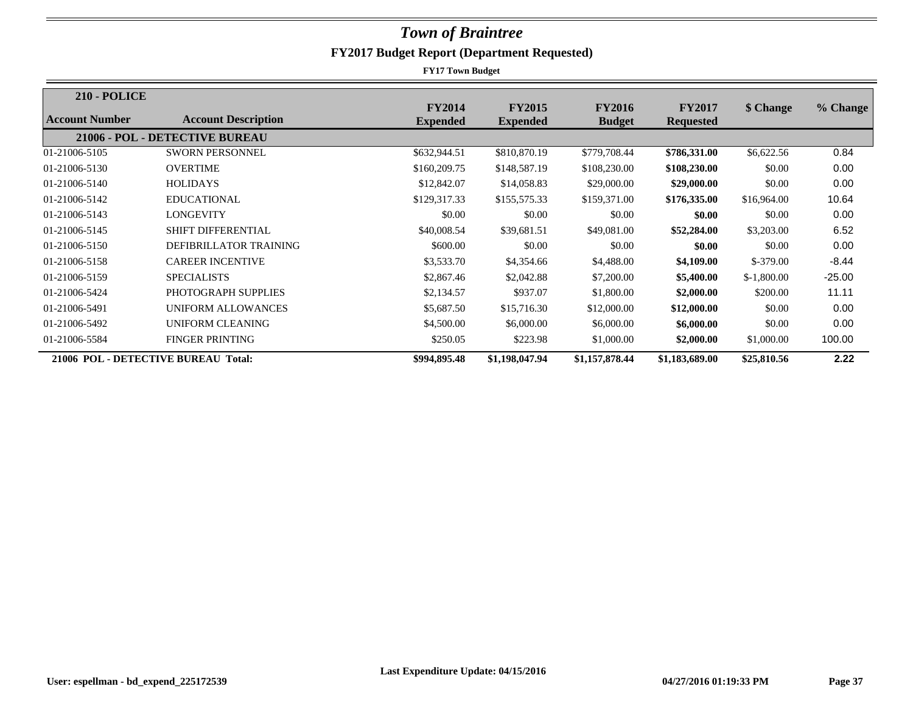| <b>210 - POLICE</b> |                                     |                                  |                                  |                                |                                   |              |          |
|---------------------|-------------------------------------|----------------------------------|----------------------------------|--------------------------------|-----------------------------------|--------------|----------|
| Account Number      | <b>Account Description</b>          | <b>FY2014</b><br><b>Expended</b> | <b>FY2015</b><br><b>Expended</b> | <b>FY2016</b><br><b>Budget</b> | <b>FY2017</b><br><b>Requested</b> | \$ Change    | % Change |
|                     | 21006 - POL - DETECTIVE BUREAU      |                                  |                                  |                                |                                   |              |          |
|                     |                                     |                                  |                                  |                                |                                   |              |          |
| 01-21006-5105       | <b>SWORN PERSONNEL</b>              | \$632,944.51                     | \$810,870.19                     | \$779,708.44                   | \$786,331.00                      | \$6,622.56   | 0.84     |
| 01-21006-5130       | <b>OVERTIME</b>                     | \$160,209.75                     | \$148,587.19                     | \$108,230.00                   | \$108,230.00                      | \$0.00       | 0.00     |
| 01-21006-5140       | <b>HOLIDAYS</b>                     | \$12,842.07                      | \$14,058.83                      | \$29,000.00                    | \$29,000.00                       | \$0.00       | 0.00     |
| 01-21006-5142       | <b>EDUCATIONAL</b>                  | \$129,317.33                     | \$155,575.33                     | \$159,371.00                   | \$176,335.00                      | \$16,964.00  | 10.64    |
| 01-21006-5143       | <b>LONGEVITY</b>                    | \$0.00                           | \$0.00                           | \$0.00                         | \$0.00                            | \$0.00       | 0.00     |
| 01-21006-5145       | <b>SHIFT DIFFERENTIAL</b>           | \$40,008.54                      | \$39,681.51                      | \$49,081.00                    | \$52,284.00                       | \$3,203.00   | 6.52     |
| 01-21006-5150       | DEFIBRILLATOR TRAINING              | \$600.00                         | \$0.00                           | \$0.00                         | \$0.00                            | \$0.00       | 0.00     |
| 01-21006-5158       | <b>CAREER INCENTIVE</b>             | \$3,533.70                       | \$4,354.66                       | \$4,488.00                     | \$4,109.00                        | $$-379.00$   | $-8.44$  |
| 01-21006-5159       | <b>SPECIALISTS</b>                  | \$2,867.46                       | \$2,042.88                       | \$7,200.00                     | \$5,400.00                        | $$-1,800.00$ | $-25.00$ |
| 01-21006-5424       | PHOTOGRAPH SUPPLIES                 | \$2,134.57                       | \$937.07                         | \$1,800.00                     | \$2,000.00                        | \$200.00     | 11.11    |
| 01-21006-5491       | UNIFORM ALLOWANCES                  | \$5,687.50                       | \$15,716.30                      | \$12,000.00                    | \$12,000.00                       | \$0.00       | 0.00     |
| 01-21006-5492       | UNIFORM CLEANING                    | \$4,500.00                       | \$6,000.00                       | \$6,000.00                     | \$6,000.00                        | \$0.00       | 0.00     |
| 01-21006-5584       | <b>FINGER PRINTING</b>              | \$250.05                         | \$223.98                         | \$1,000.00                     | \$2,000.00                        | \$1,000.00   | 100.00   |
|                     | 21006 POL - DETECTIVE BUREAU Total: | \$994,895.48                     | \$1,198,047.94                   | \$1,157,878.44                 | \$1,183,689.00                    | \$25,810.56  | 2.22     |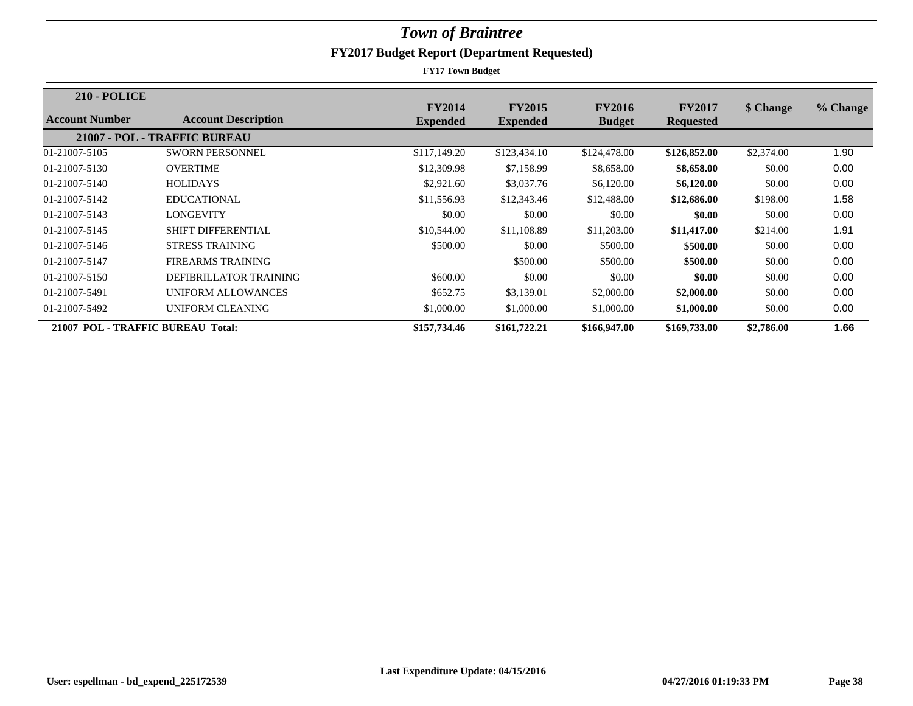| <b>210 - POLICE</b>               |                              |                 |                 |               |                  |            |          |
|-----------------------------------|------------------------------|-----------------|-----------------|---------------|------------------|------------|----------|
| Account Number                    | <b>Account Description</b>   | <b>FY2014</b>   | <b>FY2015</b>   | <b>FY2016</b> | <b>FY2017</b>    | \$ Change  | % Change |
|                                   |                              | <b>Expended</b> | <b>Expended</b> | <b>Budget</b> | <b>Requested</b> |            |          |
|                                   | 21007 - POL - TRAFFIC BUREAU |                 |                 |               |                  |            |          |
| 01-21007-5105                     | <b>SWORN PERSONNEL</b>       | \$117,149.20    | \$123,434.10    | \$124,478.00  | \$126,852.00     | \$2,374.00 | 1.90     |
| 01-21007-5130                     | <b>OVERTIME</b>              | \$12,309.98     | \$7,158.99      | \$8,658.00    | \$8,658.00       | \$0.00     | 0.00     |
| 01-21007-5140                     | <b>HOLIDAYS</b>              | \$2,921.60      | \$3,037.76      | \$6,120.00    | \$6,120.00       | \$0.00     | 0.00     |
| 01-21007-5142                     | <b>EDUCATIONAL</b>           | \$11,556.93     | \$12,343.46     | \$12,488.00   | \$12,686.00      | \$198.00   | 1.58     |
| 01-21007-5143                     | LONGEVITY                    | \$0.00          | \$0.00          | \$0.00        | \$0.00           | \$0.00     | 0.00     |
| 01-21007-5145                     | <b>SHIFT DIFFERENTIAL</b>    | \$10,544.00     | \$11,108.89     | \$11,203.00   | \$11,417.00      | \$214.00   | 1.91     |
| 01-21007-5146                     | <b>STRESS TRAINING</b>       | \$500.00        | \$0.00          | \$500.00      | \$500.00         | \$0.00     | 0.00     |
| 01-21007-5147                     | <b>FIREARMS TRAINING</b>     |                 | \$500.00        | \$500.00      | \$500.00         | \$0.00     | 0.00     |
| 01-21007-5150                     | DEFIBRILLATOR TRAINING       | \$600.00        | \$0.00          | \$0.00        | \$0.00           | \$0.00     | 0.00     |
| 01-21007-5491                     | UNIFORM ALLOWANCES           | \$652.75        | \$3,139.01      | \$2,000.00    | \$2,000.00       | \$0.00     | 0.00     |
| 01-21007-5492                     | UNIFORM CLEANING             | \$1,000.00      | \$1,000.00      | \$1,000.00    | \$1,000.00       | \$0.00     | 0.00     |
| 21007 POL - TRAFFIC BUREAU Total: |                              | \$157,734.46    | \$161,722.21    | \$166,947.00  | \$169,733.00     | \$2,786.00 | 1.66     |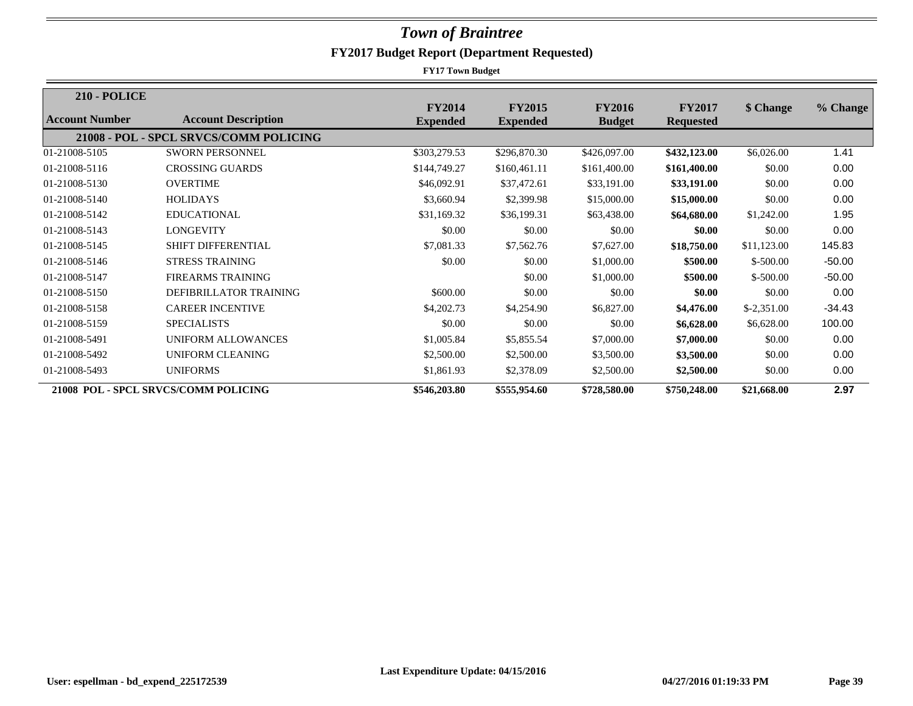| <b>210 - POLICE</b> |                                        |                                  |                                  |                                |                                   |              |          |
|---------------------|----------------------------------------|----------------------------------|----------------------------------|--------------------------------|-----------------------------------|--------------|----------|
| Account Number      | <b>Account Description</b>             | <b>FY2014</b><br><b>Expended</b> | <b>FY2015</b><br><b>Expended</b> | <b>FY2016</b><br><b>Budget</b> | <b>FY2017</b><br><b>Requested</b> | \$ Change    | % Change |
|                     | 21008 - POL - SPCL SRVCS/COMM POLICING |                                  |                                  |                                |                                   |              |          |
| 01-21008-5105       | <b>SWORN PERSONNEL</b>                 | \$303,279.53                     | \$296,870.30                     | \$426,097.00                   | \$432,123.00                      | \$6,026.00   | 1.41     |
| 01-21008-5116       | <b>CROSSING GUARDS</b>                 | \$144,749.27                     | \$160,461.11                     | \$161,400.00                   | \$161,400.00                      | \$0.00       | 0.00     |
| 01-21008-5130       | <b>OVERTIME</b>                        | \$46,092.91                      | \$37,472.61                      | \$33,191.00                    | \$33,191.00                       | \$0.00       | 0.00     |
| 01-21008-5140       | <b>HOLIDAYS</b>                        | \$3,660.94                       | \$2,399.98                       | \$15,000.00                    | \$15,000.00                       | \$0.00       | 0.00     |
| 01-21008-5142       | <b>EDUCATIONAL</b>                     | \$31,169.32                      | \$36,199.31                      | \$63,438.00                    | \$64,680.00                       | \$1,242.00   | 1.95     |
| 01-21008-5143       | LONGEVITY                              | \$0.00                           | \$0.00                           | \$0.00                         | \$0.00                            | \$0.00       | 0.00     |
| 01-21008-5145       | <b>SHIFT DIFFERENTIAL</b>              | \$7,081.33                       | \$7,562.76                       | \$7,627.00                     | \$18,750.00                       | \$11,123.00  | 145.83   |
| 01-21008-5146       | <b>STRESS TRAINING</b>                 | \$0.00                           | \$0.00                           | \$1,000.00                     | \$500.00                          | $$-500.00$   | $-50.00$ |
| 01-21008-5147       | <b>FIREARMS TRAINING</b>               |                                  | \$0.00                           | \$1,000.00                     | \$500.00                          | $$-500.00$   | $-50.00$ |
| 01-21008-5150       | DEFIBRILLATOR TRAINING                 | \$600.00                         | \$0.00                           | \$0.00                         | \$0.00                            | \$0.00       | 0.00     |
| 01-21008-5158       | <b>CAREER INCENTIVE</b>                | \$4,202.73                       | \$4,254.90                       | \$6,827.00                     | \$4,476.00                        | $$-2,351.00$ | $-34.43$ |
| 01-21008-5159       | <b>SPECIALISTS</b>                     | \$0.00                           | \$0.00                           | \$0.00                         | \$6,628.00                        | \$6,628.00   | 100.00   |
| 01-21008-5491       | UNIFORM ALLOWANCES                     | \$1,005.84                       | \$5,855.54                       | \$7,000.00                     | \$7,000.00                        | \$0.00       | 0.00     |
| 01-21008-5492       | UNIFORM CLEANING                       | \$2,500.00                       | \$2,500.00                       | \$3,500.00                     | \$3,500.00                        | \$0.00       | 0.00     |
| 01-21008-5493       | <b>UNIFORMS</b>                        | \$1,861.93                       | \$2,378.09                       | \$2,500.00                     | \$2,500.00                        | \$0.00       | 0.00     |
|                     | 21008 POL - SPCL SRVCS/COMM POLICING   | \$546,203.80                     | \$555,954.60                     | \$728,580.00                   | \$750,248.00                      | \$21,668.00  | 2.97     |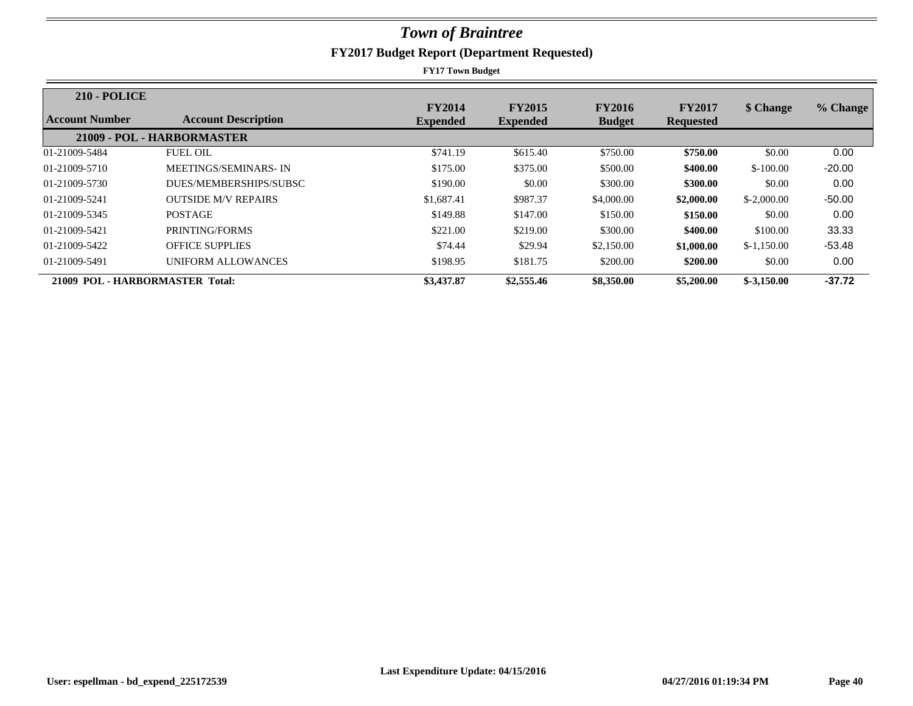| <b>210 - POLICE</b>             |                             |                                  |                                  |                                |                                   |              |          |
|---------------------------------|-----------------------------|----------------------------------|----------------------------------|--------------------------------|-----------------------------------|--------------|----------|
| Account Number                  | <b>Account Description</b>  | <b>FY2014</b><br><b>Expended</b> | <b>FY2015</b><br><b>Expended</b> | <b>FY2016</b><br><b>Budget</b> | <b>FY2017</b><br><b>Requested</b> | \$ Change    | % Change |
|                                 | 21009 - POL - HARBORMASTER  |                                  |                                  |                                |                                   |              |          |
| 01-21009-5484                   | <b>FUEL OIL</b>             | \$741.19                         | \$615.40                         | \$750.00                       | \$750.00                          | \$0.00       | 0.00     |
| 01-21009-5710                   | <b>MEETINGS/SEMINARS-IN</b> | \$175.00                         | \$375.00                         | \$500.00                       | \$400.00                          | $$-100.00$   | $-20.00$ |
| 01-21009-5730                   | DUES/MEMBERSHIPS/SUBSC      | \$190.00                         | \$0.00                           | \$300.00                       | \$300.00                          | \$0.00       | 0.00     |
| 01-21009-5241                   | <b>OUTSIDE M/V REPAIRS</b>  | \$1,687.41                       | \$987.37                         | \$4,000.00                     | \$2,000.00                        | $$-2,000.00$ | $-50.00$ |
| 01-21009-5345                   | <b>POSTAGE</b>              | \$149.88                         | \$147.00                         | \$150.00                       | \$150.00                          | \$0.00       | 0.00     |
| 01-21009-5421                   | PRINTING/FORMS              | \$221.00                         | \$219.00                         | \$300.00                       | \$400.00                          | \$100.00     | 33.33    |
| 01-21009-5422                   | <b>OFFICE SUPPLIES</b>      | \$74.44                          | \$29.94                          | \$2,150.00                     | \$1,000.00                        | $$-1,150.00$ | $-53.48$ |
| 01-21009-5491                   | UNIFORM ALLOWANCES          | \$198.95                         | \$181.75                         | \$200.00                       | \$200.00                          | \$0.00       | 0.00     |
| 21009 POL - HARBORMASTER Total: |                             | \$3,437.87                       | \$2,555.46                       | \$8,350.00                     | \$5,200.00                        | $$-3,150.00$ | $-37.72$ |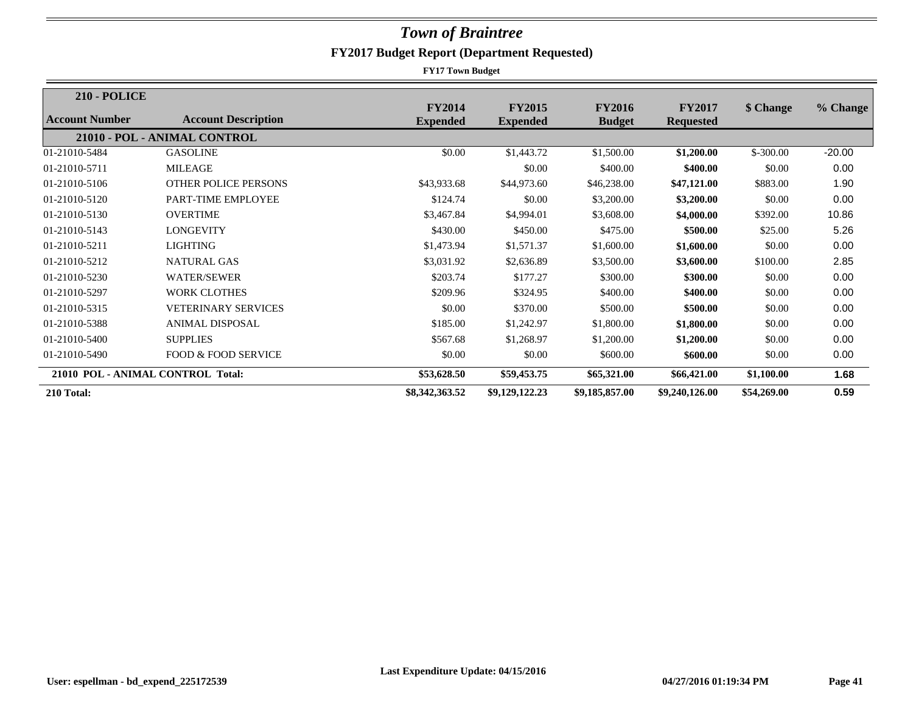| <b>210 - POLICE</b> |                                   |                                  |                                  |                                |                                   |             |          |
|---------------------|-----------------------------------|----------------------------------|----------------------------------|--------------------------------|-----------------------------------|-------------|----------|
| Account Number      | <b>Account Description</b>        | <b>FY2014</b><br><b>Expended</b> | <b>FY2015</b><br><b>Expended</b> | <b>FY2016</b><br><b>Budget</b> | <b>FY2017</b><br><b>Requested</b> | \$ Change   | % Change |
|                     | 21010 - POL - ANIMAL CONTROL      |                                  |                                  |                                |                                   |             |          |
| 01-21010-5484       | <b>GASOLINE</b>                   | \$0.00                           | \$1,443.72                       | \$1,500.00                     | \$1,200.00                        | $$-300.00$  | $-20.00$ |
| 01-21010-5711       | <b>MILEAGE</b>                    |                                  | \$0.00                           | \$400.00                       | \$400.00                          | \$0.00      | 0.00     |
| 01-21010-5106       | OTHER POLICE PERSONS              | \$43,933.68                      | \$44,973.60                      | \$46,238.00                    | \$47,121.00                       | \$883.00    | 1.90     |
| 01-21010-5120       | PART-TIME EMPLOYEE                | \$124.74                         | \$0.00                           | \$3,200.00                     | \$3,200.00                        | \$0.00      | 0.00     |
| 01-21010-5130       | <b>OVERTIME</b>                   | \$3,467.84                       | \$4,994.01                       | \$3,608.00                     | \$4,000.00                        | \$392.00    | 10.86    |
| 01-21010-5143       | <b>LONGEVITY</b>                  | \$430.00                         | \$450.00                         | \$475.00                       | \$500.00                          | \$25.00     | 5.26     |
| 01-21010-5211       | LIGHTING                          | \$1,473.94                       | \$1,571.37                       | \$1,600.00                     | \$1,600.00                        | \$0.00      | 0.00     |
| 01-21010-5212       | <b>NATURAL GAS</b>                | \$3,031.92                       | \$2,636.89                       | \$3,500.00                     | \$3,600.00                        | \$100.00    | 2.85     |
| 01-21010-5230       | <b>WATER/SEWER</b>                | \$203.74                         | \$177.27                         | \$300.00                       | \$300.00                          | \$0.00      | 0.00     |
| 01-21010-5297       | <b>WORK CLOTHES</b>               | \$209.96                         | \$324.95                         | \$400.00                       | \$400.00                          | \$0.00      | 0.00     |
| 01-21010-5315       | <b>VETERINARY SERVICES</b>        | \$0.00                           | \$370.00                         | \$500.00                       | \$500.00                          | \$0.00      | 0.00     |
| 01-21010-5388       | <b>ANIMAL DISPOSAL</b>            | \$185.00                         | \$1,242.97                       | \$1,800.00                     | \$1,800.00                        | \$0.00      | 0.00     |
| 01-21010-5400       | <b>SUPPLIES</b>                   | \$567.68                         | \$1,268.97                       | \$1,200.00                     | \$1,200.00                        | \$0.00      | 0.00     |
| 01-21010-5490       | <b>FOOD &amp; FOOD SERVICE</b>    | \$0.00                           | \$0.00                           | \$600.00                       | \$600.00                          | \$0.00      | 0.00     |
|                     | 21010 POL - ANIMAL CONTROL Total: | \$53,628.50                      | \$59,453.75                      | \$65,321.00                    | \$66,421.00                       | \$1,100.00  | 1.68     |
| 210 Total:          |                                   | \$8,342,363.52                   | \$9,129,122.23                   | \$9,185,857.00                 | \$9,240,126.00                    | \$54,269.00 | 0.59     |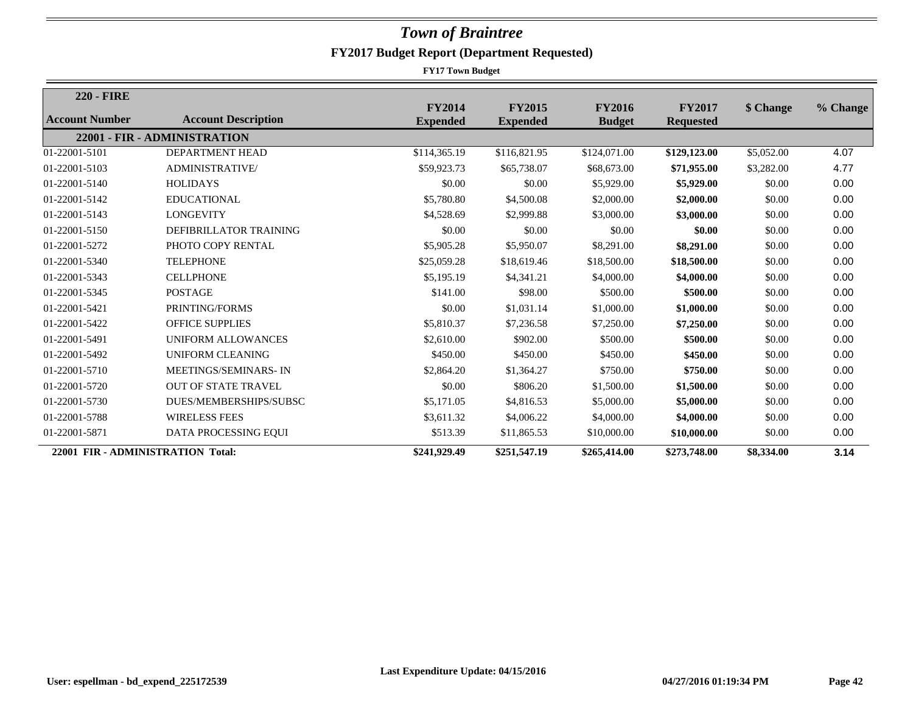| <b>220 - FIRE</b>                 |                              |                                  |                                  |                                |                                   |            |          |
|-----------------------------------|------------------------------|----------------------------------|----------------------------------|--------------------------------|-----------------------------------|------------|----------|
| Account Number                    | <b>Account Description</b>   | <b>FY2014</b><br><b>Expended</b> | <b>FY2015</b><br><b>Expended</b> | <b>FY2016</b><br><b>Budget</b> | <b>FY2017</b><br><b>Requested</b> | \$ Change  | % Change |
|                                   | 22001 - FIR - ADMINISTRATION |                                  |                                  |                                |                                   |            |          |
| 01-22001-5101                     | <b>DEPARTMENT HEAD</b>       | \$114,365.19                     | \$116,821.95                     | \$124,071.00                   | \$129,123.00                      | \$5,052.00 | 4.07     |
| 01-22001-5103                     | <b>ADMINISTRATIVE/</b>       | \$59,923.73                      | \$65,738.07                      | \$68,673.00                    | \$71,955.00                       | \$3,282.00 | 4.77     |
| 01-22001-5140                     | <b>HOLIDAYS</b>              | \$0.00                           | \$0.00                           | \$5,929.00                     | \$5,929.00                        | \$0.00     | 0.00     |
| 01-22001-5142                     | <b>EDUCATIONAL</b>           | \$5,780.80                       | \$4,500.08                       | \$2,000.00                     | \$2,000.00                        | \$0.00     | 0.00     |
| 01-22001-5143                     | <b>LONGEVITY</b>             | \$4,528.69                       | \$2,999.88                       | \$3,000.00                     | \$3,000.00                        | \$0.00     | 0.00     |
| 01-22001-5150                     | DEFIBRILLATOR TRAINING       | \$0.00                           | \$0.00                           | \$0.00                         | \$0.00                            | \$0.00     | 0.00     |
| 01-22001-5272                     | PHOTO COPY RENTAL            | \$5,905.28                       | \$5,950.07                       | \$8,291.00                     | \$8,291.00                        | \$0.00     | 0.00     |
| 01-22001-5340                     | <b>TELEPHONE</b>             | \$25,059.28                      | \$18,619.46                      | \$18,500.00                    | \$18,500.00                       | \$0.00     | 0.00     |
| 01-22001-5343                     | <b>CELLPHONE</b>             | \$5,195.19                       | \$4,341.21                       | \$4,000.00                     | \$4,000.00                        | \$0.00     | 0.00     |
| 01-22001-5345                     | <b>POSTAGE</b>               | \$141.00                         | \$98.00                          | \$500.00                       | \$500.00                          | \$0.00     | 0.00     |
| 01-22001-5421                     | PRINTING/FORMS               | \$0.00                           | \$1,031.14                       | \$1,000.00                     | \$1,000.00                        | \$0.00     | 0.00     |
| 01-22001-5422                     | <b>OFFICE SUPPLIES</b>       | \$5,810.37                       | \$7,236.58                       | \$7,250.00                     | \$7,250.00                        | \$0.00     | 0.00     |
| 01-22001-5491                     | UNIFORM ALLOWANCES           | \$2,610.00                       | \$902.00                         | \$500.00                       | \$500.00                          | \$0.00     | 0.00     |
| 01-22001-5492                     | <b>UNIFORM CLEANING</b>      | \$450.00                         | \$450.00                         | \$450.00                       | \$450.00                          | \$0.00     | 0.00     |
| 01-22001-5710                     | MEETINGS/SEMINARS-IN         | \$2,864.20                       | \$1,364.27                       | \$750.00                       | \$750.00                          | \$0.00     | 0.00     |
| 01-22001-5720                     | <b>OUT OF STATE TRAVEL</b>   | \$0.00                           | \$806.20                         | \$1,500.00                     | \$1,500.00                        | \$0.00     | 0.00     |
| 01-22001-5730                     | DUES/MEMBERSHIPS/SUBSC       | \$5,171.05                       | \$4,816.53                       | \$5,000.00                     | \$5,000.00                        | \$0.00     | 0.00     |
| 01-22001-5788                     | <b>WIRELESS FEES</b>         | \$3,611.32                       | \$4,006.22                       | \$4,000.00                     | \$4,000.00                        | \$0.00     | 0.00     |
| 01-22001-5871                     | DATA PROCESSING EQUI         | \$513.39                         | \$11,865.53                      | \$10,000.00                    | \$10,000.00                       | \$0.00     | 0.00     |
| 22001 FIR - ADMINISTRATION Total: |                              | \$241,929.49                     | \$251,547.19                     | \$265,414.00                   | \$273,748.00                      | \$8,334.00 | 3.14     |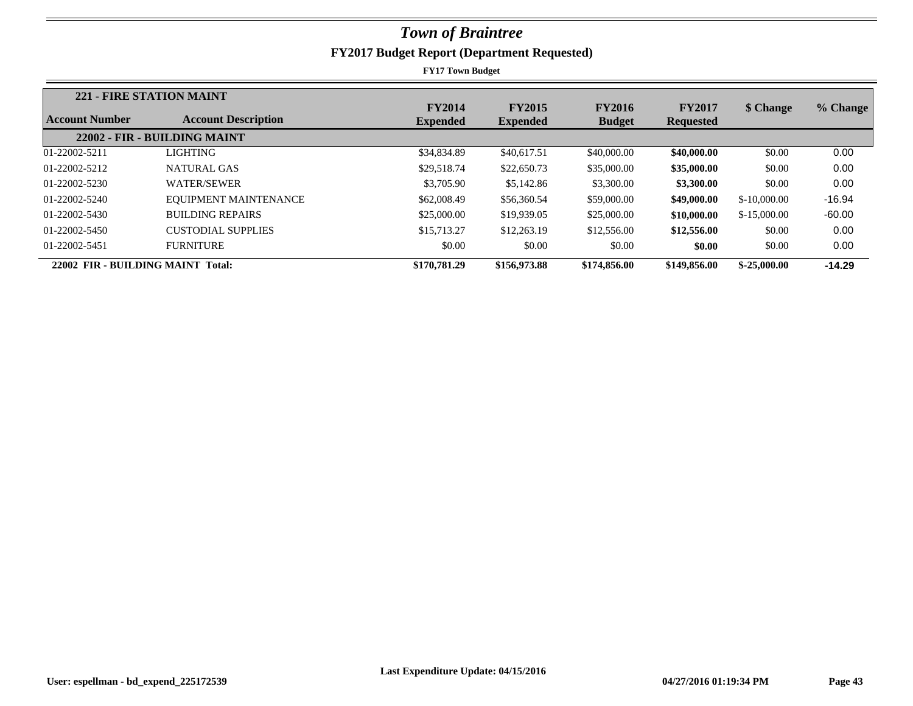|                                   | 221 - FIRE STATION MAINT     |                 |                 |               |                  |               |          |
|-----------------------------------|------------------------------|-----------------|-----------------|---------------|------------------|---------------|----------|
|                                   |                              | <b>FY2014</b>   | <b>FY2015</b>   | <b>FY2016</b> | <b>FY2017</b>    | \$ Change     | % Change |
| Account Number                    | <b>Account Description</b>   | <b>Expended</b> | <b>Expended</b> | <b>Budget</b> | <b>Requested</b> |               |          |
|                                   | 22002 - FIR - BUILDING MAINT |                 |                 |               |                  |               |          |
| 01-22002-5211                     | <b>LIGHTING</b>              | \$34,834.89     | \$40,617.51     | \$40,000.00   | \$40,000.00      | \$0.00        | 0.00     |
| 01-22002-5212                     | NATURAL GAS                  | \$29,518.74     | \$22,650.73     | \$35,000.00   | \$35,000.00      | \$0.00        | 0.00     |
| 01-22002-5230                     | <b>WATER/SEWER</b>           | \$3,705.90      | \$5,142.86      | \$3,300.00    | \$3,300.00       | \$0.00        | 0.00     |
| 01-22002-5240                     | EQUIPMENT MAINTENANCE        | \$62,008.49     | \$56,360.54     | \$59,000.00   | \$49,000.00      | $$-10,000,00$ | $-16.94$ |
| 01-22002-5430                     | <b>BUILDING REPAIRS</b>      | \$25,000.00     | \$19,939.05     | \$25,000.00   | \$10,000.00      | $$-15,000.00$ | $-60.00$ |
| 01-22002-5450                     | <b>CUSTODIAL SUPPLIES</b>    | \$15,713.27     | \$12,263.19     | \$12,556.00   | \$12,556.00      | \$0.00        | 0.00     |
| 01-22002-5451                     | <b>FURNITURE</b>             | \$0.00          | \$0.00          | \$0.00        | \$0.00           | \$0.00        | 0.00     |
| 22002 FIR - BUILDING MAINT Total: |                              | \$170,781.29    | \$156,973.88    | \$174,856.00  | \$149,856.00     | $$-25,000.00$ | $-14.29$ |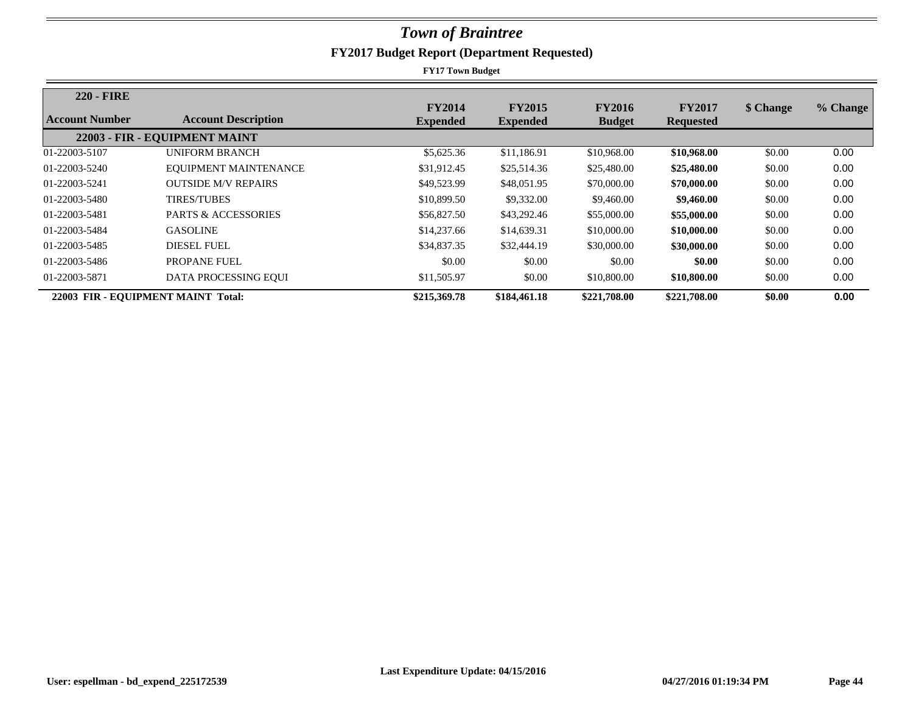| <b>220 - FIRE</b> |                                    | <b>FY2014</b>   | <b>FY2015</b>   | <b>FY2016</b> | <b>FY2017</b>    | \$ Change | % Change |
|-------------------|------------------------------------|-----------------|-----------------|---------------|------------------|-----------|----------|
| Account Number    | <b>Account Description</b>         | <b>Expended</b> | <b>Expended</b> | <b>Budget</b> | <b>Requested</b> |           |          |
|                   | 22003 - FIR - EQUIPMENT MAINT      |                 |                 |               |                  |           |          |
| 01-22003-5107     | <b>UNIFORM BRANCH</b>              | \$5,625.36      | \$11,186.91     | \$10,968.00   | \$10,968.00      | \$0.00    | 0.00     |
| 01-22003-5240     | EQUIPMENT MAINTENANCE              | \$31,912.45     | \$25,514.36     | \$25,480.00   | \$25,480.00      | \$0.00    | 0.00     |
| 01-22003-5241     | <b>OUTSIDE M/V REPAIRS</b>         | \$49,523.99     | \$48,051.95     | \$70,000.00   | \$70,000.00      | \$0.00    | 0.00     |
| 01-22003-5480     | <b>TIRES/TUBES</b>                 | \$10,899.50     | \$9,332.00      | \$9,460.00    | \$9,460.00       | \$0.00    | 0.00     |
| 01-22003-5481     | <b>PARTS &amp; ACCESSORIES</b>     | \$56,827.50     | \$43,292.46     | \$55,000.00   | \$55,000.00      | \$0.00    | 0.00     |
| 01-22003-5484     | <b>GASOLINE</b>                    | \$14,237.66     | \$14,639.31     | \$10,000.00   | \$10,000.00      | \$0.00    | 0.00     |
| 01-22003-5485     | <b>DIESEL FUEL</b>                 | \$34,837.35     | \$32,444.19     | \$30,000.00   | \$30,000.00      | \$0.00    | 0.00     |
| 01-22003-5486     | PROPANE FUEL                       | \$0.00          | \$0.00          | \$0.00        | \$0.00           | \$0.00    | 0.00     |
| 01-22003-5871     | DATA PROCESSING EQUI               | \$11,505.97     | \$0.00          | \$10,800.00   | \$10,800.00      | \$0.00    | 0.00     |
|                   | 22003 FIR - EQUIPMENT MAINT Total: | \$215,369.78    | \$184,461.18    | \$221,708.00  | \$221,708.00     | \$0.00    | 0.00     |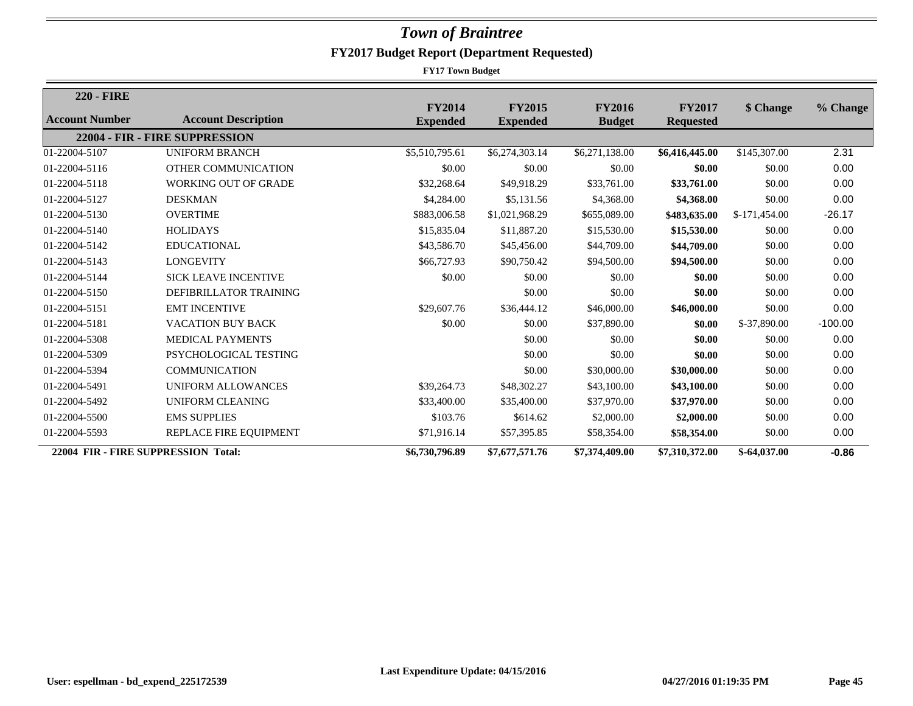| <b>220 - FIRE</b>     |                                     |                                  |                                  |                                |                                   |               |           |
|-----------------------|-------------------------------------|----------------------------------|----------------------------------|--------------------------------|-----------------------------------|---------------|-----------|
| <b>Account Number</b> | <b>Account Description</b>          | <b>FY2014</b><br><b>Expended</b> | <b>FY2015</b><br><b>Expended</b> | <b>FY2016</b><br><b>Budget</b> | <b>FY2017</b><br><b>Requested</b> | \$ Change     | % Change  |
|                       | 22004 - FIR - FIRE SUPPRESSION      |                                  |                                  |                                |                                   |               |           |
| 01-22004-5107         | <b>UNIFORM BRANCH</b>               | \$5,510,795.61                   | \$6,274,303.14                   | \$6,271,138.00                 | \$6,416,445.00                    | \$145,307.00  | 2.31      |
| 01-22004-5116         | OTHER COMMUNICATION                 | \$0.00                           | \$0.00                           | \$0.00                         | \$0.00                            | \$0.00        | 0.00      |
| 01-22004-5118         | <b>WORKING OUT OF GRADE</b>         | \$32,268.64                      | \$49,918.29                      | \$33,761.00                    | \$33,761.00                       | \$0.00        | 0.00      |
| 01-22004-5127         | <b>DESKMAN</b>                      | \$4,284.00                       | \$5,131.56                       | \$4,368.00                     | \$4,368.00                        | \$0.00        | 0.00      |
| 01-22004-5130         | <b>OVERTIME</b>                     | \$883,006.58                     | \$1,021,968.29                   | \$655,089.00                   | \$483,635.00                      | \$-171,454.00 | $-26.17$  |
| 01-22004-5140         | <b>HOLIDAYS</b>                     | \$15,835.04                      | \$11,887.20                      | \$15,530.00                    | \$15,530.00                       | \$0.00        | 0.00      |
| 01-22004-5142         | <b>EDUCATIONAL</b>                  | \$43,586.70                      | \$45,456.00                      | \$44,709.00                    | \$44,709.00                       | \$0.00        | 0.00      |
| 01-22004-5143         | <b>LONGEVITY</b>                    | \$66,727.93                      | \$90,750.42                      | \$94,500.00                    | \$94,500.00                       | \$0.00        | 0.00      |
| 01-22004-5144         | <b>SICK LEAVE INCENTIVE</b>         | \$0.00                           | \$0.00                           | \$0.00                         | \$0.00                            | \$0.00        | 0.00      |
| 01-22004-5150         | DEFIBRILLATOR TRAINING              |                                  | \$0.00                           | \$0.00                         | \$0.00                            | \$0.00        | 0.00      |
| 01-22004-5151         | <b>EMT INCENTIVE</b>                | \$29,607.76                      | \$36,444.12                      | \$46,000.00                    | \$46,000.00                       | \$0.00        | 0.00      |
| 01-22004-5181         | <b>VACATION BUY BACK</b>            | \$0.00                           | \$0.00                           | \$37,890.00                    | \$0.00                            | \$-37,890.00  | $-100.00$ |
| 01-22004-5308         | <b>MEDICAL PAYMENTS</b>             |                                  | \$0.00                           | \$0.00                         | \$0.00                            | \$0.00        | 0.00      |
| 01-22004-5309         | PSYCHOLOGICAL TESTING               |                                  | \$0.00                           | \$0.00                         | \$0.00                            | \$0.00        | 0.00      |
| 01-22004-5394         | <b>COMMUNICATION</b>                |                                  | \$0.00                           | \$30,000.00                    | \$30,000.00                       | \$0.00        | 0.00      |
| 01-22004-5491         | UNIFORM ALLOWANCES                  | \$39,264.73                      | \$48,302.27                      | \$43,100.00                    | \$43,100.00                       | \$0.00        | 0.00      |
| 01-22004-5492         | <b>UNIFORM CLEANING</b>             | \$33,400.00                      | \$35,400.00                      | \$37,970.00                    | \$37,970.00                       | \$0.00        | 0.00      |
| 01-22004-5500         | <b>EMS SUPPLIES</b>                 | \$103.76                         | \$614.62                         | \$2,000.00                     | \$2,000.00                        | \$0.00        | 0.00      |
| 01-22004-5593         | REPLACE FIRE EQUIPMENT              | \$71,916.14                      | \$57,395.85                      | \$58,354.00                    | \$58,354.00                       | \$0.00        | 0.00      |
|                       | 22004 FIR - FIRE SUPPRESSION Total: | \$6,730,796.89                   | \$7,677,571.76                   | \$7,374,409.00                 | \$7,310,372.00                    | $$-64,037.00$ | $-0.86$   |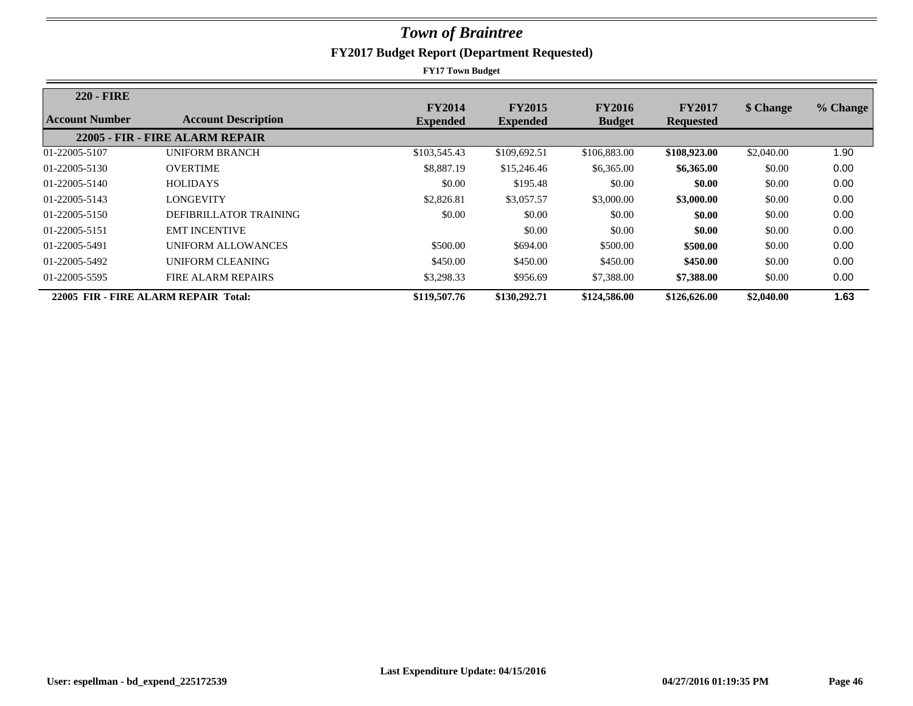| <b>220 - FIRE</b> |                                      | <b>FY2014</b>   | <b>FY2015</b>   | <b>FY2016</b> | <b>FY2017</b>    | \$ Change  | % Change |
|-------------------|--------------------------------------|-----------------|-----------------|---------------|------------------|------------|----------|
| Account Number    | <b>Account Description</b>           | <b>Expended</b> | <b>Expended</b> | <b>Budget</b> | <b>Requested</b> |            |          |
|                   | 22005 - FIR - FIRE ALARM REPAIR      |                 |                 |               |                  |            |          |
| 01-22005-5107     | <b>UNIFORM BRANCH</b>                | \$103,545.43    | \$109,692.51    | \$106,883.00  | \$108,923.00     | \$2,040.00 | 1.90     |
| 01-22005-5130     | <b>OVERTIME</b>                      | \$8,887.19      | \$15,246.46     | \$6,365.00    | \$6,365.00       | \$0.00     | 0.00     |
| 01-22005-5140     | <b>HOLIDAYS</b>                      | \$0.00          | \$195.48        | \$0.00        | \$0.00           | \$0.00     | 0.00     |
| 01-22005-5143     | <b>LONGEVITY</b>                     | \$2,826.81      | \$3,057.57      | \$3,000.00    | \$3,000.00       | \$0.00     | 0.00     |
| 01-22005-5150     | DEFIBRILLATOR TRAINING               | \$0.00          | \$0.00          | \$0.00        | \$0.00           | \$0.00     | 0.00     |
| 01-22005-5151     | <b>EMT INCENTIVE</b>                 |                 | \$0.00          | \$0.00        | \$0.00           | \$0.00     | 0.00     |
| 01-22005-5491     | UNIFORM ALLOWANCES                   | \$500.00        | \$694.00        | \$500.00      | \$500.00         | \$0.00     | 0.00     |
| 01-22005-5492     | UNIFORM CLEANING                     | \$450.00        | \$450.00        | \$450.00      | \$450.00         | \$0.00     | 0.00     |
| 01-22005-5595     | <b>FIRE ALARM REPAIRS</b>            | \$3,298.33      | \$956.69        | \$7,388.00    | \$7,388.00       | \$0.00     | 0.00     |
|                   | 22005 FIR - FIRE ALARM REPAIR Total: | \$119,507.76    | \$130,292.71    | \$124,586.00  | \$126,626.00     | \$2,040.00 | 1.63     |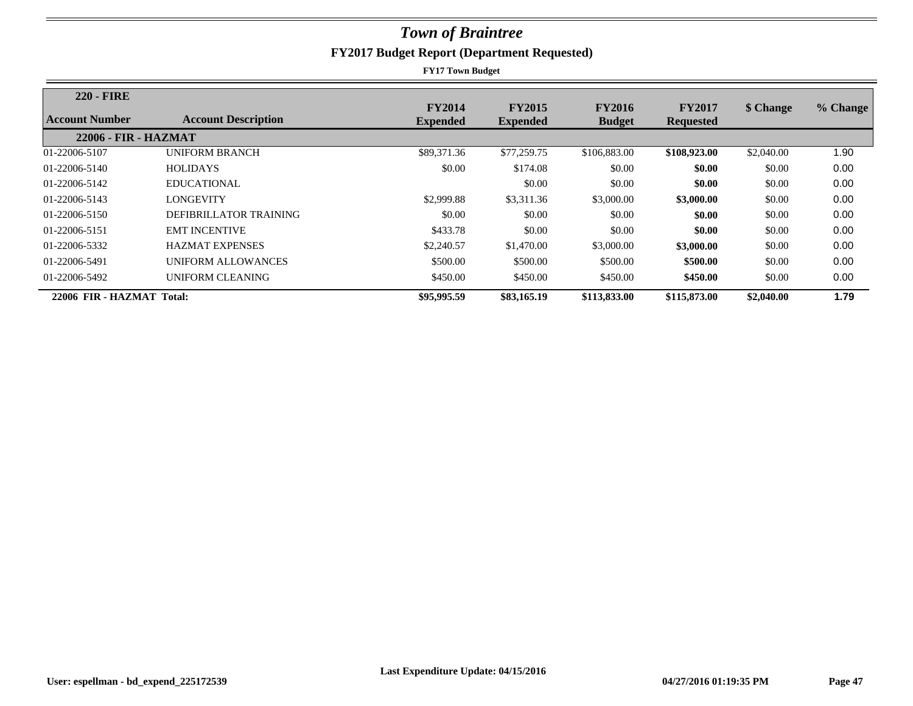| <b>220 - FIRE</b>         |                            | <b>FY2014</b>   | <b>FY2015</b>   | <b>FY2016</b> | <b>FY2017</b>    | \$ Change  | % Change |
|---------------------------|----------------------------|-----------------|-----------------|---------------|------------------|------------|----------|
| Account Number            | <b>Account Description</b> | <b>Expended</b> | <b>Expended</b> | <b>Budget</b> | <b>Requested</b> |            |          |
| 22006 - FIR - HAZMAT      |                            |                 |                 |               |                  |            |          |
| 01-22006-5107             | UNIFORM BRANCH             | \$89,371.36     | \$77,259.75     | \$106,883.00  | \$108,923.00     | \$2,040.00 | 1.90     |
| 01-22006-5140             | <b>HOLIDAYS</b>            | \$0.00          | \$174.08        | \$0.00        | \$0.00           | \$0.00     | 0.00     |
| 01-22006-5142             | EDUCATIONAL                |                 | \$0.00          | \$0.00        | \$0.00           | \$0.00     | 0.00     |
| 01-22006-5143             | LONGEVITY                  | \$2,999.88      | \$3,311.36      | \$3,000.00    | \$3,000.00       | \$0.00     | 0.00     |
| 01-22006-5150             | DEFIBRILLATOR TRAINING     | \$0.00          | \$0.00          | \$0.00        | \$0.00           | \$0.00     | 0.00     |
| 01-22006-5151             | <b>EMT INCENTIVE</b>       | \$433.78        | \$0.00          | \$0.00        | \$0.00           | \$0.00     | 0.00     |
| 01-22006-5332             | <b>HAZMAT EXPENSES</b>     | \$2,240.57      | \$1,470.00      | \$3,000.00    | \$3,000.00       | \$0.00     | 0.00     |
| 01-22006-5491             | UNIFORM ALLOWANCES         | \$500.00        | \$500.00        | \$500.00      | \$500.00         | \$0.00     | 0.00     |
| 01-22006-5492             | UNIFORM CLEANING           | \$450.00        | \$450.00        | \$450.00      | \$450.00         | \$0.00     | 0.00     |
| 22006 FIR - HAZMAT Total: |                            | \$95,995.59     | \$83,165.19     | \$113,833,00  | \$115,873.00     | \$2,040.00 | 1.79     |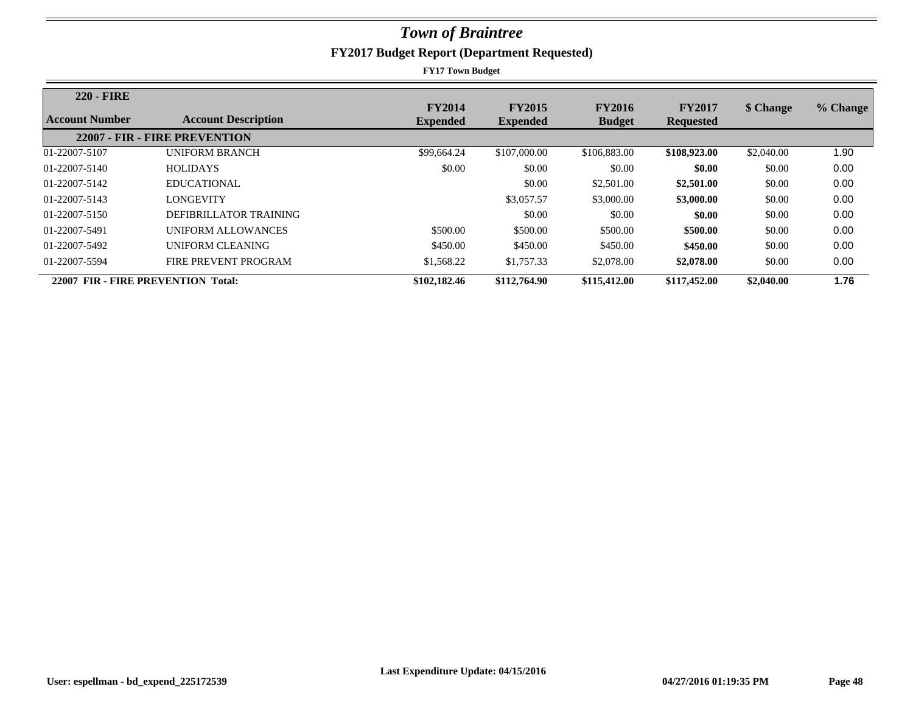| <b>220 - FIRE</b>                  |                               | <b>FY2014</b>   | <b>FY2015</b>   | <b>FY2016</b> | <b>FY2017</b>    | \$ Change  | % Change |
|------------------------------------|-------------------------------|-----------------|-----------------|---------------|------------------|------------|----------|
| Account Number                     | <b>Account Description</b>    | <b>Expended</b> | <b>Expended</b> | <b>Budget</b> | <b>Requested</b> |            |          |
|                                    | 22007 - FIR - FIRE PREVENTION |                 |                 |               |                  |            |          |
| 01-22007-5107                      | <b>UNIFORM BRANCH</b>         | \$99,664.24     | \$107,000.00    | \$106,883.00  | \$108,923.00     | \$2,040.00 | 1.90     |
| 01-22007-5140                      | <b>HOLIDAYS</b>               | \$0.00          | \$0.00          | \$0.00        | \$0.00           | \$0.00     | 0.00     |
| 01-22007-5142                      | EDUCATIONAL                   |                 | \$0.00          | \$2,501.00    | \$2,501.00       | \$0.00     | 0.00     |
| 01-22007-5143                      | LONGEVITY                     |                 | \$3,057.57      | \$3,000.00    | \$3,000.00       | \$0.00     | 0.00     |
| 01-22007-5150                      | DEFIBRILLATOR TRAINING        |                 | \$0.00          | \$0.00        | \$0.00           | \$0.00     | 0.00     |
| 01-22007-5491                      | UNIFORM ALLOWANCES            | \$500.00        | \$500.00        | \$500.00      | \$500.00         | \$0.00     | 0.00     |
| 01-22007-5492                      | UNIFORM CLEANING              | \$450.00        | \$450.00        | \$450.00      | \$450.00         | \$0.00     | 0.00     |
| 01-22007-5594                      | FIRE PREVENT PROGRAM          | \$1,568.22      | \$1,757.33      | \$2,078.00    | \$2,078.00       | \$0.00     | 0.00     |
| 22007 FIR - FIRE PREVENTION Total: |                               | \$102,182.46    | \$112,764.90    | \$115,412.00  | \$117,452.00     | \$2,040.00 | 1.76     |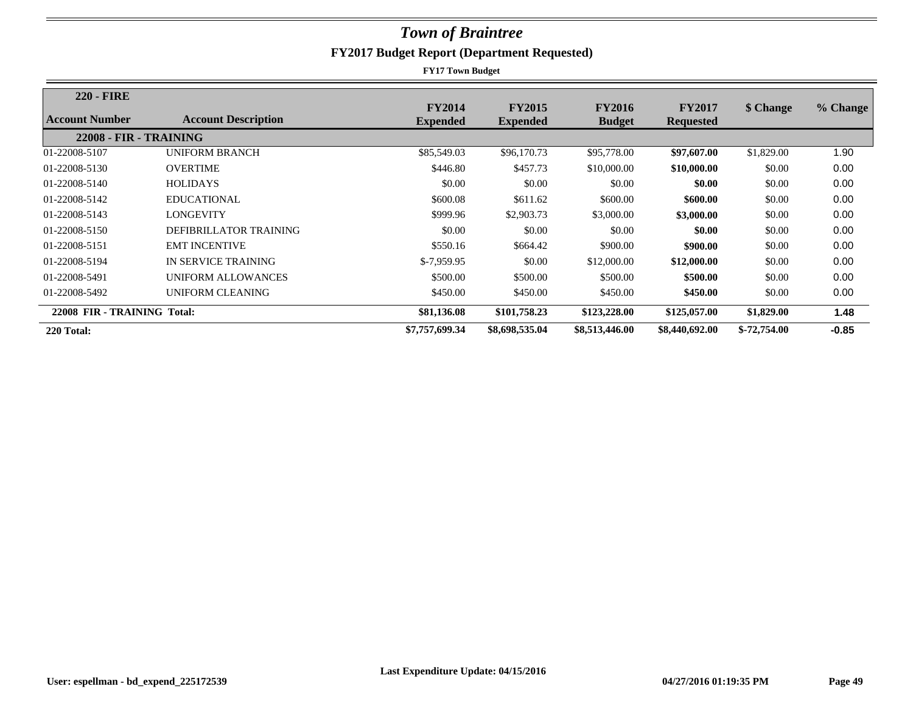| <b>220 - FIRE</b>           |                            |                 |                 |                |                  |               |          |
|-----------------------------|----------------------------|-----------------|-----------------|----------------|------------------|---------------|----------|
| Account Number              | <b>Account Description</b> | <b>FY2014</b>   | <b>FY2015</b>   | <b>FY2016</b>  | <b>FY2017</b>    | \$ Change     | % Change |
|                             |                            | <b>Expended</b> | <b>Expended</b> | <b>Budget</b>  | <b>Requested</b> |               |          |
| 22008 - FIR - TRAINING      |                            |                 |                 |                |                  |               |          |
| 01-22008-5107               | <b>UNIFORM BRANCH</b>      | \$85,549.03     | \$96,170.73     | \$95,778.00    | \$97,607.00      | \$1,829.00    | 1.90     |
| 01-22008-5130               | <b>OVERTIME</b>            | \$446.80        | \$457.73        | \$10,000.00    | \$10,000.00      | \$0.00        | 0.00     |
| 01-22008-5140               | <b>HOLIDAYS</b>            | \$0.00          | \$0.00          | \$0.00         | \$0.00           | \$0.00        | 0.00     |
| 01-22008-5142               | EDUCATIONAL                | \$600.08        | \$611.62        | \$600.00       | \$600.00         | \$0.00        | 0.00     |
| 01-22008-5143               | LONGEVITY                  | \$999.96        | \$2,903.73      | \$3,000.00     | \$3,000.00       | \$0.00        | 0.00     |
| 01-22008-5150               | DEFIBRILLATOR TRAINING     | \$0.00          | \$0.00          | \$0.00         | \$0.00           | \$0.00        | 0.00     |
| 01-22008-5151               | <b>EMT INCENTIVE</b>       | \$550.16        | \$664.42        | \$900.00       | \$900.00         | \$0.00        | 0.00     |
| 01-22008-5194               | IN SERVICE TRAINING        | $$-7.959.95$    | \$0.00          | \$12,000.00    | \$12,000.00      | \$0.00        | 0.00     |
| 01-22008-5491               | UNIFORM ALLOWANCES         | \$500.00        | \$500.00        | \$500.00       | \$500.00         | \$0.00        | 0.00     |
| 01-22008-5492               | UNIFORM CLEANING           | \$450.00        | \$450.00        | \$450.00       | \$450.00         | \$0.00        | 0.00     |
| 22008 FIR - TRAINING Total: |                            | \$81,136.08     | \$101,758.23    | \$123,228.00   | \$125,057.00     | \$1,829.00    | 1.48     |
| 220 Total:                  |                            | \$7,757,699.34  | \$8,698,535.04  | \$8,513,446.00 | \$8,440,692.00   | $$-72,754.00$ | $-0.85$  |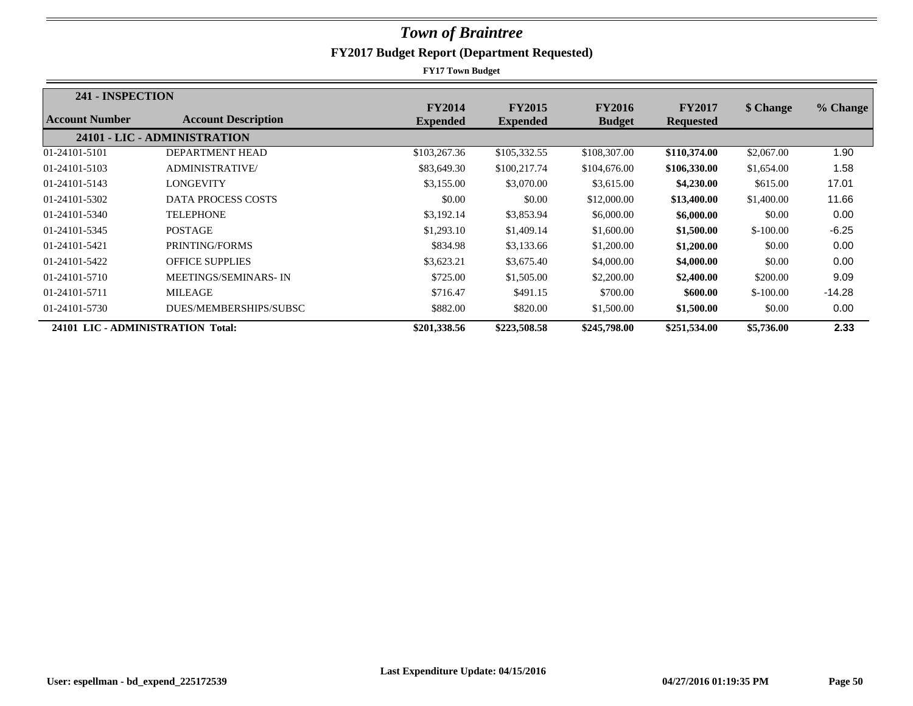| 241 - INSPECTION                  |                              |                 |                 |               |                  |            |          |
|-----------------------------------|------------------------------|-----------------|-----------------|---------------|------------------|------------|----------|
|                                   |                              | <b>FY2014</b>   | <b>FY2015</b>   | <b>FY2016</b> | <b>FY2017</b>    | \$ Change  | % Change |
| Account Number                    | <b>Account Description</b>   | <b>Expended</b> | <b>Expended</b> | <b>Budget</b> | <b>Requested</b> |            |          |
|                                   | 24101 - LIC - ADMINISTRATION |                 |                 |               |                  |            |          |
| 01-24101-5101                     | DEPARTMENT HEAD              | \$103,267.36    | \$105,332.55    | \$108,307.00  | \$110,374.00     | \$2,067.00 | 1.90     |
| 01-24101-5103                     | ADMINISTRATIVE/              | \$83,649.30     | \$100,217.74    | \$104,676.00  | \$106,330.00     | \$1,654.00 | 1.58     |
| 01-24101-5143                     | <b>LONGEVITY</b>             | \$3,155.00      | \$3,070.00      | \$3,615.00    | \$4,230.00       | \$615.00   | 17.01    |
| 01-24101-5302                     | <b>DATA PROCESS COSTS</b>    | \$0.00          | \$0.00          | \$12,000.00   | \$13,400.00      | \$1,400.00 | 11.66    |
| 01-24101-5340                     | <b>TELEPHONE</b>             | \$3,192.14      | \$3,853.94      | \$6,000.00    | \$6,000.00       | \$0.00     | 0.00     |
| 01-24101-5345                     | <b>POSTAGE</b>               | \$1,293.10      | \$1,409.14      | \$1,600.00    | \$1,500.00       | $$-100.00$ | $-6.25$  |
| 01-24101-5421                     | PRINTING/FORMS               | \$834.98        | \$3,133.66      | \$1,200.00    | \$1,200.00       | \$0.00     | 0.00     |
| 01-24101-5422                     | <b>OFFICE SUPPLIES</b>       | \$3,623.21      | \$3,675.40      | \$4,000.00    | \$4,000.00       | \$0.00     | 0.00     |
| 01-24101-5710                     | MEETINGS/SEMINARS-IN         | \$725.00        | \$1,505.00      | \$2,200.00    | \$2,400.00       | \$200.00   | 9.09     |
| 01-24101-5711                     | <b>MILEAGE</b>               | \$716.47        | \$491.15        | \$700.00      | \$600.00         | $$-100.00$ | $-14.28$ |
| 01-24101-5730                     | DUES/MEMBERSHIPS/SUBSC       | \$882.00        | \$820.00        | \$1,500.00    | \$1,500.00       | \$0.00     | 0.00     |
| 24101 LIC - ADMINISTRATION Total: |                              | \$201,338.56    | \$223,508.58    | \$245,798.00  | \$251,534.00     | \$5,736.00 | 2.33     |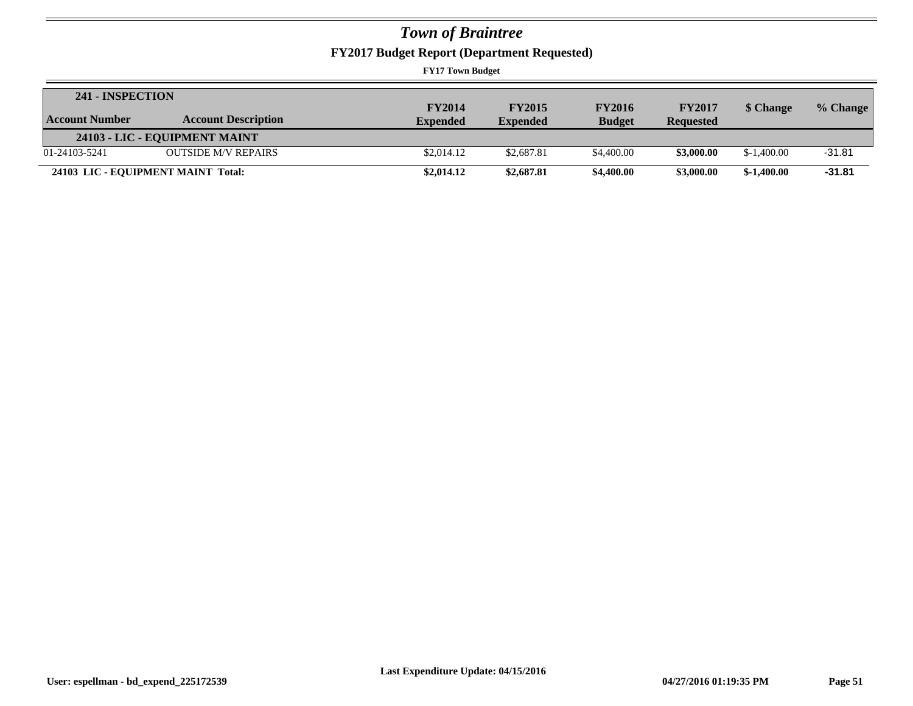**FY2017 Budget Report (Department Requested)**

| 241 - INSPECTION      |                                    |                 |                 |               |                  |              |            |
|-----------------------|------------------------------------|-----------------|-----------------|---------------|------------------|--------------|------------|
|                       |                                    | <b>FY2014</b>   | <b>FY2015</b>   | <b>FY2016</b> | <b>FY2017</b>    | \$ Change    | $%$ Change |
| <b>Account Number</b> | <b>Account Description</b>         | <b>Expended</b> | <b>Expended</b> | <b>Budget</b> | <b>Requested</b> |              |            |
|                       | 24103 - LIC - EQUIPMENT MAINT      |                 |                 |               |                  |              |            |
| 01-24103-5241         | <b>OUTSIDE M/V REPAIRS</b>         | \$2,014.12      | \$2,687.81      | \$4,400.00    | \$3,000.00       | $$-1,400.00$ | $-31.81$   |
|                       | 24103 LIC - EQUIPMENT MAINT Total: | \$2,014.12      | \$2,687.81      | \$4,400.00    | \$3,000.00       | $$-1.400.00$ | $-31.81$   |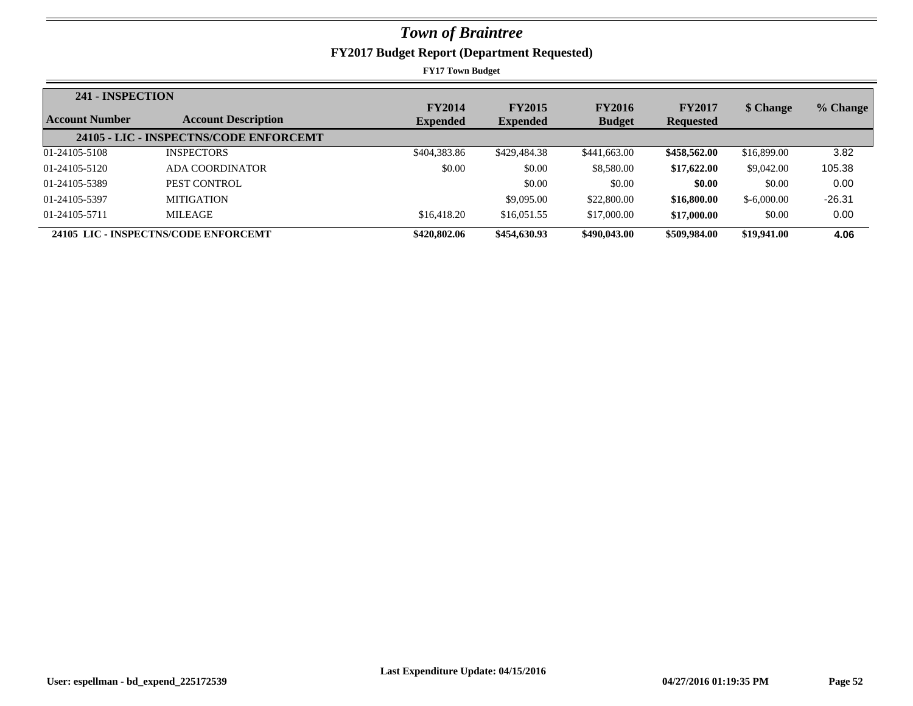**FY2017 Budget Report (Department Requested)**

| 241 - INSPECTION      |                                        |                 |                 |               |                  |              |          |
|-----------------------|----------------------------------------|-----------------|-----------------|---------------|------------------|--------------|----------|
| <b>Account Number</b> | <b>Account Description</b>             | <b>FY2014</b>   | <b>FY2015</b>   | <b>FY2016</b> | <b>FY2017</b>    | \$ Change    | % Change |
|                       |                                        | <b>Expended</b> | <b>Expended</b> | <b>Budget</b> | <b>Requested</b> |              |          |
|                       | 24105 - LIC - INSPECTNS/CODE ENFORCEMT |                 |                 |               |                  |              |          |
| 01-24105-5108         | <b>INSPECTORS</b>                      | \$404,383.86    | \$429,484.38    | \$441,663,00  | \$458,562.00     | \$16,899.00  | 3.82     |
| 01-24105-5120         | ADA COORDINATOR                        | \$0.00          | \$0.00          | \$8,580.00    | \$17,622.00      | \$9,042.00   | 105.38   |
| 01-24105-5389         | PEST CONTROL                           |                 | \$0.00          | \$0.00        | \$0.00           | \$0.00       | 0.00     |
| 01-24105-5397         | <b>MITIGATION</b>                      |                 | \$9,095.00      | \$22,800.00   | \$16,800.00      | $$-6,000.00$ | $-26.31$ |
| 01-24105-5711         | MILEAGE                                | \$16,418.20     | \$16,051.55     | \$17,000.00   | \$17,000.00      | \$0.00       | 0.00     |
|                       | 24105 LIC - INSPECTNS/CODE ENFORCEMT   | \$420,802.06    | \$454,630.93    | \$490,043.00  | \$509,984.00     | \$19,941.00  | 4.06     |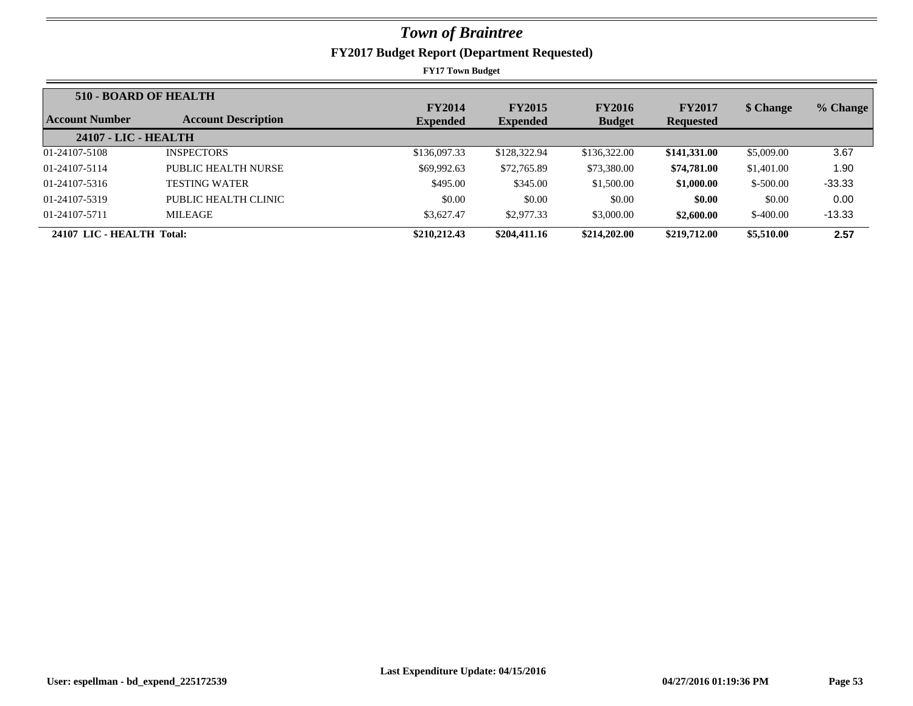| 510 - BOARD OF HEALTH     |                            |                                  |                                  |                                |                                   |            |          |
|---------------------------|----------------------------|----------------------------------|----------------------------------|--------------------------------|-----------------------------------|------------|----------|
| Account Number            | <b>Account Description</b> | <b>FY2014</b><br><b>Expended</b> | <b>FY2015</b><br><b>Expended</b> | <b>FY2016</b><br><b>Budget</b> | <b>FY2017</b><br><b>Requested</b> | \$ Change  | % Change |
| 24107 - LIC - HEALTH      |                            |                                  |                                  |                                |                                   |            |          |
| 01-24107-5108             | <b>INSPECTORS</b>          | \$136,097.33                     | \$128,322.94                     | \$136,322.00                   | \$141,331.00                      | \$5,009.00 | 3.67     |
| 01-24107-5114             | PUBLIC HEALTH NURSE        | \$69,992.63                      | \$72,765.89                      | \$73,380.00                    | \$74,781.00                       | \$1,401.00 | 1.90     |
| 01-24107-5316             | <b>TESTING WATER</b>       | \$495.00                         | \$345.00                         | \$1,500.00                     | \$1,000.00                        | $$-500.00$ | $-33.33$ |
| 01-24107-5319             | PUBLIC HEALTH CLINIC       | \$0.00                           | \$0.00                           | \$0.00                         | \$0.00                            | \$0.00     | 0.00     |
| 01-24107-5711             | <b>MILEAGE</b>             | \$3,627.47                       | \$2,977.33                       | \$3,000.00                     | \$2,600.00                        | $$-400.00$ | $-13.33$ |
| 24107 LIC - HEALTH Total: |                            | \$210,212.43                     | \$204,411.16                     | \$214,202.00                   | \$219,712.00                      | \$5,510.00 | 2.57     |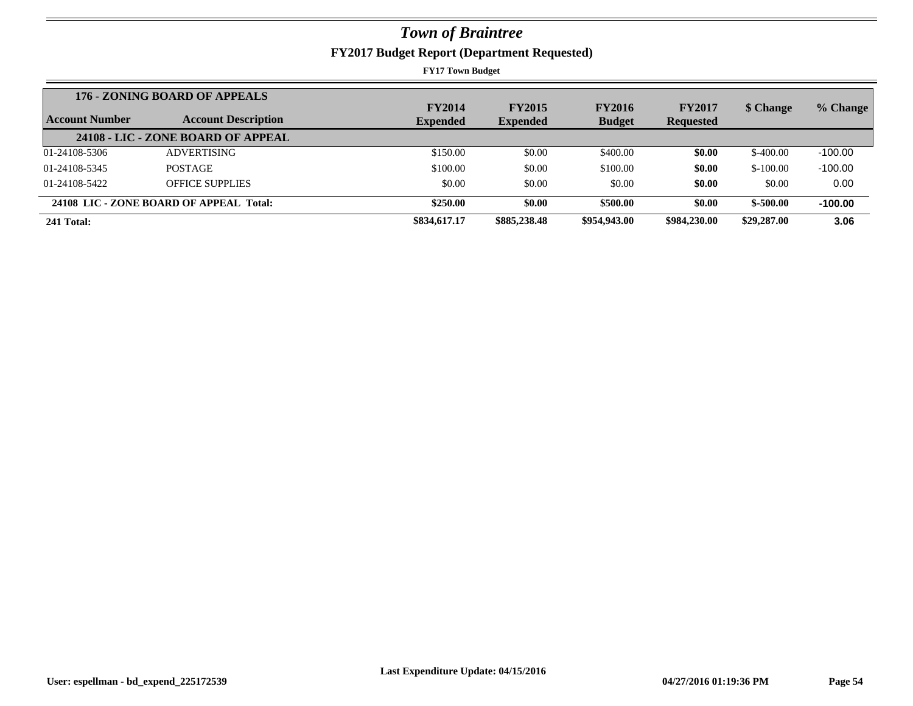|                       | 176 - ZONING BOARD OF APPEALS           | <b>FY2014</b>   | <b>FY2015</b>   | <b>FY2016</b> | <b>FY2017</b>    | \$ Change   | % Change  |
|-----------------------|-----------------------------------------|-----------------|-----------------|---------------|------------------|-------------|-----------|
| <b>Account Number</b> | <b>Account Description</b>              | <b>Expended</b> | <b>Expended</b> | <b>Budget</b> | <b>Requested</b> |             |           |
|                       | 24108 - LIC - ZONE BOARD OF APPEAL      |                 |                 |               |                  |             |           |
| 01-24108-5306         | <b>ADVERTISING</b>                      | \$150.00        | \$0.00          | \$400.00      | \$0.00           | $$-400.00$  | $-100.00$ |
| 01-24108-5345         | <b>POSTAGE</b>                          | \$100.00        | \$0.00          | \$100.00      | \$0.00           | $$-100.00$  | $-100.00$ |
| 01-24108-5422         | <b>OFFICE SUPPLIES</b>                  | \$0.00          | \$0.00          | \$0.00        | \$0.00           | \$0.00      | 0.00      |
|                       | 24108 LIC - ZONE BOARD OF APPEAL Total: | \$250.00        | \$0.00          | \$500.00      | \$0.00           | $$-500.00$  | $-100.00$ |
| 241 Total:            |                                         | \$834,617.17    | \$885,238.48    | \$954,943.00  | \$984,230.00     | \$29,287.00 | 3.06      |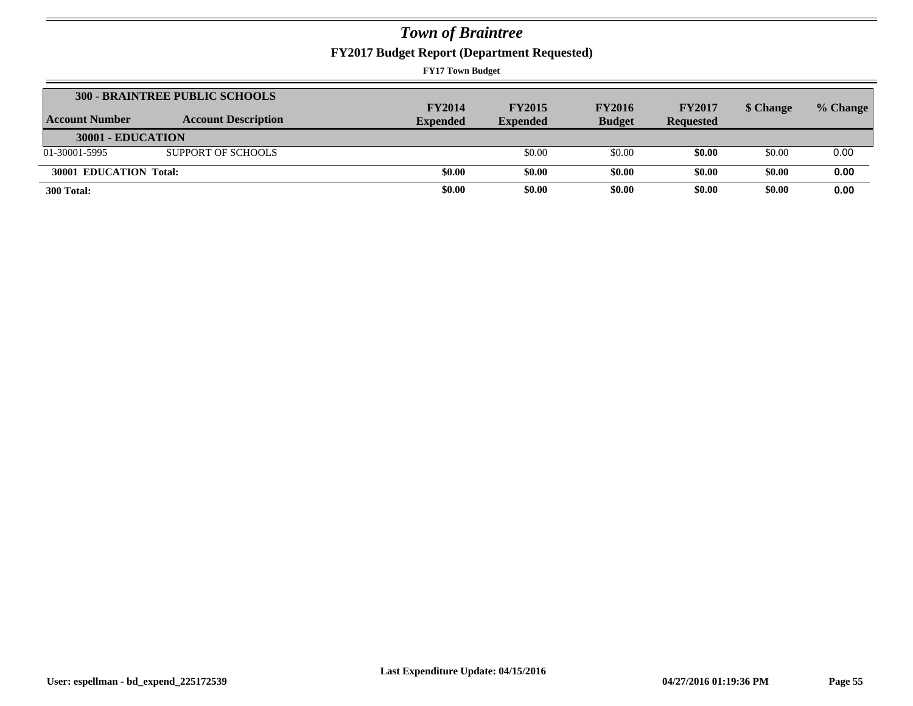**FY2017 Budget Report (Department Requested)**

| Account Number         | <b>300 - BRAINTREE PUBLIC SCHOOLS</b><br><b>Account Description</b> | <b>FY2014</b><br><b>Expended</b> | <b>FY2015</b><br><b>Expended</b> | <b>FY2016</b><br><b>Budget</b> | <b>FY2017</b><br><b>Requested</b> | \$ Change | % Change |
|------------------------|---------------------------------------------------------------------|----------------------------------|----------------------------------|--------------------------------|-----------------------------------|-----------|----------|
| 30001 - EDUCATION      |                                                                     |                                  |                                  |                                |                                   |           |          |
| 01-30001-5995          | SUPPORT OF SCHOOLS                                                  |                                  | \$0.00                           | \$0.00                         | \$0.00                            | \$0.00    | 0.00     |
| 30001 EDUCATION Total: |                                                                     | \$0.00                           | \$0.00                           | \$0.00                         | \$0.00                            | \$0.00    | 0.00     |
| 300 Total:             |                                                                     | \$0.00                           | \$0.00                           | \$0.00                         | \$0.00                            | \$0.00    | 0.00     |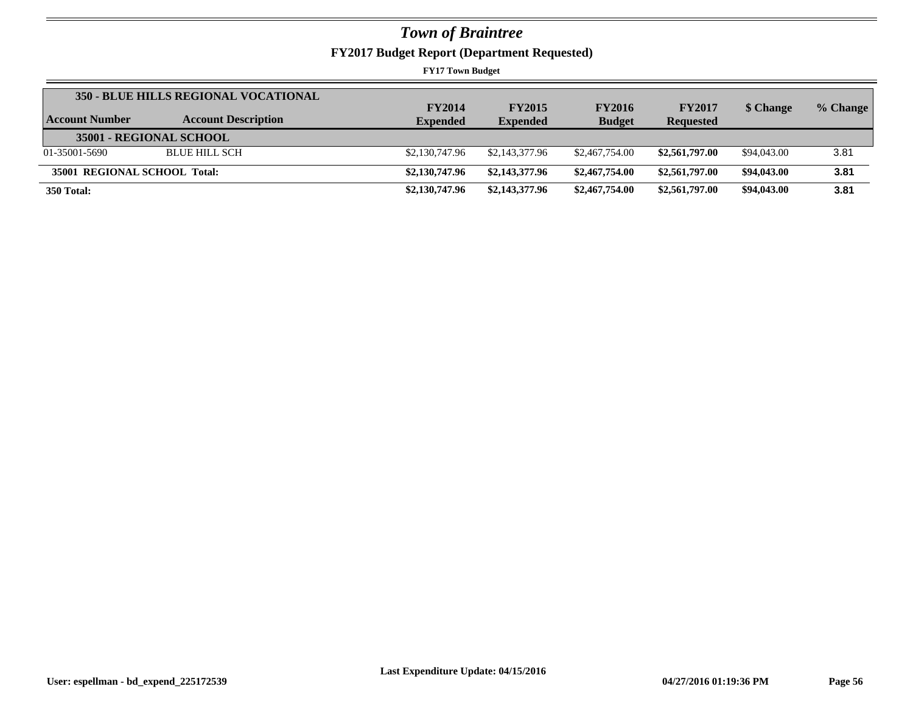**FY2017 Budget Report (Department Requested)**

| Account Number               | <b>350 - BLUE HILLS REGIONAL VOCATIONAL</b><br><b>Account Description</b> | <b>FY2014</b><br><b>Expended</b> | <b>FY2015</b><br><b>Expended</b> | <b>FY2016</b><br><b>Budget</b> | <b>FY2017</b><br><b>Requested</b> | \$ Change   | % Change |
|------------------------------|---------------------------------------------------------------------------|----------------------------------|----------------------------------|--------------------------------|-----------------------------------|-------------|----------|
| 35001 - REGIONAL SCHOOL      |                                                                           |                                  |                                  |                                |                                   |             |          |
| 01-35001-5690                | <b>BLUE HILL SCH</b>                                                      | \$2,130,747.96                   | \$2,143,377.96                   | \$2,467,754.00                 | \$2,561,797.00                    | \$94,043.00 | 3.81     |
| 35001 REGIONAL SCHOOL Total: |                                                                           | \$2,130,747.96                   | \$2,143,377.96                   | \$2,467,754.00                 | \$2,561,797.00                    | \$94,043.00 | 3.81     |
| 350 Total:                   |                                                                           | \$2,130,747.96                   | \$2,143,377.96                   | \$2,467,754.00                 | \$2,561,797.00                    | \$94,043.00 | 3.81     |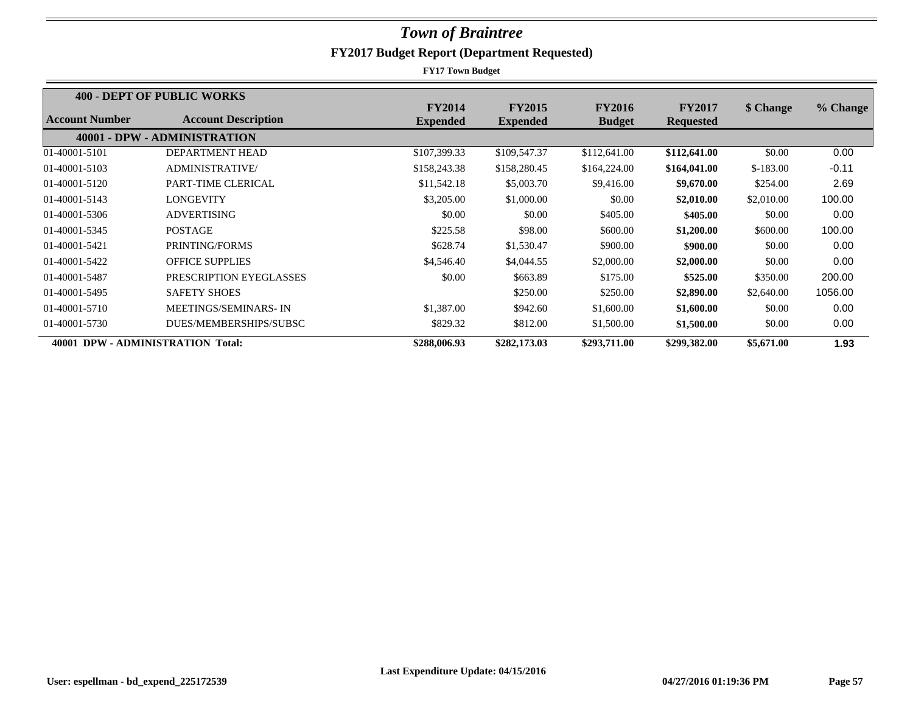|                                   | <b>400 - DEPT OF PUBLIC WORKS</b> |                 |                 |               |                  |            |          |
|-----------------------------------|-----------------------------------|-----------------|-----------------|---------------|------------------|------------|----------|
|                                   |                                   | <b>FY2014</b>   | <b>FY2015</b>   | <b>FY2016</b> | <b>FY2017</b>    | \$ Change  | % Change |
| <b>Account Number</b>             | <b>Account Description</b>        | <b>Expended</b> | <b>Expended</b> | <b>Budget</b> | <b>Requested</b> |            |          |
|                                   | 40001 - DPW - ADMINISTRATION      |                 |                 |               |                  |            |          |
| 01-40001-5101                     | DEPARTMENT HEAD                   | \$107,399.33    | \$109,547.37    | \$112,641.00  | \$112,641.00     | \$0.00     | 0.00     |
| 01-40001-5103                     | <b>ADMINISTRATIVE</b>             | \$158,243.38    | \$158,280.45    | \$164,224.00  | \$164,041.00     | $$-183.00$ | $-0.11$  |
| 01-40001-5120                     | PART-TIME CLERICAL                | \$11,542.18     | \$5,003.70      | \$9,416.00    | \$9,670.00       | \$254.00   | 2.69     |
| 01-40001-5143                     | LONGEVITY                         | \$3,205.00      | \$1,000.00      | \$0.00        | \$2,010.00       | \$2,010.00 | 100.00   |
| 01-40001-5306                     | <b>ADVERTISING</b>                | \$0.00          | \$0.00          | \$405.00      | \$405.00         | \$0.00     | 0.00     |
| 01-40001-5345                     | <b>POSTAGE</b>                    | \$225.58        | \$98.00         | \$600.00      | \$1,200.00       | \$600.00   | 100.00   |
| 01-40001-5421                     | PRINTING/FORMS                    | \$628.74        | \$1,530.47      | \$900.00      | \$900.00         | \$0.00     | 0.00     |
| 01-40001-5422                     | <b>OFFICE SUPPLIES</b>            | \$4,546.40      | \$4,044.55      | \$2,000.00    | \$2,000.00       | \$0.00     | 0.00     |
| 01-40001-5487                     | PRESCRIPTION EYEGLASSES           | \$0.00          | \$663.89        | \$175.00      | \$525.00         | \$350.00   | 200.00   |
| 01-40001-5495                     | <b>SAFETY SHOES</b>               |                 | \$250.00        | \$250.00      | \$2,890.00       | \$2,640.00 | 1056.00  |
| 01-40001-5710                     | MEETINGS/SEMINARS-IN              | \$1,387.00      | \$942.60        | \$1,600.00    | \$1,600.00       | \$0.00     | 0.00     |
| 01-40001-5730                     | DUES/MEMBERSHIPS/SUBSC            | \$829.32        | \$812.00        | \$1,500.00    | \$1,500.00       | \$0.00     | 0.00     |
| 40001 DPW - ADMINISTRATION Total: |                                   | \$288,006.93    | \$282,173.03    | \$293,711.00  | \$299,382.00     | \$5,671.00 | 1.93     |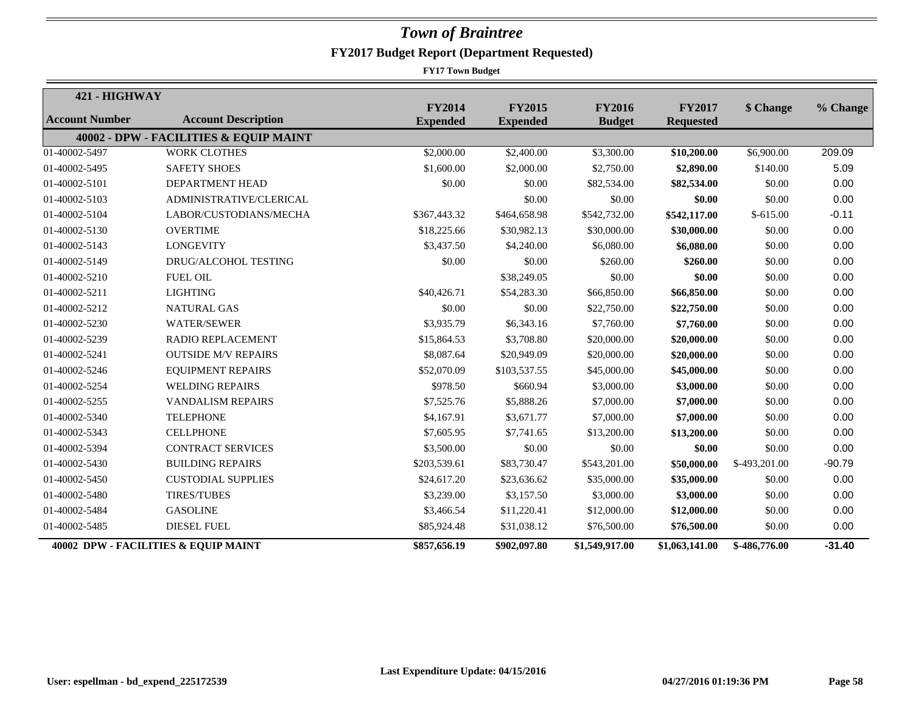| 421 - HIGHWAY         |                                        |                                  |                                  |                                |                                   |               |          |
|-----------------------|----------------------------------------|----------------------------------|----------------------------------|--------------------------------|-----------------------------------|---------------|----------|
| <b>Account Number</b> | <b>Account Description</b>             | <b>FY2014</b><br><b>Expended</b> | <b>FY2015</b><br><b>Expended</b> | <b>FY2016</b><br><b>Budget</b> | <b>FY2017</b><br><b>Requested</b> | \$ Change     | % Change |
|                       | 40002 - DPW - FACILITIES & EQUIP MAINT |                                  |                                  |                                |                                   |               |          |
| 01-40002-5497         | <b>WORK CLOTHES</b>                    | \$2,000.00                       | \$2,400.00                       | \$3,300.00                     | \$10,200.00                       | \$6,900.00    | 209.09   |
| 01-40002-5495         | <b>SAFETY SHOES</b>                    | \$1,600.00                       | \$2,000.00                       | \$2,750.00                     | \$2,890.00                        | \$140.00      | 5.09     |
| 01-40002-5101         | DEPARTMENT HEAD                        | \$0.00                           | \$0.00                           | \$82,534.00                    | \$82,534.00                       | \$0.00        | 0.00     |
| 01-40002-5103         | ADMINISTRATIVE/CLERICAL                |                                  | \$0.00                           | \$0.00                         | \$0.00                            | \$0.00        | 0.00     |
| 01-40002-5104         | LABOR/CUSTODIANS/MECHA                 | \$367,443.32                     | \$464,658.98                     | \$542,732.00                   | \$542,117.00                      | $$-615.00$    | $-0.11$  |
| 01-40002-5130         | <b>OVERTIME</b>                        | \$18,225.66                      | \$30,982.13                      | \$30,000.00                    | \$30,000.00                       | \$0.00        | 0.00     |
| 01-40002-5143         | <b>LONGEVITY</b>                       | \$3,437.50                       | \$4,240.00                       | \$6,080.00                     | \$6,080.00                        | \$0.00        | 0.00     |
| 01-40002-5149         | DRUG/ALCOHOL TESTING                   | \$0.00                           | \$0.00                           | \$260.00                       | \$260.00                          | \$0.00        | 0.00     |
| 01-40002-5210         | <b>FUEL OIL</b>                        |                                  | \$38,249.05                      | \$0.00                         | \$0.00                            | \$0.00        | 0.00     |
| 01-40002-5211         | <b>LIGHTING</b>                        | \$40,426.71                      | \$54,283.30                      | \$66,850.00                    | \$66,850.00                       | \$0.00        | 0.00     |
| 01-40002-5212         | <b>NATURAL GAS</b>                     | \$0.00                           | \$0.00                           | \$22,750.00                    | \$22,750.00                       | \$0.00        | 0.00     |
| 01-40002-5230         | <b>WATER/SEWER</b>                     | \$3,935.79                       | \$6,343.16                       | \$7,760.00                     | \$7,760.00                        | \$0.00        | 0.00     |
| 01-40002-5239         | <b>RADIO REPLACEMENT</b>               | \$15,864.53                      | \$3,708.80                       | \$20,000.00                    | \$20,000.00                       | \$0.00        | 0.00     |
| 01-40002-5241         | <b>OUTSIDE M/V REPAIRS</b>             | \$8,087.64                       | \$20,949.09                      | \$20,000.00                    | \$20,000.00                       | \$0.00        | 0.00     |
| 01-40002-5246         | <b>EQUIPMENT REPAIRS</b>               | \$52,070.09                      | \$103,537.55                     | \$45,000.00                    | \$45,000.00                       | \$0.00        | 0.00     |
| 01-40002-5254         | <b>WELDING REPAIRS</b>                 | \$978.50                         | \$660.94                         | \$3,000.00                     | \$3,000.00                        | \$0.00        | 0.00     |
| 01-40002-5255         | <b>VANDALISM REPAIRS</b>               | \$7,525.76                       | \$5,888.26                       | \$7,000.00                     | \$7,000.00                        | \$0.00        | 0.00     |
| 01-40002-5340         | <b>TELEPHONE</b>                       | \$4,167.91                       | \$3,671.77                       | \$7,000.00                     | \$7,000.00                        | \$0.00        | 0.00     |
| 01-40002-5343         | <b>CELLPHONE</b>                       | \$7,605.95                       | \$7,741.65                       | \$13,200.00                    | \$13,200.00                       | \$0.00        | 0.00     |
| 01-40002-5394         | <b>CONTRACT SERVICES</b>               | \$3,500.00                       | \$0.00                           | \$0.00                         | \$0.00                            | \$0.00        | 0.00     |
| 01-40002-5430         | <b>BUILDING REPAIRS</b>                | \$203,539.61                     | \$83,730.47                      | \$543,201.00                   | \$50,000.00                       | \$-493,201.00 | $-90.79$ |
| 01-40002-5450         | <b>CUSTODIAL SUPPLIES</b>              | \$24,617.20                      | \$23,636.62                      | \$35,000.00                    | \$35,000.00                       | \$0.00        | 0.00     |
| 01-40002-5480         | <b>TIRES/TUBES</b>                     | \$3,239.00                       | \$3,157.50                       | \$3,000.00                     | \$3,000.00                        | \$0.00        | 0.00     |
| 01-40002-5484         | <b>GASOLINE</b>                        | \$3,466.54                       | \$11,220.41                      | \$12,000.00                    | \$12,000.00                       | \$0.00        | 0.00     |
| 01-40002-5485         | <b>DIESEL FUEL</b>                     | \$85,924.48                      | \$31,038.12                      | \$76,500.00                    | \$76,500.00                       | \$0.00        | 0.00     |
|                       | 40002 DPW - FACILITIES & EQUIP MAINT   | \$857,656.19                     | \$902,097.80                     | \$1,549,917.00                 | \$1,063,141.00                    | \$-486,776.00 | $-31.40$ |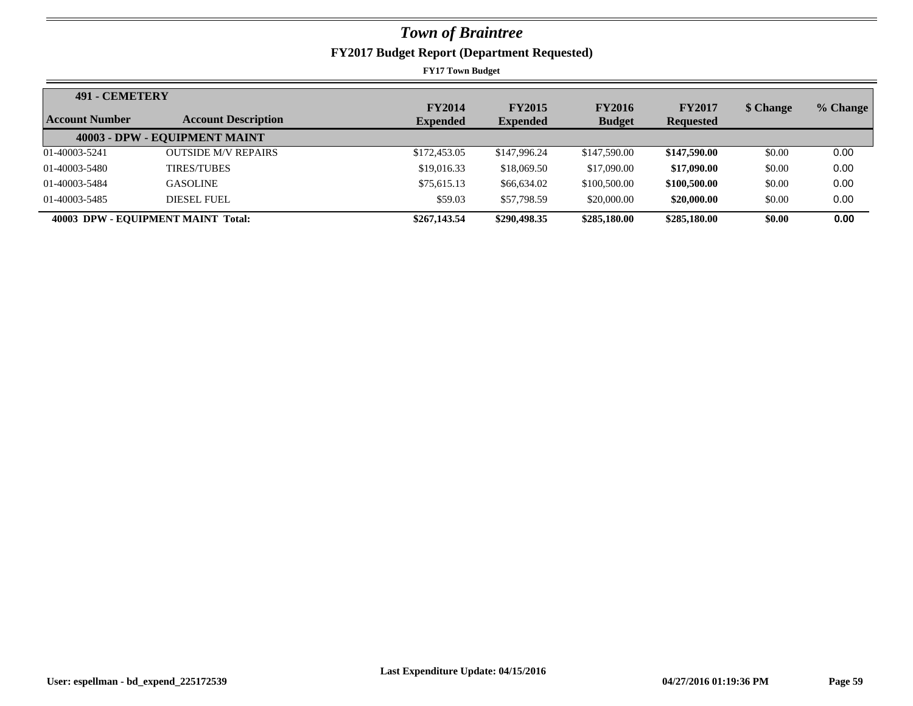**FY2017 Budget Report (Department Requested)**

| <b>491 - CEMETERY</b> |                                    | <b>FY2014</b>   | <b>FY2015</b>   | <b>FY2016</b> | <b>FY2017</b>    | \$ Change | % Change |
|-----------------------|------------------------------------|-----------------|-----------------|---------------|------------------|-----------|----------|
| <b>Account Number</b> | <b>Account Description</b>         | <b>Expended</b> | <b>Expended</b> | <b>Budget</b> | <b>Requested</b> |           |          |
|                       | 40003 - DPW - EQUIPMENT MAINT      |                 |                 |               |                  |           |          |
| 01-40003-5241         | <b>OUTSIDE M/V REPAIRS</b>         | \$172,453.05    | \$147,996.24    | \$147,590.00  | \$147,590.00     | \$0.00    | 0.00     |
| 01-40003-5480         | <b>TIRES/TUBES</b>                 | \$19,016.33     | \$18,069.50     | \$17,090.00   | \$17,090.00      | \$0.00    | 0.00     |
| 01-40003-5484         | <b>GASOLINE</b>                    | \$75,615.13     | \$66,634.02     | \$100,500.00  | \$100,500.00     | \$0.00    | 0.00     |
| 01-40003-5485         | DIESEL FUEL                        | \$59.03         | \$57,798.59     | \$20,000.00   | \$20,000.00      | \$0.00    | 0.00     |
|                       | 40003 DPW - EQUIPMENT MAINT Total: | \$267,143.54    | \$290,498.35    | \$285,180.00  | \$285,180.00     | \$0.00    | 0.00     |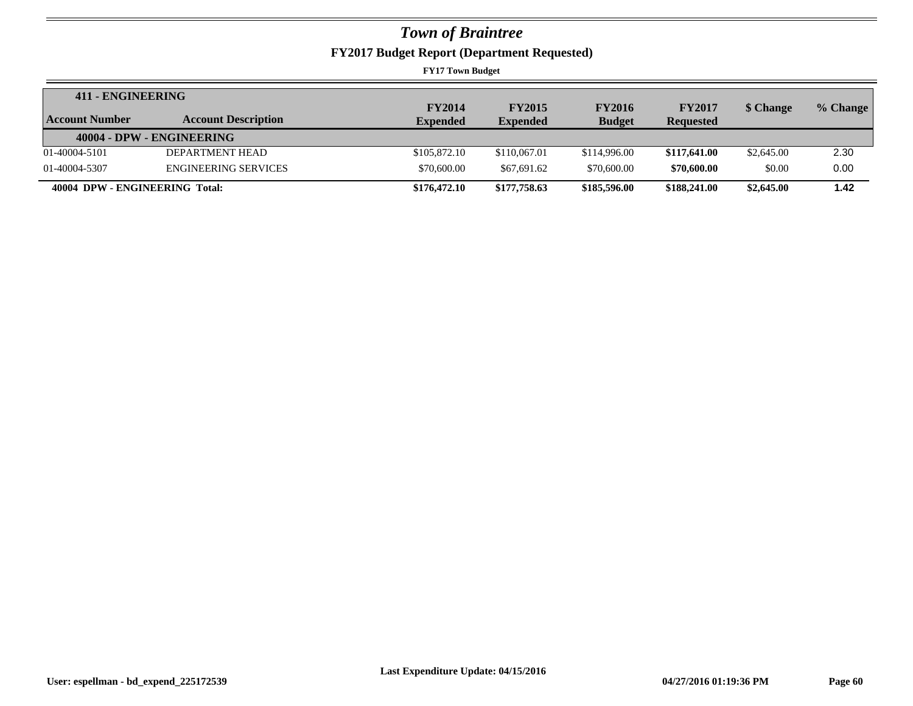**FY2017 Budget Report (Department Requested)**

| 411 - ENGINEERING              |                             |                 |                 |               |                  |            |          |
|--------------------------------|-----------------------------|-----------------|-----------------|---------------|------------------|------------|----------|
|                                |                             | <b>FY2014</b>   | <b>FY2015</b>   | <b>FY2016</b> | <b>FY2017</b>    | \$ Change  | % Change |
| Account Number                 | <b>Account Description</b>  | <b>Expended</b> | <b>Expended</b> | <b>Budget</b> | <b>Requested</b> |            |          |
|                                | 40004 - DPW - ENGINEERING   |                 |                 |               |                  |            |          |
| 01-40004-5101                  | DEPARTMENT HEAD             | \$105,872.10    | \$110,067.01    | \$114,996.00  | \$117,641.00     | \$2,645.00 | 2.30     |
| 01-40004-5307                  | <b>ENGINEERING SERVICES</b> | \$70,600.00     | \$67,691.62     | \$70,600.00   | \$70,600.00      | \$0.00     | 0.00     |
| 40004 DPW - ENGINEERING Total: |                             | \$176,472.10    | \$177,758.63    | \$185,596.00  | \$188,241.00     | \$2,645.00 | 1.42     |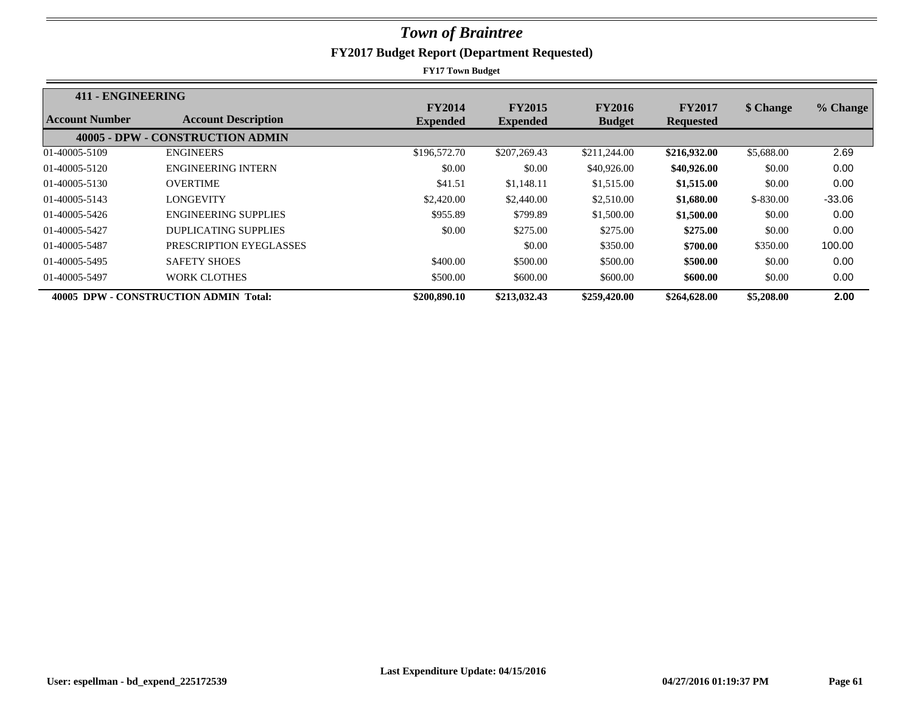| 411 - ENGINEERING |                                       |                                  |                                  |                                |                                   |            |          |
|-------------------|---------------------------------------|----------------------------------|----------------------------------|--------------------------------|-----------------------------------|------------|----------|
| Account Number    | <b>Account Description</b>            | <b>FY2014</b><br><b>Expended</b> | <b>FY2015</b><br><b>Expended</b> | <b>FY2016</b><br><b>Budget</b> | <b>FY2017</b><br><b>Requested</b> | \$ Change  | % Change |
|                   | 40005 - DPW - CONSTRUCTION ADMIN      |                                  |                                  |                                |                                   |            |          |
| 01-40005-5109     | <b>ENGINEERS</b>                      | \$196,572.70                     | \$207,269.43                     | \$211,244.00                   | \$216,932.00                      | \$5,688.00 | 2.69     |
| 01-40005-5120     | <b>ENGINEERING INTERN</b>             | \$0.00                           | \$0.00                           | \$40,926.00                    | \$40,926.00                       | \$0.00     | 0.00     |
| 01-40005-5130     | <b>OVERTIME</b>                       | \$41.51                          | \$1,148.11                       | \$1,515.00                     | \$1,515.00                        | \$0.00     | 0.00     |
| 01-40005-5143     | LONGEVITY                             | \$2,420.00                       | \$2,440.00                       | \$2,510.00                     | \$1,680.00                        | $$-830.00$ | $-33.06$ |
| 01-40005-5426     | <b>ENGINEERING SUPPLIES</b>           | \$955.89                         | \$799.89                         | \$1,500.00                     | \$1,500.00                        | \$0.00     | 0.00     |
| 01-40005-5427     | <b>DUPLICATING SUPPLIES</b>           | \$0.00                           | \$275.00                         | \$275.00                       | \$275.00                          | \$0.00     | 0.00     |
| 01-40005-5487     | PRESCRIPTION EYEGLASSES               |                                  | \$0.00                           | \$350.00                       | \$700.00                          | \$350.00   | 100.00   |
| 01-40005-5495     | <b>SAFETY SHOES</b>                   | \$400.00                         | \$500.00                         | \$500.00                       | \$500.00                          | \$0.00     | 0.00     |
| 01-40005-5497     | <b>WORK CLOTHES</b>                   | \$500.00                         | \$600.00                         | \$600.00                       | \$600.00                          | \$0.00     | 0.00     |
|                   | 40005 DPW - CONSTRUCTION ADMIN Total: | \$200,890.10                     | \$213,032.43                     | \$259,420.00                   | \$264,628.00                      | \$5,208.00 | 2.00     |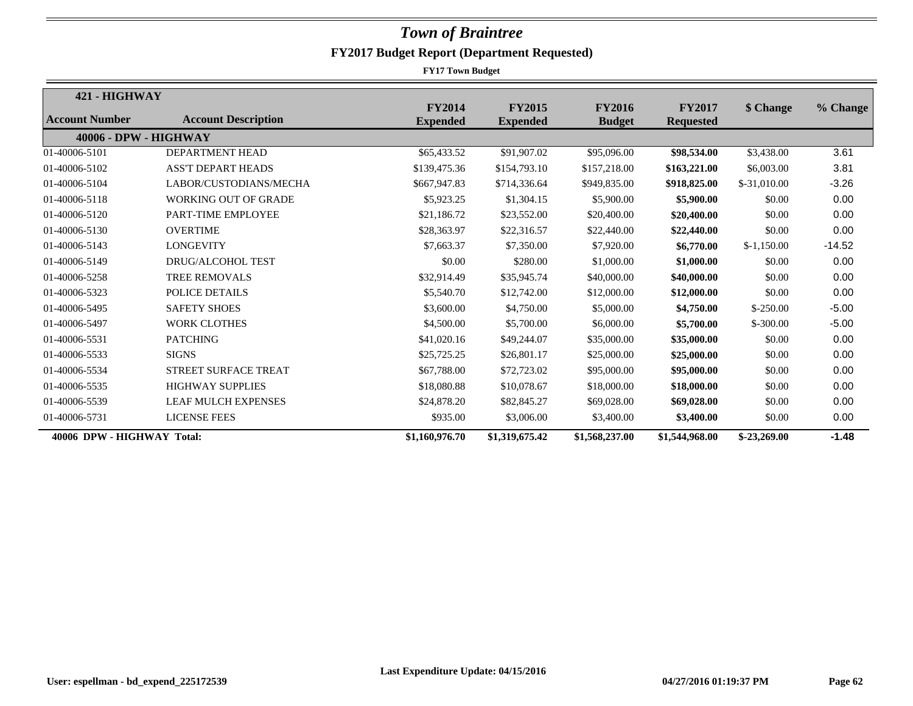| 421 - HIGHWAY              |                             |                                  |                                  |                                |                                   |               |          |
|----------------------------|-----------------------------|----------------------------------|----------------------------------|--------------------------------|-----------------------------------|---------------|----------|
| <b>Account Number</b>      | <b>Account Description</b>  | <b>FY2014</b><br><b>Expended</b> | <b>FY2015</b><br><b>Expended</b> | <b>FY2016</b><br><b>Budget</b> | <b>FY2017</b><br><b>Requested</b> | \$ Change     | % Change |
| 40006 - DPW - HIGHWAY      |                             |                                  |                                  |                                |                                   |               |          |
| 01-40006-5101              | <b>DEPARTMENT HEAD</b>      | \$65,433.52                      | \$91,907.02                      | \$95,096.00                    | \$98,534.00                       | \$3,438.00    | 3.61     |
| 01-40006-5102              | <b>ASS'T DEPART HEADS</b>   | \$139,475.36                     | \$154,793.10                     | \$157,218.00                   | \$163,221.00                      | \$6,003.00    | 3.81     |
| 01-40006-5104              | LABOR/CUSTODIANS/MECHA      | \$667,947.83                     | \$714,336.64                     | \$949,835.00                   | \$918,825.00                      | $$-31,010,00$ | $-3.26$  |
| 01-40006-5118              | <b>WORKING OUT OF GRADE</b> | \$5,923.25                       | \$1,304.15                       | \$5,900.00                     | \$5,900.00                        | \$0.00        | 0.00     |
| 01-40006-5120              | PART-TIME EMPLOYEE          | \$21.186.72                      | \$23,552.00                      | \$20,400.00                    | \$20,400.00                       | \$0.00        | 0.00     |
| 01-40006-5130              | <b>OVERTIME</b>             | \$28,363.97                      | \$22,316.57                      | \$22,440.00                    | \$22,440.00                       | \$0.00        | 0.00     |
| 01-40006-5143              | <b>LONGEVITY</b>            | \$7,663.37                       | \$7,350.00                       | \$7,920.00                     | \$6,770.00                        | $$-1,150.00$  | $-14.52$ |
| 01-40006-5149              | <b>DRUG/ALCOHOL TEST</b>    | \$0.00                           | \$280.00                         | \$1,000.00                     | \$1,000.00                        | \$0.00        | 0.00     |
| 01-40006-5258              | <b>TREE REMOVALS</b>        | \$32,914.49                      | \$35,945.74                      | \$40,000.00                    | \$40,000.00                       | \$0.00        | 0.00     |
| 01-40006-5323              | <b>POLICE DETAILS</b>       | \$5,540.70                       | \$12,742.00                      | \$12,000.00                    | \$12,000.00                       | \$0.00        | 0.00     |
| 01-40006-5495              | <b>SAFETY SHOES</b>         | \$3,600.00                       | \$4,750.00                       | \$5,000.00                     | \$4,750.00                        | $$-250.00$    | $-5.00$  |
| 01-40006-5497              | <b>WORK CLOTHES</b>         | \$4,500.00                       | \$5,700.00                       | \$6,000.00                     | \$5,700.00                        | $$-300.00$    | $-5.00$  |
| 01-40006-5531              | <b>PATCHING</b>             | \$41,020.16                      | \$49,244.07                      | \$35,000.00                    | \$35,000.00                       | \$0.00        | 0.00     |
| 01-40006-5533              | <b>SIGNS</b>                | \$25,725.25                      | \$26,801.17                      | \$25,000.00                    | \$25,000.00                       | \$0.00        | 0.00     |
| 01-40006-5534              | STREET SURFACE TREAT        | \$67,788.00                      | \$72,723.02                      | \$95,000.00                    | \$95,000.00                       | \$0.00        | 0.00     |
| 01-40006-5535              | <b>HIGHWAY SUPPLIES</b>     | \$18,080.88                      | \$10,078.67                      | \$18,000.00                    | \$18,000.00                       | \$0.00        | 0.00     |
| 01-40006-5539              | <b>LEAF MULCH EXPENSES</b>  | \$24,878.20                      | \$82,845.27                      | \$69,028.00                    | \$69,028.00                       | \$0.00        | 0.00     |
| 01-40006-5731              | <b>LICENSE FEES</b>         | \$935.00                         | \$3,006.00                       | \$3,400.00                     | \$3,400.00                        | \$0.00        | 0.00     |
| 40006 DPW - HIGHWAY Total: |                             | \$1,160,976.70                   | \$1,319,675.42                   | \$1,568,237.00                 | \$1,544,968.00                    | $$-23,269.00$ | $-1.48$  |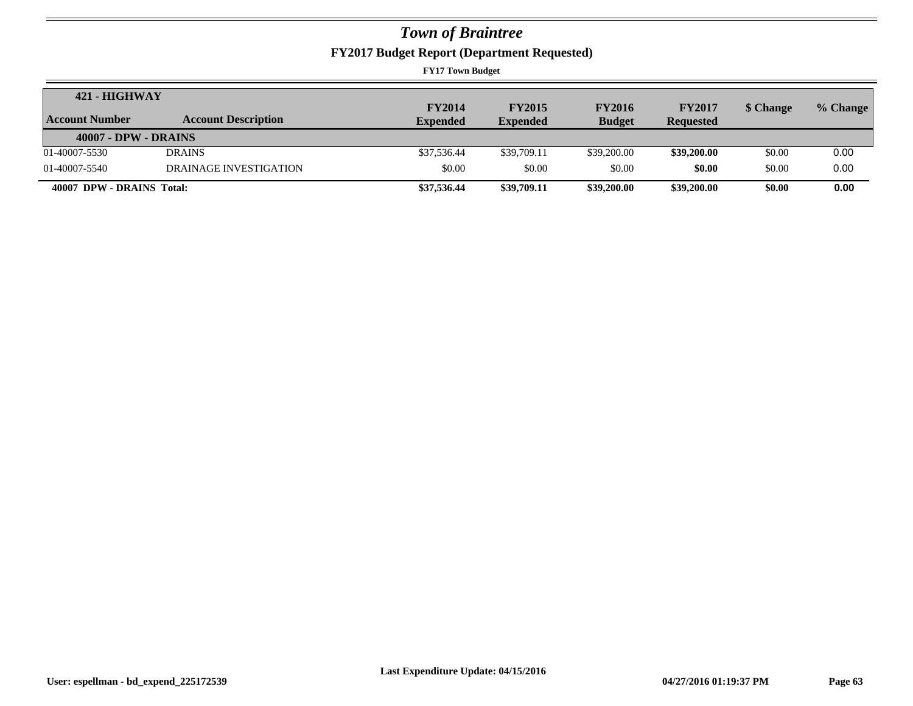**FY2017 Budget Report (Department Requested)**

| 421 - HIGHWAY               |                            |                 |                 |               |                  |           |          |
|-----------------------------|----------------------------|-----------------|-----------------|---------------|------------------|-----------|----------|
|                             |                            | <b>FY2014</b>   | <b>FY2015</b>   | <b>FY2016</b> | <b>FY2017</b>    | \$ Change | % Change |
| Account Number              | <b>Account Description</b> | <b>Expended</b> | <b>Expended</b> | <b>Budget</b> | <b>Requested</b> |           |          |
| <b>40007 - DPW - DRAINS</b> |                            |                 |                 |               |                  |           |          |
| 01-40007-5530               | <b>DRAINS</b>              | \$37,536.44     | \$39,709.11     | \$39,200.00   | \$39,200.00      | \$0.00    | 0.00     |
| 01-40007-5540               | DRAINAGE INVESTIGATION     | \$0.00          | \$0.00          | \$0.00        | \$0.00           | \$0.00    | 0.00     |
| 40007 DPW - DRAINS Total:   |                            | \$37,536.44     | \$39,709.11     | \$39,200.00   | \$39,200.00      | \$0.00    | 0.00     |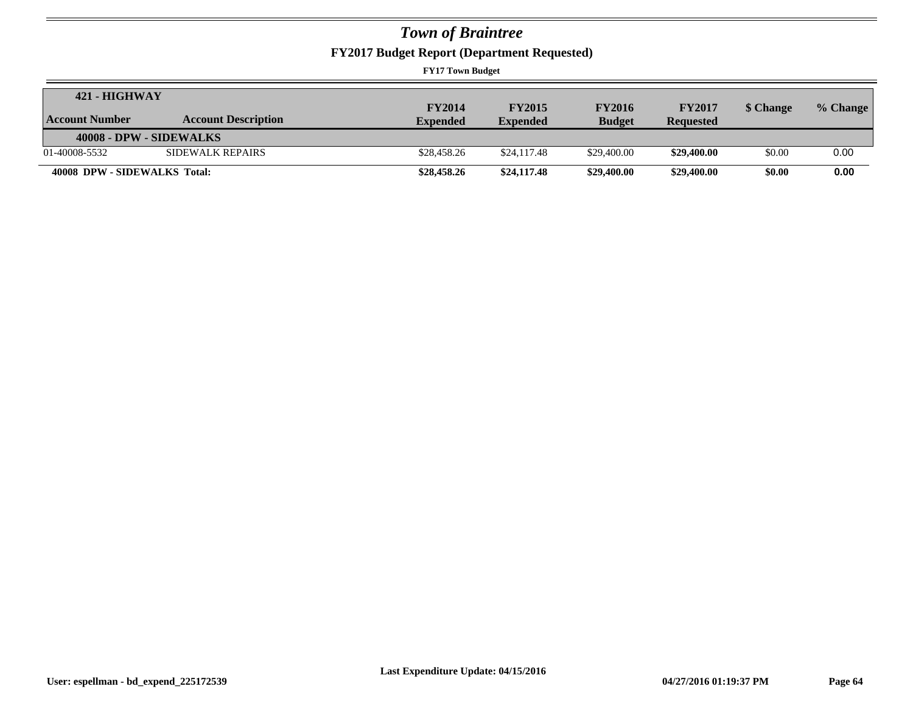**FY2017 Budget Report (Department Requested)**

| $421 - HIGHWAY$              |                            |                 |                 |               |                  |           |          |
|------------------------------|----------------------------|-----------------|-----------------|---------------|------------------|-----------|----------|
|                              |                            | <b>FY2014</b>   | <b>FY2015</b>   | <b>FY2016</b> | <b>FY2017</b>    | \$ Change | % Change |
| Account Number               | <b>Account Description</b> | <b>Expended</b> | <b>Expended</b> | <b>Budget</b> | <b>Requested</b> |           |          |
| 40008 - DPW - SIDEWALKS      |                            |                 |                 |               |                  |           |          |
| 01-40008-5532                | SIDEWALK REPAIRS           | \$28,458.26     | \$24,117.48     | \$29,400.00   | \$29,400.00      | \$0.00    | 0.00     |
| 40008 DPW - SIDEWALKS Total: |                            | \$28,458.26     | \$24,117.48     | \$29,400.00   | \$29,400.00      | \$0.00    | 0.00     |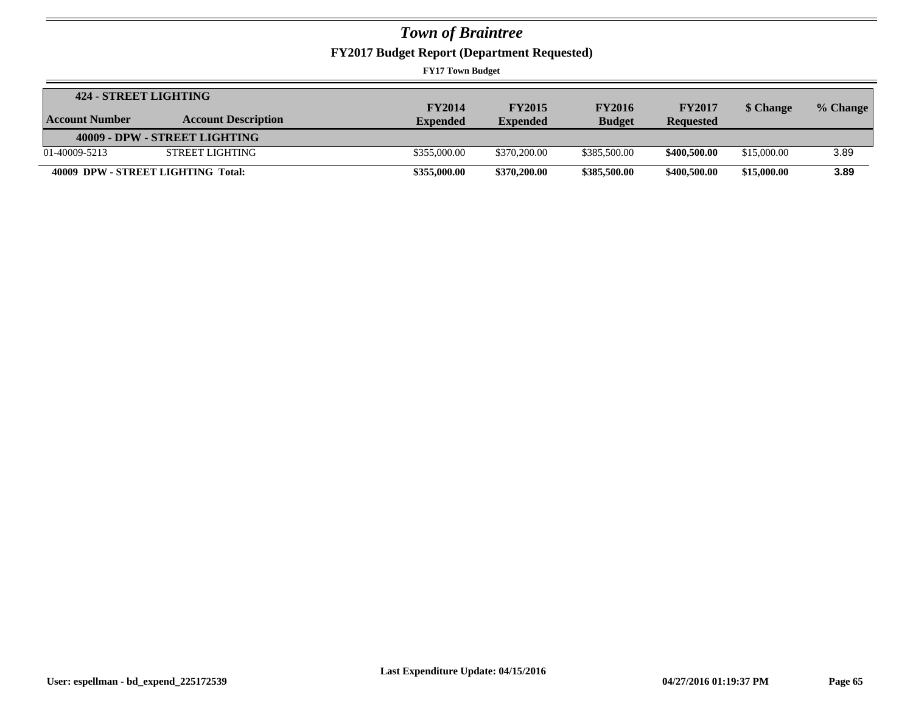**FY2017 Budget Report (Department Requested)**

| 424 - STREET LIGHTING |                                    |                 |                 |               |                  |             |            |
|-----------------------|------------------------------------|-----------------|-----------------|---------------|------------------|-------------|------------|
|                       |                                    | <b>FY2014</b>   | <b>FY2015</b>   | <b>FY2016</b> | <b>FY2017</b>    | \$ Change   | $%$ Change |
| <b>Account Number</b> | <b>Account Description</b>         | <b>Expended</b> | <b>Expended</b> | <b>Budget</b> | <b>Requested</b> |             |            |
|                       | 40009 - DPW - STREET LIGHTING      |                 |                 |               |                  |             |            |
| 01-40009-5213         | STREET LIGHTING                    | \$355,000.00    | \$370,200.00    | \$385,500.00  | \$400,500.00     | \$15,000.00 | 3.89       |
|                       | 40009 DPW - STREET LIGHTING Total: | \$355,000.00    | \$370,200.00    | \$385,500.00  | \$400,500.00     | \$15,000.00 | 3.89       |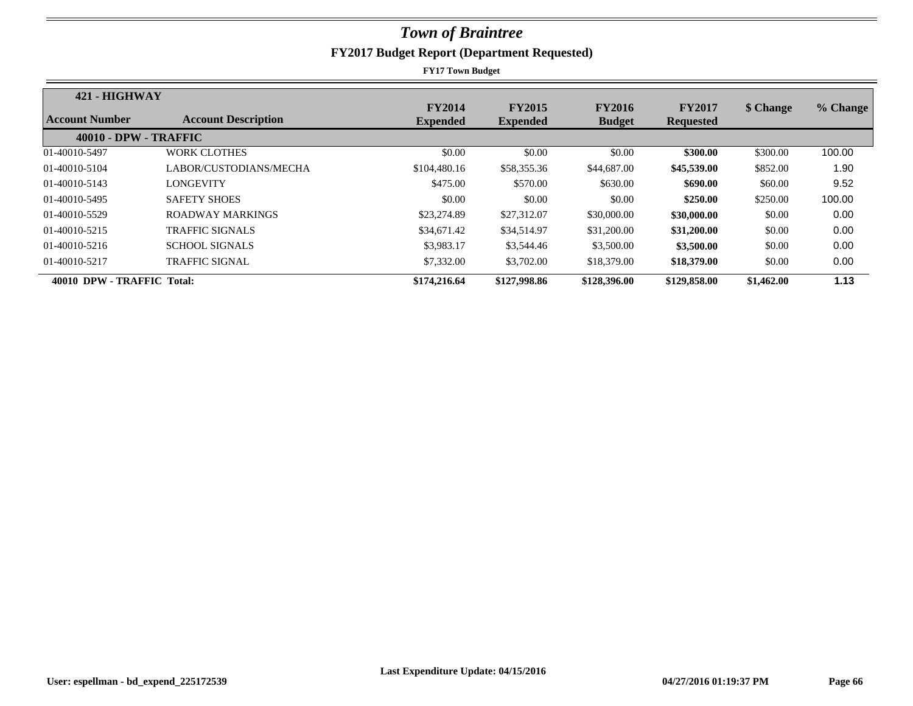| 421 - HIGHWAY                |                            |                                  |                                  |                                |                                   |            |          |
|------------------------------|----------------------------|----------------------------------|----------------------------------|--------------------------------|-----------------------------------|------------|----------|
| Account Number               | <b>Account Description</b> | <b>FY2014</b><br><b>Expended</b> | <b>FY2015</b><br><b>Expended</b> | <b>FY2016</b><br><b>Budget</b> | <b>FY2017</b><br><b>Requested</b> | \$ Change  | % Change |
| <b>40010 - DPW - TRAFFIC</b> |                            |                                  |                                  |                                |                                   |            |          |
| 01-40010-5497                | WORK CLOTHES               | \$0.00                           | \$0.00                           | \$0.00                         | \$300.00                          | \$300.00   | 100.00   |
| 01-40010-5104                | LABOR/CUSTODIANS/MECHA     | \$104,480.16                     | \$58,355.36                      | \$44,687.00                    | \$45,539.00                       | \$852.00   | 1.90     |
| 01-40010-5143                | LONGEVITY                  | \$475.00                         | \$570.00                         | \$630.00                       | \$690.00                          | \$60.00    | 9.52     |
| 01-40010-5495                | <b>SAFETY SHOES</b>        | \$0.00                           | \$0.00                           | \$0.00                         | \$250.00                          | \$250.00   | 100.00   |
| 01-40010-5529                | ROADWAY MARKINGS           | \$23,274.89                      | \$27,312.07                      | \$30,000.00                    | \$30,000.00                       | \$0.00     | 0.00     |
| 01-40010-5215                | <b>TRAFFIC SIGNALS</b>     | \$34,671.42                      | \$34,514.97                      | \$31,200.00                    | \$31,200.00                       | \$0.00     | 0.00     |
| 01-40010-5216                | <b>SCHOOL SIGNALS</b>      | \$3,983.17                       | \$3,544.46                       | \$3,500.00                     | \$3,500.00                        | \$0.00     | 0.00     |
| 01-40010-5217                | <b>TRAFFIC SIGNAL</b>      | \$7,332.00                       | \$3,702.00                       | \$18,379.00                    | \$18,379.00                       | \$0.00     | 0.00     |
| 40010 DPW - TRAFFIC Total:   |                            | \$174,216.64                     | \$127,998.86                     | \$128,396.00                   | \$129,858.00                      | \$1,462.00 | 1.13     |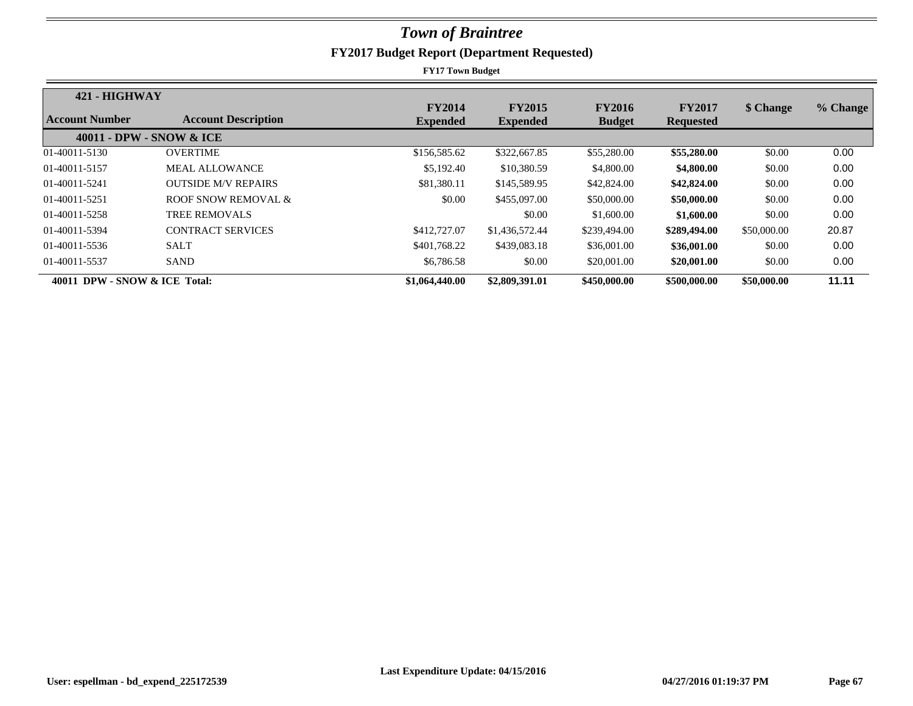| 421 - HIGHWAY                 |                            |                                  |                                  |                                |                                   |             |          |
|-------------------------------|----------------------------|----------------------------------|----------------------------------|--------------------------------|-----------------------------------|-------------|----------|
| Account Number                | <b>Account Description</b> | <b>FY2014</b><br><b>Expended</b> | <b>FY2015</b><br><b>Expended</b> | <b>FY2016</b><br><b>Budget</b> | <b>FY2017</b><br><b>Requested</b> | \$ Change   | % Change |
|                               | 40011 - DPW - SNOW & ICE   |                                  |                                  |                                |                                   |             |          |
| 01-40011-5130                 | <b>OVERTIME</b>            | \$156,585.62                     | \$322,667.85                     | \$55,280.00                    | \$55,280.00                       | \$0.00      | 0.00     |
| 01-40011-5157                 | <b>MEAL ALLOWANCE</b>      | \$5,192.40                       | \$10,380.59                      | \$4,800.00                     | \$4,800.00                        | \$0.00      | 0.00     |
| 01-40011-5241                 | <b>OUTSIDE M/V REPAIRS</b> | \$81,380.11                      | \$145,589.95                     | \$42,824.00                    | \$42,824.00                       | \$0.00      | 0.00     |
| 01-40011-5251                 | ROOF SNOW REMOVAL &        | \$0.00                           | \$455,097.00                     | \$50,000.00                    | \$50,000.00                       | \$0.00      | 0.00     |
| 01-40011-5258                 | <b>TREE REMOVALS</b>       |                                  | \$0.00                           | \$1,600.00                     | \$1,600.00                        | \$0.00      | 0.00     |
| 01-40011-5394                 | <b>CONTRACT SERVICES</b>   | \$412,727.07                     | \$1,436,572.44                   | \$239,494.00                   | \$289,494.00                      | \$50,000.00 | 20.87    |
| 01-40011-5536                 | <b>SALT</b>                | \$401,768.22                     | \$439,083.18                     | \$36,001.00                    | \$36,001.00                       | \$0.00      | 0.00     |
| 01-40011-5537                 | <b>SAND</b>                | \$6,786.58                       | \$0.00                           | \$20,001.00                    | \$20,001.00                       | \$0.00      | 0.00     |
| 40011 DPW - SNOW & ICE Total: |                            | \$1,064,440.00                   | \$2,809,391.01                   | \$450,000.00                   | \$500,000.00                      | \$50,000.00 | 11.11    |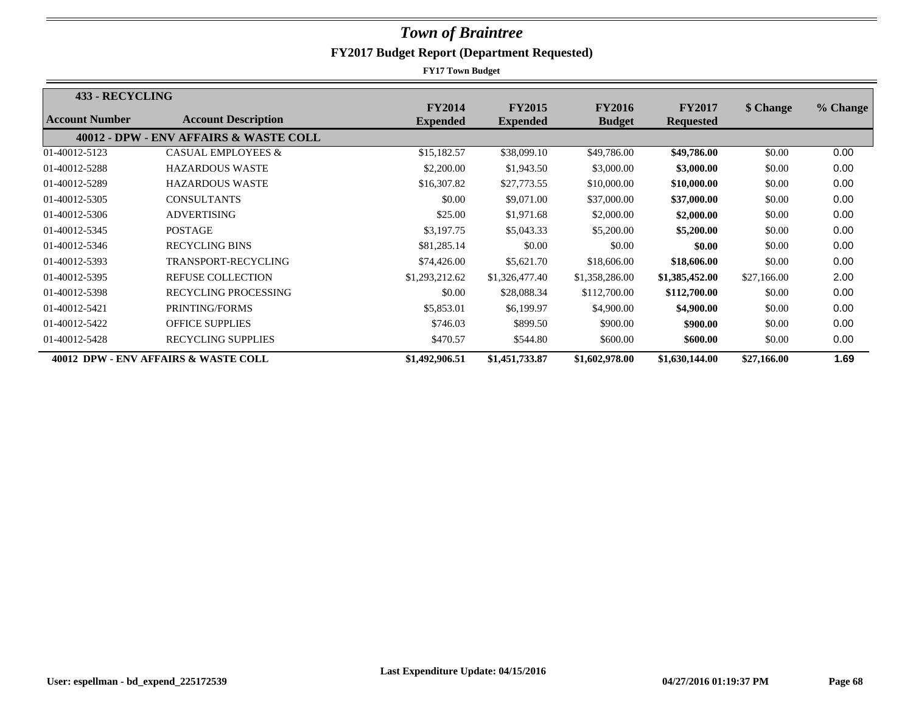| 433 - RECYCLING |                                        |                 |                 |                |                  |             |          |
|-----------------|----------------------------------------|-----------------|-----------------|----------------|------------------|-------------|----------|
| Account Number  | <b>Account Description</b>             | <b>FY2014</b>   | <b>FY2015</b>   | <b>FY2016</b>  | <b>FY2017</b>    | \$ Change   | % Change |
|                 |                                        | <b>Expended</b> | <b>Expended</b> | <b>Budget</b>  | <b>Requested</b> |             |          |
|                 | 40012 - DPW - ENV AFFAIRS & WASTE COLL |                 |                 |                |                  |             |          |
| 01-40012-5123   | <b>CASUAL EMPLOYEES &amp;</b>          | \$15,182.57     | \$38,099.10     | \$49,786.00    | \$49,786.00      | \$0.00      | 0.00     |
| 01-40012-5288   | <b>HAZARDOUS WASTE</b>                 | \$2,200.00      | \$1,943.50      | \$3,000.00     | \$3,000.00       | \$0.00      | 0.00     |
| 01-40012-5289   | <b>HAZARDOUS WASTE</b>                 | \$16,307.82     | \$27,773.55     | \$10,000.00    | \$10,000.00      | \$0.00      | 0.00     |
| 01-40012-5305   | <b>CONSULTANTS</b>                     | \$0.00          | \$9,071.00      | \$37,000.00    | \$37,000.00      | \$0.00      | 0.00     |
| 01-40012-5306   | <b>ADVERTISING</b>                     | \$25.00         | \$1,971.68      | \$2,000.00     | \$2,000.00       | \$0.00      | 0.00     |
| 01-40012-5345   | <b>POSTAGE</b>                         | \$3,197.75      | \$5,043.33      | \$5,200.00     | \$5,200.00       | \$0.00      | 0.00     |
| 01-40012-5346   | <b>RECYCLING BINS</b>                  | \$81,285.14     | \$0.00          | \$0.00         | \$0.00           | \$0.00      | 0.00     |
| 01-40012-5393   | TRANSPORT-RECYCLING                    | \$74,426.00     | \$5,621.70      | \$18,606.00    | \$18,606.00      | \$0.00      | 0.00     |
| 01-40012-5395   | <b>REFUSE COLLECTION</b>               | \$1,293,212.62  | \$1,326,477.40  | \$1,358,286.00 | \$1,385,452.00   | \$27,166.00 | 2.00     |
| 01-40012-5398   | <b>RECYCLING PROCESSING</b>            | \$0.00          | \$28,088.34     | \$112,700.00   | \$112,700.00     | \$0.00      | 0.00     |
| 01-40012-5421   | PRINTING/FORMS                         | \$5,853.01      | \$6,199.97      | \$4,900.00     | \$4,900.00       | \$0.00      | 0.00     |
| 01-40012-5422   | <b>OFFICE SUPPLIES</b>                 | \$746.03        | \$899.50        | \$900.00       | \$900.00         | \$0.00      | 0.00     |
| 01-40012-5428   | <b>RECYCLING SUPPLIES</b>              | \$470.57        | \$544.80        | \$600.00       | \$600.00         | \$0.00      | 0.00     |
|                 | 40012 DPW - ENV AFFAIRS & WASTE COLL   | \$1,492,906.51  | \$1,451,733.87  | \$1,602,978.00 | \$1,630,144.00   | \$27,166.00 | 1.69     |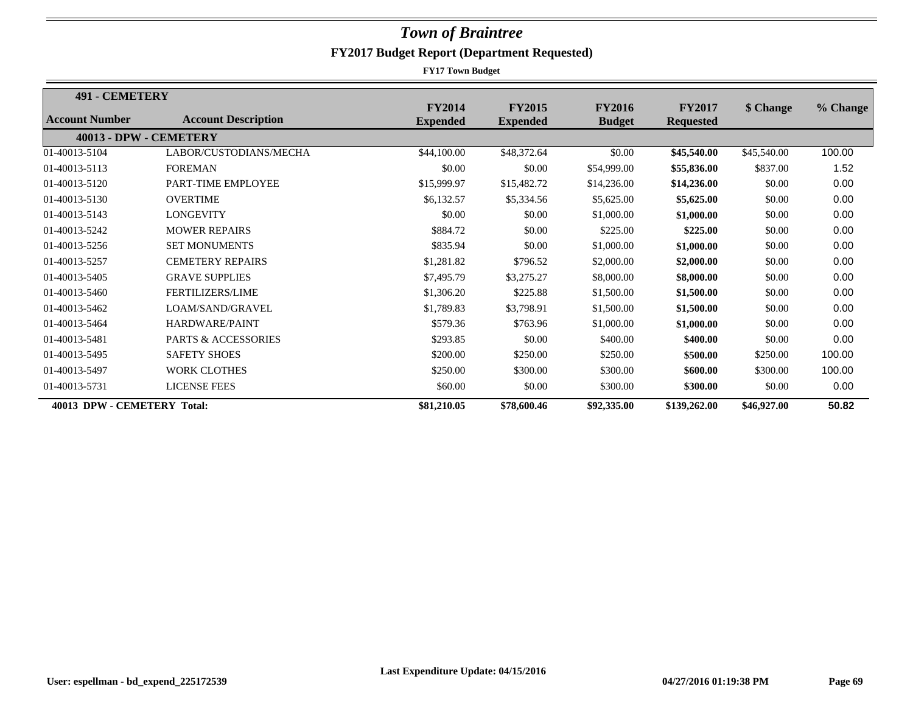| <b>491 - CEMETERY</b>       |                                |                 |                 |               |                  |             |          |
|-----------------------------|--------------------------------|-----------------|-----------------|---------------|------------------|-------------|----------|
|                             |                                | <b>FY2014</b>   | <b>FY2015</b>   | <b>FY2016</b> | <b>FY2017</b>    | \$ Change   | % Change |
| Account Number              | <b>Account Description</b>     | <b>Expended</b> | <b>Expended</b> | <b>Budget</b> | <b>Requested</b> |             |          |
| 40013 - DPW - CEMETERY      |                                |                 |                 |               |                  |             |          |
| 01-40013-5104               | LABOR/CUSTODIANS/MECHA         | \$44,100.00     | \$48,372.64     | \$0.00        | \$45,540.00      | \$45,540.00 | 100.00   |
| 01-40013-5113               | <b>FOREMAN</b>                 | \$0.00          | \$0.00          | \$54,999.00   | \$55,836.00      | \$837.00    | 1.52     |
| 01-40013-5120               | PART-TIME EMPLOYEE             | \$15,999.97     | \$15,482.72     | \$14,236.00   | \$14,236.00      | \$0.00      | 0.00     |
| 01-40013-5130               | <b>OVERTIME</b>                | \$6,132.57      | \$5,334.56      | \$5,625.00    | \$5,625.00       | \$0.00      | 0.00     |
| 01-40013-5143               | <b>LONGEVITY</b>               | \$0.00          | \$0.00          | \$1,000.00    | \$1,000.00       | \$0.00      | 0.00     |
| 01-40013-5242               | <b>MOWER REPAIRS</b>           | \$884.72        | \$0.00          | \$225.00      | \$225.00         | \$0.00      | 0.00     |
| 01-40013-5256               | <b>SET MONUMENTS</b>           | \$835.94        | \$0.00          | \$1,000.00    | \$1,000.00       | \$0.00      | 0.00     |
| 01-40013-5257               | <b>CEMETERY REPAIRS</b>        | \$1,281.82      | \$796.52        | \$2,000.00    | \$2,000.00       | \$0.00      | 0.00     |
| 01-40013-5405               | <b>GRAVE SUPPLIES</b>          | \$7,495.79      | \$3,275.27      | \$8,000.00    | \$8,000.00       | \$0.00      | 0.00     |
| 01-40013-5460               | <b>FERTILIZERS/LIME</b>        | \$1,306.20      | \$225.88        | \$1,500.00    | \$1,500.00       | \$0.00      | 0.00     |
| 01-40013-5462               | LOAM/SAND/GRAVEL               | \$1,789.83      | \$3,798.91      | \$1,500.00    | \$1,500.00       | \$0.00      | 0.00     |
| 01-40013-5464               | HARDWARE/PAINT                 | \$579.36        | \$763.96        | \$1,000.00    | \$1,000.00       | \$0.00      | 0.00     |
| 01-40013-5481               | <b>PARTS &amp; ACCESSORIES</b> | \$293.85        | \$0.00          | \$400.00      | \$400.00         | \$0.00      | 0.00     |
| 01-40013-5495               | <b>SAFETY SHOES</b>            | \$200.00        | \$250.00        | \$250.00      | \$500.00         | \$250.00    | 100.00   |
| 01-40013-5497               | <b>WORK CLOTHES</b>            | \$250.00        | \$300.00        | \$300.00      | \$600.00         | \$300.00    | 100.00   |
| 01-40013-5731               | <b>LICENSE FEES</b>            | \$60.00         | \$0.00          | \$300.00      | \$300.00         | \$0.00      | 0.00     |
| 40013 DPW - CEMETERY Total: |                                | \$81,210.05     | \$78,600.46     | \$92,335.00   | \$139,262.00     | \$46,927.00 | 50.82    |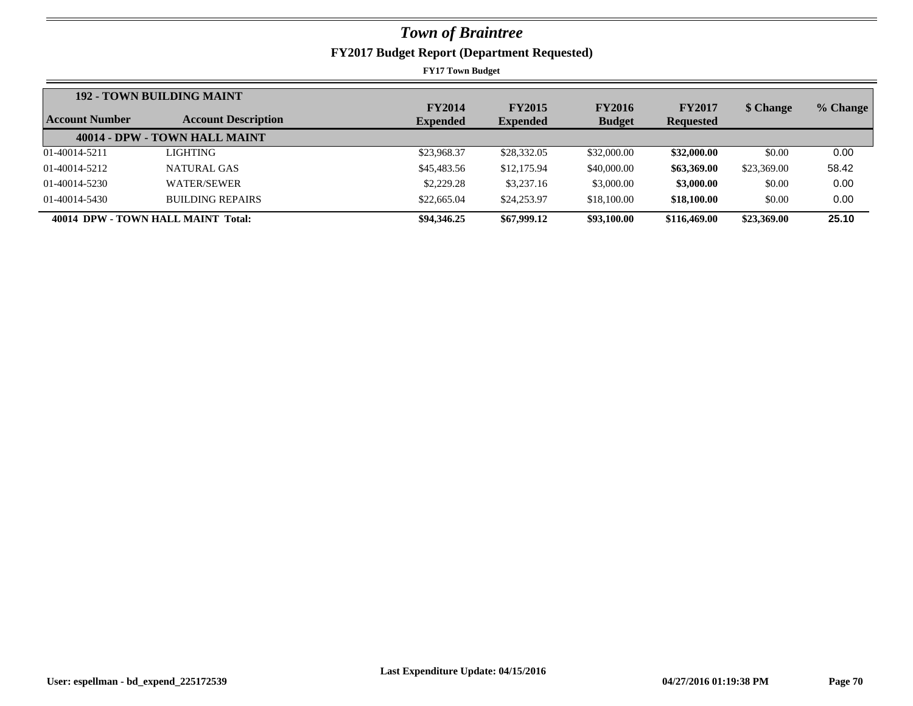|                       | <b>192 - TOWN BUILDING MAINT</b>   | <b>FY2014</b>   | <b>FY2015</b>   | <b>FY2016</b> | <b>FY2017</b>    | \$ Change   |          |
|-----------------------|------------------------------------|-----------------|-----------------|---------------|------------------|-------------|----------|
| <b>Account Number</b> | <b>Account Description</b>         | <b>Expended</b> | <b>Expended</b> | <b>Budget</b> | <b>Requested</b> |             | % Change |
|                       | 40014 - DPW - TOWN HALL MAINT      |                 |                 |               |                  |             |          |
| 01-40014-5211         | <b>LIGHTING</b>                    | \$23,968.37     | \$28,332.05     | \$32,000.00   | \$32,000.00      | \$0.00      | 0.00     |
| 01-40014-5212         | NATURAL GAS                        | \$45,483.56     | \$12,175.94     | \$40,000.00   | \$63,369.00      | \$23,369.00 | 58.42    |
| 01-40014-5230         | WATER/SEWER                        | \$2,229.28      | \$3,237.16      | \$3,000.00    | \$3,000.00       | \$0.00      | 0.00     |
| 01-40014-5430         | <b>BUILDING REPAIRS</b>            | \$22,665.04     | \$24,253.97     | \$18,100.00   | \$18,100.00      | \$0.00      | 0.00     |
|                       | 40014 DPW - TOWN HALL MAINT Total: | \$94,346.25     | \$67,999.12     | \$93,100.00   | \$116,469.00     | \$23,369.00 | 25.10    |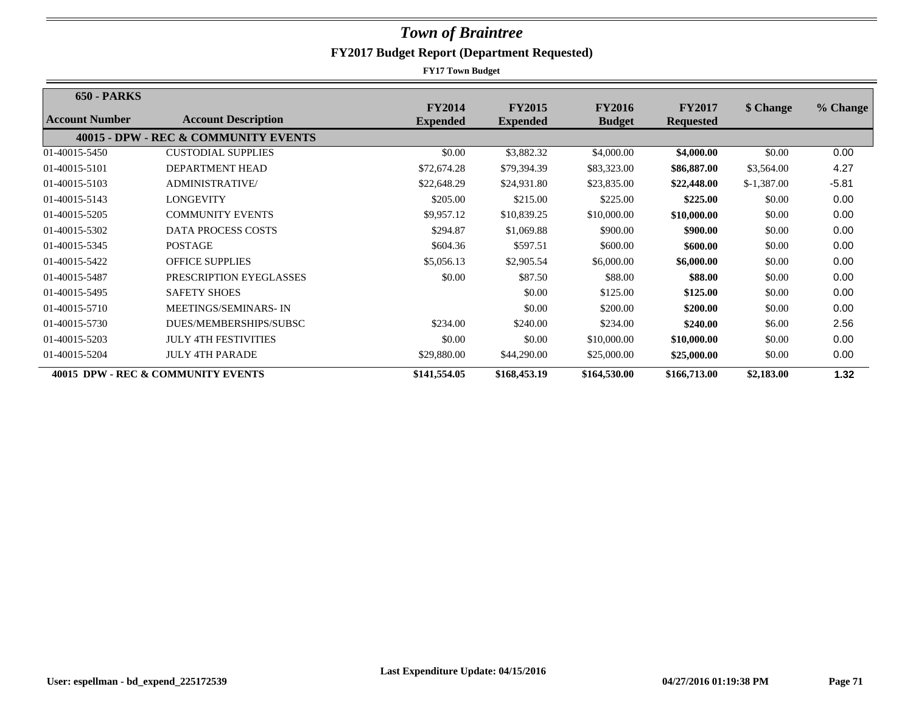| <b>650 - PARKS</b> |                                      |                                  |                                  |                                |                                   |              |          |
|--------------------|--------------------------------------|----------------------------------|----------------------------------|--------------------------------|-----------------------------------|--------------|----------|
| Account Number     | <b>Account Description</b>           | <b>FY2014</b><br><b>Expended</b> | <b>FY2015</b><br><b>Expended</b> | <b>FY2016</b><br><b>Budget</b> | <b>FY2017</b><br><b>Requested</b> | \$ Change    | % Change |
|                    | 40015 - DPW - REC & COMMUNITY EVENTS |                                  |                                  |                                |                                   |              |          |
| 01-40015-5450      | <b>CUSTODIAL SUPPLIES</b>            | \$0.00                           | \$3,882.32                       | \$4,000.00                     | \$4,000.00                        | \$0.00       | 0.00     |
| 01-40015-5101      | DEPARTMENT HEAD                      | \$72,674.28                      | \$79,394.39                      | \$83,323.00                    | \$86,887.00                       | \$3,564.00   | 4.27     |
| 01-40015-5103      | <b>ADMINISTRATIVE/</b>               | \$22,648.29                      | \$24,931.80                      | \$23,835.00                    | \$22,448.00                       | $$-1,387.00$ | $-5.81$  |
| 01-40015-5143      | LONGEVITY                            | \$205.00                         | \$215.00                         | \$225.00                       | \$225.00                          | \$0.00       | 0.00     |
| 01-40015-5205      | <b>COMMUNITY EVENTS</b>              | \$9,957.12                       | \$10,839.25                      | \$10,000.00                    | \$10,000.00                       | \$0.00       | 0.00     |
| 01-40015-5302      | <b>DATA PROCESS COSTS</b>            | \$294.87                         | \$1,069.88                       | \$900.00                       | \$900.00                          | \$0.00       | 0.00     |
| 01-40015-5345      | <b>POSTAGE</b>                       | \$604.36                         | \$597.51                         | \$600.00                       | \$600.00                          | \$0.00       | 0.00     |
| 01-40015-5422      | <b>OFFICE SUPPLIES</b>               | \$5,056.13                       | \$2,905.54                       | \$6,000.00                     | \$6,000.00                        | \$0.00       | 0.00     |
| 01-40015-5487      | PRESCRIPTION EYEGLASSES              | \$0.00                           | \$87.50                          | \$88.00                        | \$88.00                           | \$0.00       | 0.00     |
| 01-40015-5495      | <b>SAFETY SHOES</b>                  |                                  | \$0.00                           | \$125.00                       | \$125.00                          | \$0.00       | 0.00     |
| 01-40015-5710      | MEETINGS/SEMINARS-IN                 |                                  | \$0.00                           | \$200.00                       | \$200.00                          | \$0.00       | 0.00     |
| 01-40015-5730      | DUES/MEMBERSHIPS/SUBSC               | \$234.00                         | \$240.00                         | \$234.00                       | \$240.00                          | \$6.00       | 2.56     |
| 01-40015-5203      | <b>JULY 4TH FESTIVITIES</b>          | \$0.00                           | \$0.00                           | \$10,000.00                    | \$10,000.00                       | \$0.00       | 0.00     |
| 01-40015-5204      | <b>JULY 4TH PARADE</b>               | \$29,880.00                      | \$44,290.00                      | \$25,000.00                    | \$25,000.00                       | \$0.00       | 0.00     |
|                    | 40015 DPW - REC & COMMUNITY EVENTS   | \$141,554.05                     | \$168,453.19                     | \$164,530.00                   | \$166,713.00                      | \$2,183.00   | 1.32     |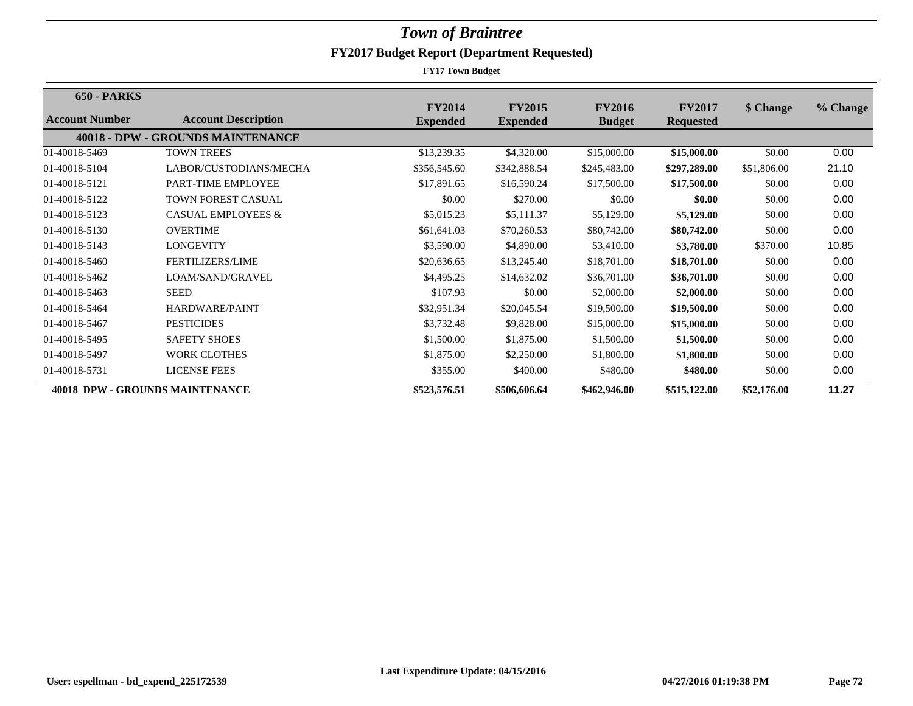| <b>650 - PARKS</b> |                                          |                                  |                                  |                                |                                   |             |          |
|--------------------|------------------------------------------|----------------------------------|----------------------------------|--------------------------------|-----------------------------------|-------------|----------|
| Account Number     | <b>Account Description</b>               | <b>FY2014</b><br><b>Expended</b> | <b>FY2015</b><br><b>Expended</b> | <b>FY2016</b><br><b>Budget</b> | <b>FY2017</b><br><b>Requested</b> | \$ Change   | % Change |
|                    | <b>40018 - DPW - GROUNDS MAINTENANCE</b> |                                  |                                  |                                |                                   |             |          |
| 01-40018-5469      | <b>TOWN TREES</b>                        | \$13,239.35                      | \$4,320.00                       | \$15,000.00                    | \$15,000.00                       | \$0.00      | 0.00     |
| 01-40018-5104      | LABOR/CUSTODIANS/MECHA                   | \$356,545.60                     | \$342,888.54                     | \$245,483.00                   | \$297,289.00                      | \$51,806.00 | 21.10    |
| 01-40018-5121      | PART-TIME EMPLOYEE                       | \$17,891.65                      | \$16,590.24                      | \$17,500.00                    | \$17,500.00                       | \$0.00      | 0.00     |
| 01-40018-5122      | <b>TOWN FOREST CASUAL</b>                | \$0.00                           | \$270.00                         | \$0.00                         | \$0.00                            | \$0.00      | 0.00     |
| 01-40018-5123      | <b>CASUAL EMPLOYEES &amp;</b>            | \$5,015.23                       | \$5,111.37                       | \$5,129.00                     | \$5,129.00                        | \$0.00      | 0.00     |
| 01-40018-5130      | <b>OVERTIME</b>                          | \$61,641.03                      | \$70,260.53                      | \$80,742.00                    | \$80,742.00                       | \$0.00      | 0.00     |
| 01-40018-5143      | LONGEVITY                                | \$3,590.00                       | \$4,890.00                       | \$3,410.00                     | \$3,780.00                        | \$370.00    | 10.85    |
| 01-40018-5460      | <b>FERTILIZERS/LIME</b>                  | \$20,636.65                      | \$13,245.40                      | \$18,701.00                    | \$18,701.00                       | \$0.00      | 0.00     |
| 01-40018-5462      | LOAM/SAND/GRAVEL                         | \$4,495.25                       | \$14,632.02                      | \$36,701.00                    | \$36,701.00                       | \$0.00      | 0.00     |
| 01-40018-5463      | <b>SEED</b>                              | \$107.93                         | \$0.00                           | \$2,000.00                     | \$2,000.00                        | \$0.00      | 0.00     |
| 01-40018-5464      | HARDWARE/PAINT                           | \$32,951.34                      | \$20,045.54                      | \$19,500.00                    | \$19,500.00                       | \$0.00      | 0.00     |
| 01-40018-5467      | <b>PESTICIDES</b>                        | \$3,732.48                       | \$9,828.00                       | \$15,000.00                    | \$15,000.00                       | \$0.00      | 0.00     |
| 01-40018-5495      | <b>SAFETY SHOES</b>                      | \$1,500.00                       | \$1,875.00                       | \$1,500.00                     | \$1,500.00                        | \$0.00      | 0.00     |
| 01-40018-5497      | <b>WORK CLOTHES</b>                      | \$1,875.00                       | \$2,250.00                       | \$1,800.00                     | \$1,800.00                        | \$0.00      | 0.00     |
| 01-40018-5731      | <b>LICENSE FEES</b>                      | \$355.00                         | \$400.00                         | \$480.00                       | \$480.00                          | \$0.00      | 0.00     |
|                    | <b>40018 DPW - GROUNDS MAINTENANCE</b>   | \$523,576.51                     | \$506,606.64                     | \$462,946.00                   | \$515,122.00                      | \$52,176.00 | 11.27    |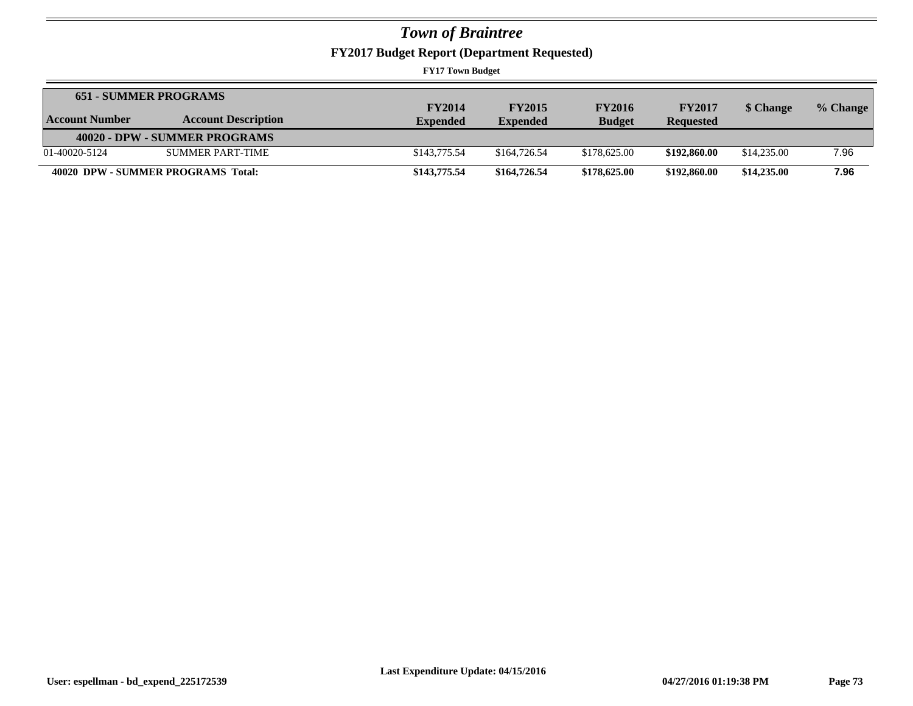**FY2017 Budget Report (Department Requested)**

|                | <b>651 - SUMMER PROGRAMS</b>       |                 |                 |               |                  |             |          |
|----------------|------------------------------------|-----------------|-----------------|---------------|------------------|-------------|----------|
|                |                                    | <b>FY2014</b>   | <b>FY2015</b>   | <b>FY2016</b> | <b>FY2017</b>    | \$ Change   | % Change |
| Account Number | <b>Account Description</b>         | <b>Expended</b> | <b>Expended</b> | <b>Budget</b> | <b>Requested</b> |             |          |
|                | 40020 - DPW - SUMMER PROGRAMS      |                 |                 |               |                  |             |          |
| 01-40020-5124  | SUMMER PART-TIME                   | \$143,775.54    | \$164,726.54    | \$178,625.00  | \$192,860.00     | \$14,235.00 | 7.96     |
|                | 40020 DPW - SUMMER PROGRAMS Total: | \$143,775.54    | \$164,726.54    | \$178,625.00  | \$192,860.00     | \$14,235.00 | 7.96     |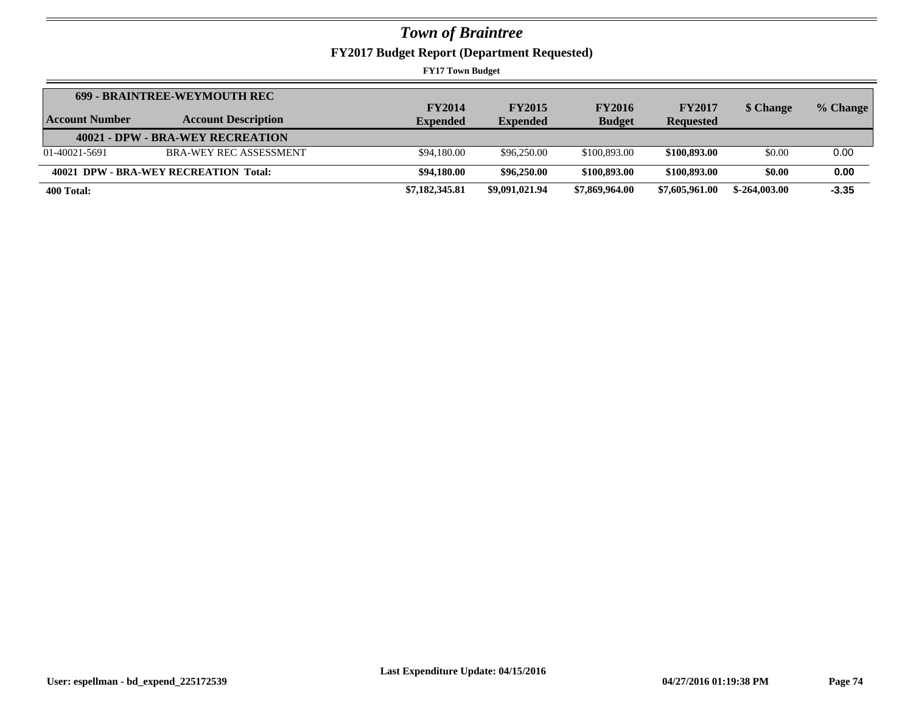**FY2017 Budget Report (Department Requested)**

| Account Number | <b>699 - BRAINTREE-WEYMOUTH REC</b><br><b>Account Description</b> | <b>FY2014</b><br><b>Expended</b> | <b>FY2015</b><br><b>Expended</b> | <b>FY2016</b><br><b>Budget</b> | <b>FY2017</b><br><b>Requested</b> | \$ Change      | % Change |
|----------------|-------------------------------------------------------------------|----------------------------------|----------------------------------|--------------------------------|-----------------------------------|----------------|----------|
|                | 40021 - DPW - BRA-WEY RECREATION                                  |                                  |                                  |                                |                                   |                |          |
| 01-40021-5691  | <b>BRA-WEY REC ASSESSMENT</b>                                     | \$94,180.00                      | \$96,250.00                      | \$100,893,00                   | \$100,893,00                      | \$0.00         | 0.00     |
|                | 40021 DPW - BRA-WEY RECREATION Total:                             | \$94,180.00                      | \$96,250.00                      | \$100,893.00                   | \$100,893.00                      | \$0.00         | 0.00     |
| 400 Total:     |                                                                   | \$7,182,345.81                   | \$9,091,021.94                   | \$7,869,964.00                 | \$7,605,961.00                    | $$-264,003,00$ | $-3.35$  |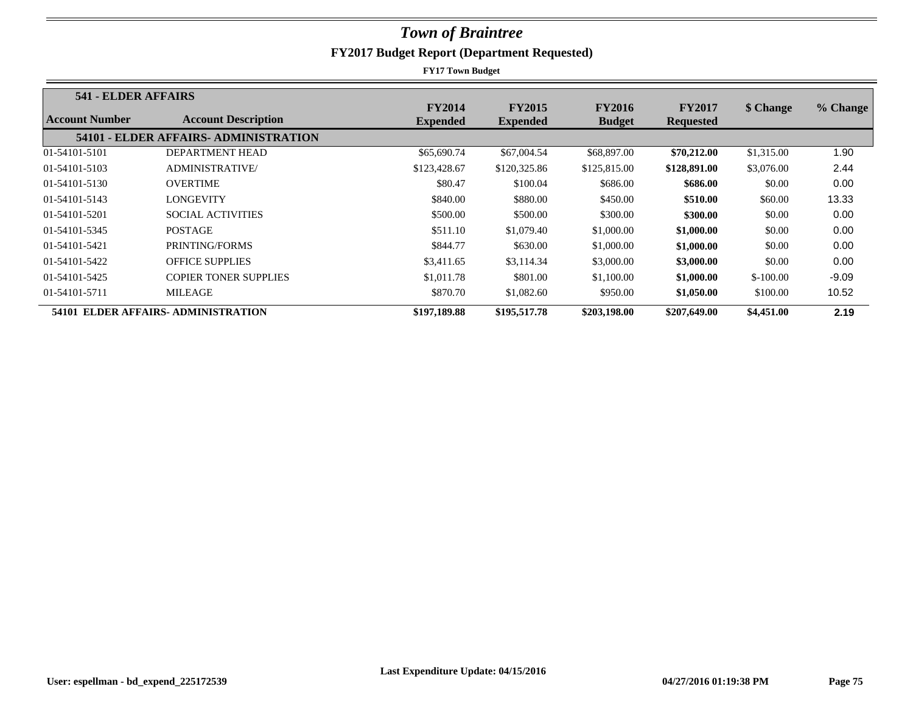| 541 - ELDER AFFAIRS |                                       |                                  |                                  |                                |                                   |            |          |
|---------------------|---------------------------------------|----------------------------------|----------------------------------|--------------------------------|-----------------------------------|------------|----------|
| Account Number      | <b>Account Description</b>            | <b>FY2014</b><br><b>Expended</b> | <b>FY2015</b><br><b>Expended</b> | <b>FY2016</b><br><b>Budget</b> | <b>FY2017</b><br><b>Requested</b> | \$ Change  | % Change |
|                     | 54101 - ELDER AFFAIRS- ADMINISTRATION |                                  |                                  |                                |                                   |            |          |
| 01-54101-5101       | DEPARTMENT HEAD                       | \$65,690.74                      | \$67,004.54                      | \$68,897.00                    | \$70,212.00                       | \$1,315.00 | 1.90     |
| 01-54101-5103       | <b>ADMINISTRATIVE/</b>                | \$123,428.67                     | \$120,325.86                     | \$125,815.00                   | \$128,891.00                      | \$3,076.00 | 2.44     |
| 01-54101-5130       | <b>OVERTIME</b>                       | \$80.47                          | \$100.04                         | \$686.00                       | \$686.00                          | \$0.00     | 0.00     |
| 01-54101-5143       | LONGEVITY                             | \$840.00                         | \$880.00                         | \$450.00                       | \$510.00                          | \$60.00    | 13.33    |
| 01-54101-5201       | <b>SOCIAL ACTIVITIES</b>              | \$500.00                         | \$500.00                         | \$300.00                       | \$300.00                          | \$0.00     | 0.00     |
| 01-54101-5345       | <b>POSTAGE</b>                        | \$511.10                         | \$1,079.40                       | \$1,000.00                     | \$1,000.00                        | \$0.00     | 0.00     |
| 01-54101-5421       | PRINTING/FORMS                        | \$844.77                         | \$630.00                         | \$1,000.00                     | \$1,000.00                        | \$0.00     | 0.00     |
| 01-54101-5422       | <b>OFFICE SUPPLIES</b>                | \$3,411.65                       | \$3,114.34                       | \$3,000.00                     | \$3,000.00                        | \$0.00     | 0.00     |
| 01-54101-5425       | <b>COPIER TONER SUPPLIES</b>          | \$1,011.78                       | \$801.00                         | \$1,100.00                     | \$1,000.00                        | $$-100.00$ | $-9.09$  |
| 01-54101-5711       | <b>MILEAGE</b>                        | \$870.70                         | \$1,082.60                       | \$950.00                       | \$1,050.00                        | \$100.00   | 10.52    |
|                     | 54101 ELDER AFFAIRS- ADMINISTRATION   | \$197,189.88                     | \$195,517.78                     | \$203,198.00                   | \$207,649.00                      | \$4,451.00 | 2.19     |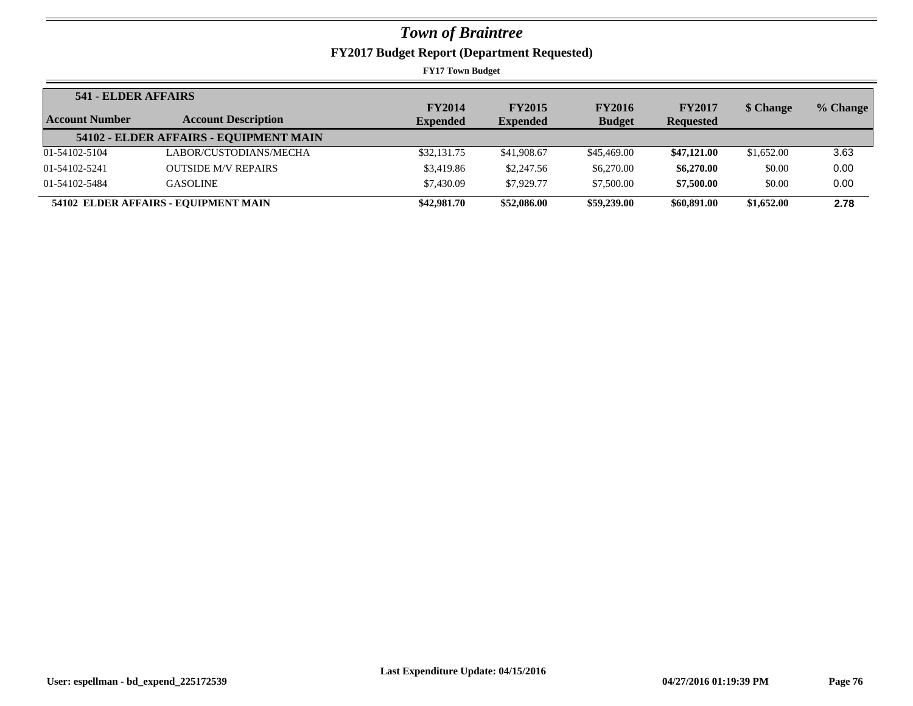| <b>541 - ELDER AFFAIRS</b> |                                        |                 |                 |               |                  |            |          |
|----------------------------|----------------------------------------|-----------------|-----------------|---------------|------------------|------------|----------|
|                            |                                        | <b>FY2014</b>   | <b>FY2015</b>   | <b>FY2016</b> | <b>FY2017</b>    | \$ Change  | % Change |
| Account Number             | <b>Account Description</b>             | <b>Expended</b> | <b>Expended</b> | <b>Budget</b> | <b>Requested</b> |            |          |
|                            | 54102 - ELDER AFFAIRS - EQUIPMENT MAIN |                 |                 |               |                  |            |          |
| 01-54102-5104              | LABOR/CUSTODIANS/MECHA                 | \$32,131.75     | \$41,908.67     | \$45,469.00   | \$47,121.00      | \$1,652.00 | 3.63     |
| 01-54102-5241              | <b>OUTSIDE M/V REPAIRS</b>             | \$3,419.86      | \$2,247.56      | \$6,270.00    | \$6,270.00       | \$0.00     | 0.00     |
| 01-54102-5484              | <b>GASOLINE</b>                        | \$7,430.09      | \$7,929.77      | \$7,500.00    | \$7,500.00       | \$0.00     | 0.00     |
|                            | 54102 ELDER AFFAIRS - EQUIPMENT MAIN   | \$42,981.70     | \$52,086.00     | \$59,239.00   | \$60,891.00      | \$1,652.00 | 2.78     |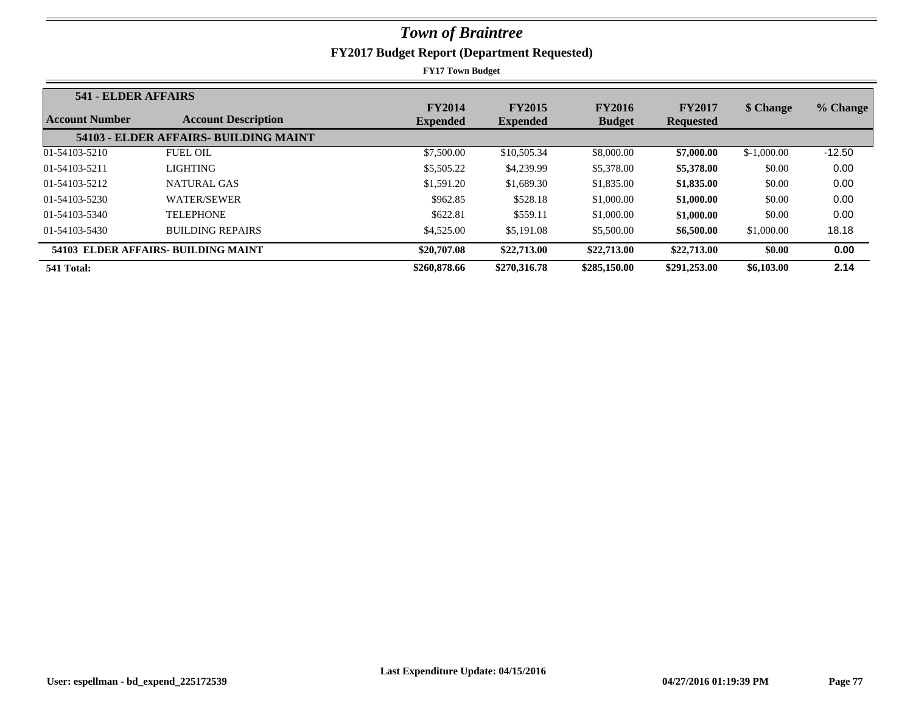|                | 541 - ELDER AFFAIRS                   |                 |                 |               |                  |              |          |
|----------------|---------------------------------------|-----------------|-----------------|---------------|------------------|--------------|----------|
|                |                                       | <b>FY2014</b>   | <b>FY2015</b>   | <b>FY2016</b> | <b>FY2017</b>    | \$ Change    | % Change |
| Account Number | <b>Account Description</b>            | <b>Expended</b> | <b>Expended</b> | <b>Budget</b> | <b>Requested</b> |              |          |
|                | 54103 - ELDER AFFAIRS- BUILDING MAINT |                 |                 |               |                  |              |          |
| 01-54103-5210  | <b>FUEL OIL</b>                       | \$7,500.00      | \$10,505.34     | \$8,000.00    | \$7,000.00       | $$-1,000.00$ | $-12.50$ |
| 01-54103-5211  | <b>LIGHTING</b>                       | \$5,505.22      | \$4,239.99      | \$5,378.00    | \$5,378.00       | \$0.00       | 0.00     |
| 01-54103-5212  | NATURAL GAS                           | \$1,591.20      | \$1,689.30      | \$1,835.00    | \$1,835.00       | \$0.00       | 0.00     |
| 01-54103-5230  | <b>WATER/SEWER</b>                    | \$962.85        | \$528.18        | \$1,000.00    | \$1,000.00       | \$0.00       | 0.00     |
| 01-54103-5340  | <b>TELEPHONE</b>                      | \$622.81        | \$559.11        | \$1,000.00    | \$1,000.00       | \$0.00       | 0.00     |
| 01-54103-5430  | <b>BUILDING REPAIRS</b>               | \$4,525.00      | \$5,191.08      | \$5,500.00    | \$6,500.00       | \$1,000.00   | 18.18    |
|                | 54103 ELDER AFFAIRS- BUILDING MAINT   | \$20,707.08     | \$22,713.00     | \$22,713.00   | \$22,713.00      | \$0.00       | 0.00     |
| 541 Total:     |                                       | \$260,878.66    | \$270,316.78    | \$285,150.00  | \$291,253,00     | \$6,103.00   | 2.14     |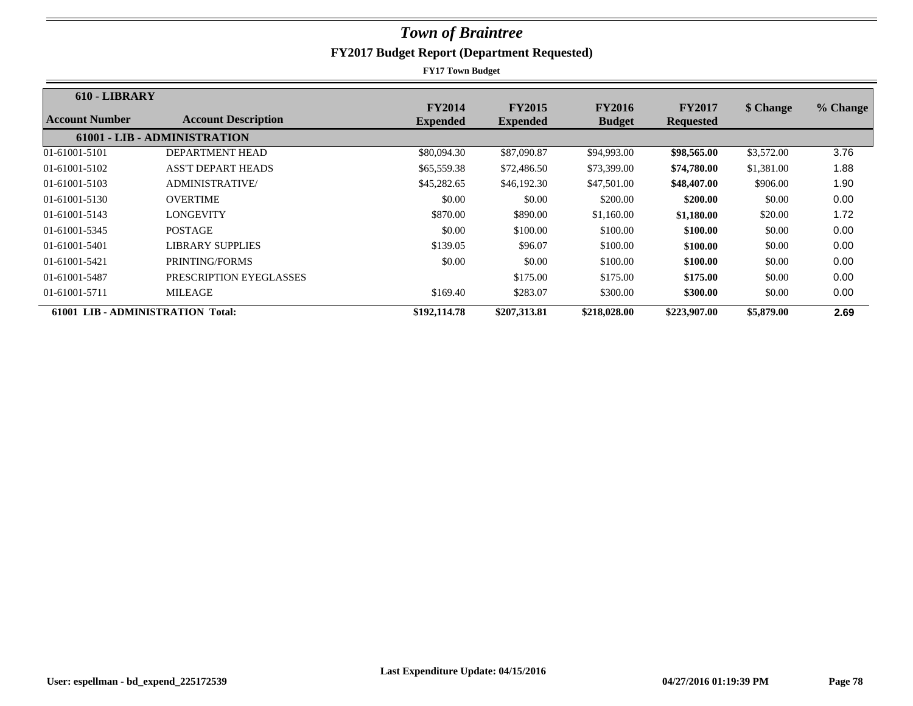| 610 - LIBRARY                     |                              |                                  |                                  |                                |                                   |            |          |
|-----------------------------------|------------------------------|----------------------------------|----------------------------------|--------------------------------|-----------------------------------|------------|----------|
| Account Number                    | <b>Account Description</b>   | <b>FY2014</b><br><b>Expended</b> | <b>FY2015</b><br><b>Expended</b> | <b>FY2016</b><br><b>Budget</b> | <b>FY2017</b><br><b>Requested</b> | \$ Change  | % Change |
|                                   | 61001 - LIB - ADMINISTRATION |                                  |                                  |                                |                                   |            |          |
| 01-61001-5101                     | <b>DEPARTMENT HEAD</b>       | \$80,094.30                      | \$87,090.87                      | \$94,993.00                    | \$98,565.00                       | \$3,572.00 | 3.76     |
| 01-61001-5102                     | <b>ASS'T DEPART HEADS</b>    | \$65,559.38                      | \$72,486.50                      | \$73,399.00                    | \$74,780.00                       | \$1,381.00 | 1.88     |
| 01-61001-5103                     | <b>ADMINISTRATIVE</b>        | \$45,282.65                      | \$46,192.30                      | \$47,501.00                    | \$48,407.00                       | \$906.00   | 1.90     |
| 01-61001-5130                     | <b>OVERTIME</b>              | \$0.00                           | \$0.00                           | \$200.00                       | \$200.00                          | \$0.00     | 0.00     |
| 01-61001-5143                     | <b>LONGEVITY</b>             | \$870.00                         | \$890.00                         | \$1,160.00                     | \$1,180.00                        | \$20.00    | 1.72     |
| 01-61001-5345                     | <b>POSTAGE</b>               | \$0.00                           | \$100.00                         | \$100.00                       | \$100.00                          | \$0.00     | 0.00     |
| 01-61001-5401                     | <b>LIBRARY SUPPLIES</b>      | \$139.05                         | \$96.07                          | \$100.00                       | \$100.00                          | \$0.00     | 0.00     |
| 01-61001-5421                     | PRINTING/FORMS               | \$0.00                           | \$0.00                           | \$100.00                       | \$100.00                          | \$0.00     | 0.00     |
| 01-61001-5487                     | PRESCRIPTION EYEGLASSES      |                                  | \$175.00                         | \$175.00                       | \$175.00                          | \$0.00     | 0.00     |
| 01-61001-5711                     | <b>MILEAGE</b>               | \$169.40                         | \$283.07                         | \$300.00                       | \$300.00                          | \$0.00     | 0.00     |
| 61001 LIB - ADMINISTRATION Total: |                              | \$192,114.78                     | \$207,313.81                     | \$218,028.00                   | \$223,907.00                      | \$5,879.00 | 2.69     |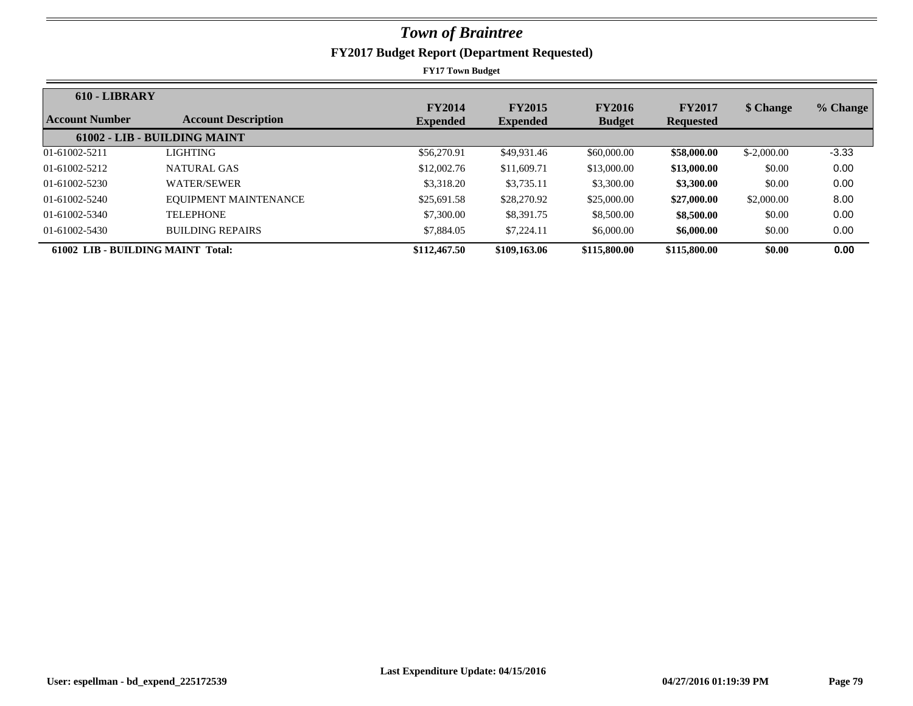| 610 - LIBRARY                     |                              |                 |                 |               |                  |              |          |
|-----------------------------------|------------------------------|-----------------|-----------------|---------------|------------------|--------------|----------|
| <b>Account Number</b>             | <b>Account Description</b>   | <b>FY2014</b>   | <b>FY2015</b>   | <b>FY2016</b> | <b>FY2017</b>    | \$ Change    | % Change |
|                                   |                              | <b>Expended</b> | <b>Expended</b> | <b>Budget</b> | <b>Requested</b> |              |          |
|                                   | 61002 - LIB - BUILDING MAINT |                 |                 |               |                  |              |          |
| 01-61002-5211                     | LIGHTING                     | \$56,270.91     | \$49,931.46     | \$60,000.00   | \$58,000.00      | $$-2,000,00$ | $-3.33$  |
| 01-61002-5212                     | NATURAL GAS                  | \$12,002.76     | \$11,609.71     | \$13,000.00   | \$13,000.00      | \$0.00       | 0.00     |
| 01-61002-5230                     | <b>WATER/SEWER</b>           | \$3,318.20      | \$3,735.11      | \$3,300.00    | \$3,300.00       | \$0.00       | 0.00     |
| 01-61002-5240                     | EOUIPMENT MAINTENANCE        | \$25,691.58     | \$28,270.92     | \$25,000.00   | \$27,000.00      | \$2,000.00   | 8.00     |
| 01-61002-5340                     | <b>TELEPHONE</b>             | \$7,300.00      | \$8,391.75      | \$8,500.00    | \$8,500.00       | \$0.00       | 0.00     |
| 01-61002-5430                     | <b>BUILDING REPAIRS</b>      | \$7,884.05      | \$7,224.11      | \$6,000.00    | \$6,000.00       | \$0.00       | 0.00     |
| 61002 LIB - BUILDING MAINT Total: |                              | \$112,467.50    | \$109,163.06    | \$115,800.00  | \$115,800.00     | \$0.00       | 0.00     |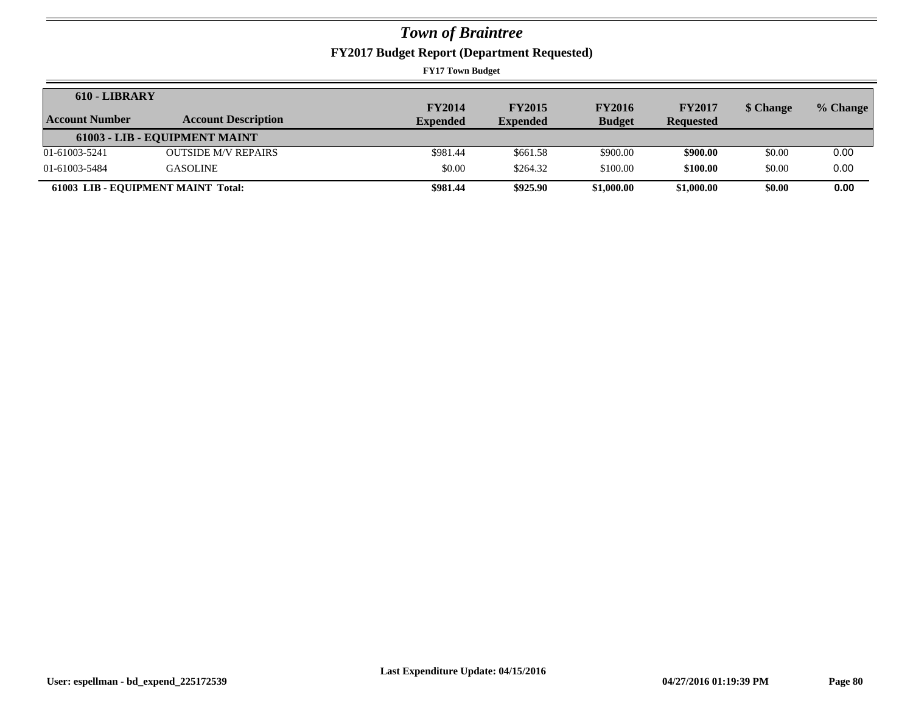**FY2017 Budget Report (Department Requested)**

| 610 - LIBRARY  |                                    | <b>FY2014</b>   | <b>FY2015</b>   | <b>FY2016</b> | <b>FY2017</b>    | \$ Change | % Change |
|----------------|------------------------------------|-----------------|-----------------|---------------|------------------|-----------|----------|
| Account Number | <b>Account Description</b>         | <b>Expended</b> | <b>Expended</b> | <b>Budget</b> | <b>Requested</b> |           |          |
|                | 61003 - LIB - EQUIPMENT MAINT      |                 |                 |               |                  |           |          |
| 01-61003-5241  | <b>OUTSIDE M/V REPAIRS</b>         | \$981.44        | \$661.58        | \$900.00      | \$900.00         | \$0.00    | 0.00     |
| 01-61003-5484  | <b>GASOLINE</b>                    | \$0.00          | \$264.32        | \$100.00      | \$100.00         | \$0.00    | 0.00     |
|                | 61003 LIB - EQUIPMENT MAINT Total: | \$981.44        | \$925.90        | \$1,000.00    | \$1,000.00       | \$0.00    | 0.00     |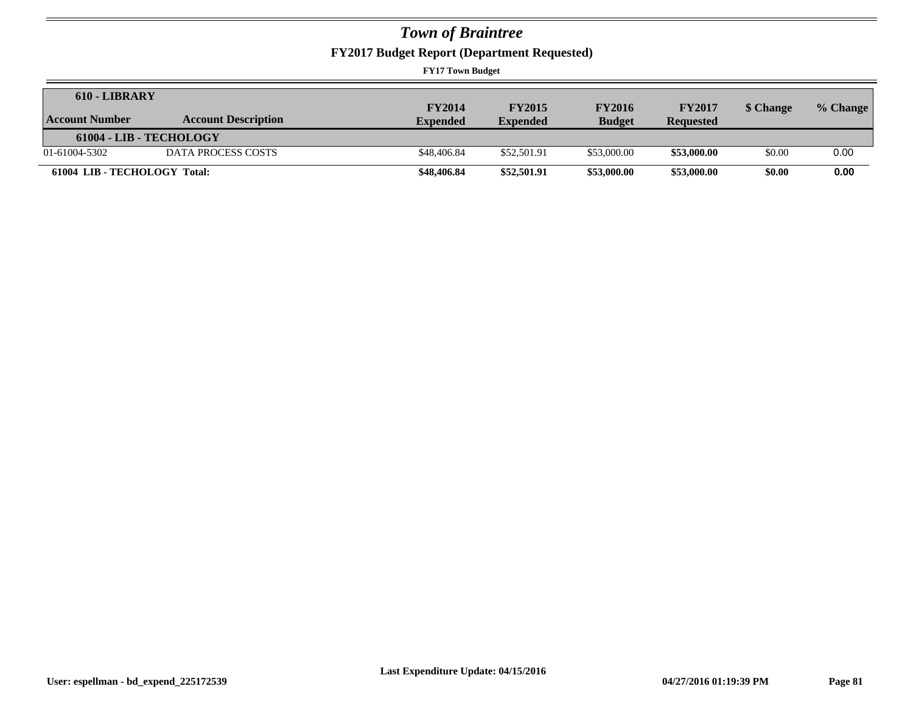**FY2017 Budget Report (Department Requested)**

| 610 - LIBRARY                |                            | <b>FY2014</b>   | <b>FY2015</b>   | <b>FY2016</b> | <b>FY2017</b>    | \$ Change | % Change |
|------------------------------|----------------------------|-----------------|-----------------|---------------|------------------|-----------|----------|
| <b>Account Number</b>        | <b>Account Description</b> | <b>Expended</b> | <b>Expended</b> | <b>Budget</b> | <b>Requested</b> |           |          |
| 61004 - LIB - TECHOLOGY      |                            |                 |                 |               |                  |           |          |
| 01-61004-5302                | DATA PROCESS COSTS         | \$48,406.84     | \$52,501.91     | \$53,000.00   | \$53,000.00      | \$0.00    | 0.00     |
| 61004 LIB - TECHOLOGY Total: |                            | \$48,406.84     | \$52,501.91     | \$53,000.00   | \$53,000.00      | \$0.00    | 0.00     |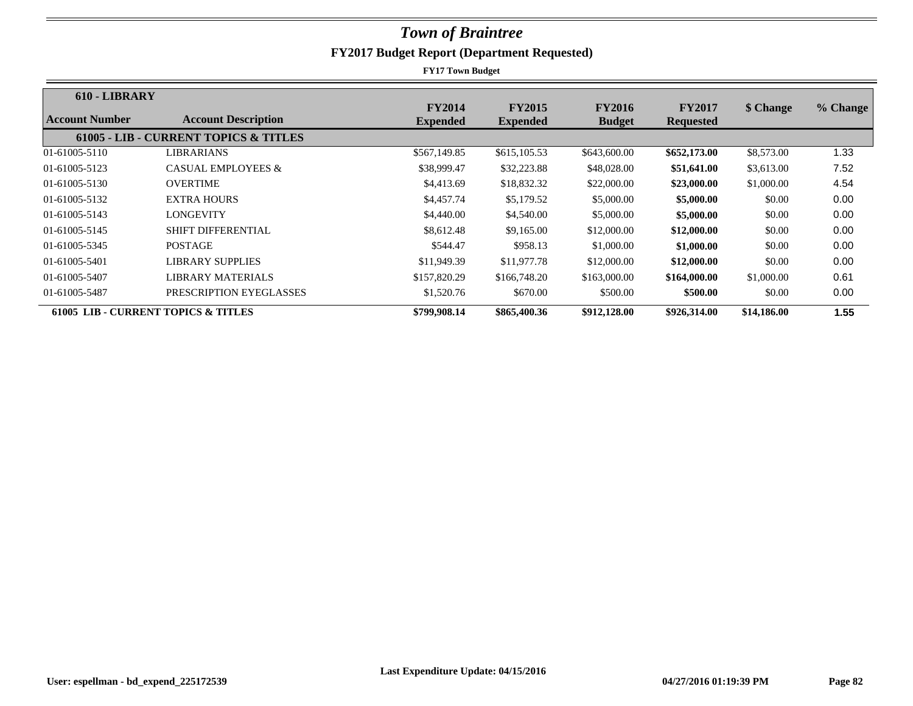| 610 - LIBRARY                                  |                                                  |                                  |                                  |                                |                                   |             |          |
|------------------------------------------------|--------------------------------------------------|----------------------------------|----------------------------------|--------------------------------|-----------------------------------|-------------|----------|
| Account Number                                 | <b>Account Description</b>                       | <b>FY2014</b><br><b>Expended</b> | <b>FY2015</b><br><b>Expended</b> | <b>FY2016</b><br><b>Budget</b> | <b>FY2017</b><br><b>Requested</b> | \$ Change   | % Change |
|                                                | <b>61005 - LIB - CURRENT TOPICS &amp; TITLES</b> |                                  |                                  |                                |                                   |             |          |
| 01-61005-5110                                  | <b>LIBRARIANS</b>                                | \$567,149.85                     | \$615,105.53                     | \$643,600.00                   | \$652,173.00                      | \$8,573.00  | 1.33     |
| 01-61005-5123                                  | <b>CASUAL EMPLOYEES &amp;</b>                    | \$38,999.47                      | \$32,223.88                      | \$48,028.00                    | \$51,641.00                       | \$3,613.00  | 7.52     |
| 01-61005-5130                                  | <b>OVERTIME</b>                                  | \$4,413.69                       | \$18,832.32                      | \$22,000.00                    | \$23,000.00                       | \$1,000.00  | 4.54     |
| 01-61005-5132                                  | <b>EXTRA HOURS</b>                               | \$4,457.74                       | \$5,179.52                       | \$5,000.00                     | \$5,000.00                        | \$0.00      | 0.00     |
| 01-61005-5143                                  | LONGEVITY                                        | \$4,440.00                       | \$4,540.00                       | \$5,000.00                     | \$5,000.00                        | \$0.00      | 0.00     |
| 01-61005-5145                                  | <b>SHIFT DIFFERENTIAL</b>                        | \$8,612.48                       | \$9,165.00                       | \$12,000.00                    | \$12,000.00                       | \$0.00      | 0.00     |
| 01-61005-5345                                  | <b>POSTAGE</b>                                   | \$544.47                         | \$958.13                         | \$1,000.00                     | \$1,000.00                        | \$0.00      | 0.00     |
| 01-61005-5401                                  | LIBRARY SUPPLIES                                 | \$11,949.39                      | \$11,977.78                      | \$12,000.00                    | \$12,000.00                       | \$0.00      | 0.00     |
| 01-61005-5407                                  | LIBRARY MATERIALS                                | \$157,820.29                     | \$166,748.20                     | \$163,000.00                   | \$164,000.00                      | \$1,000.00  | 0.61     |
| 01-61005-5487                                  | PRESCRIPTION EYEGLASSES                          | \$1,520.76                       | \$670.00                         | \$500.00                       | \$500.00                          | \$0.00      | 0.00     |
| <b>61005 LIB - CURRENT TOPICS &amp; TITLES</b> |                                                  | \$799,908.14                     | \$865,400.36                     | \$912,128.00                   | \$926,314.00                      | \$14,186.00 | 1.55     |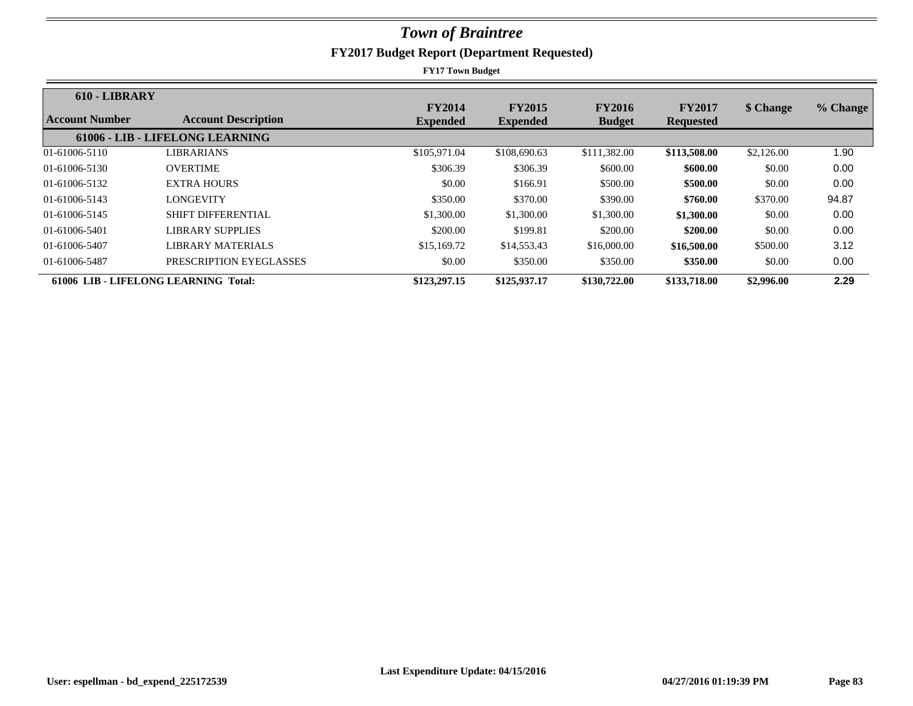| 610 - LIBRARY  |                                      | <b>FY2014</b>   | <b>FY2015</b>   | <b>FY2016</b> | <b>FY2017</b>    | \$ Change  | % Change |
|----------------|--------------------------------------|-----------------|-----------------|---------------|------------------|------------|----------|
| Account Number | <b>Account Description</b>           | <b>Expended</b> | <b>Expended</b> | <b>Budget</b> | <b>Requested</b> |            |          |
|                | 61006 - LIB - LIFELONG LEARNING      |                 |                 |               |                  |            |          |
| 01-61006-5110  | LIBRARIANS                           | \$105,971.04    | \$108,690.63    | \$111,382.00  | \$113,508.00     | \$2,126.00 | 1.90     |
| 01-61006-5130  | <b>OVERTIME</b>                      | \$306.39        | \$306.39        | \$600.00      | \$600.00         | \$0.00     | 0.00     |
| 01-61006-5132  | <b>EXTRA HOURS</b>                   | \$0.00          | \$166.91        | \$500.00      | \$500.00         | \$0.00     | 0.00     |
| 01-61006-5143  | <b>LONGEVITY</b>                     | \$350.00        | \$370.00        | \$390.00      | \$760.00         | \$370.00   | 94.87    |
| 01-61006-5145  | <b>SHIFT DIFFERENTIAL</b>            | \$1,300.00      | \$1,300.00      | \$1,300.00    | \$1,300.00       | \$0.00     | 0.00     |
| 01-61006-5401  | LIBRARY SUPPLIES                     | \$200.00        | \$199.81        | \$200.00      | \$200.00         | \$0.00     | 0.00     |
| 01-61006-5407  | LIBRARY MATERIALS                    | \$15,169.72     | \$14,553.43     | \$16,000.00   | \$16,500.00      | \$500.00   | 3.12     |
| 01-61006-5487  | PRESCRIPTION EYEGLASSES              | \$0.00          | \$350.00        | \$350.00      | \$350.00         | \$0.00     | 0.00     |
|                | 61006 LIB - LIFELONG LEARNING Total: | \$123,297.15    | \$125,937.17    | \$130,722.00  | \$133,718.00     | \$2,996.00 | 2.29     |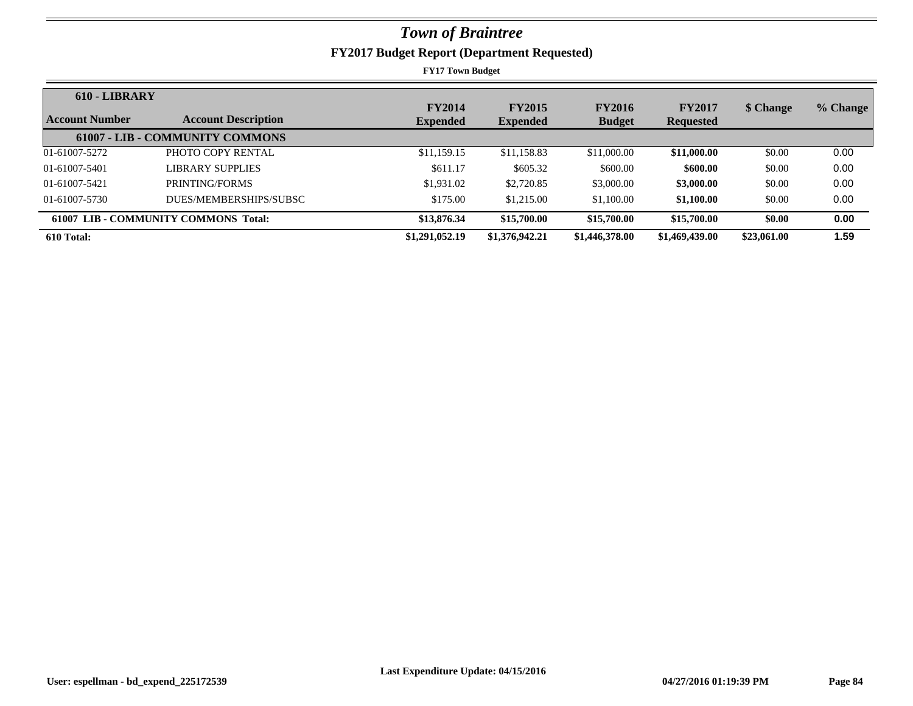| 610 - LIBRARY         |                                        |                 |                 |                |                  |             |          |
|-----------------------|----------------------------------------|-----------------|-----------------|----------------|------------------|-------------|----------|
|                       |                                        | <b>FY2014</b>   | <b>FY2015</b>   | <b>FY2016</b>  | <b>FY2017</b>    | \$ Change   | % Change |
| <b>Account Number</b> | <b>Account Description</b>             | <b>Expended</b> | <b>Expended</b> | <b>Budget</b>  | <b>Requested</b> |             |          |
|                       | <b>61007 - LIB - COMMUNITY COMMONS</b> |                 |                 |                |                  |             |          |
| 01-61007-5272         | PHOTO COPY RENTAL                      | \$11,159.15     | \$11,158.83     | \$11,000.00    | \$11,000.00      | \$0.00      | 0.00     |
| 01-61007-5401         | LIBRARY SUPPLIES                       | \$611.17        | \$605.32        | \$600.00       | \$600.00         | \$0.00      | 0.00     |
| 01-61007-5421         | PRINTING/FORMS                         | \$1,931.02      | \$2,720.85      | \$3,000.00     | \$3,000.00       | \$0.00      | 0.00     |
| 01-61007-5730         | DUES/MEMBERSHIPS/SUBSC                 | \$175.00        | \$1,215.00      | \$1,100.00     | \$1,100.00       | \$0.00      | 0.00     |
|                       | 61007 LIB - COMMUNITY COMMONS Total:   | \$13,876.34     | \$15,700.00     | \$15,700.00    | \$15,700.00      | \$0.00      | 0.00     |
| 610 Total:            |                                        | \$1,291,052.19  | \$1,376,942.21  | \$1,446,378.00 | \$1,469,439.00   | \$23,061.00 | 1.59     |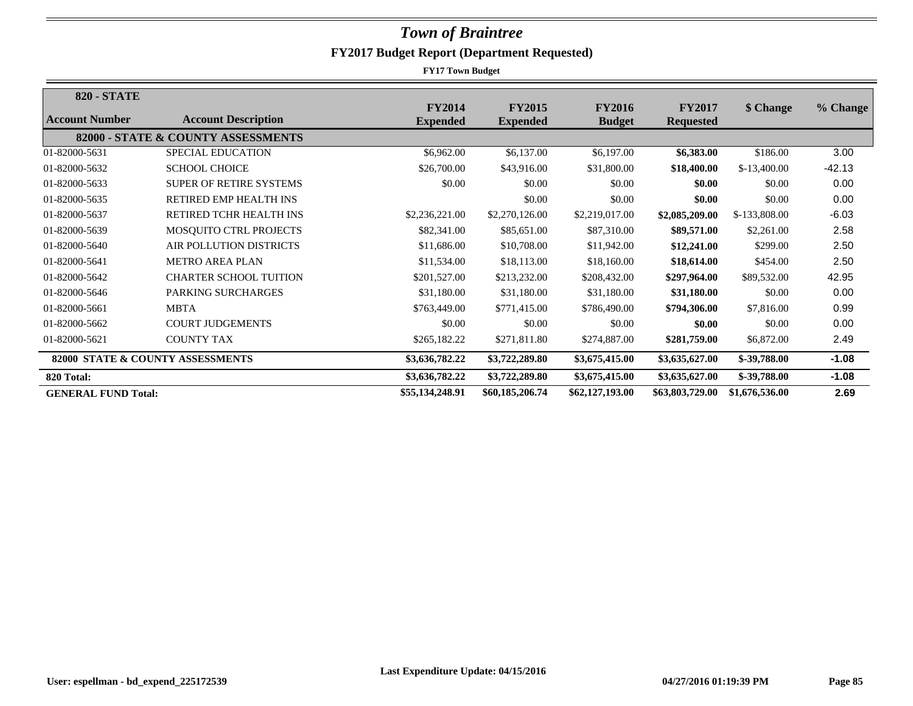| <b>820 - STATE</b>         |                                    |                                  |                                  |                                |                                   |                |          |
|----------------------------|------------------------------------|----------------------------------|----------------------------------|--------------------------------|-----------------------------------|----------------|----------|
| Account Number             | <b>Account Description</b>         | <b>FY2014</b><br><b>Expended</b> | <b>FY2015</b><br><b>Expended</b> | <b>FY2016</b><br><b>Budget</b> | <b>FY2017</b><br><b>Requested</b> | \$ Change      | % Change |
|                            | 82000 - STATE & COUNTY ASSESSMENTS |                                  |                                  |                                |                                   |                |          |
| 01-82000-5631              | SPECIAL EDUCATION                  | \$6,962.00                       | \$6,137.00                       | \$6,197.00                     | \$6,383.00                        | \$186.00       | 3.00     |
| 01-82000-5632              | <b>SCHOOL CHOICE</b>               | \$26,700.00                      | \$43,916.00                      | \$31,800.00                    | \$18,400.00                       | $$-13,400.00$  | $-42.13$ |
| 01-82000-5633              | <b>SUPER OF RETIRE SYSTEMS</b>     | \$0.00                           | \$0.00                           | \$0.00                         | \$0.00                            | \$0.00         | 0.00     |
| 01-82000-5635              | <b>RETIRED EMP HEALTH INS</b>      |                                  | \$0.00                           | \$0.00                         | \$0.00                            | \$0.00         | 0.00     |
| 01-82000-5637              | RETIRED TCHR HEALTH INS            | \$2,236,221.00                   | \$2,270,126.00                   | \$2,219,017.00                 | \$2,085,209.00                    | \$-133,808.00  | $-6.03$  |
| 01-82000-5639              | MOSQUITO CTRL PROJECTS             | \$82,341.00                      | \$85,651.00                      | \$87,310.00                    | \$89,571.00                       | \$2,261.00     | 2.58     |
| 01-82000-5640              | AIR POLLUTION DISTRICTS            | \$11,686.00                      | \$10,708.00                      | \$11,942.00                    | \$12,241.00                       | \$299.00       | 2.50     |
| 01-82000-5641              | <b>METRO AREA PLAN</b>             | \$11,534.00                      | \$18,113.00                      | \$18,160.00                    | \$18,614.00                       | \$454.00       | 2.50     |
| 01-82000-5642              | <b>CHARTER SCHOOL TUITION</b>      | \$201,527.00                     | \$213,232.00                     | \$208,432.00                   | \$297,964.00                      | \$89,532.00    | 42.95    |
| 01-82000-5646              | PARKING SURCHARGES                 | \$31,180.00                      | \$31,180.00                      | \$31,180.00                    | \$31,180.00                       | \$0.00         | 0.00     |
| 01-82000-5661              | <b>MBTA</b>                        | \$763,449.00                     | \$771,415.00                     | \$786,490.00                   | \$794,306.00                      | \$7,816.00     | 0.99     |
| 01-82000-5662              | <b>COURT JUDGEMENTS</b>            | \$0.00                           | \$0.00                           | \$0.00                         | \$0.00                            | \$0.00         | 0.00     |
| 01-82000-5621              | <b>COUNTY TAX</b>                  | \$265,182.22                     | \$271,811.80                     | \$274,887.00                   | \$281,759.00                      | \$6,872.00     | 2.49     |
|                            | 82000 STATE & COUNTY ASSESSMENTS   | \$3,636,782.22                   | \$3,722,289.80                   | \$3,675,415.00                 | \$3,635,627.00                    | \$-39,788.00   | $-1.08$  |
| 820 Total:                 |                                    | \$3,636,782.22                   | \$3,722,289.80                   | \$3,675,415.00                 | \$3,635,627.00                    | \$-39,788.00   | $-1.08$  |
| <b>GENERAL FUND Total:</b> |                                    | \$55,134,248.91                  | \$60,185,206.74                  | \$62,127,193.00                | \$63,803,729.00                   | \$1,676,536.00 | 2.69     |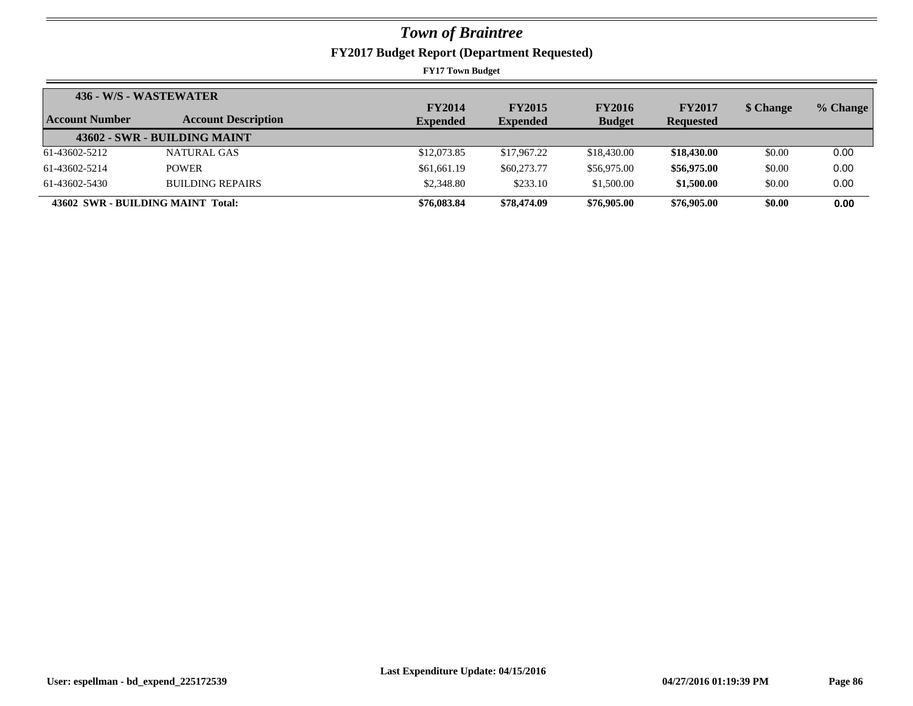| 436 - W/S - WASTEWATER            |                              |                 |                 |               |                  |           |          |
|-----------------------------------|------------------------------|-----------------|-----------------|---------------|------------------|-----------|----------|
|                                   |                              | <b>FY2014</b>   | <b>FY2015</b>   | <b>FY2016</b> | <b>FY2017</b>    | \$ Change | % Change |
| <b>Account Number</b>             | <b>Account Description</b>   | <b>Expended</b> | <b>Expended</b> | <b>Budget</b> | <b>Requested</b> |           |          |
|                                   | 43602 - SWR - BUILDING MAINT |                 |                 |               |                  |           |          |
| 61-43602-5212                     | NATURAL GAS                  | \$12,073.85     | \$17,967.22     | \$18,430.00   | \$18,430.00      | \$0.00    | 0.00     |
| 61-43602-5214                     | <b>POWER</b>                 | \$61,661.19     | \$60,273.77     | \$56,975.00   | \$56,975.00      | \$0.00    | 0.00     |
| 61-43602-5430                     | <b>BUILDING REPAIRS</b>      | \$2,348.80      | \$233.10        | \$1,500.00    | \$1,500.00       | \$0.00    | 0.00     |
| 43602 SWR - BUILDING MAINT Total: |                              | \$76,083.84     | \$78,474.09     | \$76,905.00   | \$76,905.00      | \$0.00    | 0.00     |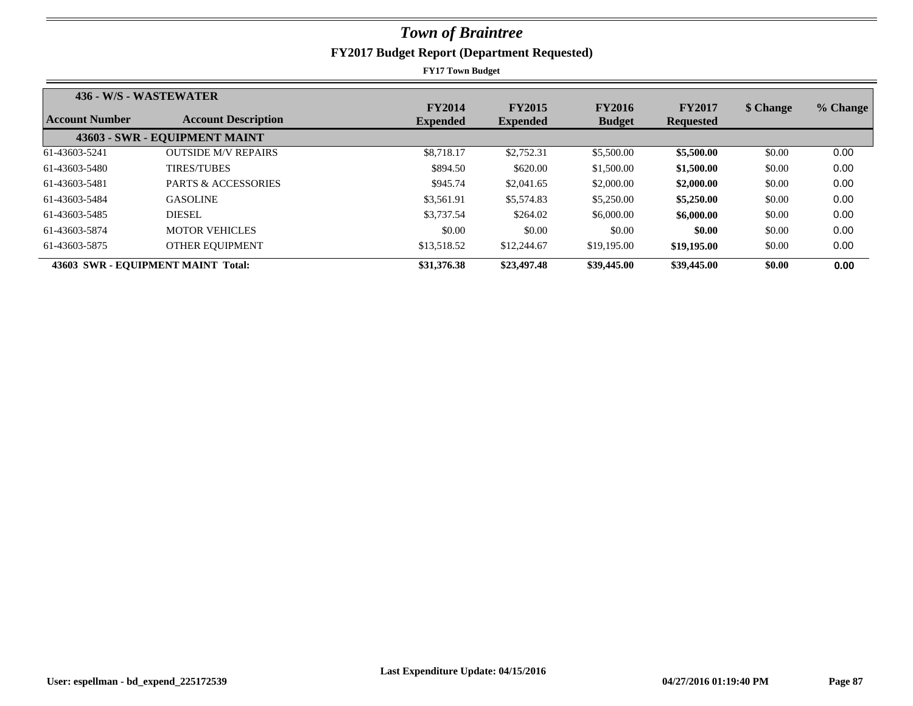| 436 - W/S - WASTEWATER |                                    |                 |                 |               |                  |           |          |
|------------------------|------------------------------------|-----------------|-----------------|---------------|------------------|-----------|----------|
|                        |                                    | <b>FY2014</b>   | <b>FY2015</b>   | <b>FY2016</b> | <b>FY2017</b>    | \$ Change | % Change |
| Account Number         | <b>Account Description</b>         | <b>Expended</b> | <b>Expended</b> | <b>Budget</b> | <b>Requested</b> |           |          |
|                        | 43603 - SWR - EQUIPMENT MAINT      |                 |                 |               |                  |           |          |
| 61-43603-5241          | <b>OUTSIDE M/V REPAIRS</b>         | \$8,718.17      | \$2,752.31      | \$5,500.00    | \$5,500.00       | \$0.00    | 0.00     |
| 61-43603-5480          | <b>TIRES/TUBES</b>                 | \$894.50        | \$620.00        | \$1,500.00    | \$1,500.00       | \$0.00    | 0.00     |
| 61-43603-5481          | <b>PARTS &amp; ACCESSORIES</b>     | \$945.74        | \$2,041.65      | \$2,000.00    | \$2,000.00       | \$0.00    | 0.00     |
| 61-43603-5484          | <b>GASOLINE</b>                    | \$3,561.91      | \$5,574.83      | \$5,250.00    | \$5,250.00       | \$0.00    | 0.00     |
| 61-43603-5485          | DIESEL.                            | \$3,737.54      | \$264.02        | \$6,000.00    | \$6,000.00       | \$0.00    | 0.00     |
| 61-43603-5874          | <b>MOTOR VEHICLES</b>              | \$0.00          | \$0.00          | \$0.00        | \$0.00           | \$0.00    | 0.00     |
| 61-43603-5875          | OTHER EQUIPMENT                    | \$13,518.52     | \$12,244.67     | \$19,195.00   | \$19,195.00      | \$0.00    | 0.00     |
|                        | 43603 SWR - EOUIPMENT MAINT Total: | \$31,376.38     | \$23,497.48     | \$39,445.00   | \$39,445.00      | \$0.00    | 0.00     |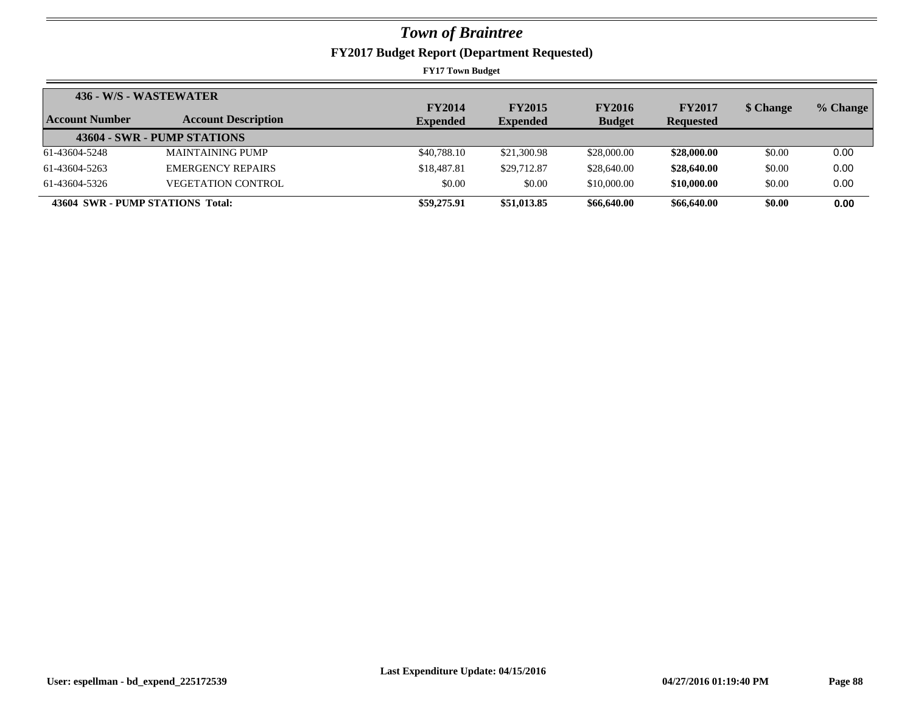|                                  | 436 - W/S - WASTEWATER      | <b>FY2014</b>   | <b>FY2015</b>   | <b>FY2016</b> | <b>FY2017</b>    | \$ Change | % Change |
|----------------------------------|-----------------------------|-----------------|-----------------|---------------|------------------|-----------|----------|
| Account Number                   | <b>Account Description</b>  | <b>Expended</b> | <b>Expended</b> | <b>Budget</b> | <b>Requested</b> |           |          |
|                                  | 43604 - SWR - PUMP STATIONS |                 |                 |               |                  |           |          |
| 61-43604-5248                    | <b>MAINTAINING PUMP</b>     | \$40,788.10     | \$21,300.98     | \$28,000.00   | \$28,000.00      | \$0.00    | 0.00     |
| 61-43604-5263                    | <b>EMERGENCY REPAIRS</b>    | \$18,487.81     | \$29,712.87     | \$28,640.00   | \$28,640.00      | \$0.00    | 0.00     |
| 61-43604-5326                    | <b>VEGETATION CONTROL</b>   | \$0.00          | \$0.00          | \$10,000.00   | \$10,000.00      | \$0.00    | 0.00     |
| 43604 SWR - PUMP STATIONS Total: |                             | \$59,275.91     | \$51,013.85     | \$66,640.00   | \$66,640.00      | \$0.00    | 0.00     |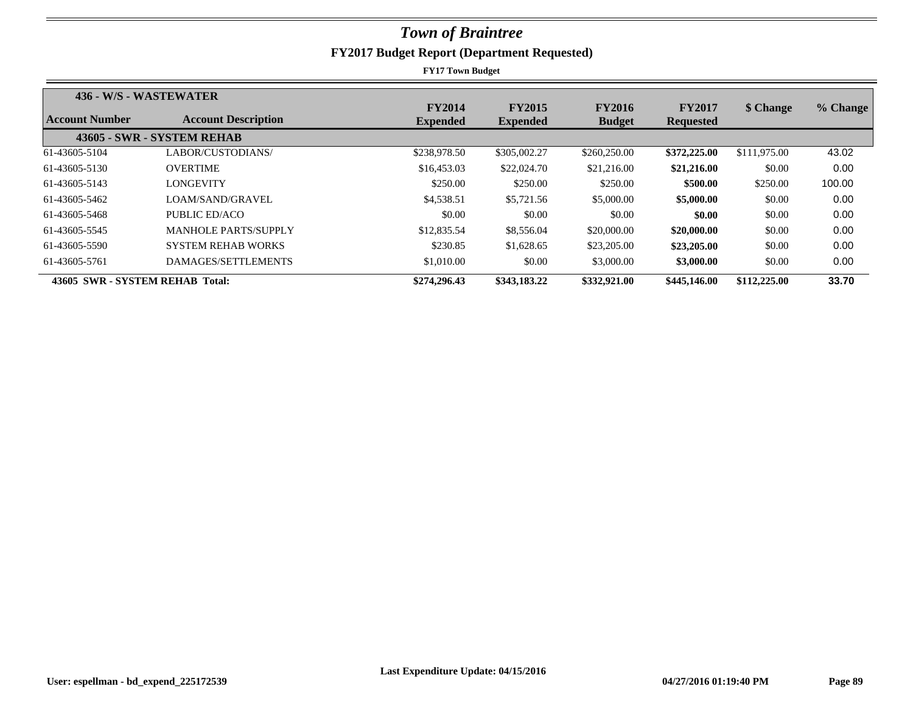| 436 - W/S - WASTEWATER          |                             |                                  |                                  |                                |                                   |              |          |
|---------------------------------|-----------------------------|----------------------------------|----------------------------------|--------------------------------|-----------------------------------|--------------|----------|
| Account Number                  | <b>Account Description</b>  | <b>FY2014</b><br><b>Expended</b> | <b>FY2015</b><br><b>Expended</b> | <b>FY2016</b><br><b>Budget</b> | <b>FY2017</b><br><b>Requested</b> | \$ Change    | % Change |
|                                 | 43605 - SWR - SYSTEM REHAB  |                                  |                                  |                                |                                   |              |          |
| 61-43605-5104                   | LABOR/CUSTODIANS/           | \$238,978.50                     | \$305,002.27                     | \$260,250.00                   | \$372,225.00                      | \$111,975.00 | 43.02    |
| 61-43605-5130                   | <b>OVERTIME</b>             | \$16,453.03                      | \$22,024.70                      | \$21,216.00                    | \$21,216.00                       | \$0.00       | 0.00     |
| 61-43605-5143                   | <b>LONGEVITY</b>            | \$250.00                         | \$250.00                         | \$250.00                       | \$500.00                          | \$250.00     | 100.00   |
| 61-43605-5462                   | LOAM/SAND/GRAVEL            | \$4,538.51                       | \$5,721.56                       | \$5,000.00                     | \$5,000.00                        | \$0.00       | 0.00     |
| 61-43605-5468                   | PUBLIC ED/ACO               | \$0.00                           | \$0.00                           | \$0.00                         | \$0.00                            | \$0.00       | 0.00     |
| 61-43605-5545                   | <b>MANHOLE PARTS/SUPPLY</b> | \$12,835.54                      | \$8,556.04                       | \$20,000.00                    | \$20,000.00                       | \$0.00       | 0.00     |
| 61-43605-5590                   | <b>SYSTEM REHAB WORKS</b>   | \$230.85                         | \$1,628.65                       | \$23,205.00                    | \$23,205.00                       | \$0.00       | 0.00     |
| 61-43605-5761                   | DAMAGES/SETTLEMENTS         | \$1,010.00                       | \$0.00                           | \$3,000.00                     | \$3,000.00                        | \$0.00       | 0.00     |
| 43605 SWR - SYSTEM REHAB Total: |                             | \$274,296.43                     | \$343,183,22                     | \$332,921.00                   | \$445,146.00                      | \$112,225,00 | 33.70    |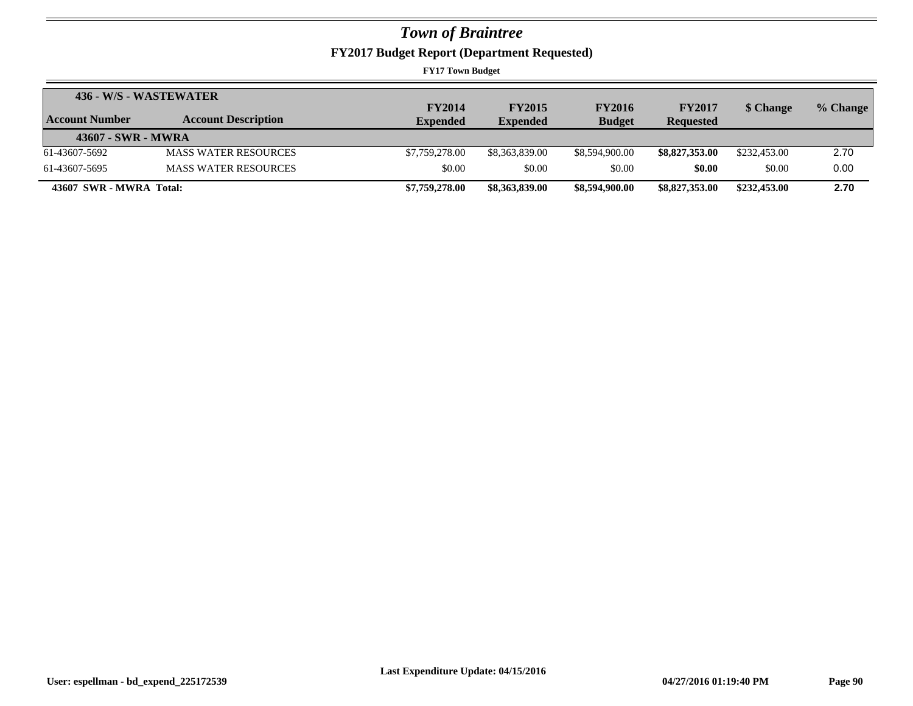**FY2017 Budget Report (Department Requested)**

| 436 - W/S - WASTEWATER  |                             |                 |                 |                |                  |              |          |
|-------------------------|-----------------------------|-----------------|-----------------|----------------|------------------|--------------|----------|
|                         |                             | <b>FY2014</b>   | <b>FY2015</b>   | <b>FY2016</b>  | <b>FY2017</b>    | \$ Change    | % Change |
| Account Number          | <b>Account Description</b>  | <b>Expended</b> | <b>Expended</b> | <b>Budget</b>  | <b>Requested</b> |              |          |
| 43607 - SWR - MWRA      |                             |                 |                 |                |                  |              |          |
| 61-43607-5692           | <b>MASS WATER RESOURCES</b> | \$7,759,278.00  | \$8,363,839.00  | \$8,594,900.00 | \$8,827,353,00   | \$232,453.00 | 2.70     |
| 61-43607-5695           | <b>MASS WATER RESOURCES</b> | \$0.00          | \$0.00          | \$0.00         | \$0.00           | \$0.00       | 0.00     |
| 43607 SWR - MWRA Total: |                             | \$7,759,278.00  | \$8,363,839.00  | \$8,594,900.00 | \$8,827,353.00   | \$232,453.00 | 2.70     |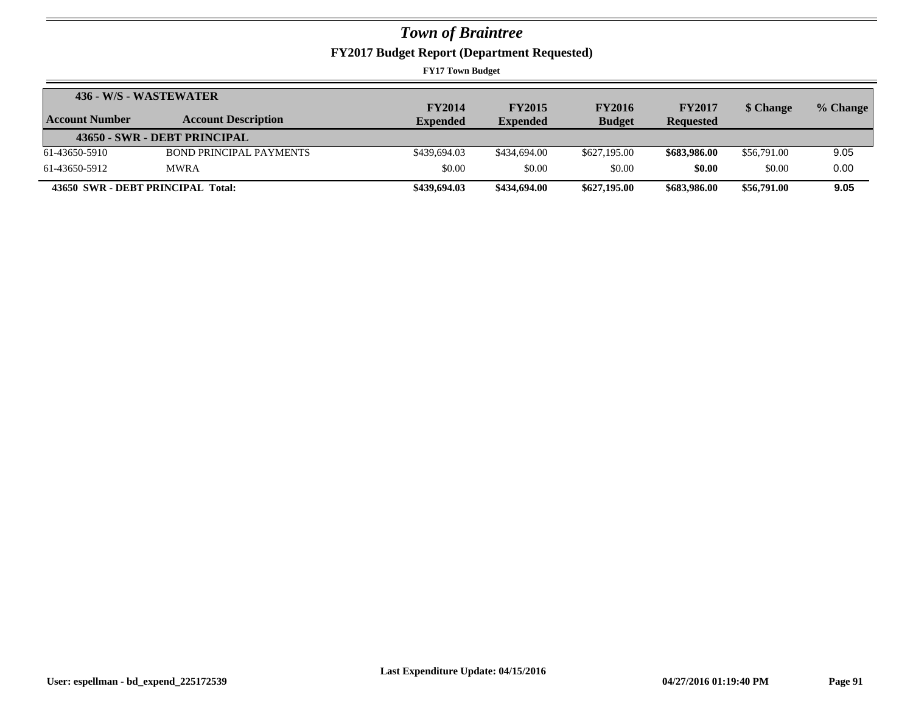**FY2017 Budget Report (Department Requested)**

| 436 - W/S - WASTEWATER            |                                |                 |                 |               |                  |             |          |
|-----------------------------------|--------------------------------|-----------------|-----------------|---------------|------------------|-------------|----------|
|                                   |                                | <b>FY2014</b>   | <b>FY2015</b>   | <b>FY2016</b> | <b>FY2017</b>    | \$ Change   | % Change |
| Account Number                    | <b>Account Description</b>     | <b>Expended</b> | <b>Expended</b> | <b>Budget</b> | <b>Requested</b> |             |          |
|                                   | 43650 - SWR - DEBT PRINCIPAL   |                 |                 |               |                  |             |          |
| 61-43650-5910                     | <b>BOND PRINCIPAL PAYMENTS</b> | \$439,694.03    | \$434,694.00    | \$627,195.00  | \$683,986.00     | \$56,791.00 | 9.05     |
| 61-43650-5912                     | <b>MWRA</b>                    | \$0.00          | \$0.00          | \$0.00        | \$0.00           | \$0.00      | 0.00     |
| 43650 SWR - DEBT PRINCIPAL Total: |                                | \$439,694.03    | \$434,694.00    | \$627,195.00  | \$683,986.00     | \$56,791.00 | 9.05     |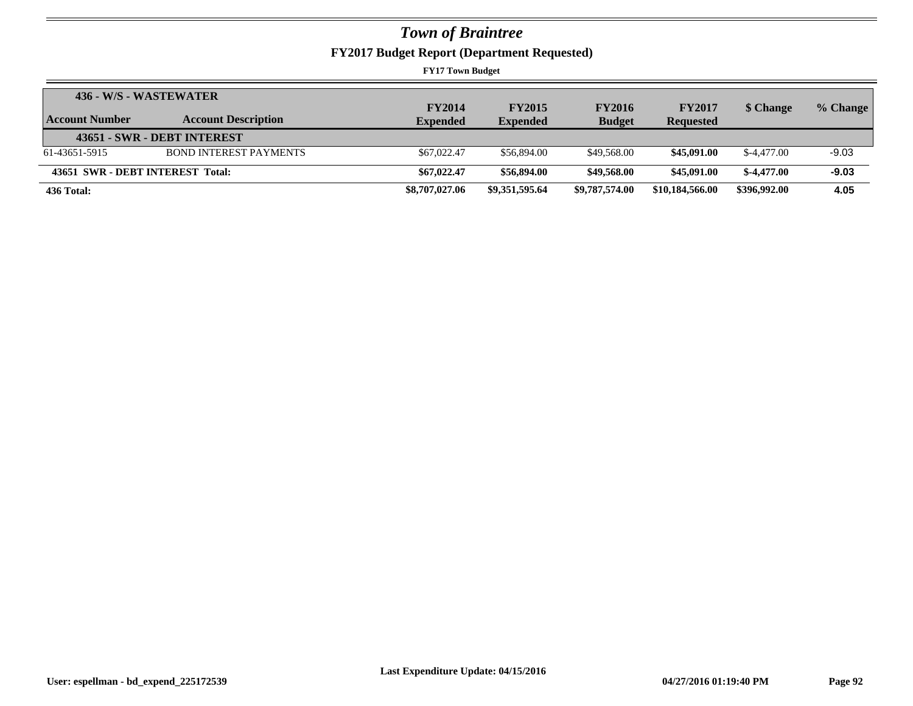**FY2017 Budget Report (Department Requested)**

|                | 436 - W/S - WASTEWATER           |                                  |                                  |                                |                                   |              |          |
|----------------|----------------------------------|----------------------------------|----------------------------------|--------------------------------|-----------------------------------|--------------|----------|
| Account Number | <b>Account Description</b>       | <b>FY2014</b><br><b>Expended</b> | <b>FY2015</b><br><b>Expended</b> | <b>FY2016</b><br><b>Budget</b> | <b>FY2017</b><br><b>Requested</b> | \$ Change    | % Change |
|                | 43651 - SWR - DEBT INTEREST      |                                  |                                  |                                |                                   |              |          |
| 61-43651-5915  | <b>BOND INTEREST PAYMENTS</b>    | \$67,022.47                      | \$56,894.00                      | \$49,568.00                    | \$45,091.00                       | \$-4,477.00  | $-9.03$  |
|                | 43651 SWR - DEBT INTEREST Total: | \$67,022.47                      | \$56,894.00                      | \$49,568.00                    | \$45,091.00                       | $$-4.477.00$ | $-9.03$  |
| 436 Total:     |                                  | \$8,707,027.06                   | \$9,351,595.64                   | \$9,787,574.00                 | \$10,184,566.00                   | \$396,992.00 | 4.05     |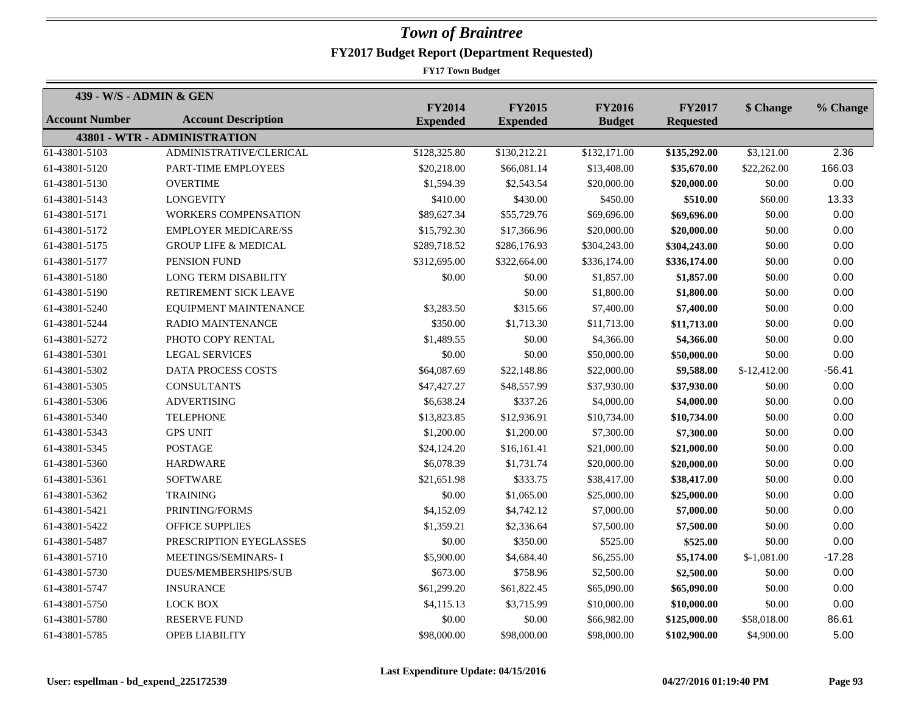| 439 - W/S - ADMIN & GEN |                                 | <b>FY2014</b>   | <b>FY2015</b>   | <b>FY2016</b> | <b>FY2017</b>    |               |          |
|-------------------------|---------------------------------|-----------------|-----------------|---------------|------------------|---------------|----------|
| <b>Account Number</b>   | <b>Account Description</b>      | <b>Expended</b> | <b>Expended</b> | <b>Budget</b> | <b>Requested</b> | \$ Change     | % Change |
|                         | 43801 - WTR - ADMINISTRATION    |                 |                 |               |                  |               |          |
| $61-43801-5103$         | ADMINISTRATIVE/CLERICAL         | \$128,325.80    | \$130,212.21    | \$132,171.00  | \$135,292.00     | \$3,121.00    | 2.36     |
| 61-43801-5120           | PART-TIME EMPLOYEES             | \$20,218.00     | \$66,081.14     | \$13,408.00   | \$35,670.00      | \$22,262.00   | 166.03   |
| 61-43801-5130           | <b>OVERTIME</b>                 | \$1,594.39      | \$2,543.54      | \$20,000.00   | \$20,000.00      | \$0.00        | 0.00     |
| 61-43801-5143           | <b>LONGEVITY</b>                | \$410.00        | \$430.00        | \$450.00      | \$510.00         | \$60.00       | 13.33    |
| 61-43801-5171           | WORKERS COMPENSATION            | \$89,627.34     | \$55,729.76     | \$69,696.00   | \$69,696.00      | \$0.00        | 0.00     |
| 61-43801-5172           | <b>EMPLOYER MEDICARE/SS</b>     | \$15,792.30     | \$17,366.96     | \$20,000.00   | \$20,000.00      | \$0.00        | 0.00     |
| 61-43801-5175           | <b>GROUP LIFE &amp; MEDICAL</b> | \$289,718.52    | \$286,176.93    | \$304,243.00  | \$304,243.00     | \$0.00        | 0.00     |
| 61-43801-5177           | PENSION FUND                    | \$312,695.00    | \$322,664.00    | \$336,174.00  | \$336,174.00     | \$0.00        | 0.00     |
| 61-43801-5180           | <b>LONG TERM DISABILITY</b>     | \$0.00          | \$0.00          | \$1,857.00    | \$1,857.00       | \$0.00        | 0.00     |
| 61-43801-5190           | RETIREMENT SICK LEAVE           |                 | \$0.00          | \$1,800.00    | \$1,800.00       | \$0.00        | 0.00     |
| 61-43801-5240           | EQUIPMENT MAINTENANCE           | \$3,283.50      | \$315.66        | \$7,400.00    | \$7,400.00       | \$0.00        | 0.00     |
| 61-43801-5244           | <b>RADIO MAINTENANCE</b>        | \$350.00        | \$1,713.30      | \$11,713.00   | \$11,713.00      | \$0.00        | 0.00     |
| 61-43801-5272           | PHOTO COPY RENTAL               | \$1,489.55      | \$0.00          | \$4,366.00    | \$4,366.00       | \$0.00        | 0.00     |
| 61-43801-5301           | <b>LEGAL SERVICES</b>           | \$0.00          | \$0.00          | \$50,000.00   | \$50,000.00      | \$0.00        | 0.00     |
| 61-43801-5302           | <b>DATA PROCESS COSTS</b>       | \$64,087.69     | \$22,148.86     | \$22,000.00   | \$9,588.00       | $$-12,412.00$ | $-56.41$ |
| 61-43801-5305           | <b>CONSULTANTS</b>              | \$47,427.27     | \$48,557.99     | \$37,930.00   | \$37,930.00      | \$0.00        | 0.00     |
| 61-43801-5306           | <b>ADVERTISING</b>              | \$6,638.24      | \$337.26        | \$4,000.00    | \$4,000.00       | \$0.00        | 0.00     |
| 61-43801-5340           | <b>TELEPHONE</b>                | \$13,823.85     | \$12,936.91     | \$10,734.00   | \$10,734.00      | \$0.00        | 0.00     |
| 61-43801-5343           | <b>GPS UNIT</b>                 | \$1,200.00      | \$1,200.00      | \$7,300.00    | \$7,300.00       | \$0.00        | 0.00     |
| 61-43801-5345           | <b>POSTAGE</b>                  | \$24,124.20     | \$16,161.41     | \$21,000.00   | \$21,000.00      | \$0.00        | 0.00     |
| 61-43801-5360           | <b>HARDWARE</b>                 | \$6,078.39      | \$1,731.74      | \$20,000.00   | \$20,000.00      | \$0.00        | 0.00     |
| 61-43801-5361           | <b>SOFTWARE</b>                 | \$21,651.98     | \$333.75        | \$38,417.00   | \$38,417.00      | \$0.00        | 0.00     |
| 61-43801-5362           | <b>TRAINING</b>                 | \$0.00          | \$1,065.00      | \$25,000.00   | \$25,000.00      | \$0.00        | 0.00     |
| 61-43801-5421           | PRINTING/FORMS                  | \$4,152.09      | \$4,742.12      | \$7,000.00    | \$7,000.00       | \$0.00        | 0.00     |
| 61-43801-5422           | <b>OFFICE SUPPLIES</b>          | \$1,359.21      | \$2,336.64      | \$7,500.00    | \$7,500.00       | \$0.00        | 0.00     |
| 61-43801-5487           | PRESCRIPTION EYEGLASSES         | \$0.00          | \$350.00        | \$525.00      | \$525.00         | \$0.00        | 0.00     |
| 61-43801-5710           | MEETINGS/SEMINARS-I             | \$5,900.00      | \$4,684.40      | \$6,255.00    | \$5,174.00       | $$-1,081.00$  | $-17.28$ |
| 61-43801-5730           | <b>DUES/MEMBERSHIPS/SUB</b>     | \$673.00        | \$758.96        | \$2,500.00    | \$2,500.00       | \$0.00        | 0.00     |
| 61-43801-5747           | <b>INSURANCE</b>                | \$61,299.20     | \$61,822.45     | \$65,090.00   | \$65,090.00      | \$0.00        | 0.00     |
| 61-43801-5750           | <b>LOCK BOX</b>                 | \$4,115.13      | \$3,715.99      | \$10,000.00   | \$10,000.00      | \$0.00        | 0.00     |
| 61-43801-5780           | <b>RESERVE FUND</b>             | \$0.00          | \$0.00          | \$66,982.00   | \$125,000.00     | \$58,018.00   | 86.61    |
| 61-43801-5785           | <b>OPEB LIABILITY</b>           | \$98,000.00     | \$98,000.00     | \$98,000.00   | \$102,900.00     | \$4,900.00    | 5.00     |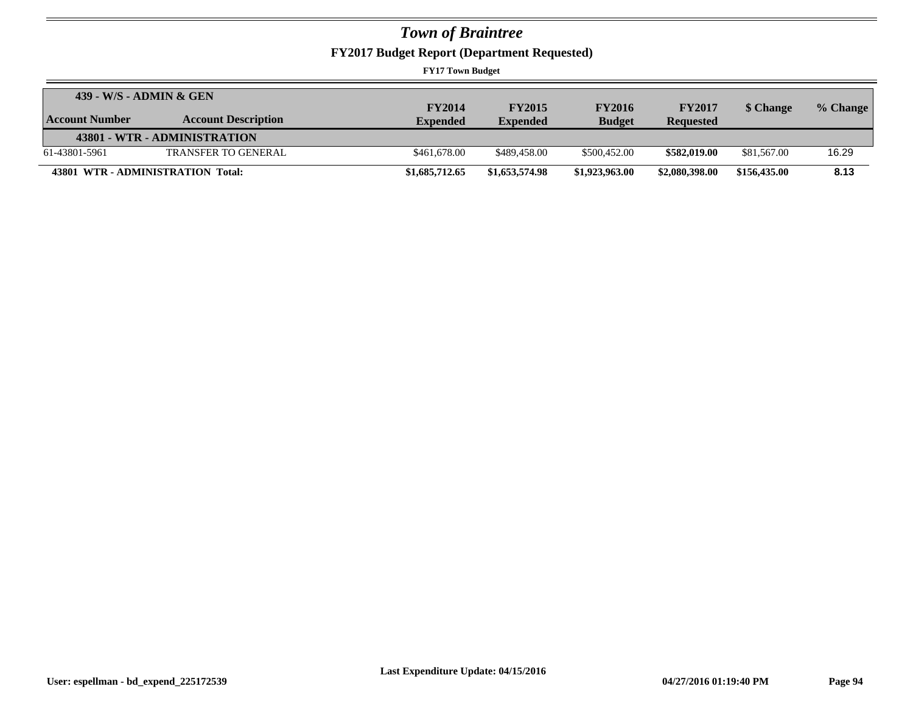**FY2017 Budget Report (Department Requested)**

| 439 - W/S - ADMIN & GEN |                                   |                 |                 |                |                  |              |          |
|-------------------------|-----------------------------------|-----------------|-----------------|----------------|------------------|--------------|----------|
|                         |                                   | <b>FY2014</b>   | <b>FY2015</b>   | <b>FY2016</b>  | <b>FY2017</b>    | \$ Change    | % Change |
| <b>Account Number</b>   | <b>Account Description</b>        | <b>Expended</b> | <b>Expended</b> | <b>Budget</b>  | <b>Requested</b> |              |          |
|                         | 43801 - WTR - ADMINISTRATION      |                 |                 |                |                  |              |          |
| 61-43801-5961           | <b>TRANSFER TO GENERAL</b>        | \$461,678.00    | \$489,458.00    | \$500,452.00   | \$582,019.00     | \$81,567.00  | 16.29    |
|                         | 43801 WTR - ADMINISTRATION Total: | \$1,685,712.65  | \$1,653,574.98  | \$1,923,963.00 | \$2,080,398.00   | \$156,435.00 | 8.13     |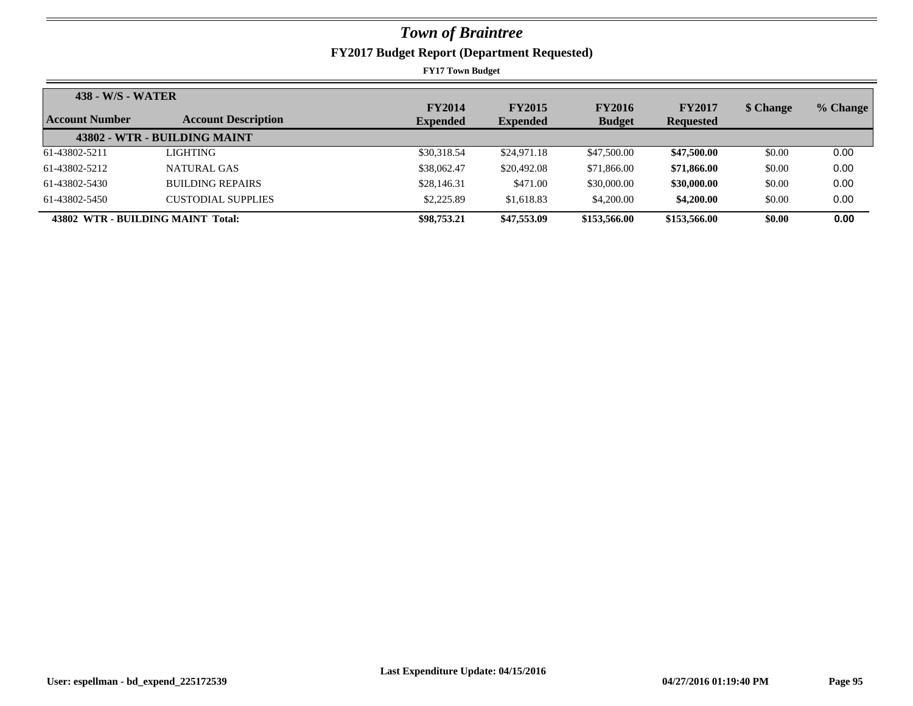| 438 - W/S - WATER |                                   |                 |                 |               |                  |           |          |
|-------------------|-----------------------------------|-----------------|-----------------|---------------|------------------|-----------|----------|
| Account Number    |                                   | <b>FY2014</b>   | <b>FY2015</b>   | <b>FY2016</b> | <b>FY2017</b>    | \$ Change | % Change |
|                   | <b>Account Description</b>        | <b>Expended</b> | <b>Expended</b> | <b>Budget</b> | <b>Requested</b> |           |          |
|                   | 43802 - WTR - BUILDING MAINT      |                 |                 |               |                  |           |          |
| 61-43802-5211     | LIGHTING                          | \$30,318.54     | \$24,971.18     | \$47,500.00   | \$47,500.00      | \$0.00    | 0.00     |
| 61-43802-5212     | NATURAL GAS                       | \$38,062.47     | \$20,492.08     | \$71,866.00   | \$71,866.00      | \$0.00    | 0.00     |
| 61-43802-5430     | <b>BUILDING REPAIRS</b>           | \$28,146.31     | \$471.00        | \$30,000.00   | \$30,000.00      | \$0.00    | 0.00     |
| 61-43802-5450     | CUSTODIAL SUPPLIES                | \$2,225.89      | \$1,618.83      | \$4,200.00    | \$4,200.00       | \$0.00    | 0.00     |
|                   | 43802 WTR - BUILDING MAINT Total: | \$98,753.21     | \$47,553.09     | \$153,566.00  | \$153,566.00     | \$0.00    | 0.00     |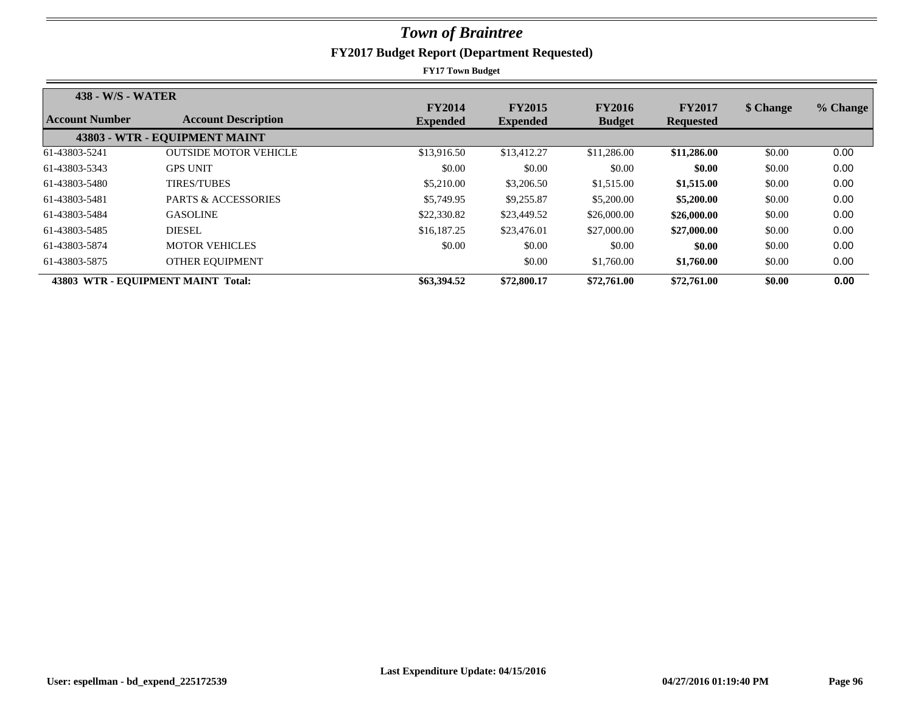| 438 - W/S - WATER |                                    | <b>FY2014</b>   | <b>FY2015</b>   | <b>FY2016</b> | <b>FY2017</b>    | \$ Change | % Change |
|-------------------|------------------------------------|-----------------|-----------------|---------------|------------------|-----------|----------|
| Account Number    | <b>Account Description</b>         | <b>Expended</b> | <b>Expended</b> | <b>Budget</b> | <b>Requested</b> |           |          |
|                   | 43803 - WTR - EQUIPMENT MAINT      |                 |                 |               |                  |           |          |
| 61-43803-5241     | <b>OUTSIDE MOTOR VEHICLE</b>       | \$13,916.50     | \$13,412.27     | \$11,286.00   | \$11,286.00      | \$0.00    | 0.00     |
| 61-43803-5343     | <b>GPS UNIT</b>                    | \$0.00          | \$0.00          | \$0.00        | \$0.00           | \$0.00    | 0.00     |
| 61-43803-5480     | <b>TIRES/TUBES</b>                 | \$5,210.00      | \$3,206.50      | \$1,515.00    | \$1,515.00       | \$0.00    | 0.00     |
| 61-43803-5481     | <b>PARTS &amp; ACCESSORIES</b>     | \$5,749.95      | \$9,255.87      | \$5,200.00    | \$5,200.00       | \$0.00    | 0.00     |
| 61-43803-5484     | <b>GASOLINE</b>                    | \$22,330.82     | \$23,449.52     | \$26,000.00   | \$26,000.00      | \$0.00    | 0.00     |
| 61-43803-5485     | <b>DIESEL</b>                      | \$16,187.25     | \$23,476.01     | \$27,000.00   | \$27,000.00      | \$0.00    | 0.00     |
| 61-43803-5874     | <b>MOTOR VEHICLES</b>              | \$0.00          | \$0.00          | \$0.00        | \$0.00           | \$0.00    | 0.00     |
| 61-43803-5875     | OTHER EQUIPMENT                    |                 | \$0.00          | \$1,760.00    | \$1,760.00       | \$0.00    | 0.00     |
|                   | 43803 WTR - EQUIPMENT MAINT Total: | \$63,394.52     | \$72,800.17     | \$72,761.00   | \$72,761.00      | \$0.00    | 0.00     |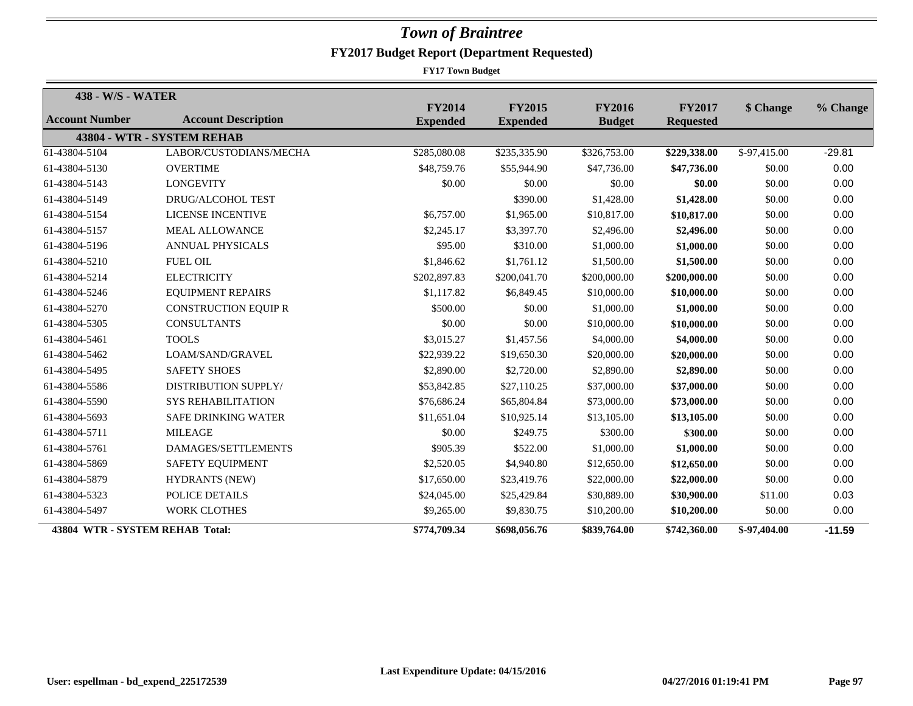| 438 - W/S - WATER               |                             |                                  |                                  |                                |                                   |              |          |
|---------------------------------|-----------------------------|----------------------------------|----------------------------------|--------------------------------|-----------------------------------|--------------|----------|
| Account Number                  | <b>Account Description</b>  | <b>FY2014</b><br><b>Expended</b> | <b>FY2015</b><br><b>Expended</b> | <b>FY2016</b><br><b>Budget</b> | <b>FY2017</b><br><b>Requested</b> | \$ Change    | % Change |
|                                 | 43804 - WTR - SYSTEM REHAB  |                                  |                                  |                                |                                   |              |          |
| 61-43804-5104                   | LABOR/CUSTODIANS/MECHA      | \$285,080.08                     | \$235,335.90                     | \$326,753.00                   | \$229,338.00                      | \$-97,415.00 | $-29.81$ |
| 61-43804-5130                   | <b>OVERTIME</b>             | \$48,759.76                      | \$55,944.90                      | \$47,736.00                    | \$47,736.00                       | \$0.00       | 0.00     |
| 61-43804-5143                   | <b>LONGEVITY</b>            | \$0.00                           | \$0.00                           | \$0.00                         | \$0.00                            | \$0.00       | 0.00     |
| 61-43804-5149                   | <b>DRUG/ALCOHOL TEST</b>    |                                  | \$390.00                         | \$1,428.00                     | \$1,428.00                        | \$0.00       | 0.00     |
| 61-43804-5154                   | <b>LICENSE INCENTIVE</b>    | \$6,757.00                       | \$1,965.00                       | \$10,817.00                    | \$10,817.00                       | \$0.00       | 0.00     |
| 61-43804-5157                   | <b>MEAL ALLOWANCE</b>       | \$2,245.17                       | \$3,397.70                       | \$2,496.00                     | \$2,496.00                        | \$0.00       | 0.00     |
| 61-43804-5196                   | <b>ANNUAL PHYSICALS</b>     | \$95.00                          | \$310.00                         | \$1,000.00                     | \$1,000.00                        | \$0.00       | 0.00     |
| 61-43804-5210                   | <b>FUEL OIL</b>             | \$1,846.62                       | \$1,761.12                       | \$1,500.00                     | \$1,500.00                        | \$0.00       | 0.00     |
| 61-43804-5214                   | <b>ELECTRICITY</b>          | \$202,897.83                     | \$200,041.70                     | \$200,000.00                   | \$200,000.00                      | \$0.00       | 0.00     |
| 61-43804-5246                   | <b>EQUIPMENT REPAIRS</b>    | \$1,117.82                       | \$6,849.45                       | \$10,000.00                    | \$10,000.00                       | \$0.00       | 0.00     |
| 61-43804-5270                   | <b>CONSTRUCTION EQUIP R</b> | \$500.00                         | \$0.00                           | \$1,000.00                     | \$1,000.00                        | \$0.00       | 0.00     |
| 61-43804-5305                   | <b>CONSULTANTS</b>          | \$0.00                           | \$0.00                           | \$10,000.00                    | \$10,000.00                       | \$0.00       | 0.00     |
| 61-43804-5461                   | <b>TOOLS</b>                | \$3,015.27                       | \$1,457.56                       | \$4,000.00                     | \$4,000.00                        | \$0.00       | 0.00     |
| 61-43804-5462                   | LOAM/SAND/GRAVEL            | \$22,939.22                      | \$19,650.30                      | \$20,000.00                    | \$20,000.00                       | \$0.00       | 0.00     |
| 61-43804-5495                   | <b>SAFETY SHOES</b>         | \$2,890.00                       | \$2,720.00                       | \$2,890.00                     | \$2,890.00                        | \$0.00       | 0.00     |
| 61-43804-5586                   | <b>DISTRIBUTION SUPPLY/</b> | \$53,842.85                      | \$27,110.25                      | \$37,000.00                    | \$37,000.00                       | \$0.00       | 0.00     |
| 61-43804-5590                   | <b>SYS REHABILITATION</b>   | \$76,686.24                      | \$65,804.84                      | \$73,000.00                    | \$73,000.00                       | \$0.00       | 0.00     |
| 61-43804-5693                   | <b>SAFE DRINKING WATER</b>  | \$11,651.04                      | \$10,925.14                      | \$13,105.00                    | \$13,105.00                       | \$0.00       | 0.00     |
| 61-43804-5711                   | <b>MILEAGE</b>              | \$0.00                           | \$249.75                         | \$300.00                       | \$300.00                          | \$0.00       | 0.00     |
| 61-43804-5761                   | DAMAGES/SETTLEMENTS         | \$905.39                         | \$522.00                         | \$1,000.00                     | \$1,000.00                        | \$0.00       | 0.00     |
| 61-43804-5869                   | SAFETY EQUIPMENT            | \$2,520.05                       | \$4,940.80                       | \$12,650.00                    | \$12,650.00                       | \$0.00       | 0.00     |
| 61-43804-5879                   | <b>HYDRANTS (NEW)</b>       | \$17,650.00                      | \$23,419.76                      | \$22,000.00                    | \$22,000.00                       | \$0.00       | 0.00     |
| 61-43804-5323                   | <b>POLICE DETAILS</b>       | \$24,045.00                      | \$25,429.84                      | \$30,889.00                    | \$30,900.00                       | \$11.00      | 0.03     |
| 61-43804-5497                   | <b>WORK CLOTHES</b>         | \$9,265.00                       | \$9,830.75                       | \$10,200.00                    | \$10,200.00                       | \$0.00       | 0.00     |
| 43804 WTR - SYSTEM REHAB Total: |                             | \$774,709.34                     | \$698,056.76                     | \$839,764.00                   | \$742,360.00                      | \$-97,404.00 | $-11.59$ |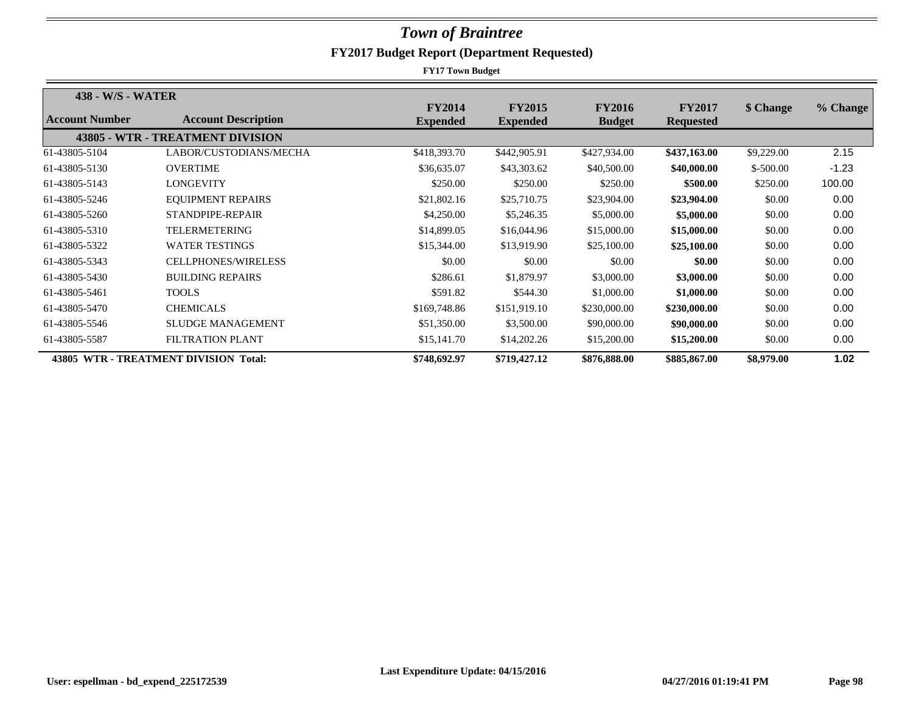| 438 - W/S - WATER     |                                       |                                  |                                  |                                |                                   |            |          |
|-----------------------|---------------------------------------|----------------------------------|----------------------------------|--------------------------------|-----------------------------------|------------|----------|
| <b>Account Number</b> | <b>Account Description</b>            | <b>FY2014</b><br><b>Expended</b> | <b>FY2015</b><br><b>Expended</b> | <b>FY2016</b><br><b>Budget</b> | <b>FY2017</b><br><b>Requested</b> | \$ Change  | % Change |
|                       | 43805 - WTR - TREATMENT DIVISION      |                                  |                                  |                                |                                   |            |          |
| 61-43805-5104         | LABOR/CUSTODIANS/MECHA                | \$418,393.70                     | \$442,905.91                     | \$427,934.00                   | \$437,163.00                      | \$9,229.00 | 2.15     |
| 61-43805-5130         | <b>OVERTIME</b>                       | \$36,635.07                      | \$43,303.62                      | \$40,500.00                    | \$40,000.00                       | $$-500.00$ | $-1.23$  |
| 61-43805-5143         | LONGEVITY                             | \$250.00                         | \$250.00                         | \$250.00                       | \$500.00                          | \$250.00   | 100.00   |
| 61-43805-5246         | <b>EQUIPMENT REPAIRS</b>              | \$21,802.16                      | \$25,710.75                      | \$23,904.00                    | \$23,904.00                       | \$0.00     | 0.00     |
| 61-43805-5260         | STANDPIPE-REPAIR                      | \$4,250.00                       | \$5,246.35                       | \$5,000.00                     | \$5,000.00                        | \$0.00     | 0.00     |
| 61-43805-5310         | TELERMETERING                         | \$14,899.05                      | \$16,044.96                      | \$15,000.00                    | \$15,000.00                       | \$0.00     | 0.00     |
| 61-43805-5322         | <b>WATER TESTINGS</b>                 | \$15,344.00                      | \$13,919.90                      | \$25,100.00                    | \$25,100.00                       | \$0.00     | 0.00     |
| 61-43805-5343         | <b>CELLPHONES/WIRELESS</b>            | \$0.00                           | \$0.00                           | \$0.00                         | \$0.00                            | \$0.00     | 0.00     |
| 61-43805-5430         | <b>BUILDING REPAIRS</b>               | \$286.61                         | \$1,879.97                       | \$3,000.00                     | \$3,000.00                        | \$0.00     | 0.00     |
| 61-43805-5461         | <b>TOOLS</b>                          | \$591.82                         | \$544.30                         | \$1,000.00                     | \$1,000.00                        | \$0.00     | 0.00     |
| 61-43805-5470         | <b>CHEMICALS</b>                      | \$169,748.86                     | \$151,919.10                     | \$230,000.00                   | \$230,000.00                      | \$0.00     | 0.00     |
| 61-43805-5546         | <b>SLUDGE MANAGEMENT</b>              | \$51,350.00                      | \$3,500.00                       | \$90,000.00                    | \$90,000.00                       | \$0.00     | 0.00     |
| 61-43805-5587         | <b>FILTRATION PLANT</b>               | \$15,141.70                      | \$14,202.26                      | \$15,200.00                    | \$15,200.00                       | \$0.00     | 0.00     |
|                       | 43805 WTR - TREATMENT DIVISION Total: | \$748,692.97                     | \$719,427.12                     | \$876,888.00                   | \$885,867.00                      | \$8,979.00 | 1.02     |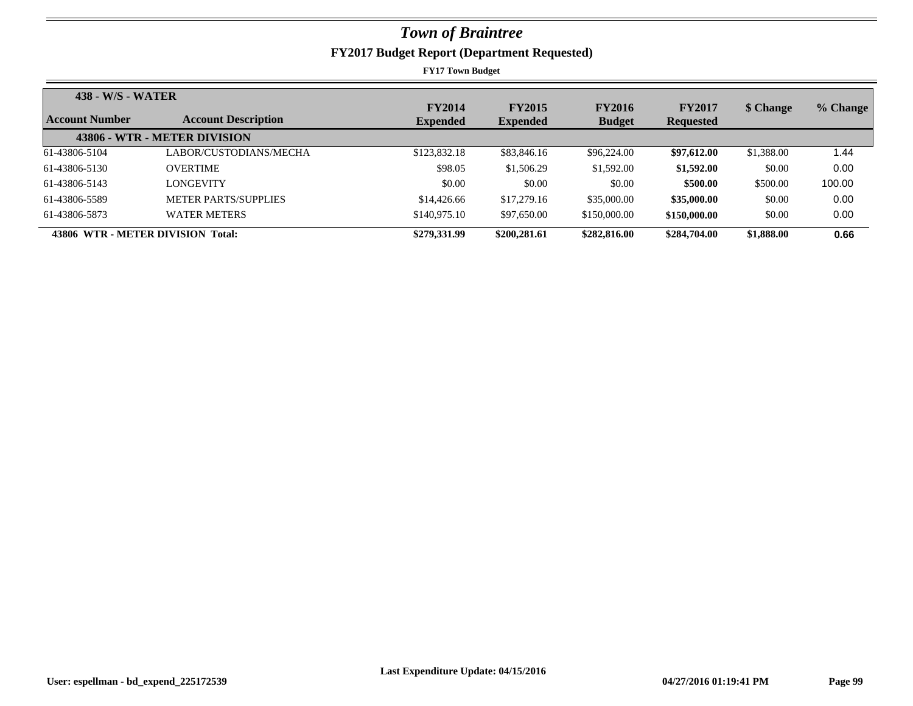| <b>438 - W/S - WATER</b> |                                   |               |                 |               |                  |            |          |  |
|--------------------------|-----------------------------------|---------------|-----------------|---------------|------------------|------------|----------|--|
|                          |                                   | <b>FY2014</b> | <b>FY2015</b>   | <b>FY2016</b> | <b>FY2017</b>    | \$ Change  | % Change |  |
| <b>Account Number</b>    | <b>Account Description</b>        | Expended      | <b>Expended</b> | <b>Budget</b> | <b>Requested</b> |            |          |  |
|                          | 43806 - WTR - METER DIVISION      |               |                 |               |                  |            |          |  |
| 61-43806-5104            | LABOR/CUSTODIANS/MECHA            | \$123,832.18  | \$83,846.16     | \$96,224.00   | \$97,612.00      | \$1,388.00 | 1.44     |  |
| 61-43806-5130            | <b>OVERTIME</b>                   | \$98.05       | \$1,506.29      | \$1,592.00    | \$1,592.00       | \$0.00     | 0.00     |  |
| 61-43806-5143            | <b>LONGEVITY</b>                  | \$0.00        | \$0.00          | \$0.00        | \$500.00         | \$500.00   | 100.00   |  |
| 61-43806-5589            | <b>METER PARTS/SUPPLIES</b>       | \$14,426.66   | \$17,279.16     | \$35,000.00   | \$35,000.00      | \$0.00     | 0.00     |  |
| 61-43806-5873            | <b>WATER METERS</b>               | \$140,975.10  | \$97,650.00     | \$150,000.00  | \$150,000.00     | \$0.00     | 0.00     |  |
|                          | 43806 WTR - METER DIVISION Total: | \$279,331.99  | \$200,281.61    | \$282,816.00  | \$284,704.00     | \$1,888.00 | 0.66     |  |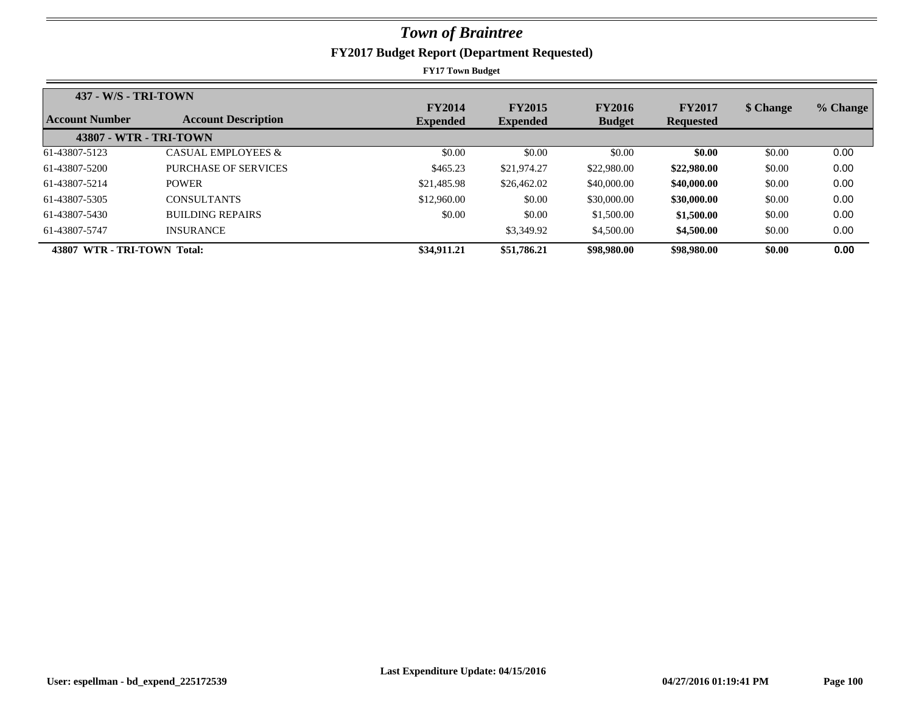| <b>437 - W/S - TRI-TOWN</b> |                            |                                  |                                  |                                |                                   |           |          |
|-----------------------------|----------------------------|----------------------------------|----------------------------------|--------------------------------|-----------------------------------|-----------|----------|
| Account Number              | <b>Account Description</b> | <b>FY2014</b><br><b>Expended</b> | <b>FY2015</b><br><b>Expended</b> | <b>FY2016</b><br><b>Budget</b> | <b>FY2017</b><br><b>Requested</b> | \$ Change | % Change |
| 43807 - WTR - TRI-TOWN      |                            |                                  |                                  |                                |                                   |           |          |
| 61-43807-5123               | CASUAL EMPLOYEES &         | \$0.00                           | \$0.00                           | \$0.00                         | \$0.00                            | \$0.00    | 0.00     |
| 61-43807-5200               | PURCHASE OF SERVICES       | \$465.23                         | \$21,974.27                      | \$22,980.00                    | \$22,980.00                       | \$0.00    | 0.00     |
| 61-43807-5214               | <b>POWER</b>               | \$21,485.98                      | \$26,462.02                      | \$40,000.00                    | \$40,000.00                       | \$0.00    | 0.00     |
| 61-43807-5305               | <b>CONSULTANTS</b>         | \$12,960.00                      | \$0.00                           | \$30,000.00                    | \$30,000.00                       | \$0.00    | 0.00     |
| 61-43807-5430               | <b>BUILDING REPAIRS</b>    | \$0.00                           | \$0.00                           | \$1,500.00                     | \$1,500.00                        | \$0.00    | 0.00     |
| 61-43807-5747               | <b>INSURANCE</b>           |                                  | \$3,349.92                       | \$4,500.00                     | \$4,500.00                        | \$0.00    | 0.00     |
| 43807 WTR - TRI-TOWN Total: |                            | \$34,911.21                      | \$51,786.21                      | \$98,980.00                    | \$98,980.00                       | \$0.00    | 0.00     |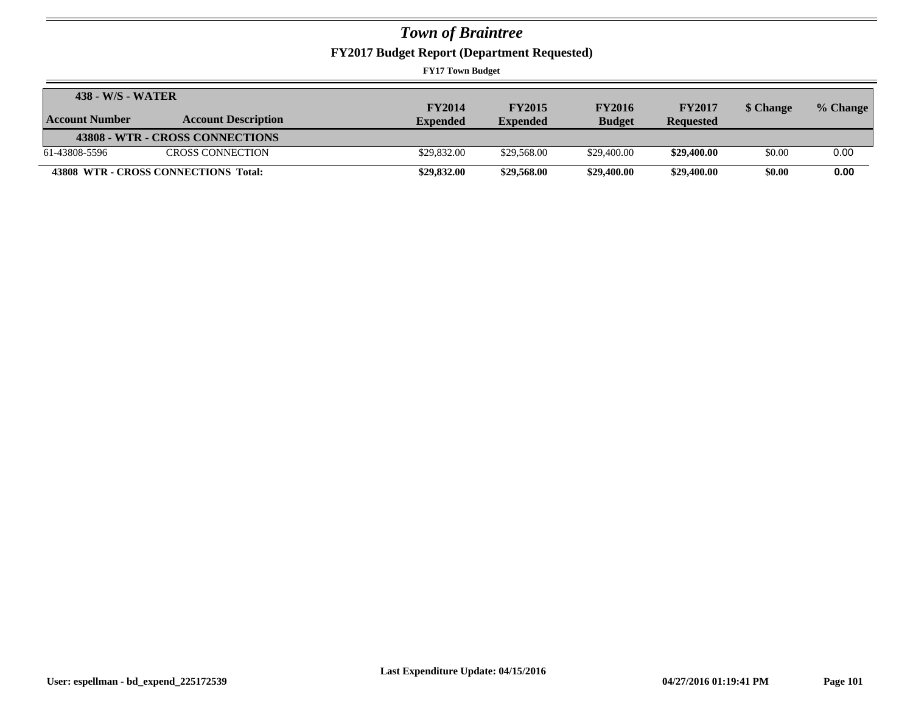**FY2017 Budget Report (Department Requested)**

| 438 - W/S - WATER |                                      |                 |                 |               |                  |           |          |
|-------------------|--------------------------------------|-----------------|-----------------|---------------|------------------|-----------|----------|
|                   |                                      | <b>FY2014</b>   | <b>FY2015</b>   | <b>FY2016</b> | <b>FY2017</b>    | \$ Change | % Change |
| Account Number    | <b>Account Description</b>           | <b>Expended</b> | <b>Expended</b> | <b>Budget</b> | <b>Requested</b> |           |          |
|                   | 43808 - WTR - CROSS CONNECTIONS      |                 |                 |               |                  |           |          |
| 61-43808-5596     | CROSS CONNECTION                     | \$29,832.00     | \$29,568.00     | \$29,400.00   | \$29,400.00      | \$0.00    | 0.00     |
|                   | 43808 WTR - CROSS CONNECTIONS Total: | \$29,832.00     | \$29,568.00     | \$29,400.00   | \$29,400.00      | \$0.00    | 0.00     |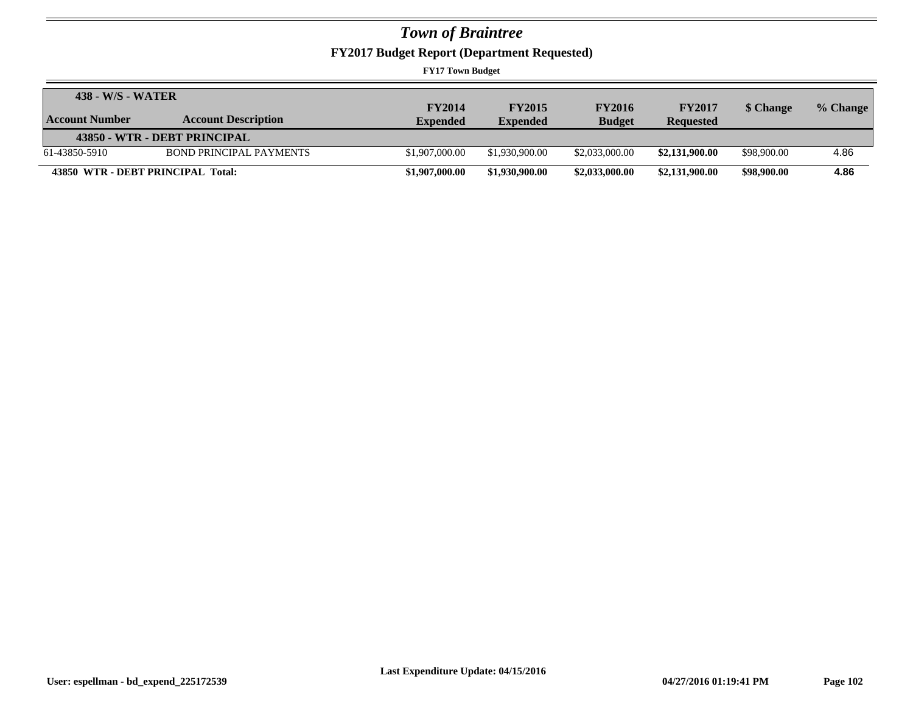**FY2017 Budget Report (Department Requested)**

| 438 - W/S - WATER                 |                                |                 |                 |                |                  |             |          |
|-----------------------------------|--------------------------------|-----------------|-----------------|----------------|------------------|-------------|----------|
|                                   |                                | <b>FY2014</b>   | <b>FY2015</b>   | <b>FY2016</b>  | <b>FY2017</b>    | \$ Change   | % Change |
| Account Number                    | <b>Account Description</b>     | <b>Expended</b> | <b>Expended</b> | <b>Budget</b>  | <b>Requested</b> |             |          |
|                                   | 43850 - WTR - DEBT PRINCIPAL   |                 |                 |                |                  |             |          |
| 61-43850-5910                     | <b>BOND PRINCIPAL PAYMENTS</b> | \$1,907,000.00  | \$1,930,900.00  | \$2,033,000.00 | \$2,131,900.00   | \$98,900.00 | 4.86     |
| 43850 WTR - DEBT PRINCIPAL Total: |                                | \$1,907,000.00  | \$1,930,900.00  | \$2,033,000.00 | \$2,131,900.00   | \$98,900.00 | 4.86     |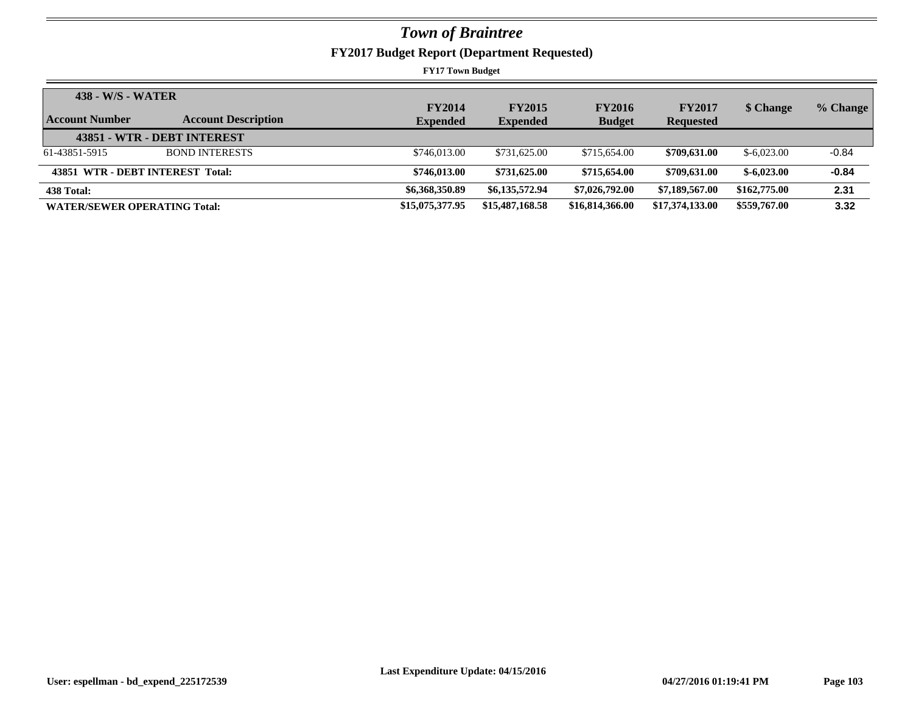**FY2017 Budget Report (Department Requested)**

| 438 - W/S - WATER                   |                             | <b>FY2014</b>   | <b>FY2015</b>   | <b>FY2016</b>   | <b>FY2017</b>    | \$ Change    | % Change |
|-------------------------------------|-----------------------------|-----------------|-----------------|-----------------|------------------|--------------|----------|
| Account Number                      | <b>Account Description</b>  | <b>Expended</b> | <b>Expended</b> | <b>Budget</b>   | <b>Requested</b> |              |          |
|                                     | 43851 - WTR - DEBT INTEREST |                 |                 |                 |                  |              |          |
| 61-43851-5915                       | <b>BOND INTERESTS</b>       | \$746,013,00    | \$731,625.00    | \$715,654.00    | \$709,631.00     | $$-6,023.00$ | $-0.84$  |
| 43851 WTR - DEBT INTEREST Total:    |                             | \$746,013.00    | \$731,625.00    | \$715,654.00    | \$709,631.00     | $$-6,023.00$ | $-0.84$  |
| 438 Total:                          |                             | \$6,368,350.89  | \$6,135,572.94  | \$7,026,792.00  | \$7,189,567,00   | \$162,775.00 | 2.31     |
| <b>WATER/SEWER OPERATING Total:</b> |                             | \$15,075,377.95 | \$15,487,168.58 | \$16,814,366.00 | \$17,374,133.00  | \$559,767.00 | 3.32     |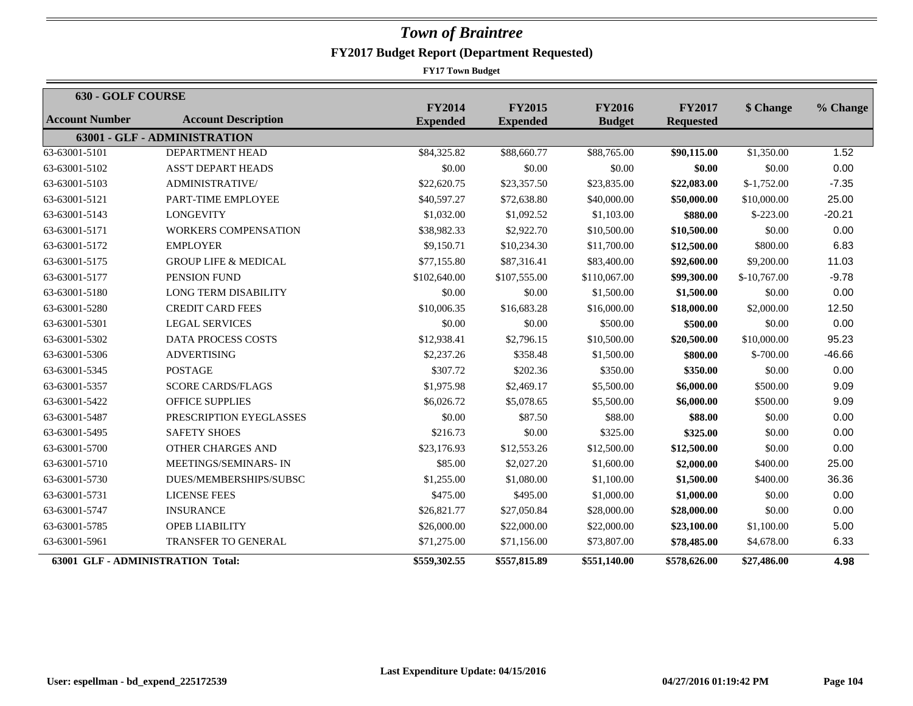| 630 - GOLF COURSE                        |                                 |                                  |                                  |                                |                                   |               |          |
|------------------------------------------|---------------------------------|----------------------------------|----------------------------------|--------------------------------|-----------------------------------|---------------|----------|
| <b>Account Number</b>                    | <b>Account Description</b>      | <b>FY2014</b><br><b>Expended</b> | <b>FY2015</b><br><b>Expended</b> | <b>FY2016</b><br><b>Budget</b> | <b>FY2017</b><br><b>Requested</b> | \$ Change     | % Change |
|                                          | 63001 - GLF - ADMINISTRATION    |                                  |                                  |                                |                                   |               |          |
| 63-63001-5101                            | DEPARTMENT HEAD                 | \$84,325.82                      | \$88,660.77                      | \$88,765.00                    | \$90,115.00                       | \$1,350.00    | 1.52     |
| 63-63001-5102                            | <b>ASS'T DEPART HEADS</b>       | \$0.00                           | \$0.00                           | \$0.00                         | \$0.00                            | \$0.00        | 0.00     |
| 63-63001-5103                            | <b>ADMINISTRATIVE/</b>          | \$22,620.75                      | \$23,357.50                      | \$23,835.00                    | \$22,083.00                       | $$-1,752.00$  | $-7.35$  |
| 63-63001-5121                            | PART-TIME EMPLOYEE              | \$40,597.27                      | \$72,638.80                      | \$40,000.00                    | \$50,000.00                       | \$10,000.00   | 25.00    |
| 63-63001-5143                            | <b>LONGEVITY</b>                | \$1,032.00                       | \$1,092.52                       | \$1,103.00                     | \$880.00                          | $$-223.00$    | $-20.21$ |
| 63-63001-5171                            | <b>WORKERS COMPENSATION</b>     | \$38,982.33                      | \$2,922.70                       | \$10,500.00                    | \$10,500.00                       | \$0.00        | 0.00     |
| 63-63001-5172                            | <b>EMPLOYER</b>                 | \$9,150.71                       | \$10,234.30                      | \$11,700.00                    | \$12,500.00                       | \$800.00      | 6.83     |
| 63-63001-5175                            | <b>GROUP LIFE &amp; MEDICAL</b> | \$77,155.80                      | \$87,316.41                      | \$83,400.00                    | \$92,600.00                       | \$9,200.00    | 11.03    |
| 63-63001-5177                            | PENSION FUND                    | \$102,640.00                     | \$107,555.00                     | \$110,067.00                   | \$99,300.00                       | $$-10,767.00$ | $-9.78$  |
| 63-63001-5180                            | <b>LONG TERM DISABILITY</b>     | \$0.00                           | \$0.00                           | \$1,500.00                     | \$1,500.00                        | \$0.00        | 0.00     |
| 63-63001-5280                            | <b>CREDIT CARD FEES</b>         | \$10,006.35                      | \$16,683.28                      | \$16,000.00                    | \$18,000.00                       | \$2,000.00    | 12.50    |
| 63-63001-5301                            | <b>LEGAL SERVICES</b>           | \$0.00                           | \$0.00                           | \$500.00                       | \$500.00                          | \$0.00        | 0.00     |
| 63-63001-5302                            | DATA PROCESS COSTS              | \$12,938.41                      | \$2,796.15                       | \$10,500.00                    | \$20,500.00                       | \$10,000.00   | 95.23    |
| 63-63001-5306                            | <b>ADVERTISING</b>              | \$2,237.26                       | \$358.48                         | \$1,500.00                     | \$800.00                          | $$-700.00$    | $-46.66$ |
| 63-63001-5345                            | <b>POSTAGE</b>                  | \$307.72                         | \$202.36                         | \$350.00                       | \$350.00                          | \$0.00        | 0.00     |
| 63-63001-5357                            | <b>SCORE CARDS/FLAGS</b>        | \$1,975.98                       | \$2,469.17                       | \$5,500.00                     | \$6,000.00                        | \$500.00      | 9.09     |
| 63-63001-5422                            | <b>OFFICE SUPPLIES</b>          | \$6,026.72                       | \$5,078.65                       | \$5,500.00                     | \$6,000.00                        | \$500.00      | 9.09     |
| 63-63001-5487                            | PRESCRIPTION EYEGLASSES         | \$0.00                           | \$87.50                          | \$88.00                        | \$88.00                           | \$0.00        | 0.00     |
| 63-63001-5495                            | <b>SAFETY SHOES</b>             | \$216.73                         | \$0.00                           | \$325.00                       | \$325.00                          | \$0.00        | 0.00     |
| 63-63001-5700                            | OTHER CHARGES AND               | \$23,176.93                      | \$12,553.26                      | \$12,500.00                    | \$12,500.00                       | \$0.00        | 0.00     |
| 63-63001-5710                            | MEETINGS/SEMINARS-IN            | \$85.00                          | \$2,027.20                       | \$1,600.00                     | \$2,000.00                        | \$400.00      | 25.00    |
| 63-63001-5730                            | DUES/MEMBERSHIPS/SUBSC          | \$1,255.00                       | \$1,080.00                       | \$1,100.00                     | \$1,500.00                        | \$400.00      | 36.36    |
| 63-63001-5731                            | <b>LICENSE FEES</b>             | \$475.00                         | \$495.00                         | \$1,000.00                     | \$1,000.00                        | \$0.00        | 0.00     |
| 63-63001-5747                            | <b>INSURANCE</b>                | \$26,821.77                      | \$27,050.84                      | \$28,000.00                    | \$28,000.00                       | \$0.00        | 0.00     |
| 63-63001-5785                            | <b>OPEB LIABILITY</b>           | \$26,000.00                      | \$22,000.00                      | \$22,000.00                    | \$23,100.00                       | \$1,100.00    | 5.00     |
| 63-63001-5961                            | <b>TRANSFER TO GENERAL</b>      | \$71,275.00                      | \$71,156.00                      | \$73,807.00                    | \$78,485.00                       | \$4,678.00    | 6.33     |
| <b>63001 GLF - ADMINISTRATION Total:</b> |                                 | \$559,302.55                     | \$557,815.89                     | \$551,140.00                   | \$578,626.00                      | \$27,486.00   | 4.98     |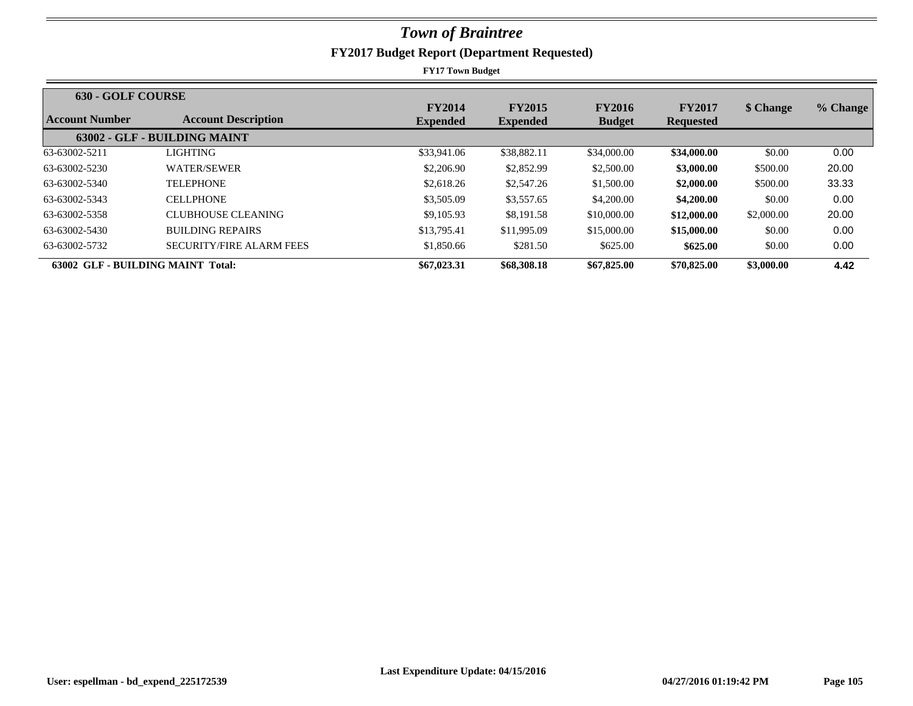| <b>630 - GOLF COURSE</b> |                                          |                 |                 |               |                  |            |          |
|--------------------------|------------------------------------------|-----------------|-----------------|---------------|------------------|------------|----------|
|                          |                                          | <b>FY2014</b>   | <b>FY2015</b>   | <b>FY2016</b> | <b>FY2017</b>    | \$ Change  | % Change |
| Account Number           | <b>Account Description</b>               | <b>Expended</b> | <b>Expended</b> | <b>Budget</b> | <b>Requested</b> |            |          |
|                          | 63002 - GLF - BUILDING MAINT             |                 |                 |               |                  |            |          |
| 63-63002-5211            | LIGHTING-                                | \$33,941.06     | \$38,882.11     | \$34,000.00   | \$34,000.00      | \$0.00     | 0.00     |
| 63-63002-5230            | <b>WATER/SEWER</b>                       | \$2,206.90      | \$2,852.99      | \$2,500.00    | \$3,000.00       | \$500.00   | 20.00    |
| 63-63002-5340            | <b>TELEPHONE</b>                         | \$2,618.26      | \$2,547.26      | \$1,500.00    | \$2,000.00       | \$500.00   | 33.33    |
| 63-63002-5343            | <b>CELLPHONE</b>                         | \$3,505.09      | \$3,557.65      | \$4,200.00    | \$4,200.00       | \$0.00     | 0.00     |
| 63-63002-5358            | CLUBHOUSE CLEANING                       | \$9,105.93      | \$8,191.58      | \$10,000.00   | \$12,000.00      | \$2,000.00 | 20.00    |
| 63-63002-5430            | <b>BUILDING REPAIRS</b>                  | \$13,795.41     | \$11,995.09     | \$15,000.00   | \$15,000.00      | \$0.00     | 0.00     |
| 63-63002-5732            | <b>SECURITY/FIRE ALARM FEES</b>          | \$1,850.66      | \$281.50        | \$625.00      | \$625.00         | \$0.00     | 0.00     |
|                          | <b>63002 GLF - BUILDING MAINT Total:</b> | \$67,023.31     | \$68,308.18     | \$67,825.00   | \$70,825.00      | \$3,000.00 | 4.42     |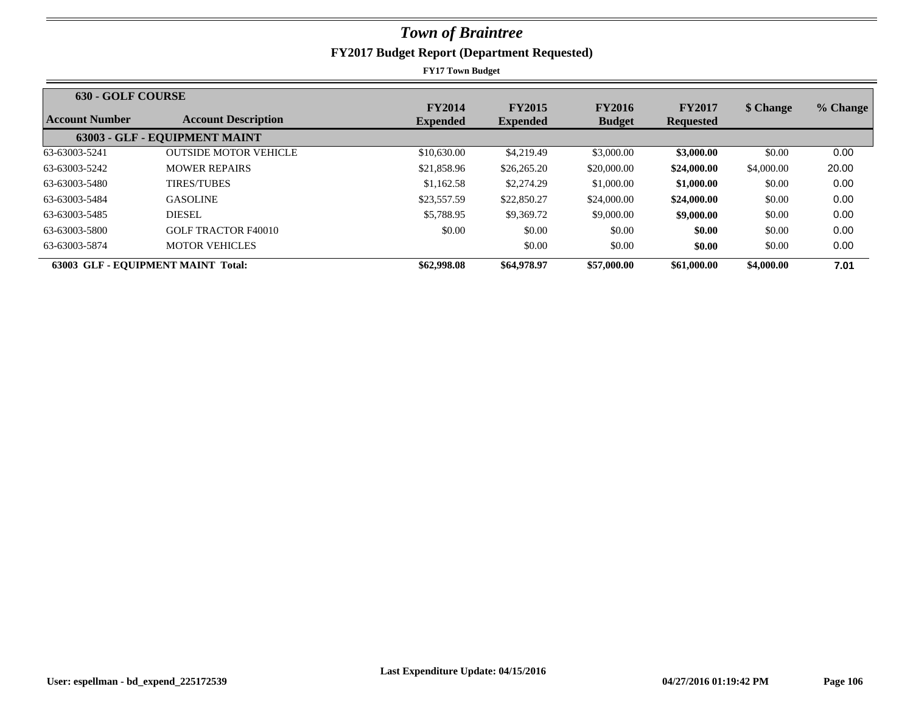| <b>630 - GOLF COURSE</b> |                                           |                 |                 |               |                  |            |          |
|--------------------------|-------------------------------------------|-----------------|-----------------|---------------|------------------|------------|----------|
|                          |                                           | <b>FY2014</b>   | <b>FY2015</b>   | <b>FY2016</b> | <b>FY2017</b>    | \$ Change  | % Change |
| Account Number           | <b>Account Description</b>                | <b>Expended</b> | <b>Expended</b> | <b>Budget</b> | <b>Requested</b> |            |          |
|                          | 63003 - GLF - EQUIPMENT MAINT             |                 |                 |               |                  |            |          |
| 63-63003-5241            | <b>OUTSIDE MOTOR VEHICLE</b>              | \$10,630.00     | \$4,219.49      | \$3,000.00    | \$3,000.00       | \$0.00     | 0.00     |
| 63-63003-5242            | <b>MOWER REPAIRS</b>                      | \$21,858.96     | \$26,265.20     | \$20,000.00   | \$24,000.00      | \$4,000.00 | 20.00    |
| 63-63003-5480            | <b>TIRES/TUBES</b>                        | \$1,162.58      | \$2,274.29      | \$1,000.00    | \$1,000.00       | \$0.00     | 0.00     |
| 63-63003-5484            | <b>GASOLINE</b>                           | \$23,557.59     | \$22,850.27     | \$24,000.00   | \$24,000.00      | \$0.00     | 0.00     |
| 63-63003-5485            | <b>DIESEL</b>                             | \$5,788.95      | \$9,369.72      | \$9,000.00    | \$9,000.00       | \$0.00     | 0.00     |
| 63-63003-5800            | <b>GOLF TRACTOR F40010</b>                | \$0.00          | \$0.00          | \$0.00        | \$0.00           | \$0.00     | 0.00     |
| 63-63003-5874            | <b>MOTOR VEHICLES</b>                     |                 | \$0.00          | \$0.00        | \$0.00           | \$0.00     | 0.00     |
|                          | <b>63003 GLF - EOUIPMENT MAINT Total:</b> | \$62,998.08     | \$64,978.97     | \$57,000.00   | \$61,000.00      | \$4,000.00 | 7.01     |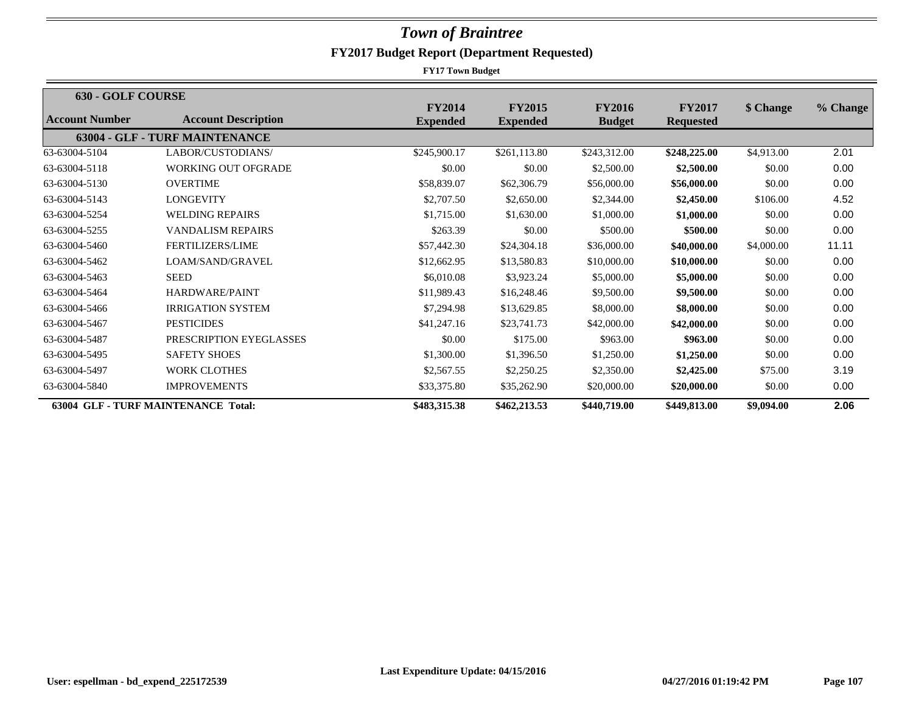| 630 - GOLF COURSE |                                            |                 |                 |               |                  |            |          |
|-------------------|--------------------------------------------|-----------------|-----------------|---------------|------------------|------------|----------|
|                   |                                            | <b>FY2014</b>   | <b>FY2015</b>   | <b>FY2016</b> | <b>FY2017</b>    | \$ Change  | % Change |
| Account Number    | <b>Account Description</b>                 | <b>Expended</b> | <b>Expended</b> | <b>Budget</b> | <b>Requested</b> |            |          |
|                   | 63004 - GLF - TURF MAINTENANCE             |                 |                 |               |                  |            |          |
| 63-63004-5104     | LABOR/CUSTODIANS/                          | \$245,900.17    | \$261,113.80    | \$243,312.00  | \$248,225.00     | \$4,913.00 | 2.01     |
| 63-63004-5118     | <b>WORKING OUT OFGRADE</b>                 | \$0.00          | \$0.00          | \$2,500.00    | \$2,500.00       | \$0.00     | 0.00     |
| 63-63004-5130     | <b>OVERTIME</b>                            | \$58,839.07     | \$62,306.79     | \$56,000.00   | \$56,000.00      | \$0.00     | 0.00     |
| 63-63004-5143     | <b>LONGEVITY</b>                           | \$2,707.50      | \$2,650.00      | \$2,344.00    | \$2,450.00       | \$106.00   | 4.52     |
| 63-63004-5254     | <b>WELDING REPAIRS</b>                     | \$1,715.00      | \$1,630.00      | \$1,000.00    | \$1,000.00       | \$0.00     | 0.00     |
| 63-63004-5255     | <b>VANDALISM REPAIRS</b>                   | \$263.39        | \$0.00          | \$500.00      | \$500.00         | \$0.00     | 0.00     |
| 63-63004-5460     | <b>FERTILIZERS/LIME</b>                    | \$57,442.30     | \$24,304.18     | \$36,000.00   | \$40,000.00      | \$4,000.00 | 11.11    |
| 63-63004-5462     | LOAM/SAND/GRAVEL                           | \$12,662.95     | \$13,580.83     | \$10,000.00   | \$10,000.00      | \$0.00     | 0.00     |
| 63-63004-5463     | <b>SEED</b>                                | \$6,010.08      | \$3,923.24      | \$5,000.00    | \$5,000.00       | \$0.00     | 0.00     |
| 63-63004-5464     | HARDWARE/PAINT                             | \$11,989.43     | \$16,248.46     | \$9,500.00    | \$9,500.00       | \$0.00     | 0.00     |
| 63-63004-5466     | <b>IRRIGATION SYSTEM</b>                   | \$7,294.98      | \$13,629.85     | \$8,000.00    | \$8,000.00       | \$0.00     | 0.00     |
| 63-63004-5467     | <b>PESTICIDES</b>                          | \$41,247.16     | \$23,741.73     | \$42,000.00   | \$42,000.00      | \$0.00     | 0.00     |
| 63-63004-5487     | PRESCRIPTION EYEGLASSES                    | \$0.00          | \$175.00        | \$963.00      | \$963.00         | \$0.00     | 0.00     |
| 63-63004-5495     | <b>SAFETY SHOES</b>                        | \$1,300.00      | \$1,396.50      | \$1,250.00    | \$1,250.00       | \$0.00     | 0.00     |
| 63-63004-5497     | <b>WORK CLOTHES</b>                        | \$2,567.55      | \$2,250.25      | \$2,350.00    | \$2,425.00       | \$75.00    | 3.19     |
| 63-63004-5840     | <b>IMPROVEMENTS</b>                        | \$33,375.80     | \$35,262.90     | \$20,000.00   | \$20,000.00      | \$0.00     | 0.00     |
|                   | <b>63004 GLF - TURF MAINTENANCE Total:</b> | \$483,315.38    | \$462,213.53    | \$440,719.00  | \$449,813.00     | \$9,094.00 | 2.06     |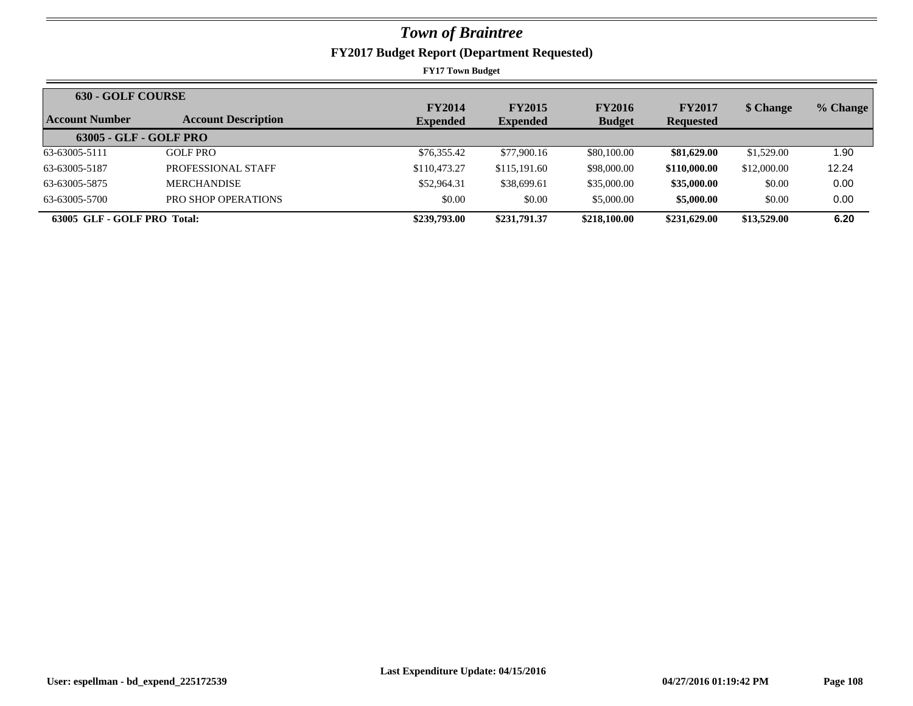| <b>630 - GOLF COURSE</b>    |                            |                 |                 |               |                  |             |          |
|-----------------------------|----------------------------|-----------------|-----------------|---------------|------------------|-------------|----------|
|                             |                            | <b>FY2014</b>   | <b>FY2015</b>   | <b>FY2016</b> | <b>FY2017</b>    | \$ Change   | % Change |
| Account Number              | <b>Account Description</b> | <b>Expended</b> | <b>Expended</b> | <b>Budget</b> | <b>Requested</b> |             |          |
| $63005 - GLF - GOLF PRO$    |                            |                 |                 |               |                  |             |          |
| 63-63005-5111               | <b>GOLF PRO</b>            | \$76,355.42     | \$77,900.16     | \$80,100.00   | \$81,629.00      | \$1,529.00  | .90      |
| 63-63005-5187               | PROFESSIONAL STAFF         | \$110,473.27    | \$115,191.60    | \$98,000.00   | \$110,000.00     | \$12,000.00 | 12.24    |
| 63-63005-5875               | <b>MERCHANDISE</b>         | \$52,964.31     | \$38,699.61     | \$35,000.00   | \$35,000.00      | \$0.00      | 0.00     |
| 63-63005-5700               | PRO SHOP OPERATIONS        | \$0.00          | \$0.00          | \$5,000.00    | \$5,000.00       | \$0.00      | 0.00     |
| 63005 GLF - GOLF PRO Total: |                            | \$239,793.00    | \$231,791.37    | \$218,100.00  | \$231,629.00     | \$13,529.00 | 6.20     |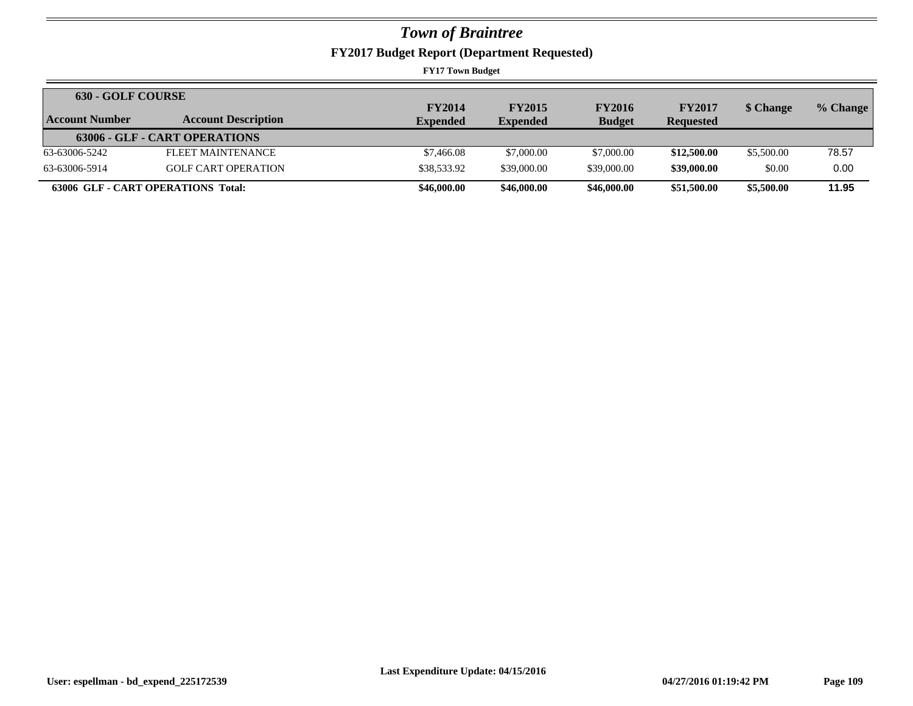## *Town of Braintree*

**FY2017 Budget Report (Department Requested)**

**FY17 Town Budget**

| <b>630 - GOLF COURSE</b>           |                               | <b>FY2014</b>   | <b>FY2015</b>   | <b>FY2016</b> | <b>FY2017</b>    | \$ Change  | % Change |
|------------------------------------|-------------------------------|-----------------|-----------------|---------------|------------------|------------|----------|
| Account Number                     | <b>Account Description</b>    | <b>Expended</b> | <b>Expended</b> | <b>Budget</b> | <b>Requested</b> |            |          |
|                                    | 63006 - GLF - CART OPERATIONS |                 |                 |               |                  |            |          |
| 63-63006-5242                      | FLEET MAINTENANCE             | \$7,466.08      | \$7,000.00      | \$7,000.00    | \$12,500.00      | \$5,500.00 | 78.57    |
| 63-63006-5914                      | <b>GOLF CART OPERATION</b>    | \$38,533.92     | \$39,000.00     | \$39,000.00   | \$39,000.00      | \$0.00     | 0.00     |
| 63006 GLF - CART OPERATIONS Total: |                               | \$46,000.00     | \$46,000.00     | \$46,000.00   | \$51,500.00      | \$5,500.00 | 11.95    |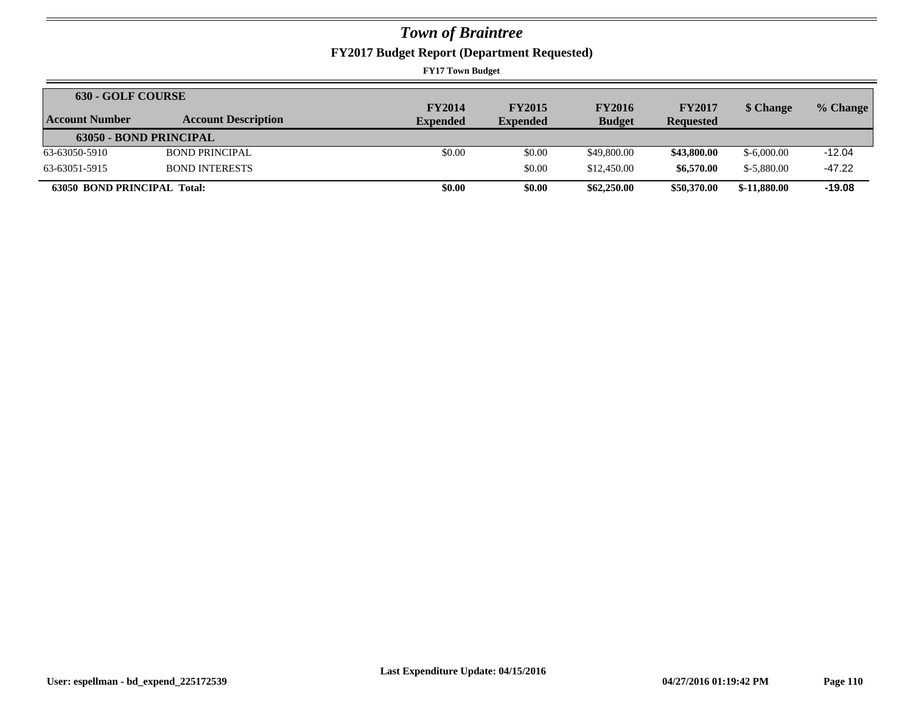## *Town of Braintree*

**FY2017 Budget Report (Department Requested)**

**FY17 Town Budget**

| <b>630 - GOLF COURSE</b>           |                            | <b>FY2014</b>   | <b>FY2015</b>   | <b>FY2016</b> | <b>FY2017</b>    | \$ Change     | % Change |
|------------------------------------|----------------------------|-----------------|-----------------|---------------|------------------|---------------|----------|
| Account Number                     | <b>Account Description</b> | <b>Expended</b> | <b>Expended</b> | <b>Budget</b> | <b>Requested</b> |               |          |
| <b>63050 - BOND PRINCIPAL</b>      |                            |                 |                 |               |                  |               |          |
| 63-63050-5910                      | <b>BOND PRINCIPAL</b>      | \$0.00          | \$0.00          | \$49,800.00   | \$43,800.00      | $$-6,000,00$  | $-12.04$ |
| 63-63051-5915                      | <b>BOND INTERESTS</b>      |                 | \$0.00          | \$12,450.00   | \$6,570.00       | $$-5.880.00$  | $-47.22$ |
| <b>63050 BOND PRINCIPAL Total:</b> |                            | \$0.00          | \$0.00          | \$62,250.00   | \$50,370.00      | $$-11,880.00$ | $-19.08$ |